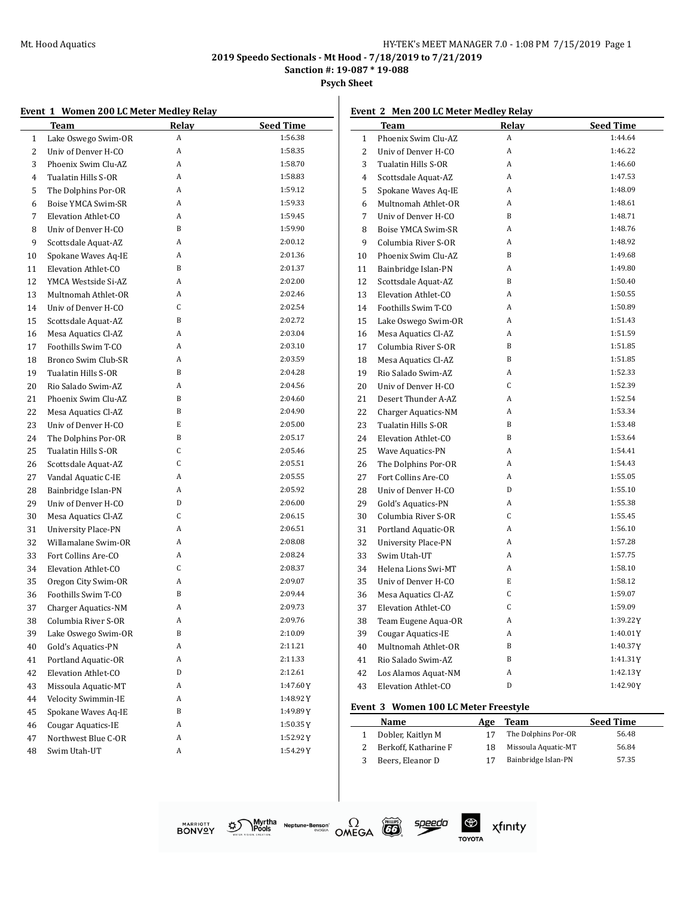**Sanction #: 19-087 \* 19-088**

**Psych Sheet**

#### **Event 1 Women 200 LC Meter Medley Relay**

|    | <b>Team</b>               | Relay | <b>Seed Time</b> |
|----|---------------------------|-------|------------------|
| 1  | Lake Oswego Swim-OR       | A     | 1:56.38          |
| 2  | Univ of Denver H-CO       | A     | 1:58.35          |
| 3  | Phoenix Swim Clu-AZ       | A     | 1:58.70          |
| 4  | Tualatin Hills S-OR       | A     | 1:58.83          |
| 5  | The Dolphins Por-OR       | A     | 1:59.12          |
| 6  | Boise YMCA Swim-SR        | A     | 1:59.33          |
| 7  | Elevation Athlet-CO       | A     | 1:59.45          |
| 8  | Univ of Denver H-CO       | B     | 1:59.90          |
| 9  | Scottsdale Aquat-AZ       | A     | 2:00.12          |
| 10 | Spokane Waves Aq-IE       | A     | 2:01.36          |
| 11 | Elevation Athlet-CO       | B     | 2:01.37          |
| 12 | YMCA Westside Si-AZ       | A     | 2:02.00          |
| 13 | Multnomah Athlet-OR       | A     | 2:02.46          |
| 14 | Univ of Denver H-CO       | C     | 2:02.54          |
| 15 | Scottsdale Aquat-AZ       | B     | 2:02.72          |
| 16 | Mesa Aquatics Cl-AZ       | A     | 2:03.04          |
| 17 | Foothills Swim T-CO       | A     | 2:03.10          |
| 18 | Bronco Swim Club-SR       | A     | 2:03.59          |
| 19 | Tualatin Hills S-OR       | B     | 2:04.28          |
| 20 | Rio Salado Swim-AZ        | A     | 2:04.56          |
| 21 | Phoenix Swim Clu-AZ       | B     | 2:04.60          |
| 22 | Mesa Aquatics Cl-AZ       | B     | 2:04.90          |
| 23 | Univ of Denver H-CO       | E     | 2:05.00          |
| 24 | The Dolphins Por-OR       | B     | 2:05.17          |
| 25 | Tualatin Hills S-OR       | C     | 2:05.46          |
| 26 | Scottsdale Aquat-AZ       | C     | 2:05.51          |
| 27 | Vandal Aquatic C-IE       | A     | 2:05.55          |
| 28 | Bainbridge Islan-PN       | A     | 2:05.92          |
| 29 | Univ of Denver H-CO       | D     | 2:06.00          |
| 30 | Mesa Aquatics Cl-AZ       | C     | 2:06.15          |
| 31 | University Place-PN       | A     | 2:06.51          |
| 32 | Willamalane Swim-OR       | A     | 2:08.08          |
| 33 | Fort Collins Are-CO       | A     | 2:08.24          |
| 34 | Elevation Athlet-CO       | C     | 2:08.37          |
| 35 | Oregon City Swim-OR       | A     | 2:09.07          |
| 36 | Foothills Swim T-CO       | B     | 2:09.44          |
| 37 | Charger Aquatics-NM       | A     | 2:09.73          |
| 38 | Columbia River S-OR       | A     | 2:09.76          |
| 39 | Lake Oswego Swim-OR       | B     | 2:10.09          |
| 40 | Gold's Aquatics-PN        | A     | 2:11.21          |
| 41 | Portland Aquatic-OR       | A     | 2:11.33          |
| 42 | Elevation Athlet-CO       | D     | 2:12.61          |
| 43 | Missoula Aquatic-MT       | A     | 1:47.60Y         |
| 44 | Velocity Swimmin-IE       | A     | 1:48.92Y         |
| 45 | Spokane Waves Aq-IE       | B     | 1:49.89Y         |
| 46 | <b>Cougar Aquatics-IE</b> | A     | 1:50.35Y         |
| 47 | Northwest Blue C-OR       | A     | 1:52.92Y         |
| 48 | Swim Utah-UT              | A     | 1:54.29Y         |
|    |                           |       |                  |

## **Event 2 Men 200 LC Meter Medley Relay**

|                | T <u>eam</u>               | <b>Relay</b> | <b>Seed Time</b> |
|----------------|----------------------------|--------------|------------------|
| $\mathbf{1}$   | Phoenix Swim Clu-AZ        | A            | 1:44.64          |
| 2              | Univ of Denver H-CO        | A            | 1:46.22          |
| 3              | Tualatin Hills S-OR        | A            | 1:46.60          |
| $\overline{4}$ | Scottsdale Aquat-AZ        | A            | 1:47.53          |
| 5              | Spokane Waves Aq-IE        | A            | 1:48.09          |
| 6              | Multnomah Athlet-OR        | A            | 1:48.61          |
| 7              | Univ of Denver H-CO        | B            | 1:48.71          |
| 8              | Boise YMCA Swim-SR         | A            | 1:48.76          |
| 9              | Columbia River S-OR        | A            | 1:48.92          |
| 10             | Phoenix Swim Clu-AZ        | B            | 1:49.68          |
| 11             | Bainbridge Islan-PN        | A            | 1:49.80          |
| 12             | Scottsdale Aquat-AZ        | B            | 1:50.40          |
| 13             | Elevation Athlet-CO        | A            | 1:50.55          |
| 14             | Foothills Swim T-CO        | A            | 1:50.89          |
| 15             | Lake Oswego Swim-OR        | A            | 1:51.43          |
| 16             | Mesa Aquatics Cl-AZ        | A            | 1:51.59          |
| 17             | Columbia River S-OR        | B            | 1:51.85          |
| 18             | Mesa Aquatics Cl-AZ        | B            | 1:51.85          |
| 19             | Rio Salado Swim-AZ         | A            | 1:52.33          |
| 20             | Univ of Denver H-CO        | C            | 1:52.39          |
| 21             | Desert Thunder A-AZ        | A            | 1:52.54          |
| 22             | <b>Charger Aquatics-NM</b> | A            | 1:53.34          |
| 23             | Tualatin Hills S-OR        | B            | 1:53.48          |
| 24             | Elevation Athlet-CO        | B            | 1:53.64          |
| 25             | Wave Aquatics-PN           | A            | 1:54.41          |
| 26             | The Dolphins Por-OR        | A            | 1:54.43          |
| 27             | Fort Collins Are-CO        | A            | 1:55.05          |
| 28             | Univ of Denver H-CO        | D            | 1:55.10          |
| 29             | Gold's Aquatics-PN         | A            | 1:55.38          |
| 30             | Columbia River S-OR        | C            | 1:55.45          |
| 31             | Portland Aquatic-OR        | A            | 1:56.10          |
| 32             | University Place-PN        | A            | 1:57.28          |
| 33             | Swim Utah-UT               | A            | 1:57.75          |
| 34             | Helena Lions Swi-MT        | A            | 1:58.10          |
| 35             | Univ of Denver H-CO        | E            | 1:58.12          |
| 36             | Mesa Aquatics Cl-AZ        | C            | 1:59.07          |
| 37             | Elevation Athlet-CO        | C            | 1:59.09          |
| 38             | Team Eugene Aqua-OR        | A            | 1:39.22Y         |
| 39             | Cougar Aquatics-IE         | A            | 1:40.01Y         |
| 40             | Multnomah Athlet-OR        | B            | 1:40.37Y         |
| 41             | Rio Salado Swim-AZ         | B            | 1:41.31Y         |
| 42             | Los Alamos Aquat-NM        | A            | 1:42.13Y         |
| 43             | Elevation Athlet-CO        | D            | 1:42.90Y         |

#### **Event 3 Women 100 LC Meter Freestyle**

speedo

| Name                 | Age | Team                | <b>Seed Time</b> |
|----------------------|-----|---------------------|------------------|
| Dobler, Kaitlyn M    | 17  | The Dolphins Por-OR | 56.48            |
| Berkoff, Katharine F | 18  | Missoula Aquatic-MT | 56.84            |
| Beers, Eleanor D     | 17  | Bainbridge Islan-PN | 57.35            |



Myrtha Neptune-Benson<sup>\*</sup><br>IPools<br>Illen Station. গ্ৰু



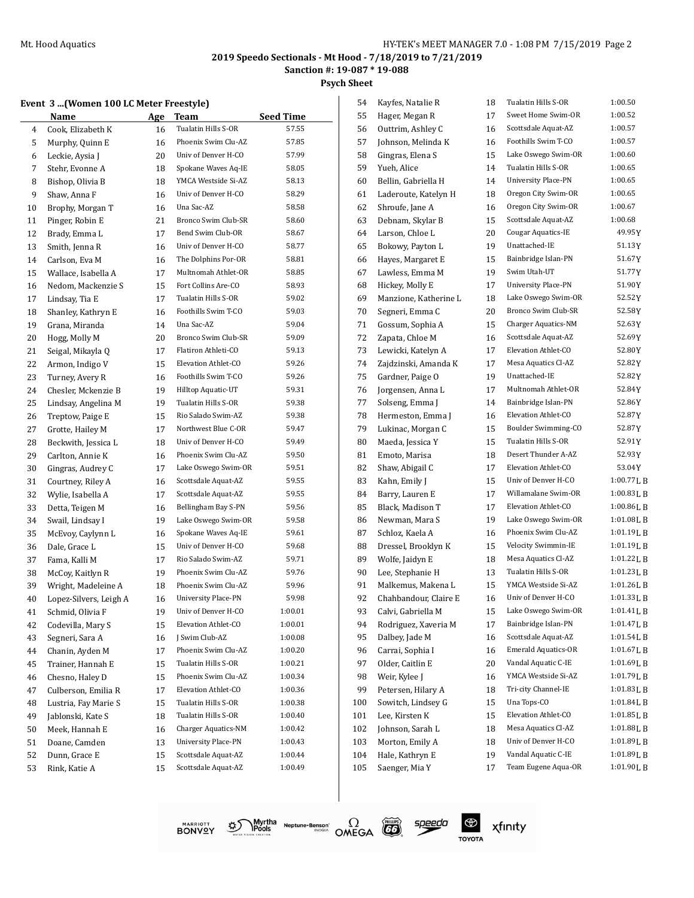**Psych Sheet**

## **Event 3 ...(Women 100 LC Meter Freestyle)**

|          | vent 3  (Women 100 LC Meter Freestyle)<br>Name | Age | Team                                       | <b>Seed Time</b> |
|----------|------------------------------------------------|-----|--------------------------------------------|------------------|
| 4        | Cook, Elizabeth K                              | 16  | Tualatin Hills S-OR                        | 57.55            |
| 5        | Murphy, Quinn E                                | 16  | Phoenix Swim Clu-AZ                        | 57.85            |
| 6        | Leckie, Aysia J                                | 20  | Univ of Denver H-CO                        | 57.99            |
| 7        | Stehr, Evonne A                                | 18  | Spokane Waves Aq-IE                        | 58.05            |
| 8        | Bishop, Olivia B                               | 18  | YMCA Westside Si-AZ                        | 58.13            |
| 9        | Shaw, Anna F                                   | 16  | Univ of Denver H-CO                        | 58.29            |
| 10       | Brophy, Morgan T                               | 16  | Una Sac-AZ                                 | 58.58            |
| 11       | Pinger, Robin E                                | 21  | Bronco Swim Club-SR                        | 58.60            |
| 12       | Brady, Emma L                                  | 17  | Bend Swim Club-OR                          | 58.67            |
| 13       | Smith, Jenna R                                 | 16  | Univ of Denver H-CO                        | 58.77            |
| 14       | Carlson, Eva M                                 | 16  | The Dolphins Por-OR                        | 58.81            |
| 15       | Wallace, Isabella A                            | 17  | Multnomah Athlet-OR                        | 58.85            |
| 16       | Nedom, Mackenzie S                             | 15  | Fort Collins Are-CO                        | 58.93            |
| 17       | Lindsay, Tia E                                 | 17  | Tualatin Hills S-OR                        | 59.02            |
| 18       | Shanley, Kathryn E                             | 16  | Foothills Swim T-CO                        | 59.03            |
| 19       | Grana, Miranda                                 | 14  | Una Sac-AZ                                 | 59.04            |
| 20       | Hogg, Molly M                                  | 20  | Bronco Swim Club-SR                        | 59.09            |
| 21       | Seigal, Mikayla Q                              | 17  | Flatiron Athleti-CO                        | 59.13            |
| 22       | Armon, Indigo V                                | 15  | Elevation Athlet-CO                        | 59.26            |
| 23       | Turney, Avery R                                | 16  | Foothills Swim T-CO                        | 59.26            |
| 24       | Chesler, Mckenzie B                            | 19  | Hilltop Aquatic-UT                         | 59.31            |
| 25       | Lindsay, Angelina M                            | 19  | Tualatin Hills S-OR                        | 59.38            |
| 26       | Treptow, Paige E                               | 15  | Rio Salado Swim-AZ                         | 59.38            |
| 27       | Grotte, Hailey M                               | 17  | Northwest Blue C-OR                        | 59.47            |
|          |                                                |     | Univ of Denver H-CO                        | 59.49            |
| 28       | Beckwith, Jessica L                            | 18  | Phoenix Swim Clu-AZ                        | 59.50            |
| 29       | Carlton, Annie K                               | 16  | Lake Oswego Swim-OR                        |                  |
| 30       | Gingras, Audrey C                              | 17  |                                            | 59.51            |
| 31       | Courtney, Riley A                              | 16  | Scottsdale Aquat-AZ                        | 59.55            |
| 32       | Wylie, Isabella A                              | 17  | Scottsdale Aquat-AZ                        | 59.55            |
| 33       | Detta, Teigen M                                | 16  | Bellingham Bay S-PN                        | 59.56            |
| 34       | Swail, Lindsay I                               | 19  | Lake Oswego Swim-OR                        | 59.58            |
| 35       | McEvoy, Caylynn L                              | 16  | Spokane Waves Aq-IE                        | 59.61            |
| 36       | Dale, Grace L                                  | 15  | Univ of Denver H-CO                        | 59.68            |
| 37       | Fama, Kalli M                                  | 17  | Rio Salado Swim-AZ                         | 59.71            |
| 38       | McCoy, Kaitlyn R                               | 19  | Phoenix Swim Clu-AZ                        | 59.76            |
| 39       | Wright, Madeleine A                            | 18  | Phoenix Swim Clu-AZ                        | 59.96            |
| 40       | Lopez-Silvers, Leigh A                         | 16  | <b>University Place-PN</b>                 | 59.98            |
| 41       | Schmid, Olivia F                               | 19  | Univ of Denver H-CO                        | 1:00.01          |
| 42       | Codevilla, Mary S                              | 15  | Elevation Athlet-CO                        | 1:00.01          |
| 43       | Segneri, Sara A                                | 16  | J Swim Club-AZ                             | 1:00.08          |
| 44       | Chanin, Ayden M                                | 17  | Phoenix Swim Clu-AZ                        | 1:00.20          |
| 45       | Trainer, Hannah E                              | 15  | Tualatin Hills S-OR                        | 1:00.21          |
| 46       | Chesno, Haley D                                | 15  | Phoenix Swim Clu-AZ                        | 1:00.34          |
| 47       | Culberson, Emilia R                            | 17  | Elevation Athlet-CO                        | 1:00.36          |
| 48       | Lustria, Fay Marie S                           | 15  | Tualatin Hills S-OR                        | 1:00.38          |
| 49       | Jablonski, Kate S                              | 18  | Tualatin Hills S-OR                        | 1:00.40          |
| 50       | Meek, Hannah E                                 | 16  | <b>Charger Aquatics-NM</b>                 | 1:00.42          |
|          | Doane, Camden                                  | 13  | <b>University Place-PN</b>                 | 1:00.43          |
|          |                                                |     |                                            |                  |
| 51<br>52 | Dunn, Grace E                                  | 15  | Scottsdale Aquat-AZ<br>Scottsdale Aquat-AZ | 1:00.44          |

| 54  | Kayfes, Natalie R     | 18 | Tualatin Hills S-OR        | 1:00.50     |
|-----|-----------------------|----|----------------------------|-------------|
| 55  | Hager, Megan R        | 17 | Sweet Home Swim-OR         | 1:00.52     |
| 56  | Outtrim, Ashley C     | 16 | Scottsdale Aquat-AZ        | 1:00.57     |
| 57  | Johnson, Melinda K    | 16 | Foothills Swim T-CO        | 1:00.57     |
| 58  | Gingras, Elena S      | 15 | Lake Oswego Swim-OR        | 1:00.60     |
| 59  | Yueh, Alice           | 14 | Tualatin Hills S-OR        | 1:00.65     |
| 60  | Bellin, Gabriella H   | 14 | <b>University Place-PN</b> | 1:00.65     |
| 61  | Laderoute, Katelyn H  | 18 | Oregon City Swim-OR        | 1:00.65     |
| 62  | Shroufe, Jane A       | 16 | Oregon City Swim-OR        | 1:00.67     |
| 63  | Debnam, Skylar B      | 15 | Scottsdale Aquat-AZ        | 1:00.68     |
| 64  | Larson, Chloe L       | 20 | Cougar Aquatics-IE         | 49.95 Y     |
| 65  | Bokowy, Payton L      | 19 | Unattached-IE              | 51.13Y      |
| 66  | Hayes, Margaret E     | 15 | Bainbridge Islan-PN        | 51.67Y      |
| 67  | Lawless, Emma M       | 19 | Swim Utah-UT               | 51.77 Y     |
| 68  | Hickey, Molly E       | 17 | University Place-PN        | 51.90Y      |
| 69  | Manzione, Katherine L | 18 | Lake Oswego Swim-OR        | 52.52Y      |
| 70  | Segneri, Emma C       | 20 | Bronco Swim Club-SR        | 52.58 Y     |
| 71  | Gossum, Sophia A      | 15 | Charger Aquatics-NM        | 52.63 Y     |
| 72  | Zapata, Chloe M       | 16 | Scottsdale Aquat-AZ        | 52.69 Y     |
| 73  | Lewicki, Katelyn A    | 17 | Elevation Athlet-CO        | 52.80Y      |
| 74  | Zajdzinski, Amanda K  | 17 | Mesa Aquatics Cl-AZ        | 52.82 Y     |
| 75  | Gardner, Paige O      | 19 | Unattached-IE              | 52.82Y      |
| 76  | Jorgensen, Anna L     | 17 | Multnomah Athlet-OR        | 52.84 Y     |
| 77  | Solseng, Emma J       | 14 | Bainbridge Islan-PN        | 52.86 Y     |
| 78  | Hermeston, Emma J     | 16 | Elevation Athlet-CO        | 52.87Y      |
| 79  | Lukinac, Morgan C     | 15 | Boulder Swimming-CO        | 52.87 Y     |
| 80  | Maeda, Jessica Y      | 15 | Tualatin Hills S-OR        | 52.91 Y     |
| 81  | Emoto, Marisa         | 18 | Desert Thunder A-AZ        | 52.93Y      |
| 82  | Shaw, Abigail C       | 17 | Elevation Athlet-CO        | 53.04Y      |
| 83  | Kahn, Emily J         | 15 | Univ of Denver H-CO        | 1:00.77LB   |
| 84  | Barry, Lauren E       | 17 | Willamalane Swim-OR        | 1:00.83 L B |
| 85  | Black, Madison T      | 17 | Elevation Athlet-CO        | 1:00.86LB   |
| 86  | Newman, Mara S        | 19 | Lake Oswego Swim-OR        | 1:01.08LB   |
| 87  | Schloz, Kaela A       | 16 | Phoenix Swim Clu-AZ        | 1:01.19LB   |
| 88  | Dressel, Brooklyn K   | 15 | Velocity Swimmin-IE        | 1:01.19L B  |
| 89  | Wolfe, Jaidyn E       | 18 | Mesa Aquatics Cl-AZ        | 1:01.22 L B |
| 90  | Lee, Stephanie H      | 13 | Tualatin Hills S-OR        | 1:01.23 L B |
| 91  | Malkemus, Makena L    | 15 | YMCA Westside Si-AZ        | 1:01.26LB   |
| 92  | Chahbandour, Claire E | 16 | Univ of Denver H-CO        | 1:01.33 L B |
| 93  | Calvi, Gabriella M    | 15 | Lake Oswego Swim-OR        | 1:01.41LB   |
| 94  | Rodriguez, Xaveria M  | 17 | Bainbridge Islan-PN        | 1:01.47 L B |
| 95  | Dalbey, Jade M        | 16 | Scottsdale Aquat-AZ        | 1:01.54 L B |
| 96  | Carrai, Sophia I      | 16 | <b>Emerald Aquatics-OR</b> | 1:01.67 L B |
| 97  | Older, Caitlin E      | 20 | Vandal Aquatic C-IE        | 1:01.69LB   |
| 98  | Weir, Kylee J         | 16 | YMCA Westside Si-AZ        | 1:01.79LB   |
| 99  | Petersen, Hilary A    | 18 | Tri-city Channel-IE        | 1:01.83LB   |
| 100 | Sowitch, Lindsey G    | 15 | Una Tops-CO                | 1:01.84 L B |
| 101 | Lee, Kirsten K        | 15 | Elevation Athlet-CO        | 1:01.85 L B |
| 102 | Johnson, Sarah L      | 18 | Mesa Aquatics Cl-AZ        | 1:01.88 L B |
| 103 | Morton, Emily A       | 18 | Univ of Denver H-CO        | 1:01.89LB   |
| 104 | Hale, Kathryn E       | 19 | Vandal Aquatic C-IE        | 1:01.89 L B |
| 105 | Saenger, Mia Y        | 17 | Team Eugene Aqua-OR        | 1:01.90LB   |
|     |                       |    |                            |             |





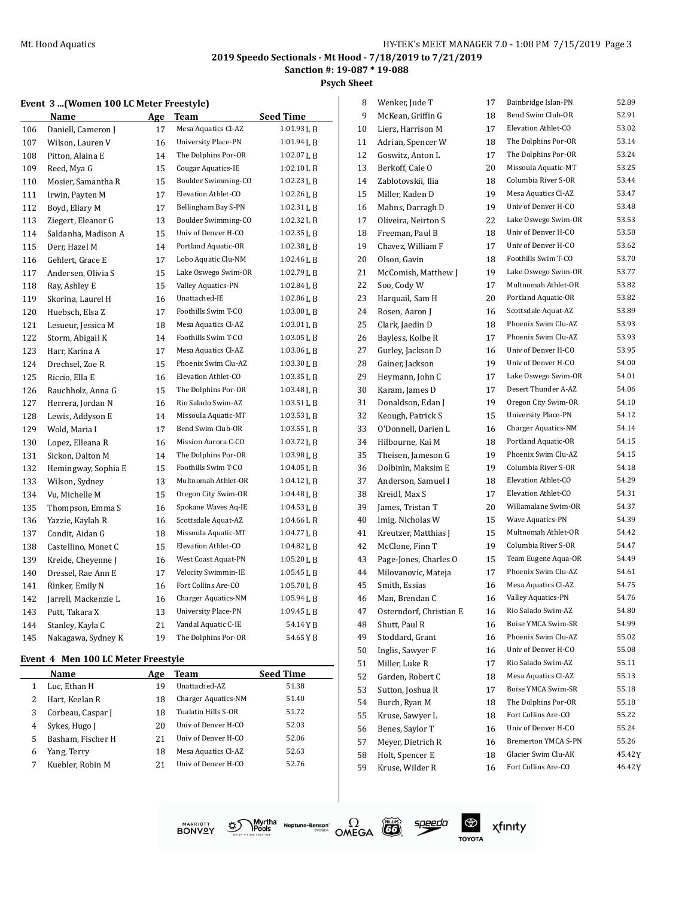**Psych Sheet**

|  |  |  | <b>Event 3  (Women 100 LC Meter Freestyle)</b> |  |  |  |  |  |
|--|--|--|------------------------------------------------|--|--|--|--|--|
|--|--|--|------------------------------------------------|--|--|--|--|--|

|     | Name                 | <u>Age</u> | Team                       | <b>Seed Time</b>        |
|-----|----------------------|------------|----------------------------|-------------------------|
| 106 | Daniell, Cameron J   | 17         | Mesa Aquatics Cl-AZ        | 1:01.93LB               |
| 107 | Wilson, Lauren V     | 16         | University Place-PN        | 1:01.94 L B             |
| 108 | Pitton, Alaina E     | 14         | The Dolphins Por-OR        | $1:02.07\,\mathrm{L}$ B |
| 109 | Reed, Mya G          | 15         | Cougar Aquatics-IE         | 1:02.10 L B             |
| 110 | Mosier, Samantha R   | 15         | Boulder Swimming-CO        | 1:02.23L B              |
| 111 | Irwin, Payten M      | 17         | Elevation Athlet-CO        | 1:02.26LB               |
| 112 | Boyd, Ellary M       | 17         | Bellingham Bay S-PN        | 1:02.31L B              |
| 113 | Ziegert, Eleanor G   | 13         | Boulder Swimming-CO        | 1:02.32 L B             |
| 114 | Saldanha, Madison A  | 15         | Univ of Denver H-CO        | $1:02.35$ J, B          |
| 115 | Derr, Hazel M        | 14         | Portland Aquatic-OR        | 1:02.38LB               |
| 116 | Gehlert. Grace E     | 17         | Lobo Aquatic Clu-NM        | $1:02.46$ J, B          |
| 117 | Andersen, Olivia S   | 15         | Lake Oswego Swim-OR        | 1:02.79LB               |
| 118 | Ray, Ashley E        | 15         | Valley Aquatics-PN         | $1:02.84$ J, B          |
| 119 | Skorina, Laurel H    | 16         | Unattached-IE              | 1:02.86 L B             |
| 120 | Huebsch, Elsa Z      | 17         | Foothills Swim T-CO        | 1:03.00 L B             |
| 121 | Lesueur, Jessica M   | 18         | Mesa Aquatics Cl-AZ        | 1:03.01L B              |
| 122 | Storm, Abigail K     | 14         | Foothills Swim T-CO        | $1:03.05$ J, B          |
| 123 | Harr, Karina A       | 17         | Mesa Aquatics Cl-AZ        | 1:03.06L B              |
| 124 | Drechsel, Zoe R      | 15         | Phoenix Swim Clu-AZ        | 1:03.30 L B             |
| 125 | Riccio, Ella E       | 16         | Elevation Athlet-CO        | 1:03.35L B              |
| 126 | Rauchholz, Anna G    | 15         | The Dolphins Por-OR        | 1:03.48LB               |
| 127 | Herrera, Jordan N    | 16         | Rio Salado Swim-AZ         | $1:03.51$ J, B          |
| 128 | Lewis, Addyson E     | 14         | Missoula Aquatic-MT        | 1:03.53L B              |
| 129 | Wold, Maria I        | 17         | Bend Swim Club-OR          | $1:03.55$ J, B          |
| 130 | Lopez, Elleana R     | 16         | Mission Aurora C-CO        | 1:03.72 L B             |
| 131 | Sickon, Dalton M     | 14         | The Dolphins Por-OR        | $1:03.98$ J, B          |
| 132 | Hemingway, Sophia E  | 15         | Foothills Swim T-CO        | 1:04.05LB               |
| 133 | Wilson, Sydney       | 13         | Multnomah Athlet-OR        | $1:04.12$ J, B          |
| 134 | Vu, Michelle M       | 15         | Oregon City Swim-OR        | 1:04.48LB               |
| 135 | Thompson, Emma S     | 16         | Spokane Waves Aq-IE        | 1:04.53 L B             |
| 136 | Yazzie, Kaylah R     | 16         | Scottsdale Aquat-AZ        | $1:04.66$ LB            |
| 137 | Condit, Aidan G      | 18         | Missoula Aquatic-MT        | 1:04.77LB               |
| 138 | Castellino, Monet C  | 15         | Elevation Athlet-CO        | 1:04.82LB               |
| 139 | Kreide, Cheyenne J   | 16         | West Coast Aquat-PN        | 1:05.20LB               |
| 140 | Dressel, Rae Ann E   | 17         | Velocity Swimmin-IE        | $1:05.45$ J, B          |
| 141 | Rinker, Emily N      | 16         | Fort Collins Are-CO        | 1:05.70LB               |
| 142 | Jarrell, Mackenzie L | 16         | Charger Aquatics-NM        | 1:05.94LB               |
| 143 | Putt, Takara X       | 13         | <b>University Place-PN</b> | 1:09.45L B              |
| 144 | Stanley, Kayla C     | 21         | Vandal Aquatic C-IE        | 54.14 Y B               |
| 145 | Nakagawa, Sydney K   | 19         | The Dolphins Por-OR        | 54.65 Y B               |
|     |                      |            |                            |                         |

#### **Event 4 Men 100 LC Meter Freestyle**

l.

|   | Name              | Age | Team                       | <b>Seed Time</b> |
|---|-------------------|-----|----------------------------|------------------|
|   | Luc, Ethan H      | 19  | Unattached-AZ              | 51.38            |
|   | Hart, Keelan R    | 18  | <b>Charger Aquatics-NM</b> | 51.40            |
| 3 | Corbeau, Caspar J | 18  | Tualatin Hills S-OR        | 51.72            |
| 4 | Sykes, Hugo J     | 20  | Univ of Denver H-CO        | 52.03            |
| 5 | Basham, Fischer H | 21  | Univ of Denver H-CO        | 52.06            |
| 6 | Yang, Terry       | 18  | Mesa Aquatics Cl-AZ        | 52.63            |
|   | Kuebler, Robin M  | 2.1 | Univ of Denver H-CO        | 52.76            |

| 8  | Wenker, Jude T          | 17 | Bainbridge Islan-PN        | 52.89   |
|----|-------------------------|----|----------------------------|---------|
| 9  | McKean, Griffin G       | 18 | Bend Swim Club-OR          | 52.91   |
| 10 | Lierz, Harrison M       | 17 | Elevation Athlet-CO        | 53.02   |
| 11 | Adrian, Spencer W       | 18 | The Dolphins Por-OR        | 53.14   |
| 12 | Goswitz, Anton L        | 17 | The Dolphins Por-OR        | 53.24   |
| 13 | Berkoff, Cale O         | 20 | Missoula Aquatic-MT        | 53.25   |
| 14 | Zablotovskii, Ilia      | 18 | Columbia River S-OR        | 53.44   |
| 15 | Miller, Kaden D         | 19 | Mesa Aquatics Cl-AZ        | 53.47   |
| 16 | Mahns, Darragh D        | 19 | Univ of Denver H-CO        | 53.48   |
| 17 | Oliveira, Neirton S     | 22 | Lake Oswego Swim-OR        | 53.53   |
| 18 | Freeman, Paul B         | 18 | Univ of Denver H-CO        | 53.58   |
| 19 | Chavez, William F       | 17 | Univ of Denver H-CO        | 53.62   |
| 20 | Olson, Gavin            | 18 | Foothills Swim T-CO        | 53.70   |
| 21 | McComish, Matthew J     | 19 | Lake Oswego Swim-OR        | 53.77   |
| 22 | Soo, Cody W             | 17 | Multnomah Athlet-OR        | 53.82   |
| 23 | Harquail, Sam H         | 20 | Portland Aquatic-OR        | 53.82   |
| 24 | Rosen, Aaron J          | 16 | Scottsdale Aquat-AZ        | 53.89   |
| 25 | Clark, Jaedin D         | 18 | Phoenix Swim Clu-AZ        | 53.93   |
| 26 | Bayless, Kolbe R        | 17 | Phoenix Swim Clu-AZ        | 53.93   |
| 27 | Gurley, Jackson D       | 16 | Univ of Denver H-CO        | 53.95   |
| 28 | Gainer, Jackson         | 19 | Univ of Denver H-CO        | 54.00   |
| 29 | Heymann, John C         | 17 | Lake Oswego Swim-OR        | 54.01   |
| 30 | Karam, James D          | 17 | Desert Thunder A-AZ        | 54.06   |
| 31 | Donaldson, Edan J       | 19 | Oregon City Swim-OR        | 54.10   |
| 32 | Keough, Patrick S       | 15 | <b>University Place-PN</b> | 54.12   |
| 33 | O'Donnell, Darien L     | 16 | Charger Aquatics-NM        | 54.14   |
| 34 | Hilbourne, Kai M        | 18 | Portland Aquatic-OR        | 54.15   |
| 35 | Theisen, Jameson G      | 19 | Phoenix Swim Clu-AZ        | 54.15   |
| 36 | Dolbinin, Maksim E      | 19 | Columbia River S-OR        | 54.18   |
| 37 | Anderson, Samuel I      | 18 | Elevation Athlet-CO        | 54.29   |
| 38 | Kreidl, Max S           | 17 | Elevation Athlet-CO        | 54.31   |
| 39 | James, Tristan T        | 20 | Willamalane Swim-OR        | 54.37   |
| 40 | Imig, Nicholas W        | 15 | Wave Aquatics-PN           | 54.39   |
| 41 | Kreutzer, Matthias J    | 15 | Multnomah Athlet-OR        | 54.42   |
| 42 | McClone, Finn T         | 19 | Columbia River S-OR        | 54.47   |
| 43 | Page-Jones, Charles O   | 15 | Team Eugene Aqua-OR        | 54.49   |
| 44 | Milovanovic, Mateja     | 17 | Phoenix Swim Clu-AZ        | 54.61   |
| 45 | Smith, Essias           | 16 | Mesa Aquatics Cl-AZ        | 54.75   |
| 46 | Man, Brendan C          | 16 | Valley Aquatics-PN         | 54.76   |
| 47 | Osterndorf, Christian E | 16 | Rio Salado Swim-AZ         | 54.80   |
| 48 | Shutt, Paul R           | 16 | Boise YMCA Swim-SR         | 54.99   |
| 49 | Stoddard, Grant         | 16 | Phoenix Swim Clu-AZ        | 55.02   |
| 50 | Inglis, Sawyer F        | 16 | Univ of Denver H-CO        | 55.08   |
| 51 | Miller, Luke R          | 17 | Rio Salado Swim-AZ         | 55.11   |
| 52 | Garden, Robert C        | 18 | Mesa Aquatics Cl-AZ        | 55.13   |
| 53 | Sutton, Joshua R        | 17 | Boise YMCA Swim-SR         | 55.18   |
| 54 | Burch, Ryan M           | 18 | The Dolphins Por-OR        | 55.18   |
| 55 | Kruse, Sawyer L         | 18 | Fort Collins Are-CO        | 55.22   |
| 56 | Benes, Saylor T         | 16 | Univ of Denver H-CO        | 55.24   |
| 57 | Meyer, Dietrich R       | 16 | <b>Bremerton YMCA S-PN</b> | 55.26   |
| 58 | Holt, Spencer E         | 18 | Glacier Swim Clu-AK        | 45.42 Y |
| 59 | Kruse, Wilder R         | 16 | Fort Collins Are-CO        | 46.42Y  |
|    |                         |    |                            |         |







 $\bigoplus$ 

**TOYOTA** 

xfinity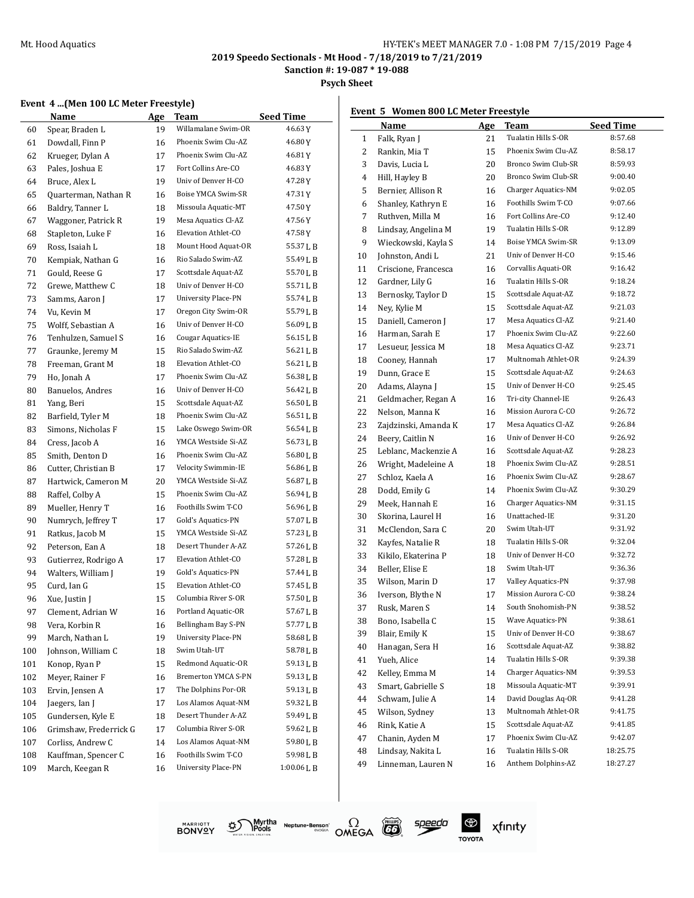#### Mt. Hood Aquatics **Musica Advantages** HY-TEK's MEET MANAGER 7.0 - 1:08 PM 7/15/2019 Page 4

**2019 Speedo Sectionals - Mt Hood - 7/18/2019 to 7/21/2019**

**Sanction #: 19-087 \* 19-088**

**Psych Sheet**

#### **Event 4 ...(Men 100 LC Meter Freestyle)**

|     | Name                   | <b>Age</b> | Team<br>Willamalane Swim-OR | <b>Seed Time</b><br>46.63Y |
|-----|------------------------|------------|-----------------------------|----------------------------|
| 60  | Spear, Braden L        | 19         | Phoenix Swim Clu-AZ         |                            |
| 61  | Dowdall, Finn P        | 16         |                             | 46.80 Y                    |
| 62  | Krueger, Dylan A       | 17         | Phoenix Swim Clu-AZ         | 46.81Y                     |
| 63  | Pales, Joshua E        | 17         | Fort Collins Are-CO         | 46.83 Y                    |
| 64  | Bruce, Alex L          | 19         | Univ of Denver H-CO         | 47.28 Y                    |
| 65  | Quarterman, Nathan R   | 16         | Boise YMCA Swim-SR          | 47.31Y                     |
| 66  | Baldry, Tanner L       | 18         | Missoula Aquatic-MT         | 47.50 Y                    |
| 67  | Waggoner, Patrick R    | 19         | Mesa Aquatics Cl-AZ         | 47.56 Y                    |
| 68  | Stapleton, Luke F      | 16         | Elevation Athlet-CO         | 47.58 Y                    |
| 69  | Ross, Isaiah L         | 18         | Mount Hood Aquat-OR         | 55.37 L B                  |
| 70  | Kempiak, Nathan G      | 16         | Rio Salado Swim-AZ          | 55.49 L B                  |
| 71  | Gould, Reese G         | 17         | Scottsdale Aquat-AZ         | 55.70 L B                  |
| 72  | Grewe, Matthew C       | 18         | Univ of Denver H-CO         | 55.71LB                    |
| 73  | Samms, Aaron J         | 17         | University Place-PN         | 55.74LB                    |
| 74  | Vu, Kevin M            | 17         | Oregon City Swim-OR         | 55.79 L B                  |
| 75  | Wolff, Sebastian A     | 16         | Univ of Denver H-CO         | 56.09 L B                  |
| 76  | Tenhulzen, Samuel S    | 16         | Cougar Aquatics-IE          | 56.15LB                    |
| 77  | Graunke, Jeremy M      | 15         | Rio Salado Swim-AZ          | 56.21 L B                  |
| 78  | Freeman, Grant M       | 18         | Elevation Athlet-CO         | 56.21 L B                  |
| 79  | Ho, Jonah A            | 17         | Phoenix Swim Clu-AZ         | 56.38 L B                  |
| 80  | Banuelos, Andres       | 16         | Univ of Denver H-CO         | 56.42 L B                  |
| 81  | Yang, Beri             | 15         | Scottsdale Aquat-AZ         | 56.50LB                    |
| 82  | Barfield, Tyler M      | 18         | Phoenix Swim Clu-AZ         | 56.51 L B                  |
| 83  | Simons, Nicholas F     | 15         | Lake Oswego Swim-OR         | 56.54LB                    |
| 84  | Cress, Jacob A         | 16         | YMCA Westside Si-AZ         | 56.73LB                    |
| 85  | Smith, Denton D        | 16         | Phoenix Swim Clu-AZ         | 56.80 L B                  |
| 86  | Cutter, Christian B    | 17         | Velocity Swimmin-IE         | 56.86 L B                  |
| 87  | Hartwick, Cameron M    | 20         | YMCA Westside Si-AZ         | 56.87 L B                  |
| 88  | Raffel, Colby A        | 15         | Phoenix Swim Clu-AZ         | 56.94 L B                  |
| 89  | Mueller, Henry T       | 16         | Foothills Swim T-CO         | 56.96 L B                  |
| 90  | Numrych, Jeffrey T     | 17         | Gold's Aquatics-PN          | 57.07LB                    |
| 91  | Ratkus, Jacob M        | 15         | YMCA Westside Si-AZ         | 57.23 L B                  |
| 92  | Peterson, Ean A        | 18         | Desert Thunder A-AZ         | 57.26 L B                  |
| 93  | Gutierrez, Rodrigo A   | 17         | Elevation Athlet-CO         | 57.28LB                    |
| 94  | Walters, William J     | 19         | Gold's Aquatics-PN          | 57.44 L B                  |
| 95  | Curd, Ian G            | 15         | Elevation Athlet-CO         | 57.45 L B                  |
| 96  | Xue, Justin J          | 15         | Columbia River S-OR         | 57.50LB                    |
| 97  | Clement, Adrian W      | 16         | Portland Aquatic-OR         | 57.67 L B                  |
| 98  | Vera, Korbin R         | 16         | Bellingham Bay S-PN         | 57.77 L B                  |
| 99  | March, Nathan L        | 19         | <b>University Place-PN</b>  | 58.68 L B                  |
| 100 | Johnson, William C     | 18         | Swim Utah-UT                | 58.78LB                    |
| 101 | Konop, Ryan P          | 15         | Redmond Aquatic-OR          | 59.13LB                    |
| 102 | Meyer, Rainer F        | 16         | Bremerton YMCA S-PN         | 59.13 L B                  |
| 103 | Ervin, Jensen A        | 17         | The Dolphins Por-OR         | 59.13LB                    |
| 104 | Jaegers, Ian J         | 17         | Los Alamos Aquat-NM         | 59.32LB                    |
| 105 | Gundersen, Kyle E      | 18         | Desert Thunder A-AZ         | 59.49LB                    |
| 106 | Grimshaw, Frederrick G | 17         | Columbia River S-OR         | 59.62 L B                  |
| 107 | Corliss, Andrew C      | 14         | Los Alamos Aquat-NM         | 59.80 L B                  |
| 108 | Kauffman, Spencer C    | 16         | Foothills Swim T-CO         | 59.98LB                    |
| 109 | March, Keegan R        | 16         | <b>University Place-PN</b>  | 1:00.06 L B                |
|     |                        |            |                             |                            |

#### **Event 5 Women 800 LC Meter Freestyle**

|    | Name                 | <u>Age</u> | Team                | <b>Seed Time</b> |
|----|----------------------|------------|---------------------|------------------|
| 1  | Falk, Ryan J         | 21         | Tualatin Hills S-OR | 8:57.68          |
| 2  | Rankin, Mia T        | 15         | Phoenix Swim Clu-AZ | 8:58.17          |
| 3  | Davis, Lucia L       | 20         | Bronco Swim Club-SR | 8:59.93          |
| 4  | Hill, Hayley B       | 20         | Bronco Swim Club-SR | 9:00.40          |
| 5  | Bernier, Allison R   | 16         | Charger Aquatics-NM | 9:02.05          |
| 6  | Shanley, Kathryn E   | 16         | Foothills Swim T-CO | 9:07.66          |
| 7  | Ruthven, Milla M     | 16         | Fort Collins Are-CO | 9:12.40          |
| 8  | Lindsay, Angelina M  | 19         | Tualatin Hills S-OR | 9:12.89          |
| 9  | Wieckowski, Kayla S  | 14         | Boise YMCA Swim-SR  | 9:13.09          |
| 10 | Johnston, Andi L     | 21         | Univ of Denver H-CO | 9:15.46          |
| 11 | Criscione, Francesca | 16         | Corvallis Aquati-OR | 9:16.42          |
| 12 | Gardner, Lily G      | 16         | Tualatin Hills S-OR | 9:18.24          |
| 13 | Bernosky, Taylor D   | 15         | Scottsdale Aquat-AZ | 9:18.72          |
| 14 | Ney, Kylie M         | 15         | Scottsdale Aquat-AZ | 9:21.03          |
| 15 | Daniell, Cameron J   | 17         | Mesa Aquatics Cl-AZ | 9:21.40          |
| 16 | Harman, Sarah E      | 17         | Phoenix Swim Clu-AZ | 9:22.60          |
| 17 | Lesueur, Jessica M   | 18         | Mesa Aquatics Cl-AZ | 9:23.71          |
| 18 | Cooney, Hannah       | 17         | Multnomah Athlet-OR | 9:24.39          |
| 19 | Dunn, Grace E        | 15         | Scottsdale Aquat-AZ | 9:24.63          |
| 20 | Adams, Alayna J      | 15         | Univ of Denver H-CO | 9:25.45          |
| 21 | Geldmacher, Regan A  | 16         | Tri-city Channel-IE | 9:26.43          |
| 22 | Nelson, Manna K      | 16         | Mission Aurora C-CO | 9:26.72          |
| 23 | Zajdzinski, Amanda K | 17         | Mesa Aquatics Cl-AZ | 9:26.84          |
| 24 | Beery, Caitlin N     | 16         | Univ of Denver H-CO | 9:26.92          |
| 25 | Leblanc, Mackenzie A | 16         | Scottsdale Aquat-AZ | 9:28.23          |
| 26 | Wright, Madeleine A  | 18         | Phoenix Swim Clu-AZ | 9:28.51          |
| 27 | Schloz, Kaela A      | 16         | Phoenix Swim Clu-AZ | 9:28.67          |
| 28 | Dodd, Emily G        | 14         | Phoenix Swim Clu-AZ | 9:30.29          |
| 29 | Meek, Hannah E       | 16         | Charger Aquatics-NM | 9:31.15          |
| 30 | Skorina, Laurel H    | 16         | Unattached-IE       | 9:31.20          |
| 31 | McClendon, Sara C    | 20         | Swim Utah-UT        | 9:31.92          |
| 32 | Kayfes, Natalie R    | 18         | Tualatin Hills S-OR | 9:32.04          |
| 33 | Kikilo, Ekaterina P  | 18         | Univ of Denver H-CO | 9:32.72          |
| 34 | Beller. Elise E      | 18         | Swim Utah-UT        | 9:36.36          |
| 35 | Wilson, Marin D      | 17         | Valley Aquatics-PN  | 9:37.98          |
| 36 | Iverson, Blythe N    | 17         | Mission Aurora C-CO | 9:38.24          |
| 37 | Rusk, Maren S        | 14         | South Snohomish-PN  | 9:38.52          |
| 38 | Bono, Isabella C     | 15         | Wave Aquatics-PN    | 9:38.61          |
| 39 | Blair, Emily K       | 15         | Univ of Denver H-CO | 9:38.67          |
| 40 | Hanagan, Sera H      | 16         | Scottsdale Aquat-AZ | 9:38.82          |
| 41 | Yueh, Alice          | 14         | Tualatin Hills S-OR | 9:39.38          |
| 42 | Kelley, Emma M       | 14         | Charger Aquatics-NM | 9:39.53          |
| 43 | Smart, Gabrielle S   | 18         | Missoula Aquatic-MT | 9:39.91          |
| 44 | Schwam, Julie A      | 14         | David Douglas Aq-OR | 9:41.28          |
| 45 | Wilson, Sydney       | 13         | Multnomah Athlet-OR | 9:41.75          |
| 46 | Rink, Katie A        | 15         | Scottsdale Aquat-AZ | 9:41.85          |
| 47 | Chanin, Ayden M      | 17         | Phoenix Swim Clu-AZ | 9:42.07          |
| 48 | Lindsay, Nakita L    | 16         | Tualatin Hills S-OR | 18:25.75         |
| 49 | Linneman, Lauren N   | 16         | Anthem Dolphins-AZ  | 18:27.27         |
|    |                      |            |                     |                  |







speedo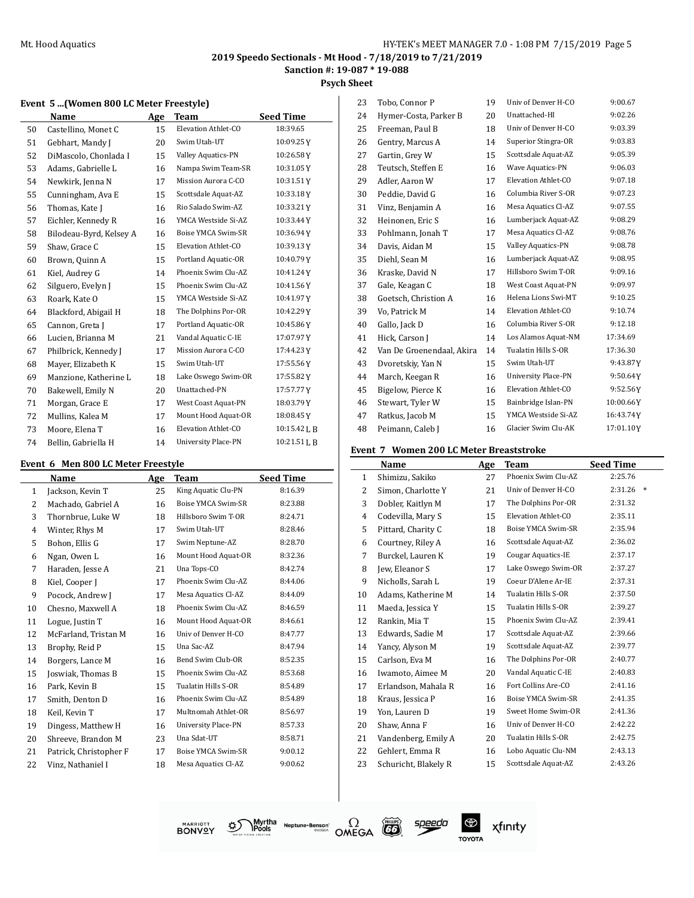**Psych Sheet**

#### **Event 5 ...(Women 800 LC Meter Freestyle)**

|    | Name                    | Age | Team                      | <b>Seed Time</b> |
|----|-------------------------|-----|---------------------------|------------------|
| 50 | Castellino, Monet C     | 15  | Elevation Athlet-CO       | 18:39.65         |
| 51 | Gebhart, Mandy J        | 20  | Swim Utah-UT              | 10:09.25Y        |
| 52 | DiMascolo, Chonlada I   | 15  | <b>Valley Aquatics-PN</b> | 10:26.58Y        |
| 53 | Adams, Gabrielle L      | 16  | Nampa Swim Team-SR        | 10:31.05Y        |
| 54 | Newkirk, Jenna N        | 17  | Mission Aurora C-CO       | 10:31.51Y        |
| 55 | Cunningham, Ava E       | 15  | Scottsdale Aquat-AZ       | 10:33.18Y        |
| 56 | Thomas, Kate J          | 16  | Rio Salado Swim-AZ        | 10:33.21Y        |
| 57 | Eichler, Kennedy R      | 16  | YMCA Westside Si-AZ       | 10:33.44Y        |
| 58 | Bilodeau-Byrd, Kelsey A | 16  | Boise YMCA Swim-SR        | 10:36.94Y        |
| 59 | Shaw, Grace C           | 15  | Elevation Athlet-CO       | 10:39.13Y        |
| 60 | Brown, Quinn A          | 15  | Portland Aquatic-OR       | 10:40.79Y        |
| 61 | Kiel, Audrey G          | 14  | Phoenix Swim Clu-AZ       | 10:41.24Y        |
| 62 | Silguero, Evelyn J      | 15  | Phoenix Swim Clu-AZ       | 10:41.56Y        |
| 63 | Roark, Kate O           | 15  | YMCA Westside Si-AZ       | 10:41.97Y        |
| 64 | Blackford, Abigail H    | 18  | The Dolphins Por-OR       | 10:42.29Y        |
| 65 | Cannon, Greta J         | 17  | Portland Aquatic-OR       | 10:45.86Y        |
| 66 | Lucien, Brianna M       | 21  | Vandal Aquatic C-IE       | 17:07.97Y        |
| 67 | Philbrick, Kennedy J    | 17  | Mission Aurora C-CO       | 17:44.23Y        |
| 68 | Mayer, Elizabeth K      | 15  | Swim Utah-UT              | 17:55.56Y        |
| 69 | Manzione, Katherine L   | 18  | Lake Oswego Swim-OR       | 17:55.82Y        |
| 70 | Bakewell, Emily N       | 20  | Unattached-PN             | 17:57.77Y        |
| 71 | Morgan, Grace E         | 17  | West Coast Aquat-PN       | 18:03.79Y        |
| 72 | Mullins, Kalea M        | 17  | Mount Hood Aquat-OR       | 18:08.45Y        |
| 73 | Moore, Elena T          | 16  | Elevation Athlet-CO       | 10:15.42 L B     |
| 74 | Bellin, Gabriella H     | 14  | University Place-PN       | 10:21.51 J, B    |

#### **Event 6 Men 800 LC Meter Freestyle**

|                | Name                   | Age | Team                | <b>Seed Time</b> |
|----------------|------------------------|-----|---------------------|------------------|
| 1              | Jackson, Kevin T       | 25  | King Aquatic Clu-PN | 8:16.39          |
| $\overline{c}$ | Machado, Gabriel A     | 16  | Boise YMCA Swim-SR  | 8:23.88          |
| 3              | Thornbrue, Luke W      | 18  | Hillsboro Swim T-OR | 8:24.71          |
| 4              | Winter, Rhys M         | 17  | Swim Utah-UT        | 8:28.46          |
| 5              | Bohon, Ellis G         | 17  | Swim Neptune-AZ     | 8:28.70          |
| 6              | Ngan, Owen L           | 16  | Mount Hood Aquat-OR | 8:32.36          |
| 7              | Haraden, Jesse A       | 21  | Una Tops-CO         | 8:42.74          |
| 8              | Kiel, Cooper J         | 17  | Phoenix Swim Clu-AZ | 8:44.06          |
| 9              | Pocock, Andrew J       | 17  | Mesa Aquatics Cl-AZ | 8:44.09          |
| 10             | Chesno, Maxwell A      | 18  | Phoenix Swim Clu-AZ | 8:46.59          |
| 11             | Logue, Justin T        | 16  | Mount Hood Aquat-OR | 8:46.61          |
| 12             | McFarland, Tristan M   | 16  | Univ of Denver H-CO | 8:47.77          |
| 13             | Brophy, Reid P         | 15  | Una Sac-AZ          | 8:47.94          |
| 14             | Borgers, Lance M       | 16  | Bend Swim Club-OR   | 8:52.35          |
| 15             | Joswiak, Thomas B      | 15  | Phoenix Swim Clu-AZ | 8:53.68          |
| 16             | Park, Kevin B          | 15  | Tualatin Hills S-OR | 8:54.89          |
| 17             | Smith, Denton D        | 16  | Phoenix Swim Clu-AZ | 8:54.89          |
| 18             | Keil, Kevin T          | 17  | Multnomah Athlet-OR | 8:56.97          |
| 19             | Dingess, Matthew H     | 16  | University Place-PN | 8:57.33          |
| 20             | Shreeve, Brandon M     | 23  | Una Sdat-UT         | 8:58.71          |
| 21             | Patrick, Christopher F | 17  | Boise YMCA Swim-SR  | 9:00.12          |
| 22             | Vinz, Nathaniel I      | 18  | Mesa Aquatics Cl-AZ | 9:00.62          |

| 23 | Tobo, Connor P            | 19 | Univ of Denver H-CO        | 9:00.67   |
|----|---------------------------|----|----------------------------|-----------|
| 24 | Hymer-Costa, Parker B     | 20 | Unattached-HI              | 9:02.26   |
| 25 | Freeman, Paul B           | 18 | Univ of Denver H-CO        | 9:03.39   |
| 26 | Gentry, Marcus A          | 14 | Superior Stingra-OR        | 9:03.83   |
| 27 | Gartin, Grey W            | 15 | Scottsdale Aquat-AZ        | 9:05.39   |
| 28 | Teutsch, Steffen E        | 16 | Wave Aquatics-PN           | 9:06.03   |
| 29 | Adler, Aaron W            | 17 | Elevation Athlet-CO        | 9:07.18   |
| 30 | Peddie, David G           | 16 | Columbia River S-OR        | 9:07.23   |
| 31 | Vinz, Benjamin A          | 16 | Mesa Aquatics Cl-AZ        | 9:07.55   |
| 32 | Heinonen, Eric S          | 16 | Lumberjack Aquat-AZ        | 9:08.29   |
| 33 | Pohlmann, Jonah T         | 17 | Mesa Aquatics Cl-AZ        | 9:08.76   |
| 34 | Davis, Aidan M            | 15 | Valley Aquatics-PN         | 9:08.78   |
| 35 | Diehl, Sean M             | 16 | Lumberjack Aquat-AZ        | 9:08.95   |
| 36 | Kraske, David N           | 17 | Hillsboro Swim T-OR        | 9:09.16   |
| 37 | Gale, Keagan C            | 18 | West Coast Aquat-PN        | 9:09.97   |
| 38 | Goetsch, Christion A      | 16 | Helena Lions Swi-MT        | 9:10.25   |
| 39 | Vo, Patrick M             | 14 | Elevation Athlet-CO        | 9:10.74   |
| 40 | Gallo, Jack D             | 16 | Columbia River S-OR        | 9:12.18   |
| 41 | Hick, Carson J            | 14 | Los Alamos Aquat-NM        | 17:34.69  |
| 42 | Van De Groenendaal, Akira | 14 | Tualatin Hills S-OR        | 17:36.30  |
| 43 | Dvoretskiy, Yan N         | 15 | Swim Utah-UT               | 9:43.87Y  |
| 44 | March, Keegan R           | 16 | <b>University Place-PN</b> | 9:50.64Y  |
| 45 | Bigelow, Pierce K         | 16 | Elevation Athlet-CO        | 9:52.56Y  |
| 46 | Stewart, Tyler W          | 15 | Bainbridge Islan-PN        | 10:00.66Y |
| 47 | Ratkus, Jacob M           | 15 | YMCA Westside Si-AZ        | 16:43.74Y |
| 48 | Peimann, Caleb J          | 16 | Glacier Swim Clu-AK        | 17:01.10Y |

## **Event 7 Women 200 LC Meter Breaststroke**

|              | Name                 | Age | Team                      | <b>Seed Time</b>  |
|--------------|----------------------|-----|---------------------------|-------------------|
| $\mathbf{1}$ | Shimizu, Sakiko      | 27  | Phoenix Swim Clu-AZ       | 2:25.76           |
| 2            | Simon, Charlotte Y   | 21  | Univ of Denver H-CO       | 2:31.26<br>$\ast$ |
| 3            | Dobler, Kaitlyn M    | 17  | The Dolphins Por-OR       | 2:31.32           |
| 4            | Codevilla, Mary S    | 15  | Elevation Athlet-CO       | 2:35.11           |
| 5            | Pittard, Charity C   | 18  | Boise YMCA Swim-SR        | 2:35.94           |
| 6            | Courtney, Riley A    | 16  | Scottsdale Aquat-AZ       | 2:36.02           |
| 7            | Burckel, Lauren K    | 19  | <b>Cougar Aquatics-IE</b> | 2:37.17           |
| 8            | Jew, Eleanor S       | 17  | Lake Oswego Swim-OR       | 2:37.27           |
| 9            | Nicholls, Sarah L    | 19  | Coeur D'Alene Ar-IE       | 2:37.31           |
| 10           | Adams, Katherine M   | 14  | Tualatin Hills S-OR       | 2:37.50           |
| 11           | Maeda, Jessica Y     | 15  | Tualatin Hills S-OR       | 2:39.27           |
| 12           | Rankin, Mia T        | 15  | Phoenix Swim Clu-AZ       | 2:39.41           |
| 13           | Edwards, Sadie M     | 17  | Scottsdale Aquat-AZ       | 2:39.66           |
| 14           | Yancy, Alyson M      | 19  | Scottsdale Aquat-AZ       | 2:39.77           |
| 15           | Carlson, Eva M       | 16  | The Dolphins Por-OR       | 2:40.77           |
| 16           | Iwamoto, Aimee M     | 20  | Vandal Aquatic C-IE       | 2:40.83           |
| 17           | Erlandson, Mahala R  | 16  | Fort Collins Are-CO       | 2:41.16           |
| 18           | Kraus, Jessica P     | 16  | Boise YMCA Swim-SR        | 2:41.35           |
| 19           | Yon, Lauren D        | 19  | Sweet Home Swim-OR        | 2:41.36           |
| 20           | Shaw, Anna F         | 16  | Univ of Denver H-CO       | 2:42.22           |
| 21           | Vandenberg, Emily A  | 20  | Tualatin Hills S-OR       | 2:42.75           |
| 22           | Gehlert, Emma R      | 16  | Lobo Aquatic Clu-NM       | 2:43.13           |
| 23           | Schuricht, Blakely R | 15  | Scottsdale Aquat-AZ       | 2:43.26           |
|              |                      |     |                           |                   |





speedo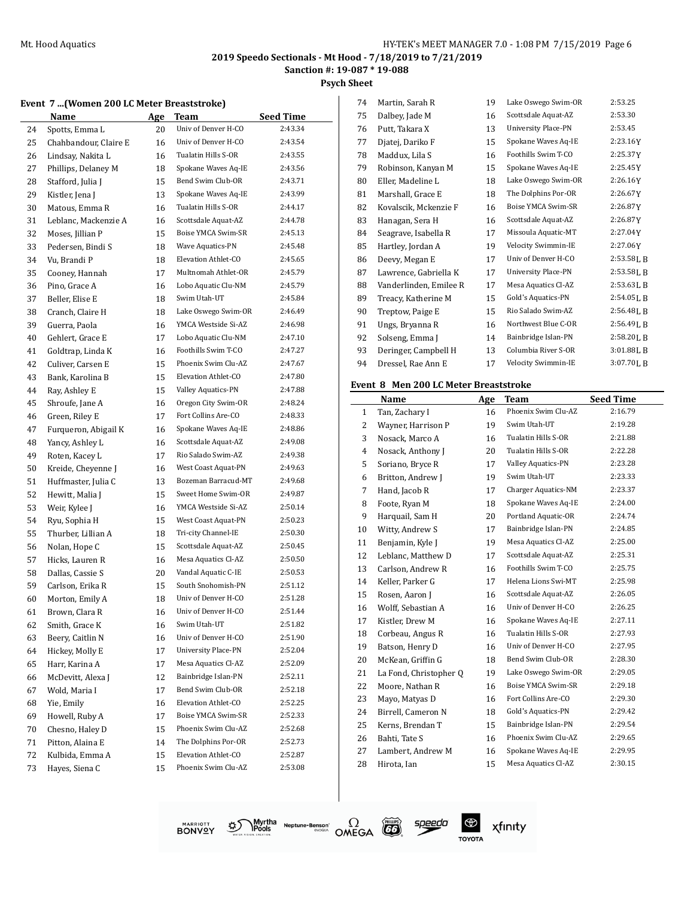**Psych Sheet**  $\overline{1}$ 

### **Event 7 ...(Women 200 LC Meter Breaststroke)**

|    | romen 200 no meter breaststrone) |     |                     |                    |
|----|----------------------------------|-----|---------------------|--------------------|
|    | Name                             | Age | Team                | <b>Seed Time</b>   |
| 24 | Spotts, Emma L                   | 20  | Univ of Denver H-CO | 2:43.34            |
| 25 | Chahbandour, Claire E            | 16  | Univ of Denver H-CO | 2:43.54            |
| 26 | Lindsay, Nakita L                | 16  | Tualatin Hills S-OR | 2:43.55            |
| 27 | Phillips, Delaney M              | 18  | Spokane Waves Aq-IE | 2:43.56            |
| 28 | Stafford, Julia J                | 15  | Bend Swim Club-OR   | 2:43.71            |
| 29 | Kistler, Jena J                  | 13  | Spokane Waves Aq-IE | 2:43.99            |
| 30 | Matous, Emma R                   | 16  | Tualatin Hills S-OR | 2:44.17            |
| 31 | Leblanc, Mackenzie A             | 16  | Scottsdale Aquat-AZ | 2:44.78            |
| 32 | Moses, Jillian P                 | 15  | Boise YMCA Swim-SR  | 2:45.13            |
| 33 | Pedersen, Bindi S                | 18  | Wave Aquatics-PN    | 2:45.48            |
| 34 | Vu, Brandi P                     | 18  | Elevation Athlet-CO | 2:45.65            |
| 35 | Cooney, Hannah                   | 17  | Multnomah Athlet-OR | 2:45.79            |
| 36 | Pino, Grace A                    | 16  | Lobo Aquatic Clu-NM | 2:45.79            |
| 37 | Beller, Elise E                  | 18  | Swim Utah-UT        | 2:45.84            |
| 38 | Cranch, Claire H                 | 18  | Lake Oswego Swim-OR | 2:46.49            |
| 39 | Guerra, Paola                    | 16  | YMCA Westside Si-AZ | 2:46.98            |
| 40 | Gehlert, Grace E                 | 17  | Lobo Aquatic Clu-NM | 2:47.10            |
| 41 | Goldtrap, Linda K                | 16  | Foothills Swim T-CO | 2:47.27            |
|    |                                  |     | Phoenix Swim Clu-AZ | 2:47.67            |
| 42 | Culiver, Carsen E                | 15  | Elevation Athlet-CO | 2:47.80            |
| 43 | Bank, Karolina B                 | 15  | Valley Aquatics-PN  |                    |
| 44 | Ray, Ashley E                    | 15  |                     | 2:47.88<br>2:48.24 |
| 45 | Shroufe, Jane A                  | 16  | Oregon City Swim-OR |                    |
| 46 | Green, Riley E                   | 17  | Fort Collins Are-CO | 2:48.33            |
| 47 | Furqueron, Abigail K             | 16  | Spokane Waves Aq-IE | 2:48.86            |
| 48 | Yancy, Ashley L                  | 16  | Scottsdale Aquat-AZ | 2:49.08            |
| 49 | Roten, Kacey L                   | 17  | Rio Salado Swim-AZ  | 2:49.38            |
| 50 | Kreide, Cheyenne J               | 16  | West Coast Aquat-PN | 2:49.63            |
| 51 | Huffmaster, Julia C              | 13  | Bozeman Barracud-MT | 2:49.68            |
| 52 | Hewitt, Malia J                  | 15  | Sweet Home Swim-OR  | 2:49.87            |
| 53 | Weir, Kylee J                    | 16  | YMCA Westside Si-AZ | 2:50.14            |
| 54 | Ryu, Sophia H                    | 15  | West Coast Aquat-PN | 2:50.23            |
| 55 | Thurber, Lillian A               | 18  | Tri-city Channel-IE | 2:50.30            |
| 56 | Nolan, Hope C                    | 15  | Scottsdale Aquat-AZ | 2:50.45            |
| 57 | Hicks, Lauren R                  | 16  | Mesa Aquatics Cl-AZ | 2:50.50            |
| 58 | Dallas, Cassie S                 | 20  | Vandal Aquatic C-IE | 2:50.53            |
| 59 | Carlson, Erika R                 | 15  | South Snohomish-PN  | 2:51.12            |
| 60 | Morton, Emily A                  | 18  | Univ of Denver H-CO | 2:51.28            |
| 61 | Brown, Clara R                   | 16  | Univ of Denver H-CO | 2:51.44            |
| 62 | Smith, Grace K                   | 16  | Swim Utah-UT        | 2:51.82            |
| 63 | Beery, Caitlin N                 | 16  | Univ of Denver H-CO | 2:51.90            |
| 64 | Hickey, Molly E                  | 17  | University Place-PN | 2:52.04            |
| 65 | Harr, Karina A                   | 17  | Mesa Aquatics Cl-AZ | 2:52.09            |
| 66 | McDevitt, Alexa J                | 12  | Bainbridge Islan-PN | 2:52.11            |
| 67 | Wold, Maria I                    | 17  | Bend Swim Club-OR   | 2:52.18            |
| 68 | Yie, Emily                       | 16  | Elevation Athlet-CO | 2:52.25            |
| 69 | Howell, Ruby A                   | 17  | Boise YMCA Swim-SR  | 2:52.33            |
| 70 | Chesno, Haley D                  | 15  | Phoenix Swim Clu-AZ | 2:52.68            |
| 71 | Pitton, Alaina E                 | 14  | The Dolphins Por-OR | 2:52.73            |
| 72 | Kulbida, Emma A                  | 15  | Elevation Athlet-CO | 2:52.87            |
| 73 | Hayes, Siena C                   | 15  | Phoenix Swim Clu-AZ | 2:53.08            |
|    |                                  |     |                     |                    |

| 74 | Martin, Sarah R        | 19 | Lake Oswego Swim-OR        | 2:53.25        |
|----|------------------------|----|----------------------------|----------------|
| 75 | Dalbey, Jade M         | 16 | Scottsdale Aquat-AZ        | 2:53.30        |
| 76 | Putt, Takara X         | 13 | <b>University Place-PN</b> | 2:53.45        |
| 77 | Djatej, Dariko F       | 15 | Spokane Waves Aq-IE        | 2:23.16Y       |
| 78 | Maddux, Lila S         | 16 | Foothills Swim T-CO        | 2:25.37Y       |
| 79 | Robinson, Kanyan M     | 15 | Spokane Waves Aq-IE        | 2:25.45Y       |
| 80 | Eller, Madeline L      | 18 | Lake Oswego Swim-OR        | 2:26.16Y       |
| 81 | Marshall, Grace E      | 18 | The Dolphins Por-OR        | 2:26.67Y       |
| 82 | Kovalscik, Mckenzie F  | 16 | Boise YMCA Swim-SR         | 2:26.87Y       |
| 83 | Hanagan, Sera H        | 16 | Scottsdale Aquat-AZ        | 2:26.87Y       |
| 84 | Seagrave, Isabella R   | 17 | Missoula Aquatic-MT        | 2:27.04Y       |
| 85 | Hartley, Jordan A      | 19 | Velocity Swimmin-IE        | 2:27.06Y       |
| 86 | Deevy, Megan E         | 17 | Univ of Denver H-CO        | 2:53.58LB      |
| 87 | Lawrence, Gabriella K  | 17 | University Place-PN        | 2:53.58LB      |
| 88 | Vanderlinden, Emilee R | 17 | Mesa Aquatics Cl-AZ        | 2:53.63 L B    |
| 89 | Treacy, Katherine M    | 15 | Gold's Aquatics-PN         | 2:54.05LB      |
| 90 | Treptow, Paige E       | 15 | Rio Salado Swim-AZ         | 2:56.48LB      |
| 91 | Ungs, Bryanna R        | 16 | Northwest Blue C-OR        | 2:56.49LB      |
| 92 | Solseng, Emma J        | 14 | Bainbridge Islan-PN        | 2:58.20LB      |
| 93 | Deringer, Campbell H   | 13 | Columbia River S-OR        | 3:01.88LB      |
| 94 | Dressel, Rae Ann E     | 17 | Velocity Swimmin-IE        | $3:07.70$ J, B |
|    |                        |    |                            |                |

#### **Event 8 Men 200 LC Meter Breaststroke**

|              | Name                   | Age | Team                | <b>Seed Time</b> |
|--------------|------------------------|-----|---------------------|------------------|
| $\mathbf{1}$ | Tan, Zachary I         | 16  | Phoenix Swim Clu-AZ | 2:16.79          |
| 2            | Wayner, Harrison P     | 19  | Swim Utah-UT        | 2:19.28          |
| 3            | Nosack, Marco A        | 16  | Tualatin Hills S-OR | 2:21.88          |
| 4            | Nosack, Anthony J      | 20  | Tualatin Hills S-OR | 2:22.28          |
| 5            | Soriano, Bryce R       | 17  | Valley Aquatics-PN  | 2:23.28          |
| 6            | Britton, Andrew J      | 19  | Swim Utah-UT        | 2:23.33          |
| 7            | Hand, Jacob R          | 17  | Charger Aquatics-NM | 2:23.37          |
| 8            | Foote, Ryan M          | 18  | Spokane Waves Aq-IE | 2:24.00          |
| 9            | Harquail, Sam H        | 20  | Portland Aquatic-OR | 2:24.74          |
| 10           | Witty, Andrew S        | 17  | Bainbridge Islan-PN | 2:24.85          |
| 11           | Benjamin, Kyle J       | 19  | Mesa Aquatics Cl-AZ | 2:25.00          |
| 12           | Leblanc, Matthew D     | 17  | Scottsdale Aquat-AZ | 2:25.31          |
| 13           | Carlson. Andrew R      | 16  | Foothills Swim T-CO | 2:25.75          |
| 14           | Keller, Parker G       | 17  | Helena Lions Swi-MT | 2:25.98          |
| 15           | Rosen, Aaron J         | 16  | Scottsdale Aquat-AZ | 2:26.05          |
| 16           | Wolff, Sebastian A     | 16  | Univ of Denver H-CO | 2:26.25          |
| 17           | Kistler, Drew M        | 16  | Spokane Waves Aq-IE | 2:27.11          |
| 18           | Corbeau, Angus R       | 16  | Tualatin Hills S-OR | 2:27.93          |
| 19           | Batson, Henry D        | 16  | Univ of Denver H-CO | 2:27.95          |
| 20           | McKean, Griffin G      | 18  | Bend Swim Club-OR   | 2:28.30          |
| 21           | La Fond, Christopher Q | 19  | Lake Oswego Swim-OR | 2:29.05          |
| 22           | Moore, Nathan R        | 16  | Boise YMCA Swim-SR  | 2:29.18          |
| 23           | Mayo, Matyas D         | 16  | Fort Collins Are-CO | 2:29.30          |
| 24           | Birrell, Cameron N     | 18  | Gold's Aquatics-PN  | 2:29.42          |
| 25           | Kerns, Brendan T       | 15  | Bainbridge Islan-PN | 2:29.54          |
| 26           | Bahti, Tate S          | 16  | Phoenix Swim Clu-AZ | 2:29.65          |
| 27           | Lambert, Andrew M      | 16  | Spokane Waves Aq-IE | 2:29.95          |
| 28           | Hirota, Ian            | 15  | Mesa Aquatics Cl-AZ | 2:30.15          |
|              |                        |     |                     |                  |



Myrtha<br>Pools Neptune-Benson\*<br>IIPA SECATOR গ্ৰু



speedo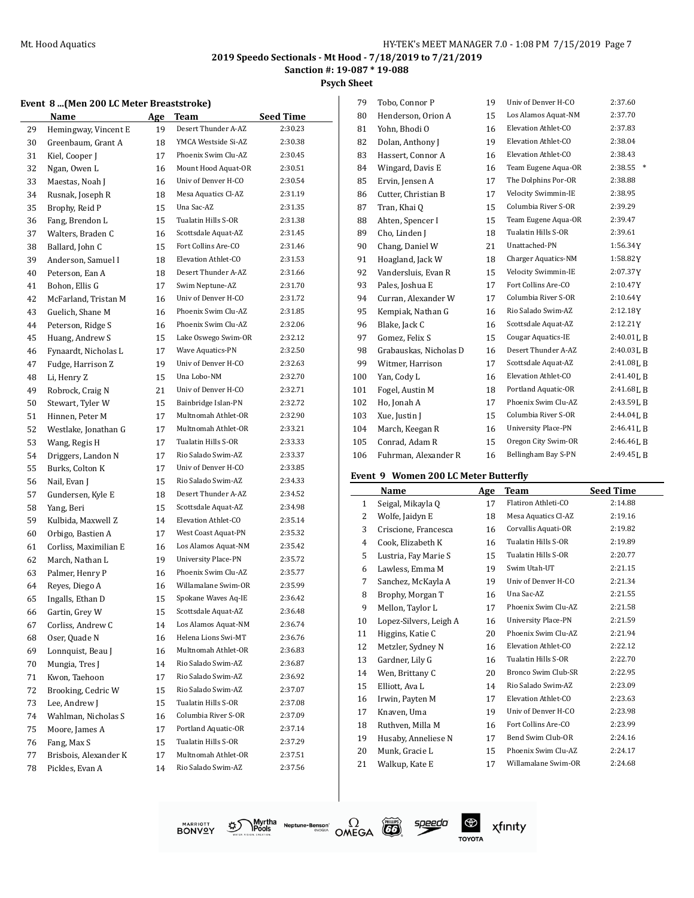**Psych Sheet**

## **Event 8 ...(Men 200 LC Meter Breaststroke)**

|    | vent o  (Men 200 LC Meter Dreaststrone) |    |                            |                  |
|----|-----------------------------------------|----|----------------------------|------------------|
|    | <b>Name</b>                             |    | Age Team                   | <b>Seed Time</b> |
| 29 | Hemingway, Vincent E                    | 19 | Desert Thunder A-AZ        | 2:30.23          |
| 30 | Greenbaum, Grant A                      | 18 | YMCA Westside Si-AZ        | 2:30.38          |
| 31 | Kiel, Cooper J                          | 17 | Phoenix Swim Clu-AZ        | 2:30.45          |
| 32 | Ngan, Owen L                            | 16 | Mount Hood Aquat-OR        | 2:30.51          |
| 33 | Maestas, Noah J                         | 16 | Univ of Denver H-CO        | 2:30.54          |
| 34 | Rusnak, Joseph R                        | 18 | Mesa Aquatics Cl-AZ        | 2:31.19          |
| 35 | Brophy, Reid P                          | 15 | Una Sac-AZ                 | 2:31.35          |
| 36 | Fang, Brendon L                         | 15 | Tualatin Hills S-OR        | 2:31.38          |
| 37 | Walters, Braden C                       | 16 | Scottsdale Aquat-AZ        | 2:31.45          |
| 38 | Ballard, John C                         | 15 | Fort Collins Are-CO        | 2:31.46          |
| 39 | Anderson, Samuel I                      | 18 | Elevation Athlet-CO        | 2:31.53          |
| 40 | Peterson, Ean A                         | 18 | Desert Thunder A-AZ        | 2:31.66          |
| 41 | Bohon, Ellis G                          | 17 | Swim Neptune-AZ            | 2:31.70          |
| 42 | McFarland, Tristan M                    | 16 | Univ of Denver H-CO        | 2:31.72          |
| 43 | Guelich, Shane M                        | 16 | Phoenix Swim Clu-AZ        | 2:31.85          |
| 44 | Peterson, Ridge S                       | 16 | Phoenix Swim Clu-AZ        | 2:32.06          |
| 45 | Huang, Andrew S                         | 15 | Lake Oswego Swim-OR        | 2:32.12          |
| 46 | Fynaardt, Nicholas L                    | 17 | Wave Aquatics-PN           | 2:32.50          |
| 47 | Fudge, Harrison Z                       | 19 | Univ of Denver H-CO        | 2:32.63          |
| 48 | Li, Henry Z                             | 15 | Una Lobo-NM                | 2:32.70          |
| 49 | Robrock, Craig N                        | 21 | Univ of Denver H-CO        | 2:32.71          |
| 50 | Stewart, Tyler W                        | 15 | Bainbridge Islan-PN        | 2:32.72          |
| 51 | Hinnen, Peter M                         | 17 | Multnomah Athlet-OR        | 2:32.90          |
| 52 | Westlake, Jonathan G                    | 17 | Multnomah Athlet-OR        | 2:33.21          |
| 53 | Wang, Regis H                           | 17 | Tualatin Hills S-OR        | 2:33.33          |
| 54 | Driggers, Landon N                      | 17 | Rio Salado Swim-AZ         | 2:33.37          |
| 55 | Burks, Colton K                         | 17 | Univ of Denver H-CO        | 2:33.85          |
| 56 | Nail, Evan J                            | 15 | Rio Salado Swim-AZ         | 2:34.33          |
| 57 | Gundersen, Kyle E                       | 18 | Desert Thunder A-AZ        | 2:34.52          |
| 58 | Yang, Beri                              | 15 | Scottsdale Aquat-AZ        | 2:34.98          |
| 59 | Kulbida, Maxwell Z                      | 14 | Elevation Athlet-CO        | 2:35.14          |
| 60 | Orbigo, Bastien A                       | 17 | West Coast Aquat-PN        | 2:35.32          |
| 61 | Corliss, Maximilian E                   | 16 | Los Alamos Aquat-NM        | 2:35.42          |
| 62 | March, Nathan L                         | 19 | <b>University Place-PN</b> | 2:35.72          |
| 63 | Palmer, Henry P                         | 16 | Phoenix Swim Clu-AZ        | 2:35.77          |
| 64 | Reyes, Diego A                          | 16 | Willamalane Swim-OR        | 2:35.99          |
| 65 | Ingalls, Ethan D                        | 15 | Spokane Waves Aq-IE        | 2:36.42          |
| 66 | Gartin, Grey W                          | 15 | Scottsdale Aquat-AZ        | 2:36.48          |
| 67 | Corliss, Andrew C                       | 14 | Los Alamos Aquat-NM        | 2:36.74          |
| 68 | Oser, Quade N                           | 16 | Helena Lions Swi-MT        | 2:36.76          |
| 69 | Lonnquist, Beau J                       | 16 | Multnomah Athlet-OR        | 2:36.83          |
| 70 | Mungia, Tres J                          | 14 | Rio Salado Swim-AZ         | 2:36.87          |
| 71 | Kwon, Taehoon                           | 17 | Rio Salado Swim-AZ         | 2:36.92          |
| 72 | Brooking, Cedric W                      | 15 | Rio Salado Swim-AZ         | 2:37.07          |
| 73 | Lee, Andrew J                           | 15 | Tualatin Hills S-OR        | 2:37.08          |
| 74 | Wahlman, Nicholas S                     | 16 | Columbia River S-OR        | 2:37.09          |
| 75 | Moore, James A                          | 17 | Portland Aquatic-OR        | 2:37.14          |
| 76 | Fang, Max S                             | 15 | Tualatin Hills S-OR        | 2:37.29          |
| 77 | Brisbois, Alexander K                   | 17 | Multnomah Athlet-OR        | 2:37.51          |
| 78 | Pickles, Evan A                         | 14 | Rio Salado Swim-AZ         | 2:37.56          |
|    |                                         |    |                            |                  |

| 79  | Tobo, Connor P         | 19 | Univ of Denver H-CO        | 2:37.60           |
|-----|------------------------|----|----------------------------|-------------------|
| 80  | Henderson, Orion A     | 15 | Los Alamos Aquat-NM        | 2:37.70           |
| 81  | Yohn, Bhodi O          | 16 | Elevation Athlet-CO        | 2:37.83           |
| 82  | Dolan, Anthony J       | 19 | Elevation Athlet-CO        | 2:38.04           |
| 83  | Hassert, Connor A      | 16 | Elevation Athlet-CO        | 2:38.43           |
| 84  | Wingard, Davis E       | 16 | Team Eugene Aqua-OR        | 2:38.55<br>$\ast$ |
| 85  | Ervin, Jensen A        | 17 | The Dolphins Por-OR        | 2:38.88           |
| 86  | Cutter, Christian B    | 17 | Velocity Swimmin-IE        | 2:38.95           |
| 87  | Tran, Khai Q           | 15 | Columbia River S-OR        | 2:39.29           |
| 88  | Ahten, Spencer I       | 15 | Team Eugene Aqua-OR        | 2:39.47           |
| 89  | Cho, Linden J          | 18 | Tualatin Hills S-OR        | 2:39.61           |
| 90  | Chang, Daniel W        | 21 | Unattached-PN              | 1:56.34Y          |
| 91  | Hoagland, Jack W       | 18 | Charger Aquatics-NM        | 1:58.82Y          |
| 92  | Vandersluis, Evan R    | 15 | Velocity Swimmin-IE        | 2:07.37Y          |
| 93  | Pales, Joshua E        | 17 | Fort Collins Are-CO        | 2:10.47Y          |
| 94  | Curran, Alexander W    | 17 | Columbia River S-OR        | 2:10.64Y          |
| 95  | Kempiak, Nathan G      | 16 | Rio Salado Swim-AZ         | 2:12.18Y          |
| 96  | Blake, Jack C          | 16 | Scottsdale Aquat-AZ        | 2:12.21Y          |
| 97  | Gomez, Felix S         | 15 | <b>Cougar Aquatics-IE</b>  | 2:40.01LB         |
| 98  | Grabauskas, Nicholas D | 16 | Desert Thunder A-AZ        | 2:40.03LB         |
| 99  | Witmer, Harrison       | 17 | Scottsdale Aquat-AZ        | 2:41.08LB         |
| 100 | Yan, Cody L            | 16 | Elevation Athlet-CO        | 2:41.40LB         |
| 101 | Fogel, Austin M        | 18 | Portland Aquatic-OR        | 2:41.68LB         |
| 102 | Ho, Jonah A            | 17 | Phoenix Swim Clu-AZ        | 2:43.59LB         |
| 103 | Xue, Justin J          | 15 | Columbia River S-OR        | 2:44.04LB         |
| 104 | March, Keegan R        | 16 | <b>University Place-PN</b> | 2:46.41LB         |
| 105 | Conrad, Adam R         | 15 | Oregon City Swim-OR        | 2:46.46LB         |
| 106 | Fuhrman, Alexander R   | 16 | Bellingham Bay S-PN        | 2:49.45LB         |
|     |                        |    |                            |                   |

#### **Event 9 Women 200 LC Meter Butterfly**

|              | Name                   | Age | Team                       | <b>Seed Time</b> |
|--------------|------------------------|-----|----------------------------|------------------|
| $\mathbf{1}$ | Seigal, Mikayla Q      | 17  | Flatiron Athleti-CO        | 2:14.88          |
| 2            | Wolfe, Jaidyn E        | 18  | Mesa Aquatics Cl-AZ        | 2:19.16          |
| 3            | Criscione, Francesca   | 16  | Corvallis Aquati-OR        | 2:19.82          |
| 4            | Cook, Elizabeth K      | 16  | Tualatin Hills S-OR        | 2:19.89          |
| 5            | Lustria, Fay Marie S   | 15  | Tualatin Hills S-OR        | 2:20.77          |
| 6            | Lawless, Emma M        | 19  | Swim Utah-UT               | 2:21.15          |
| 7            | Sanchez, McKayla A     | 19  | Univ of Denver H-CO        | 2:21.34          |
| 8            | Brophy, Morgan T       | 16  | Una Sac-AZ                 | 2:21.55          |
| 9            | Mellon, Taylor L       | 17  | Phoenix Swim Clu-AZ        | 2:21.58          |
| 10           | Lopez-Silvers, Leigh A | 16  | <b>University Place-PN</b> | 2:21.59          |
| 11           | Higgins, Katie C       | 20  | Phoenix Swim Clu-AZ        | 2:21.94          |
| 12           | Metzler, Sydney N      | 16  | Elevation Athlet-CO        | 2:22.12          |
| 13           | Gardner, Lily G        | 16  | Tualatin Hills S-OR        | 2:22.70          |
| 14           | Wen, Brittany C        | 20  | Bronco Swim Club-SR        | 2:22.95          |
| 15           | Elliott, Ava L         | 14  | Rio Salado Swim-AZ         | 2:23.09          |
| 16           | Irwin, Payten M        | 17  | Elevation Athlet-CO        | 2:23.63          |
| 17           | Knaven, Uma            | 19  | Univ of Denver H-CO        | 2:23.98          |
| 18           | Ruthven, Milla M       | 16  | Fort Collins Are-CO        | 2:23.99          |
| 19           | Husaby, Anneliese N    | 17  | Bend Swim Club-OR          | 2:24.16          |
| 20           | Munk, Gracie L         | 15  | Phoenix Swim Clu-AZ        | 2:24.17          |
| 21           | Walkup, Kate E         | 17  | Willamalane Swim-OR        | 2:24.68          |
|              |                        |     |                            |                  |







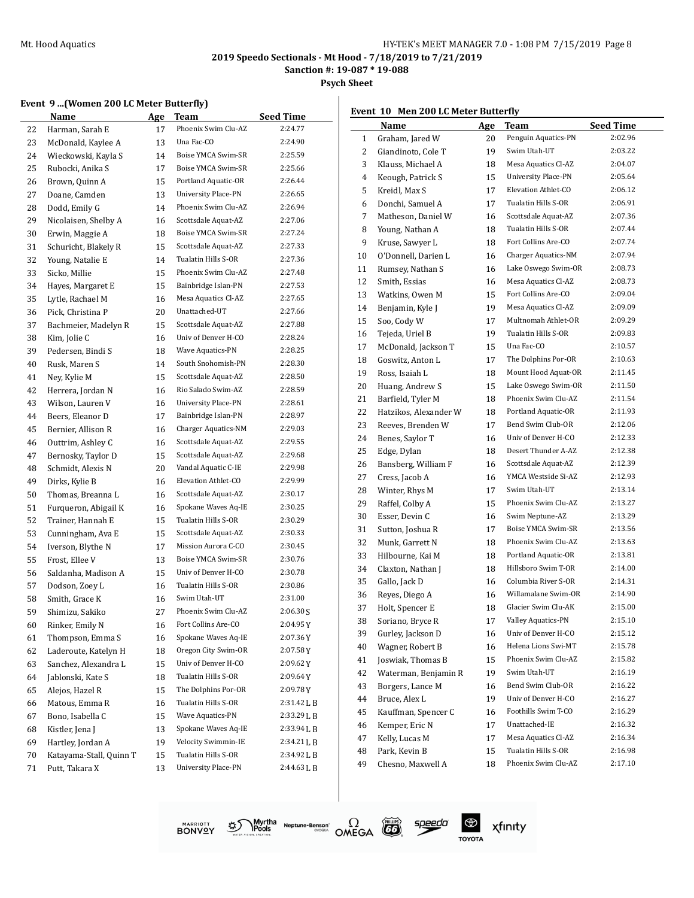**Sanction #: 19-087 \* 19-088**

**Psych Sheet**

#### **Event 9 ...(Women 200 LC Meter Butterfly)**

|    | Name                    | <u>Age</u> | Team                       | <b>Seed Time</b> |
|----|-------------------------|------------|----------------------------|------------------|
| 22 | Harman, Sarah E         | 17         | Phoenix Swim Clu-AZ        | 2:24.77          |
| 23 | McDonald, Kaylee A      | 13         | Una Fac-CO                 | 2:24.90          |
| 24 | Wieckowski, Kayla S     | 14         | Boise YMCA Swim-SR         | 2:25.59          |
| 25 | Rubocki, Anika S        | 17         | Boise YMCA Swim-SR         | 2:25.66          |
| 26 | Brown, Quinn A          | 15         | Portland Aquatic-OR        | 2:26.44          |
| 27 | Doane, Camden           | 13         | <b>University Place-PN</b> | 2:26.65          |
| 28 | Dodd, Emily G           | 14         | Phoenix Swim Clu-AZ        | 2:26.94          |
| 29 | Nicolaisen, Shelby A    | 16         | Scottsdale Aquat-AZ        | 2:27.06          |
| 30 | Erwin, Maggie A         | 18         | Boise YMCA Swim-SR         | 2:27.24          |
| 31 | Schuricht, Blakely R    | 15         | Scottsdale Aquat-AZ        | 2:27.33          |
| 32 | Young, Natalie E        | 14         | Tualatin Hills S-OR        | 2:27.36          |
| 33 | Sicko, Millie           | 15         | Phoenix Swim Clu-AZ        | 2:27.48          |
| 34 | Hayes, Margaret E       | 15         | Bainbridge Islan-PN        | 2:27.53          |
| 35 | Lytle, Rachael M        | 16         | Mesa Aquatics Cl-AZ        | 2:27.65          |
| 36 | Pick, Christina P       | 20         | Unattached-UT              | 2:27.66          |
| 37 | Bachmeier, Madelyn R    | 15         | Scottsdale Aquat-AZ        | 2:27.88          |
| 38 | Kim, Jolie C            | 16         | Univ of Denver H-CO        | 2:28.24          |
| 39 | Pedersen, Bindi S       | 18         | Wave Aquatics-PN           | 2:28.25          |
| 40 | Rusk, Maren S           | 14         | South Snohomish-PN         | 2:28.30          |
| 41 | Ney, Kylie M            | 15         | Scottsdale Aquat-AZ        | 2:28.50          |
| 42 | Herrera, Jordan N       | 16         | Rio Salado Swim-AZ         | 2:28.59          |
| 43 | Wilson, Lauren V        | 16         | University Place-PN        | 2:28.61          |
|    |                         | 17         | Bainbridge Islan-PN        | 2:28.97          |
| 44 | Beers, Eleanor D        | 16         | Charger Aquatics-NM        | 2:29.03          |
| 45 | Bernier, Allison R      |            | Scottsdale Aquat-AZ        | 2:29.55          |
| 46 | Outtrim, Ashley C       | 16         | Scottsdale Aquat-AZ        | 2:29.68          |
| 47 | Bernosky, Taylor D      | 15         |                            |                  |
| 48 | Schmidt, Alexis N       | 20         | Vandal Aquatic C-IE        | 2:29.98          |
| 49 | Dirks, Kylie B          | 16         | Elevation Athlet-CO        | 2:29.99          |
| 50 | Thomas, Breanna L       | 16         | Scottsdale Aquat-AZ        | 2:30.17          |
| 51 | Furqueron, Abigail K    | 16         | Spokane Waves Aq-IE        | 2:30.25          |
| 52 | Trainer, Hannah E       | 15         | Tualatin Hills S-OR        | 2:30.29          |
| 53 | Cunningham, Ava E       | 15         | Scottsdale Aquat-AZ        | 2:30.33          |
| 54 | Iverson, Blythe N       | 17         | Mission Aurora C-CO        | 2:30.45          |
| 55 | Frost, Ellee V          | 13         | Boise YMCA Swim-SR         | 2:30.76          |
| 56 | Saldanha, Madison A     | 15         | Univ of Denver H-CO        | 2:30.78          |
| 57 | Dodson, Zoey L          | 16         | Tualatin Hills S-OR        | 2:30.86          |
| 58 | Smith, Grace K          | 16         | Swim Utah-UT               | 2:31.00          |
| 59 | Shimizu, Sakiko         | 27         | Phoenix Swim Clu-AZ        | 2:06.30S         |
| 60 | Rinker, Emily N         | 16         | Fort Collins Are-CO        | 2:04.95 Y        |
| 61 | Thompson, Emma S        | 16         | Spokane Waves Aq-IE        | 2:07.36Y         |
| 62 | Laderoute, Katelyn H    | 18         | Oregon City Swim-OR        | 2:07.58Y         |
| 63 | Sanchez, Alexandra L    | 15         | Univ of Denver H-CO        | 2:09.62Y         |
| 64 | Jablonski, Kate S       | 18         | Tualatin Hills S-OR        | 2:09.64Y         |
| 65 | Alejos, Hazel R         | 15         | The Dolphins Por-OR        | 2:09.78Y         |
| 66 | Matous, Emma R          | 16         | Tualatin Hills S-OR        | 2:31.42 L B      |
| 67 | Bono, Isabella C        | 15         | Wave Aquatics-PN           | 2:33.29 L B      |
| 68 | Kistler, Jena J         | 13         | Spokane Waves Aq-IE        | 2:33.94 L B      |
| 69 | Hartley, Jordan A       | 19         | Velocity Swimmin-IE        | 2:34.21 L B      |
| 70 | Katayama-Stall, Quinn T | 15         | Tualatin Hills S-OR        | 2:34.92 L B      |
| 71 | Putt, Takara X          | 13         | <b>University Place-PN</b> | 2:44.63 L B      |
|    |                         |            |                            |                  |

#### **Event 10 Men 200 LC Meter Butterfly**

|    | Name                  | Age | Team                       | <b>Seed Time</b> |
|----|-----------------------|-----|----------------------------|------------------|
| 1  | Graham, Jared W       | 20  | Penguin Aquatics-PN        | 2:02.96          |
| 2  | Giandinoto, Cole T    | 19  | Swim Utah-UT               | 2:03.22          |
| 3  | Klauss, Michael A     | 18  | Mesa Aquatics Cl-AZ        | 2:04.07          |
| 4  | Keough, Patrick S     | 15  | <b>University Place-PN</b> | 2:05.64          |
| 5  | Kreidl, Max S         | 17  | Elevation Athlet-CO        | 2:06.12          |
| 6  | Donchi, Samuel A      | 17  | Tualatin Hills S-OR        | 2:06.91          |
| 7  | Matheson, Daniel W    | 16  | Scottsdale Aquat-AZ        | 2:07.36          |
| 8  | Young, Nathan A       | 18  | Tualatin Hills S-OR        | 2:07.44          |
| 9  | Kruse, Sawyer L       | 18  | Fort Collins Are-CO        | 2:07.74          |
| 10 | O'Donnell. Darien L   | 16  | Charger Aquatics-NM        | 2:07.94          |
| 11 | Rumsey, Nathan S      | 16  | Lake Oswego Swim-OR        | 2:08.73          |
| 12 | Smith, Essias         | 16  | Mesa Aquatics Cl-AZ        | 2:08.73          |
| 13 | Watkins, Owen M       | 15  | Fort Collins Are-CO        | 2:09.04          |
| 14 | Benjamin, Kyle J      | 19  | Mesa Aquatics Cl-AZ        | 2:09.09          |
| 15 | Soo, Cody W           | 17  | Multnomah Athlet-OR        | 2:09.29          |
| 16 | Tejeda, Uriel B       | 19  | Tualatin Hills S-OR        | 2:09.83          |
| 17 | McDonald, Jackson T   | 15  | Una Fac-CO                 | 2:10.57          |
| 18 | Goswitz, Anton L      | 17  | The Dolphins Por-OR        | 2:10.63          |
| 19 | Ross, Isaiah L        | 18  | Mount Hood Aquat-OR        | 2:11.45          |
| 20 | Huang, Andrew S       | 15  | Lake Oswego Swim-OR        | 2:11.50          |
| 21 | Barfield, Tyler M     | 18  | Phoenix Swim Clu-AZ        | 2:11.54          |
| 22 | Hatzikos. Alexander W | 18  | Portland Aquatic-OR        | 2:11.93          |
| 23 | Reeves, Brenden W     | 17  | Bend Swim Club-OR          | 2:12.06          |
| 24 | Benes, Saylor T       | 16  | Univ of Denver H-CO        | 2:12.33          |
| 25 | Edge, Dylan           | 18  | Desert Thunder A-AZ        | 2:12.38          |
| 26 | Bansberg, William F   | 16  | Scottsdale Aquat-AZ        | 2:12.39          |
| 27 | Cress, Jacob A        | 16  | YMCA Westside Si-AZ        | 2:12.93          |
| 28 | Winter, Rhys M        | 17  | Swim Utah-UT               | 2:13.14          |
| 29 | Raffel, Colby A       | 15  | Phoenix Swim Clu-AZ        | 2:13.27          |
| 30 | Esser, Devin C        | 16  | Swim Neptune-AZ            | 2:13.29          |
| 31 | Sutton, Joshua R      | 17  | Boise YMCA Swim-SR         | 2:13.56          |
| 32 | Munk, Garrett N       | 18  | Phoenix Swim Clu-AZ        | 2:13.63          |
| 33 | Hilbourne, Kai M      | 18  | Portland Aquatic-OR        | 2:13.81          |
| 34 | Claxton, Nathan J     | 18  | Hillsboro Swim T-OR        | 2:14.00          |
| 35 | Gallo, Jack D         | 16  | Columbia River S-OR        | 2:14.31          |
| 36 | Reyes, Diego A        | 16  | Willamalane Swim-OR        | 2:14.90          |
| 37 | Holt, Spencer E       | 18  | Glacier Swim Clu-AK        | 2:15.00          |
| 38 | Soriano, Bryce R      | 17  | Valley Aquatics-PN         | 2:15.10          |
| 39 | Gurley, Jackson D     | 16  | Univ of Denver H-CO        | 2:15.12          |
| 40 | Wagner, Robert B      | 16  | Helena Lions Swi-MT        | 2:15.78          |
| 41 | Joswiak, Thomas B     | 15  | Phoenix Swim Clu-AZ        | 2:15.82          |
| 42 | Waterman, Benjamin R  | 19  | Swim Utah-UT               | 2:16.19          |
| 43 | Borgers, Lance M      | 16  | Bend Swim Club-OR          | 2:16.22          |
| 44 | Bruce, Alex L         | 19  | Univ of Denver H-CO        | 2:16.27          |
| 45 | Kauffman, Spencer C   | 16  | Foothills Swim T-CO        | 2:16.29          |
| 46 | Kemper, Eric N        | 17  | Unattached-IE              | 2:16.32          |
| 47 | Kelly, Lucas M        | 17  | Mesa Aquatics Cl-AZ        | 2:16.34          |
| 48 | Park, Kevin B         | 15  | Tualatin Hills S-OR        | 2:16.98          |
| 49 | Chesno, Maxwell A     | 18  | Phoenix Swim Clu-AZ        | 2:17.10          |
|    |                       |     |                            |                  |





speedo

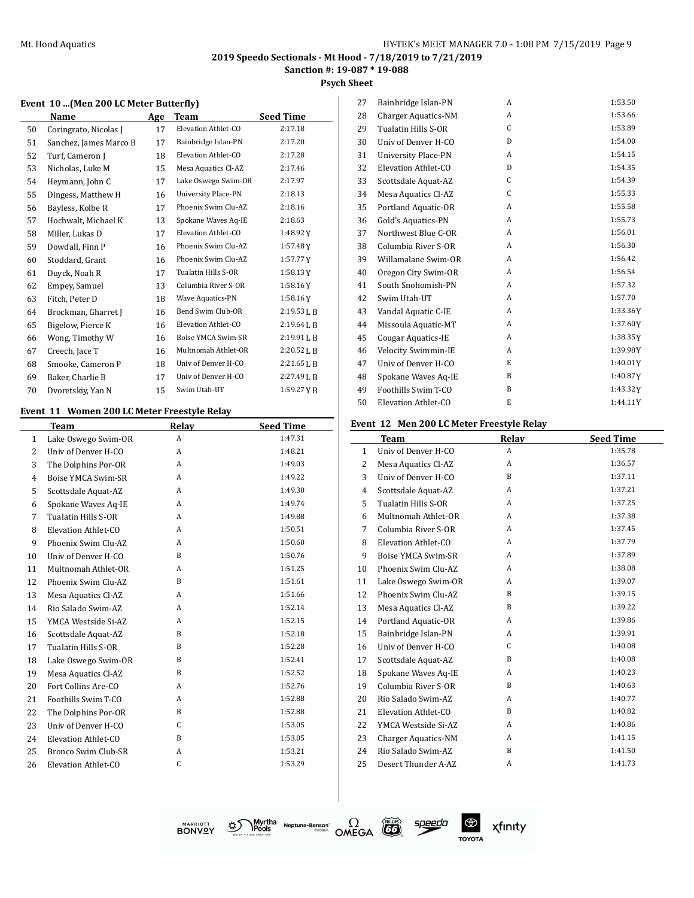**Sanction #: 19-087 \* 19-088**

## **Psych Sheet**

#### **Event 10 ...(Men 200 LC Meter Butterfly)**

|    | Name                   | Age | Team                       | <b>Seed Time</b> |
|----|------------------------|-----|----------------------------|------------------|
| 50 | Coringrato, Nicolas J  | 17  | Elevation Athlet-CO        | 2:17.18          |
| 51 | Sanchez, James Marco B | 17  | Bainbridge Islan-PN        | 2:17.20          |
| 52 | Turf, Cameron J        | 18  | Elevation Athlet-CO        | 2:17.28          |
| 53 | Nicholas, Luke M       | 15  | Mesa Aquatics Cl-AZ        | 2:17.46          |
| 54 | Heymann, John C        | 17  | Lake Oswego Swim-OR        | 2:17.97          |
| 55 | Dingess, Matthew H     | 16  | <b>University Place-PN</b> | 2:18.13          |
| 56 | Bayless, Kolbe R       | 17  | Phoenix Swim Clu-AZ        | 2:18.16          |
| 57 | Hochwalt, Michael K    | 13  | Spokane Waves Aq-IE        | 2:18.63          |
| 58 | Miller, Lukas D        | 17  | Elevation Athlet-CO        | 1:48.92Y         |
| 59 | Dowdall, Finn P        | 16  | Phoenix Swim Clu-AZ        | 1:57.48Y         |
| 60 | Stoddard, Grant        | 16  | Phoenix Swim Clu-AZ        | 1:57.77Y         |
| 61 | Duyck, Noah R          | 17  | Tualatin Hills S-OR        | 1:58.13Y         |
| 62 | Empey, Samuel          | 13  | Columbia River S-OR        | 1:58.16Y         |
| 63 | Fitch, Peter D         | 18  | Wave Aquatics-PN           | 1:58.16Y         |
| 64 | Brockman, Gharret J    | 16  | Bend Swim Club-OR          | $2:19.53$ J, B   |
| 65 | Bigelow, Pierce K      | 16  | Elevation Athlet-CO        | $2:19.64$ J, B   |
| 66 | Wong, Timothy W        | 16  | Boise YMCA Swim-SR         | $2:19.91$ J, B   |
| 67 | Creech, Jace T         | 16  | Multnomah Athlet-OR        | 2:20.52 L B      |
| 68 | Smooke, Cameron P      | 18  | Univ of Denver H-CO        | $2:21.65$ J, B   |
| 69 | Baker, Charlie B       | 17  | Univ of Denver H-CO        | $2:27.49$ J, B   |
| 70 | Dvoretskiy, Yan N      | 15  | Swim Utah-UT               | 1:59.27 Y B      |

#### **Event 11 Women 200 LC Meter Freestyle Relay**

|              | <b>Team</b>         | Relay        | <b>Seed Time</b> |
|--------------|---------------------|--------------|------------------|
| $\mathbf{1}$ | Lake Oswego Swim-OR | A            | 1:47.31          |
| 2            | Univ of Denver H-CO | A            | 1:48.21          |
| 3            | The Dolphins Por-OR | A            | 1:49.03          |
| 4            | Boise YMCA Swim-SR  | A            | 1:49.22          |
| 5            | Scottsdale Aquat-AZ | A            | 1:49.30          |
| 6            | Spokane Waves Aq-IE | A            | 1:49.74          |
| 7            | Tualatin Hills S-OR | A            | 1:49.88          |
| 8            | Elevation Athlet-CO | A            | 1:50.51          |
| 9            | Phoenix Swim Clu-AZ | A            | 1:50.60          |
| 10           | Univ of Denver H-CO | B            | 1:50.76          |
| 11           | Multnomah Athlet-OR | A            | 1:51.25          |
| 12           | Phoenix Swim Clu-AZ | <sub>B</sub> | 1:51.61          |
| 13           | Mesa Aquatics Cl-AZ | A            | 1:51.66          |
| 14           | Rio Salado Swim-AZ  | A            | 1:52.14          |
| 15           | YMCA Westside Si-AZ | A            | 1:52.15          |
| 16           | Scottsdale Aquat-AZ | <sub>B</sub> | 1:52.18          |
| 17           | Tualatin Hills S-OR | B            | 1:52.28          |
| 18           | Lake Oswego Swim-OR | B            | 1:52.41          |
| 19           | Mesa Aquatics Cl-AZ | <sub>B</sub> | 1:52.52          |
| 20           | Fort Collins Are-CO | A            | 1:52.76          |
| 21           | Foothills Swim T-CO | A            | 1:52.88          |
| 22           | The Dolphins Por-OR | <sub>B</sub> | 1:52.88          |
| 23           | Univ of Denver H-CO | $\mathsf{C}$ | 1:53.05          |
| 24           | Elevation Athlet-CO | B            | 1:53.05          |
| 25           | Bronco Swim Club-SR | A            | 1:53.21          |
| 26           | Elevation Athlet-CO | C            | 1:53.29          |
|              |                     |              |                  |

| 27 | Bainbridge Islan-PN        | A | 1:53.50  |
|----|----------------------------|---|----------|
| 28 | <b>Charger Aquatics-NM</b> | A | 1:53.66  |
| 29 | Tualatin Hills S-OR        | C | 1:53.89  |
| 30 | Univ of Denver H-CO        | D | 1:54.00  |
| 31 | <b>University Place-PN</b> | A | 1:54.15  |
| 32 | Elevation Athlet-CO        | D | 1:54.35  |
| 33 | Scottsdale Aquat-AZ        | C | 1:54.39  |
| 34 | Mesa Aquatics Cl-AZ        | C | 1:55.33  |
| 35 | Portland Aquatic-OR        | A | 1:55.58  |
| 36 | Gold's Aquatics-PN         | A | 1:55.73  |
| 37 | Northwest Blue C-OR        | A | 1:56.01  |
| 38 | Columbia River S-OR        | A | 1:56.30  |
| 39 | Willamalane Swim-OR        | A | 1:56.42  |
| 40 | Oregon City Swim-OR        | A | 1:56.54  |
| 41 | South Snohomish-PN         | A | 1:57.32  |
| 42 | Swim Utah-UT               | A | 1:57.70  |
| 43 | Vandal Aquatic C-IE        | A | 1:33.36Y |
| 44 | Missoula Aquatic-MT        | A | 1:37.60Y |
| 45 | Cougar Aquatics-IE         | A | 1:38.35Y |
| 46 | Velocity Swimmin-IE        | A | 1:39.98Y |
| 47 | Univ of Denver H-CO        | E | 1:40.01Y |
| 48 | Spokane Waves Aq-IE        | B | 1:40.87Y |
| 49 | Foothills Swim T-CO        | B | 1:43.32Y |
| 50 | Elevation Athlet-CO        | E | 1:44.11Y |

#### **Event 12 Men 200 LC Meter Freestyle Relay**

|              | <b>Team</b>                | Relay | <b>Seed Time</b> |
|--------------|----------------------------|-------|------------------|
| $\mathbf{1}$ | Univ of Denver H-CO        | A     | 1:35.78          |
| 2            | Mesa Aquatics Cl-AZ        | A     | 1:36.57          |
| 3            | Univ of Denver H-CO        | B     | 1:37.11          |
| 4            | Scottsdale Aquat-AZ        | A     | 1:37.21          |
| 5            | Tualatin Hills S-OR        | A     | 1:37.25          |
| 6            | Multnomah Athlet-OR        | A     | 1:37.38          |
| 7            | Columbia River S-OR        | A     | 1:37.45          |
| 8            | Elevation Athlet-CO        | A     | 1:37.79          |
| 9            | Boise YMCA Swim-SR         | A     | 1:37.89          |
| 10           | Phoenix Swim Clu-AZ        | A     | 1:38.08          |
| 11           | Lake Oswego Swim-OR        | A     | 1:39.07          |
| 12           | Phoenix Swim Clu-AZ        | B     | 1:39.15          |
| 13           | Mesa Aquatics Cl-AZ        | B     | 1:39.22          |
| 14           | Portland Aquatic-OR        | A     | 1:39.86          |
| 15           | Bainbridge Islan-PN        | A     | 1:39.91          |
| 16           | Univ of Denver H-CO        | C     | 1:40.08          |
| 17           | Scottsdale Aquat-AZ        | B     | 1:40.08          |
| 18           | Spokane Waves Aq-IE        | A     | 1:40.23          |
| 19           | Columbia River S-OR        | B     | 1:40.63          |
| 20           | Rio Salado Swim-AZ         | A     | 1:40.77          |
| 21           | Elevation Athlet-CO        | B     | 1:40.82          |
| 22           | YMCA Westside Si-AZ        | A     | 1:40.86          |
| 23           | <b>Charger Aquatics-NM</b> | A     | 1:41.15          |
| 24           | Rio Salado Swim-AZ         | B     | 1:41.50          |
| 25           | Desert Thunder A-AZ        | A     | 1:41.73          |

**BONVOY** 

Myrtha Neptune-Benson<sup>+</sup><br>MPools<br>" త్ర



speedo

 $^{\circledR}$ xfinity **TOYOTA**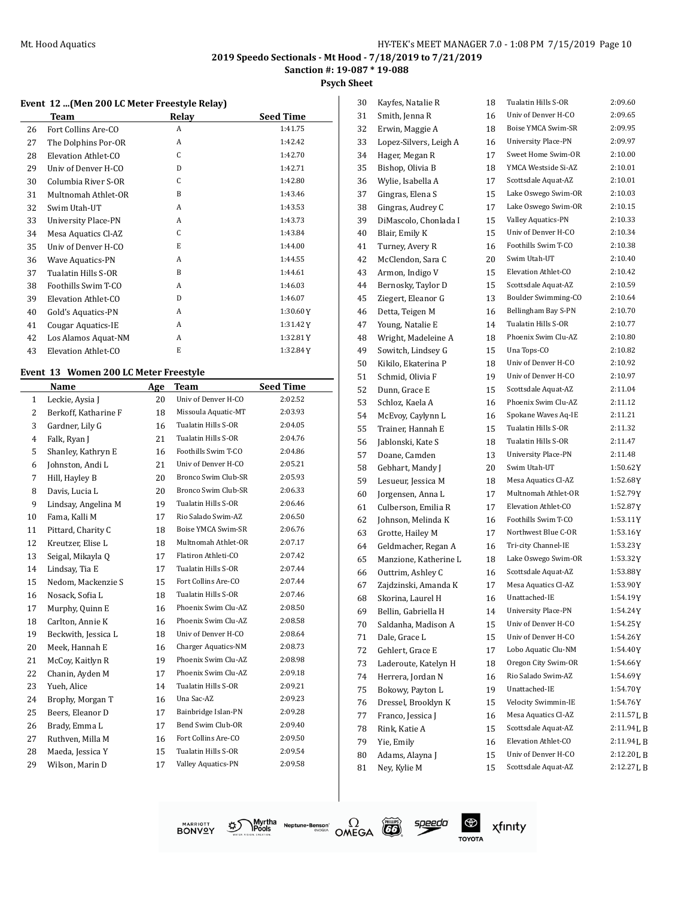**Sanction #: 19-087 \* 19-088**

**Psych Sheet**

|  |  |  | Event  12 (Men 200 LC Meter Freestyle Relay) |  |  |
|--|--|--|----------------------------------------------|--|--|
|  |  |  |                                              |  |  |

|    | <b>Team</b>             | Relay        | <b>Seed Time</b> |
|----|-------------------------|--------------|------------------|
| 26 | Fort Collins Are-CO     | A            | 1:41.75          |
| 27 | The Dolphins Por-OR     | A            | 1:42.42          |
| 28 | Elevation Athlet-CO     | C            | 1:42.70          |
| 29 | Univ of Denver H-CO     | D            | 1:42.71          |
| 30 | Columbia River S-OR     | C            | 1:42.80          |
| 31 | Multnomah Athlet-OR     | B            | 1:43.46          |
| 32 | Swim Utah-UT            | A            | 1:43.53          |
| 33 | University Place-PN     | A            | 1:43.73          |
| 34 | Mesa Aquatics Cl-AZ     | C            | 1:43.84          |
| 35 | Univ of Denver H-CO     | E.           | 1:44.00          |
| 36 | <b>Wave Aquatics-PN</b> | A            | 1:44.55          |
| 37 | Tualatin Hills S-OR     | <sub>B</sub> | 1:44.61          |
| 38 | Foothills Swim T-CO     | A            | 1:46.03          |
| 39 | Elevation Athlet-CO     | D            | 1:46.07          |
| 40 | Gold's Aquatics-PN      | A            | 1:30.60Y         |
| 41 | Cougar Aquatics-IE      | A            | 1:31.42Y         |
| 42 | Los Alamos Aquat-NM     | A            | 1:32.81Y         |
| 43 | Elevation Athlet-CO     | E            | 1:32.84Y         |

#### **Event 13 Women 200 LC Meter Freestyle**

 $\overline{\phantom{0}}$ 

|              | Name                 | Age | <b>Team</b>         | <b>Seed Time</b> |
|--------------|----------------------|-----|---------------------|------------------|
| $\mathbf{1}$ | Leckie, Aysia J      | 20  | Univ of Denver H-CO | 2:02.52          |
| 2            | Berkoff, Katharine F | 18  | Missoula Aquatic-MT | 2:03.93          |
| 3            | Gardner, Lily G      | 16  | Tualatin Hills S-OR | 2:04.05          |
| 4            | Falk, Ryan J         | 21  | Tualatin Hills S-OR | 2:04.76          |
| 5            | Shanley, Kathryn E   | 16  | Foothills Swim T-CO | 2:04.86          |
| 6            | Johnston, Andi L     | 21  | Univ of Denver H-CO | 2:05.21          |
| 7            | Hill, Hayley B       | 20  | Bronco Swim Club-SR | 2:05.93          |
| 8            | Davis, Lucia L       | 20  | Bronco Swim Club-SR | 2:06.33          |
| 9            | Lindsay, Angelina M  | 19  | Tualatin Hills S-OR | 2:06.46          |
| 10           | Fama, Kalli M        | 17  | Rio Salado Swim-AZ  | 2:06.50          |
| 11           | Pittard, Charity C   | 18  | Boise YMCA Swim-SR  | 2:06.76          |
| 12           | Kreutzer, Elise L    | 18  | Multnomah Athlet-OR | 2:07.17          |
| 13           | Seigal, Mikayla Q    | 17  | Flatiron Athleti-CO | 2:07.42          |
| 14           | Lindsay, Tia E       | 17  | Tualatin Hills S-OR | 2:07.44          |
| 15           | Nedom, Mackenzie S   | 15  | Fort Collins Are-CO | 2:07.44          |
| 16           | Nosack, Sofia L      | 18  | Tualatin Hills S-OR | 2:07.46          |
| 17           | Murphy, Quinn E      | 16  | Phoenix Swim Clu-AZ | 2:08.50          |
| 18           | Carlton, Annie K     | 16  | Phoenix Swim Clu-AZ | 2:08.58          |
| 19           | Beckwith, Jessica L  | 18  | Univ of Denver H-CO | 2:08.64          |
| 20           | Meek, Hannah E       | 16  | Charger Aquatics-NM | 2:08.73          |
| 21           | McCoy, Kaitlyn R     | 19  | Phoenix Swim Clu-AZ | 2:08.98          |
| 22           | Chanin, Ayden M      | 17  | Phoenix Swim Clu-AZ | 2:09.18          |
| 23           | Yueh, Alice          | 14  | Tualatin Hills S-OR | 2:09.21          |
| 24           | Brophy, Morgan T     | 16  | Una Sac-AZ          | 2:09.23          |
| 25           | Beers, Eleanor D     | 17  | Bainbridge Islan-PN | 2:09.28          |
| 26           | Brady, Emma L        | 17  | Bend Swim Club-OR   | 2:09.40          |
| 27           | Ruthven, Milla M     | 16  | Fort Collins Are-CO | 2:09.50          |
| 28           | Maeda, Jessica Y     | 15  | Tualatin Hills S-OR | 2:09.54          |
| 29           | Wilson, Marin D      | 17  | Valley Aquatics-PN  | 2:09.58          |
|              |                      |     |                     |                  |

| 30 | Kayfes, Natalie R      | 18 | Tualatin Hills S-OR                        | 2:09.60             |
|----|------------------------|----|--------------------------------------------|---------------------|
| 31 | Smith, Jenna R         | 16 | Univ of Denver H-CO                        | 2:09.65             |
| 32 | Erwin, Maggie A        | 18 | Boise YMCA Swim-SR                         | 2:09.95             |
| 33 | Lopez-Silvers, Leigh A | 16 | <b>University Place-PN</b>                 | 2:09.97             |
| 34 | Hager, Megan R         | 17 | Sweet Home Swim-OR                         | 2:10.00             |
| 35 | Bishop, Olivia B       | 18 | YMCA Westside Si-AZ                        | 2:10.01             |
| 36 | Wylie, Isabella A      | 17 | Scottsdale Aquat-AZ                        | 2:10.01             |
| 37 | Gingras, Elena S       | 15 | Lake Oswego Swim-OR                        | 2:10.03             |
| 38 | Gingras, Audrey C      | 17 | Lake Oswego Swim-OR                        | 2:10.15             |
| 39 | DiMascolo, Chonlada I  | 15 | Valley Aquatics-PN                         | 2:10.33             |
| 40 | Blair, Emily K         | 15 | Univ of Denver H-CO                        | 2:10.34             |
| 41 | Turney, Avery R        | 16 | Foothills Swim T-CO                        | 2:10.38             |
| 42 | McClendon, Sara C      | 20 | Swim Utah-UT                               | 2:10.40             |
| 43 | Armon, Indigo V        | 15 | Elevation Athlet-CO                        | 2:10.42             |
| 44 | Bernosky, Taylor D     | 15 | Scottsdale Aquat-AZ                        | 2:10.59             |
| 45 | Ziegert, Eleanor G     | 13 | Boulder Swimming-CO                        | 2:10.64             |
| 46 | Detta, Teigen M        | 16 | Bellingham Bay S-PN                        | 2:10.70             |
| 47 | Young, Natalie E       | 14 | Tualatin Hills S-OR                        | 2:10.77             |
| 48 | Wright, Madeleine A    | 18 | Phoenix Swim Clu-AZ                        | 2:10.80             |
| 49 | Sowitch, Lindsey G     | 15 | Una Tops-CO                                | 2:10.82             |
| 50 | Kikilo, Ekaterina P    | 18 | Univ of Denver H-CO                        | 2:10.92             |
| 51 | Schmid, Olivia F       | 19 | Univ of Denver H-CO                        | 2:10.97             |
| 52 | Dunn, Grace E          | 15 | Scottsdale Aquat-AZ                        | 2:11.04             |
| 53 |                        | 16 | Phoenix Swim Clu-AZ                        | 2:11.12             |
|    | Schloz, Kaela A        |    | Spokane Waves Aq-IE                        | 2:11.21             |
| 54 | McEvoy, Caylynn L      | 16 | Tualatin Hills S-OR                        | 2:11.32             |
| 55 | Trainer, Hannah E      | 15 | Tualatin Hills S-OR                        | 2:11.47             |
| 56 | Jablonski, Kate S      | 18 |                                            |                     |
| 57 | Doane, Camden          | 13 | <b>University Place-PN</b><br>Swim Utah-UT | 2:11.48<br>1:50.62Y |
| 58 | Gebhart, Mandy J       | 20 | Mesa Aquatics Cl-AZ                        | 1:52.68Y            |
| 59 | Lesueur, Jessica M     | 18 | Multnomah Athlet-OR                        |                     |
| 60 | Jorgensen, Anna L      | 17 |                                            | 1:52.79Y            |
| 61 | Culberson, Emilia R    | 17 | Elevation Athlet-CO                        | 1:52.87 Y           |
| 62 | Johnson, Melinda K     | 16 | Foothills Swim T-CO                        | 1:53.11Y            |
| 63 | Grotte, Hailey M       | 17 | Northwest Blue C-OR                        | 1:53.16Y            |
| 64 | Geldmacher, Regan A    | 16 | Tri-city Channel-IE                        | 1:53.23 Y           |
| 65 | Manzione, Katherine L  | 18 | Lake Oswego Swim-OR                        | 1:53.32 Y           |
| 66 | Outtrim, Ashley C      | 16 | Scottsdale Aquat-AZ                        | 1:53.88Y            |
| 67 | Zajdzinski, Amanda K   | 17 | Mesa Aquatics Cl-AZ                        | 1:53.90Y            |
| 68 | Skorina, Laurel H      | 16 | Unattached-IE                              | 1:54.19Y            |
| 69 | Bellin, Gabriella H    | 14 | <b>University Place-PN</b>                 | 1:54.24 Y           |
| 70 | Saldanha, Madison A    | 15 | Univ of Denver H-CO                        | 1:54.25Y            |
| 71 | Dale. Grace L          | 15 | Univ of Denver H-CO                        | 1:54.26Y            |
| 72 | Gehlert, Grace E       | 17 | Lobo Aquatic Clu-NM                        | 1:54.40Y            |
| 73 | Laderoute, Katelyn H   | 18 | Oregon City Swim-OR                        | 1:54.66Y            |
| 74 | Herrera, Jordan N      | 16 | Rio Salado Swim-AZ                         | 1:54.69Y            |
| 75 | Bokowy, Payton L       | 19 | Unattached-IE                              | 1:54.70Y            |
| 76 | Dressel, Brooklyn K    | 15 | Velocity Swimmin-IE                        | 1:54.76Y            |
| 77 | Franco, Jessica J      | 16 | Mesa Aquatics Cl-AZ                        | 2:11.57L B          |
| 78 | Rink, Katie A          | 15 | Scottsdale Aquat-AZ                        | 2:11.94 L B         |
| 79 | Yie, Emily             | 16 | Elevation Athlet-CO                        | 2:11.94 L B         |
| 80 | Adams, Alayna J        | 15 | Univ of Denver H-CO                        | 2:12.20 L B         |
| 81 | Ney, Kylie M           | 15 | Scottsdale Aquat-AZ                        | 2:12.27LB           |
|    |                        |    |                                            |                     |







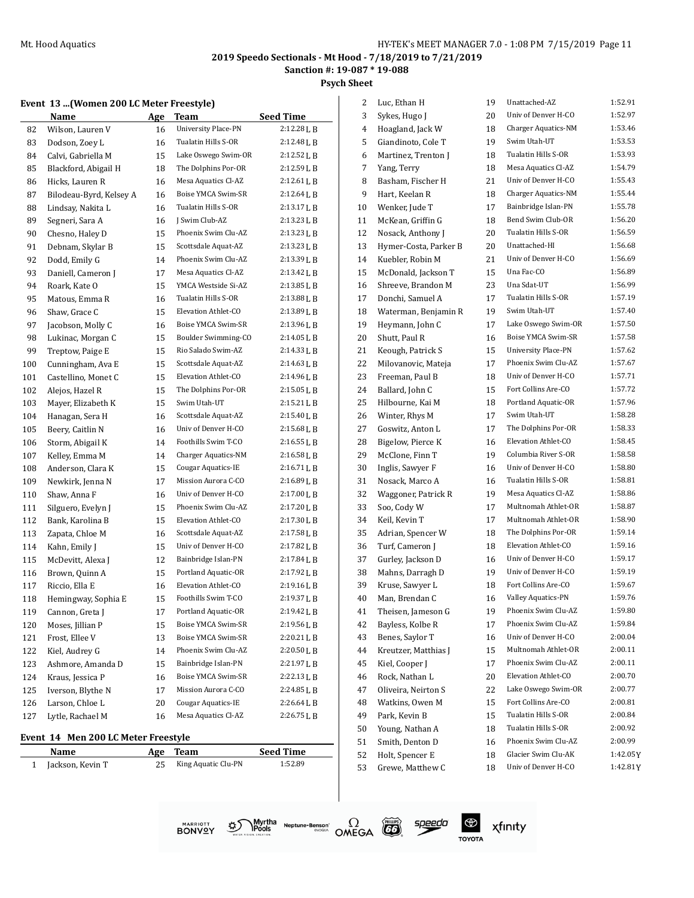**Psych Sheet**

#### **Event 13 ...(Women 200 LC Meter Freestyle)**

|     | Name                    | <u>Age</u> | Team                       | <b>Seed Time</b> |
|-----|-------------------------|------------|----------------------------|------------------|
| 82  | Wilson, Lauren V        | 16         | <b>University Place-PN</b> | 2:12.28L B       |
| 83  | Dodson, Zoey L          | 16         | Tualatin Hills S-OR        | 2:12.48L B       |
| 84  | Calvi, Gabriella M      | 15         | Lake Oswego Swim-OR        | 2:12.52 L B      |
| 85  | Blackford, Abigail H    | 18         | The Dolphins Por-OR        | 2:12.59L B       |
| 86  | Hicks, Lauren R         | 16         | Mesa Aquatics Cl-AZ        | 2:12.61L B       |
| 87  | Bilodeau-Byrd, Kelsey A | 16         | Boise YMCA Swim-SR         | 2:12.64 L B      |
| 88  | Lindsay, Nakita L       | 16         | Tualatin Hills S-OR        | 2:13.17 L B      |
| 89  | Segneri, Sara A         | 16         | J Swim Club-AZ             | 2:13.23L B       |
| 90  | Chesno, Haley D         | 15         | Phoenix Swim Clu-AZ        | 2:13.23 L B      |
| 91  | Debnam, Skylar B        | 15         | Scottsdale Aquat-AZ        | 2:13.23 L B      |
| 92  | Dodd, Emily G           | 14         | Phoenix Swim Clu-AZ        | 2:13.39 L B      |
| 93  | Daniell, Cameron J      | 17         | Mesa Aquatics Cl-AZ        | 2:13.42 L B      |
| 94  | Roark, Kate O           | 15         | YMCA Westside Si-AZ        | 2:13.85 L B      |
| 95  | Matous, Emma R          | 16         | Tualatin Hills S-OR        | 2:13.88 L B      |
| 96  | Shaw, Grace C           | 15         | Elevation Athlet-CO        | 2:13.89 L B      |
| 97  | Jacobson, Molly C       | 16         | Boise YMCA Swim-SR         | 2:13.96L B       |
| 98  | Lukinac, Morgan C       | 15         | Boulder Swimming-CO        | 2:14.05 L B      |
| 99  | Treptow, Paige E        | 15         | Rio Salado Swim-AZ         | 2:14.33 L B      |
| 100 | Cunningham, Ava E       | 15         | Scottsdale Aquat-AZ        | 2:14.63 L B      |
| 101 | Castellino, Monet C     | 15         | Elevation Athlet-CO        | 2:14.96L B       |
| 102 | Alejos, Hazel R         | 15         | The Dolphins Por-OR        | 2:15.05L B       |
| 103 | Mayer, Elizabeth K      | 15         | Swim Utah-UT               | 2:15.21L B       |
| 104 | Hanagan, Sera H         | 16         | Scottsdale Aquat-AZ        | 2:15.40 L B      |
| 105 | Beery, Caitlin N        | 16         | Univ of Denver H-CO        | 2:15.68LB        |
| 106 | Storm, Abigail K        | 14         | Foothills Swim T-CO        | 2:16.55L B       |
| 107 | Kelley, Emma M          | 14         | <b>Charger Aquatics-NM</b> | 2:16.58L B       |
| 108 | Anderson, Clara K       | 15         | Cougar Aquatics-IE         | 2:16.71LB        |
| 109 | Newkirk, Jenna N        | 17         | Mission Aurora C-CO        | 2:16.89L B       |
| 110 | Shaw, Anna F            | 16         | Univ of Denver H-CO        | 2:17.00 L B      |
| 111 | Silguero, Evelyn J      | 15         | Phoenix Swim Clu-AZ        | 2:17.20LB        |
| 112 | Bank, Karolina B        | 15         | Elevation Athlet-CO        | 2:17.30 L B      |
| 113 | Zapata, Chloe M         | 16         | Scottsdale Aquat-AZ        | 2:17.58L B       |
| 114 | Kahn, Emily J           | 15         | Univ of Denver H-CO        | 2:17.82 L B      |
| 115 | McDevitt, Alexa J       | 12         | Bainbridge Islan-PN        | 2:17.84LB        |
| 116 | Brown, Quinn A          | 15         | Portland Aquatic-OR        | 2:17.92 L B      |
| 117 | Riccio, Ella E          | 16         | Elevation Athlet-CO        | 2:19.16LB        |
| 118 | Hemingway, Sophia E     | 15         | Foothills Swim T-CO        | 2:19.37LB        |
| 119 | Cannon, Greta J         | 17         | Portland Aquatic-OR        | 2:19.42 L B      |
| 120 | Moses, Jillian P        | 15         | Boise YMCA Swim-SR         | 2:19.56 L B      |
| 121 | Frost, Ellee V          | 13         | Boise YMCA Swim-SR         | 2:20.21L B       |
| 122 | Kiel, Audrey G          | 14         | Phoenix Swim Clu-AZ        | 2:20.50 L B      |
| 123 | Ashmore, Amanda D       | 15         | Bainbridge Islan-PN        | 2:21.97LB        |
| 124 | Kraus, Jessica P        | 16         | Boise YMCA Swim-SR         | 2:22.13L B       |
| 125 | Iverson, Blythe N       | 17         | Mission Aurora C-CO        | 2:24.85 L B      |
| 126 | Larson, Chloe L         | 20         | Cougar Aquatics-IE         | 2:26.64 L B      |
| 127 | Lytle, Rachael M        | 16         | Mesa Aquatics Cl-AZ        | 2:26.75 L B      |

#### **Event 14 Men 200 LC Meter Freestyle**

| <b>Name</b>      | Age Team               | <b>Seed Time</b> |
|------------------|------------------------|------------------|
| Jackson, Kevin T | 25 King Aquatic Clu-PN | 1:52.89          |

| 2  | Luc, Ethan H          | 19 | Unattached-AZ       | 1:52.91   |
|----|-----------------------|----|---------------------|-----------|
| 3  | Sykes, Hugo J         | 20 | Univ of Denver H-CO | 1:52.97   |
| 4  | Hoagland, Jack W      | 18 | Charger Aquatics-NM | 1:53.46   |
| 5  | Giandinoto, Cole T    | 19 | Swim Utah-UT        | 1:53.53   |
| 6  | Martinez, Trenton J   | 18 | Tualatin Hills S-OR | 1:53.93   |
| 7  | Yang, Terry           | 18 | Mesa Aquatics Cl-AZ | 1:54.79   |
| 8  | Basham, Fischer H     | 21 | Univ of Denver H-CO | 1:55.43   |
| 9  | Hart, Keelan R        | 18 | Charger Aquatics-NM | 1:55.44   |
| 10 | Wenker, Jude T        | 17 | Bainbridge Islan-PN | 1:55.78   |
| 11 | McKean, Griffin G     | 18 | Bend Swim Club-OR   | 1:56.20   |
| 12 | Nosack, Anthony J     | 20 | Tualatin Hills S-OR | 1:56.59   |
| 13 | Hymer-Costa, Parker B | 20 | Unattached-HI       | 1:56.68   |
| 14 | Kuebler, Robin M      | 21 | Univ of Denver H-CO | 1:56.69   |
| 15 | McDonald, Jackson T   | 15 | Una Fac-CO          | 1:56.89   |
| 16 | Shreeve, Brandon M    | 23 | Una Sdat-UT         | 1:56.99   |
| 17 | Donchi, Samuel A      | 17 | Tualatin Hills S-OR | 1:57.19   |
| 18 | Waterman, Benjamin R  | 19 | Swim Utah-UT        | 1:57.40   |
| 19 | Heymann, John C       | 17 | Lake Oswego Swim-OR | 1:57.50   |
| 20 | Shutt, Paul R         | 16 | Boise YMCA Swim-SR  | 1:57.58   |
| 21 | Keough, Patrick S     | 15 | University Place-PN | 1:57.62   |
| 22 | Milovanovic, Mateja   | 17 | Phoenix Swim Clu-AZ | 1:57.67   |
| 23 | Freeman, Paul B       | 18 | Univ of Denver H-CO | 1:57.71   |
| 24 | Ballard, John C       | 15 | Fort Collins Are-CO | 1:57.72   |
| 25 | Hilbourne, Kai M      | 18 | Portland Aquatic-OR | 1:57.96   |
| 26 | Winter, Rhys M        | 17 | Swim Utah-UT        | 1:58.28   |
| 27 | Goswitz, Anton L      | 17 | The Dolphins Por-OR | 1:58.33   |
| 28 | Bigelow, Pierce K     | 16 | Elevation Athlet-CO | 1:58.45   |
| 29 | McClone, Finn T       | 19 | Columbia River S-OR | 1:58.58   |
| 30 | Inglis, Sawyer F      | 16 | Univ of Denver H-CO | 1:58.80   |
| 31 | Nosack, Marco A       | 16 | Tualatin Hills S-OR | 1:58.81   |
| 32 | Waggoner, Patrick R   | 19 | Mesa Aquatics Cl-AZ | 1:58.86   |
| 33 | Soo, Cody W           | 17 | Multnomah Athlet-OR | 1:58.87   |
| 34 | Keil, Kevin T         | 17 | Multnomah Athlet-OR | 1:58.90   |
| 35 | Adrian, Spencer W     | 18 | The Dolphins Por-OR | 1:59.14   |
| 36 | Turf, Cameron J       | 18 | Elevation Athlet-CO | 1:59.16   |
| 37 | Gurley, Jackson D     | 16 | Univ of Denver H-CO | 1:59.17   |
| 38 | Mahns, Darragh D      | 19 | Univ of Denver H-CO | 1:59.19   |
| 39 | Kruse, Sawyer L       | 18 | Fort Collins Are-CO | 1:59.67   |
| 40 | Man, Brendan C        | 16 | Valley Aquatics-PN  | 1:59.76   |
| 41 | Theisen, Jameson G    | 19 | Phoenix Swim Clu-AZ | 1:59.80   |
| 42 | Bayless, Kolbe R      | 17 | Phoenix Swim Clu-AZ | 1:59.84   |
| 43 | Benes, Saylor T       | 16 | Univ of Denver H-CO | 2:00.04   |
| 44 | Kreutzer, Matthias J  | 15 | Multnomah Athlet-OR | 2:00.11   |
| 45 | Kiel, Cooper J        | 17 | Phoenix Swim Clu-AZ | 2:00.11   |
| 46 | Rock, Nathan L        | 20 | Elevation Athlet-CO | 2:00.70   |
| 47 | Oliveira, Neirton S   | 22 | Lake Oswego Swim-OR | 2:00.77   |
| 48 | Watkins, Owen M       | 15 | Fort Collins Are-CO | 2:00.81   |
| 49 | Park, Kevin B         | 15 | Tualatin Hills S-OR | 2:00.84   |
| 50 | Young, Nathan A       | 18 | Tualatin Hills S-OR | 2:00.92   |
| 51 | Smith, Denton D       | 16 | Phoenix Swim Clu-AZ | 2:00.99   |
| 52 | Holt, Spencer E       | 18 | Glacier Swim Clu-AK | 1:42.05 Y |
| 53 | Grewe, Matthew C      | 18 | Univ of Denver H-CO | 1:42.81Y  |
|    |                       |    |                     |           |





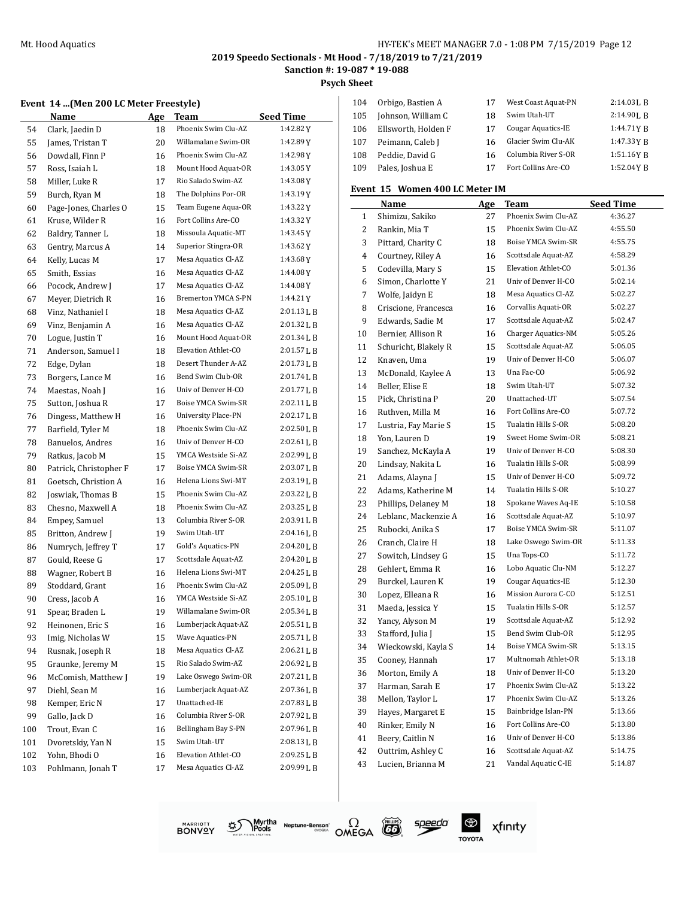#### Mt. Hood Aquatics HY-TEK's MEET MANAGER 7.0 - 1:08 PM 7/15/2019 Page 12

#### **2019 Speedo Sectionals - Mt Hood - 7/18/2019 to 7/21/2019 Sanction #: 19-087 \* 19-088**

**Psych Sheet**  $\overline{1}$ 

## **Event 14 ...(Men 200 LC Meter Freestyle)**

|     | <b>Name</b>                         | Age | <b>Team</b><br>Phoenix Swim Clu-AZ | <b>Seed Time</b><br>1:42.82Y |
|-----|-------------------------------------|-----|------------------------------------|------------------------------|
| 54  | Clark, Jaedin D<br>James, Tristan T | 18  | Willamalane Swim-OR                | 1:42.89Y                     |
| 55  |                                     | 20  | Phoenix Swim Clu-AZ                | 1:42.98 Y                    |
| 56  | Dowdall, Finn P                     | 16  |                                    |                              |
| 57  | Ross, Isaiah L                      | 18  | Mount Hood Aquat-OR                | 1:43.05 Y                    |
| 58  | Miller, Luke R                      | 17  | Rio Salado Swim-AZ                 | 1:43.08Y                     |
| 59  | Burch, Ryan M                       | 18  | The Dolphins Por-OR                | 1:43.19Y                     |
| 60  | Page-Jones, Charles O               | 15  | Team Eugene Aqua-OR                | 1:43.22 Y                    |
| 61  | Kruse, Wilder R                     | 16  | Fort Collins Are-CO                | 1:43.32Y                     |
| 62  | Baldry, Tanner L                    | 18  | Missoula Aquatic-MT                | 1:43.45 Y                    |
| 63  | Gentry, Marcus A                    | 14  | Superior Stingra-OR                | 1:43.62 Y                    |
| 64  | Kelly, Lucas M                      | 17  | Mesa Aquatics Cl-AZ                | 1:43.68Y                     |
| 65  | Smith, Essias                       | 16  | Mesa Aquatics Cl-AZ                | 1:44.08Y                     |
| 66  | Pocock, Andrew J                    | 17  | Mesa Aquatics Cl-AZ                | 1:44.08Y                     |
| 67  | Meyer, Dietrich R                   | 16  | <b>Bremerton YMCA S-PN</b>         | 1:44.21Y                     |
| 68  | Vinz, Nathaniel I                   | 18  | Mesa Aquatics Cl-AZ                | 2:01.13 L B                  |
| 69  | Vinz, Benjamin A                    | 16  | Mesa Aquatics Cl-AZ                | 2:01.32LB                    |
| 70  | Logue, Justin T                     | 16  | Mount Hood Aquat-OR                | 2:01.34 L B                  |
| 71  | Anderson, Samuel I                  | 18  | Elevation Athlet-CO                | 2:01.57 L B                  |
| 72  | Edge, Dylan                         | 18  | Desert Thunder A-AZ                | 2:01.73LB                    |
| 73  | Borgers, Lance M                    | 16  | Bend Swim Club-OR                  | 2:01.74L B                   |
| 74  | Maestas, Noah J                     | 16  | Univ of Denver H-CO                | 2:01.77 L B                  |
| 75  | Sutton, Joshua R                    | 17  | Boise YMCA Swim-SR                 | 2:02.11 L B                  |
| 76  | Dingess, Matthew H                  | 16  | <b>University Place-PN</b>         | 2:02.17L B                   |
| 77  | Barfield, Tyler M                   | 18  | Phoenix Swim Clu-AZ                | 2:02.50 L B                  |
| 78  | Banuelos, Andres                    | 16  | Univ of Denver H-CO                | 2:02.61L B                   |
| 79  | Ratkus, Jacob M                     | 15  | YMCA Westside Si-AZ                | 2:02.99 L B                  |
| 80  | Patrick, Christopher F              | 17  | Boise YMCA Swim-SR                 | 2:03.07LB                    |
| 81  | Goetsch, Christion A                | 16  | Helena Lions Swi-MT                | 2:03.19LB                    |
| 82  | Joswiak, Thomas B                   | 15  | Phoenix Swim Clu-AZ                | 2:03.22 L B                  |
| 83  | Chesno, Maxwell A                   | 18  | Phoenix Swim Clu-AZ                | 2:03.25L B                   |
| 84  | Empey, Samuel                       | 13  | Columbia River S-OR                | 2:03.91 L B                  |
| 85  | Britton, Andrew J                   | 19  | Swim Utah-UT                       | 2:04.16 L B                  |
| 86  | Numrych, Jeffrey T                  | 17  | Gold's Aquatics-PN                 | 2:04.20LB                    |
| 87  | Gould, Reese G                      | 17  | Scottsdale Aquat-AZ                | 2:04.20 L B                  |
| 88  | Wagner, Robert B                    | 16  | Helena Lions Swi-MT                | $2:04.25$ J, B               |
| 89  | Stoddard, Grant                     | 16  | Phoenix Swim Clu-AZ                | 2:05.09 L B                  |
| 90  | Cress, Jacob A                      | 16  | YMCA Westside Si-AZ                | 2:05.10 L B                  |
| 91  |                                     | 19  | Willamalane Swim-OR                | 2:05.34 L B                  |
| 92  | Spear, Braden L<br>Heinonen, Eric S |     | Lumberjack Aquat-AZ                | 2:05.51LB                    |
| 93  | Imig, Nicholas W                    | 16  | Wave Aquatics-PN                   | 2:05.71 L B                  |
|     | Rusnak, Joseph R                    | 15  | Mesa Aquatics Cl-AZ                | 2:06.21 L B                  |
| 94  |                                     | 18  |                                    |                              |
| 95  | Graunke, Jeremy M                   | 15  | Rio Salado Swim-AZ                 | 2:06.92LB                    |
| 96  | McComish, Matthew J                 | 19  | Lake Oswego Swim-OR                | 2:07.21 L B                  |
| 97  | Diehl, Sean M                       | 16  | Lumberjack Aquat-AZ                | 2:07.36LB                    |
| 98  | Kemper, Eric N                      | 17  | Unattached-IE                      | 2:07.83LB                    |
| 99  | Gallo, Jack D                       | 16  | Columbia River S-OR                | 2:07.92 L B                  |
| 100 | Trout, Evan C                       | 16  | Bellingham Bay S-PN                | 2:07.96L B                   |
| 101 | Dvoretskiy, Yan N                   | 15  | Swim Utah-UT                       | 2:08.13LB                    |
| 102 | Yohn, Bhodi O                       | 16  | Elevation Athlet-CO                | 2:09.25L B                   |
| 103 | Pohlmann, Jonah T                   | 17  | Mesa Aquatics Cl-AZ                | 2:09.99LB                    |

| 104 | Orbigo, Bastien A   | 17 | West Coast Aquat-PN | $2:14.03$ J, B |
|-----|---------------------|----|---------------------|----------------|
| 105 | Johnson, William C  | 18 | Swim Utah-UT        | $2:14.90$ J. R |
| 106 | Ellsworth, Holden F | 17 | Cougar Aquatics-IE  | 1:44.71YB      |
| 107 | Peimann, Caleb J    | 16 | Glacier Swim Clu-AK | 1:47.33 Y B    |
| 108 | Peddie, David G     | 16 | Columbia River S-OR | 1:51.16YB      |
| 109 | Pales, Joshua E     | 17 | Fort Collins Are-CO | 1:52.04YB      |

#### **Event 15 Women 400 LC Meter IM**

|                | Name                 | Age | Team                | <b>Seed Time</b> |
|----------------|----------------------|-----|---------------------|------------------|
| 1              | Shimizu, Sakiko      | 27  | Phoenix Swim Clu-AZ | 4:36.27          |
| 2              | Rankin, Mia T        | 15  | Phoenix Swim Clu-AZ | 4:55.50          |
| 3              | Pittard, Charity C   | 18  | Boise YMCA Swim-SR  | 4:55.75          |
| $\overline{4}$ | Courtney, Riley A    | 16  | Scottsdale Aquat-AZ | 4:58.29          |
| 5              | Codevilla, Mary S    | 15  | Elevation Athlet-CO | 5:01.36          |
| 6              | Simon, Charlotte Y   | 21  | Univ of Denver H-CO | 5:02.14          |
| 7              | Wolfe, Jaidyn E      | 18  | Mesa Aquatics Cl-AZ | 5:02.27          |
| 8              | Criscione, Francesca | 16  | Corvallis Aquati-OR | 5:02.27          |
| 9              | Edwards, Sadie M     | 17  | Scottsdale Aquat-AZ | 5:02.47          |
| 10             | Bernier, Allison R   | 16  | Charger Aquatics-NM | 5:05.26          |
| 11             | Schuricht, Blakely R | 15  | Scottsdale Aquat-AZ | 5:06.05          |
| 12             | Knaven, Uma          | 19  | Univ of Denver H-CO | 5:06.07          |
| 13             | McDonald, Kaylee A   | 13  | Una Fac-CO          | 5:06.92          |
| 14             | Beller, Elise E      | 18  | Swim Utah-UT        | 5:07.32          |
| 15             | Pick, Christina P    | 20  | Unattached-UT       | 5:07.54          |
| 16             | Ruthven, Milla M     | 16  | Fort Collins Are-CO | 5:07.72          |
| 17             | Lustria, Fay Marie S | 15  | Tualatin Hills S-OR | 5:08.20          |
| 18             | Yon, Lauren D        | 19  | Sweet Home Swim-OR  | 5:08.21          |
| 19             | Sanchez, McKayla A   | 19  | Univ of Denver H-CO | 5:08.30          |
| 20             | Lindsay, Nakita L    | 16  | Tualatin Hills S-OR | 5:08.99          |
| 21             | Adams, Alayna J      | 15  | Univ of Denver H-CO | 5:09.72          |
| 22             | Adams, Katherine M   | 14  | Tualatin Hills S-OR | 5:10.27          |
| 23             | Phillips, Delaney M  | 18  | Spokane Waves Aq-IE | 5:10.58          |
| 24             | Leblanc, Mackenzie A | 16  | Scottsdale Aquat-AZ | 5:10.97          |
| 25             | Rubocki, Anika S     | 17  | Boise YMCA Swim-SR  | 5:11.07          |
| 26             | Cranch, Claire H     | 18  | Lake Oswego Swim-OR | 5:11.33          |
| 27             | Sowitch, Lindsey G   | 15  | Una Tops-CO         | 5:11.72          |
| 28             | Gehlert, Emma R      | 16  | Lobo Aquatic Clu-NM | 5:12.27          |
| 29             | Burckel, Lauren K    | 19  | Cougar Aquatics-IE  | 5:12.30          |
| 30             | Lopez, Elleana R     | 16  | Mission Aurora C-CO | 5:12.51          |
| 31             | Maeda, Jessica Y     | 15  | Tualatin Hills S-OR | 5:12.57          |
| 32             | Yancy, Alyson M      | 19  | Scottsdale Aquat-AZ | 5:12.92          |
| 33             | Stafford, Julia J    | 15  | Bend Swim Club-OR   | 5:12.95          |
| 34             | Wieckowski, Kayla S  | 14  | Boise YMCA Swim-SR  | 5:13.15          |
| 35             | Cooney, Hannah       | 17  | Multnomah Athlet-OR | 5:13.18          |
| 36             | Morton, Emily A      | 18  | Univ of Denver H-CO | 5:13.20          |
| 37             | Harman, Sarah E      | 17  | Phoenix Swim Clu-AZ | 5:13.22          |
| 38             | Mellon, Taylor L     | 17  | Phoenix Swim Clu-AZ | 5:13.26          |
| 39             | Hayes, Margaret E    | 15  | Bainbridge Islan-PN | 5:13.66          |
| 40             | Rinker, Emily N      | 16  | Fort Collins Are-CO | 5:13.80          |
| 41             | Beery, Caitlin N     | 16  | Univ of Denver H-CO | 5:13.86          |
| 42             | Outtrim, Ashley C    | 16  | Scottsdale Aquat-AZ | 5:14.75          |
| 43             | Lucien, Brianna M    | 21  | Vandal Aquatic C-IE | 5:14.87          |







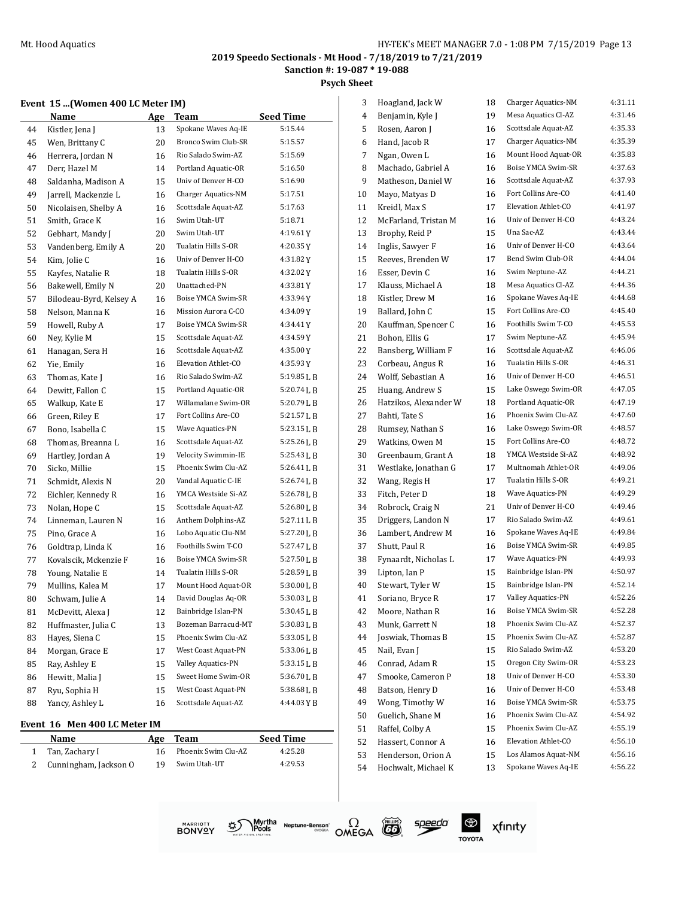**Sanction #: 19-087 \* 19-088**

**Psych Sheet**

#### **Event 15 ...(Women 400 LC Meter IM)**

| Spokane Waves Aq-IE<br>5:15.44<br>44<br>Kistler, Jena J<br>13<br>Bronco Swim Club-SR<br>5:15.57<br>45<br>Wen, Brittany C<br>20<br>Rio Salado Swim-AZ<br>5:15.69<br>46<br>Herrera, Jordan N<br>16<br>Portland Aquatic-OR<br>5:16.50<br>47<br>Derr, Hazel M<br>14<br>Univ of Denver H-CO<br>5:16.90<br>48<br>Saldanha. Madison A<br>15<br>Charger Aquatics-NM<br>49<br>Jarrell, Mackenzie L<br>5:17.51<br>16<br>Scottsdale Aquat-AZ<br>5:17.63<br>50<br>Nicolaisen, Shelby A<br>16<br>Swim Utah-UT<br>5:18.71<br>51<br>Smith, Grace K<br>16<br>Swim Utah-UT<br>52<br>Gebhart, Mandy J<br>20<br>4:19.61Y<br>Tualatin Hills S-OR<br>4:20.35Y<br>53<br>Vandenberg, Emily A<br>20<br>Univ of Denver H-CO<br>4:31.82Y<br>54<br>Kim, Jolie C<br>16<br>Tualatin Hills S-OR<br>55<br>Kayfes, Natalie R<br>18<br>4:32.02Y<br>Unattached-PN<br>4:33.81Y<br>Bakewell, Emily N<br>20<br>56<br>Boise YMCA Swim-SR<br>4:33.94 Y<br>57<br>Bilodeau-Byrd, Kelsey A<br>16<br>Mission Aurora C-CO<br>58<br>Nelson, Manna K<br>4:34.09Y<br>16<br>Boise YMCA Swim-SR<br>59<br>Howell, Ruby A<br>4:34.41 Y<br>17<br>Scottsdale Aquat-AZ<br>4:34.59Y<br>60<br>Ney, Kylie M<br>15<br>Scottsdale Aquat-AZ<br>61<br>16<br>4:35.00Y<br>Hanagan, Sera H<br>Elevation Athlet-CO<br>Yie, Emily<br>4:35.93 Y<br>62<br>16<br>Rio Salado Swim-AZ<br>Thomas, Kate I<br>5:19.85 L B<br>63<br>16<br>Portland Aquatic-OR<br>64<br>Dewitt, Fallon C<br>15<br>5:20.74 L B<br>Willamalane Swim-OR<br>5:20.79LB<br>65<br>17<br>Walkup, Kate E<br>Fort Collins Are-CO<br>$5:21.57$ J, B<br>66<br>Green, Riley E<br>17<br>Wave Aquatics-PN<br>67<br>Bono, Isabella C<br>15<br>5:23.15 L B<br>Scottsdale Aquat-AZ<br>5:25.26 L B<br>68<br>Thomas, Breanna L<br>16<br>Velocity Swimmin-IE<br>5:25.43 L B<br>69<br>Hartley, Jordan A<br>19<br>Phoenix Swim Clu-AZ<br>70<br>Sicko, Millie<br>5:26.41 L B<br>15<br>Vandal Aquatic C-IE<br>71<br>Schmidt, Alexis N<br>20<br>5:26.74 L B<br>YMCA Westside Si-AZ<br>5:26.78 L B<br>72<br>Eichler, Kennedy R<br>16<br>Scottsdale Aquat-AZ<br>73<br>Nolan, Hope C<br>15<br>5:26.80 L B<br>Anthem Dolphins-AZ<br>74<br>Linneman, Lauren N<br>16<br>5:27.11 L B<br>Lobo Aquatic Clu-NM<br>5:27.20 L B<br>75<br>Pino, Grace A<br>16<br>Foothills Swim T-CO<br>76<br>Goldtrap, Linda K<br>5:27.47 L B<br>16<br>Boise YMCA Swim-SR<br>$5:27.50$ J, B<br>77<br>Kovalscik, Mckenzie F<br>16<br>Tualatin Hills S-OR<br>5:28.59 L B<br>Young, Natalie E<br>78<br>14<br>Mount Hood Aquat-OR<br>79<br>Mullins, Kalea M<br>17<br>5:30.00 L B<br>David Douglas Aq-OR<br>80<br>Schwam, Julie A<br>5:30.03 L B<br>14<br>Bainbridge Islan-PN<br>5:30.45 L B<br>81<br>McDevitt, Alexa J<br>12<br>Bozeman Barracud-MT<br>82<br>Huffmaster, Julia C<br>13<br>5:30.83 L B<br>Phoenix Swim Clu-AZ<br>5:33.05 L B<br>83<br>Hayes, Siena C<br>15<br>West Coast Aquat-PN<br>5:33.06 J, B<br>84<br>Morgan, Grace E<br>17<br>Valley Aquatics-PN<br>85<br>Ray, Ashley E<br>15<br>5:33.15 L B<br>Sweet Home Swim-OR<br>5:36.70LB<br>86<br>Hewitt, Malia J<br>15<br>West Coast Aquat-PN<br>5:38.68LB<br>87<br>Ryu, Sophia H<br>15<br>Yancy, Ashley L<br>Scottsdale Aquat-AZ<br>4:44.03YB<br>88<br>16 | Name | <u>Age</u> | <b>Team</b> | <b>Seed Time</b> |
|-------------------------------------------------------------------------------------------------------------------------------------------------------------------------------------------------------------------------------------------------------------------------------------------------------------------------------------------------------------------------------------------------------------------------------------------------------------------------------------------------------------------------------------------------------------------------------------------------------------------------------------------------------------------------------------------------------------------------------------------------------------------------------------------------------------------------------------------------------------------------------------------------------------------------------------------------------------------------------------------------------------------------------------------------------------------------------------------------------------------------------------------------------------------------------------------------------------------------------------------------------------------------------------------------------------------------------------------------------------------------------------------------------------------------------------------------------------------------------------------------------------------------------------------------------------------------------------------------------------------------------------------------------------------------------------------------------------------------------------------------------------------------------------------------------------------------------------------------------------------------------------------------------------------------------------------------------------------------------------------------------------------------------------------------------------------------------------------------------------------------------------------------------------------------------------------------------------------------------------------------------------------------------------------------------------------------------------------------------------------------------------------------------------------------------------------------------------------------------------------------------------------------------------------------------------------------------------------------------------------------------------------------------------------------------------------------------------------------------------------------------------------------------------------------------------------------------------------------------------------------------------------------------------------------------------------------------------------------------------------------------------------------------------------------------------------------------------------------------------------------------------------------------------------|------|------------|-------------|------------------|
|                                                                                                                                                                                                                                                                                                                                                                                                                                                                                                                                                                                                                                                                                                                                                                                                                                                                                                                                                                                                                                                                                                                                                                                                                                                                                                                                                                                                                                                                                                                                                                                                                                                                                                                                                                                                                                                                                                                                                                                                                                                                                                                                                                                                                                                                                                                                                                                                                                                                                                                                                                                                                                                                                                                                                                                                                                                                                                                                                                                                                                                                                                                                                                   |      |            |             |                  |
|                                                                                                                                                                                                                                                                                                                                                                                                                                                                                                                                                                                                                                                                                                                                                                                                                                                                                                                                                                                                                                                                                                                                                                                                                                                                                                                                                                                                                                                                                                                                                                                                                                                                                                                                                                                                                                                                                                                                                                                                                                                                                                                                                                                                                                                                                                                                                                                                                                                                                                                                                                                                                                                                                                                                                                                                                                                                                                                                                                                                                                                                                                                                                                   |      |            |             |                  |
|                                                                                                                                                                                                                                                                                                                                                                                                                                                                                                                                                                                                                                                                                                                                                                                                                                                                                                                                                                                                                                                                                                                                                                                                                                                                                                                                                                                                                                                                                                                                                                                                                                                                                                                                                                                                                                                                                                                                                                                                                                                                                                                                                                                                                                                                                                                                                                                                                                                                                                                                                                                                                                                                                                                                                                                                                                                                                                                                                                                                                                                                                                                                                                   |      |            |             |                  |
|                                                                                                                                                                                                                                                                                                                                                                                                                                                                                                                                                                                                                                                                                                                                                                                                                                                                                                                                                                                                                                                                                                                                                                                                                                                                                                                                                                                                                                                                                                                                                                                                                                                                                                                                                                                                                                                                                                                                                                                                                                                                                                                                                                                                                                                                                                                                                                                                                                                                                                                                                                                                                                                                                                                                                                                                                                                                                                                                                                                                                                                                                                                                                                   |      |            |             |                  |
|                                                                                                                                                                                                                                                                                                                                                                                                                                                                                                                                                                                                                                                                                                                                                                                                                                                                                                                                                                                                                                                                                                                                                                                                                                                                                                                                                                                                                                                                                                                                                                                                                                                                                                                                                                                                                                                                                                                                                                                                                                                                                                                                                                                                                                                                                                                                                                                                                                                                                                                                                                                                                                                                                                                                                                                                                                                                                                                                                                                                                                                                                                                                                                   |      |            |             |                  |
|                                                                                                                                                                                                                                                                                                                                                                                                                                                                                                                                                                                                                                                                                                                                                                                                                                                                                                                                                                                                                                                                                                                                                                                                                                                                                                                                                                                                                                                                                                                                                                                                                                                                                                                                                                                                                                                                                                                                                                                                                                                                                                                                                                                                                                                                                                                                                                                                                                                                                                                                                                                                                                                                                                                                                                                                                                                                                                                                                                                                                                                                                                                                                                   |      |            |             |                  |
|                                                                                                                                                                                                                                                                                                                                                                                                                                                                                                                                                                                                                                                                                                                                                                                                                                                                                                                                                                                                                                                                                                                                                                                                                                                                                                                                                                                                                                                                                                                                                                                                                                                                                                                                                                                                                                                                                                                                                                                                                                                                                                                                                                                                                                                                                                                                                                                                                                                                                                                                                                                                                                                                                                                                                                                                                                                                                                                                                                                                                                                                                                                                                                   |      |            |             |                  |
|                                                                                                                                                                                                                                                                                                                                                                                                                                                                                                                                                                                                                                                                                                                                                                                                                                                                                                                                                                                                                                                                                                                                                                                                                                                                                                                                                                                                                                                                                                                                                                                                                                                                                                                                                                                                                                                                                                                                                                                                                                                                                                                                                                                                                                                                                                                                                                                                                                                                                                                                                                                                                                                                                                                                                                                                                                                                                                                                                                                                                                                                                                                                                                   |      |            |             |                  |
|                                                                                                                                                                                                                                                                                                                                                                                                                                                                                                                                                                                                                                                                                                                                                                                                                                                                                                                                                                                                                                                                                                                                                                                                                                                                                                                                                                                                                                                                                                                                                                                                                                                                                                                                                                                                                                                                                                                                                                                                                                                                                                                                                                                                                                                                                                                                                                                                                                                                                                                                                                                                                                                                                                                                                                                                                                                                                                                                                                                                                                                                                                                                                                   |      |            |             |                  |
|                                                                                                                                                                                                                                                                                                                                                                                                                                                                                                                                                                                                                                                                                                                                                                                                                                                                                                                                                                                                                                                                                                                                                                                                                                                                                                                                                                                                                                                                                                                                                                                                                                                                                                                                                                                                                                                                                                                                                                                                                                                                                                                                                                                                                                                                                                                                                                                                                                                                                                                                                                                                                                                                                                                                                                                                                                                                                                                                                                                                                                                                                                                                                                   |      |            |             |                  |
|                                                                                                                                                                                                                                                                                                                                                                                                                                                                                                                                                                                                                                                                                                                                                                                                                                                                                                                                                                                                                                                                                                                                                                                                                                                                                                                                                                                                                                                                                                                                                                                                                                                                                                                                                                                                                                                                                                                                                                                                                                                                                                                                                                                                                                                                                                                                                                                                                                                                                                                                                                                                                                                                                                                                                                                                                                                                                                                                                                                                                                                                                                                                                                   |      |            |             |                  |
|                                                                                                                                                                                                                                                                                                                                                                                                                                                                                                                                                                                                                                                                                                                                                                                                                                                                                                                                                                                                                                                                                                                                                                                                                                                                                                                                                                                                                                                                                                                                                                                                                                                                                                                                                                                                                                                                                                                                                                                                                                                                                                                                                                                                                                                                                                                                                                                                                                                                                                                                                                                                                                                                                                                                                                                                                                                                                                                                                                                                                                                                                                                                                                   |      |            |             |                  |
|                                                                                                                                                                                                                                                                                                                                                                                                                                                                                                                                                                                                                                                                                                                                                                                                                                                                                                                                                                                                                                                                                                                                                                                                                                                                                                                                                                                                                                                                                                                                                                                                                                                                                                                                                                                                                                                                                                                                                                                                                                                                                                                                                                                                                                                                                                                                                                                                                                                                                                                                                                                                                                                                                                                                                                                                                                                                                                                                                                                                                                                                                                                                                                   |      |            |             |                  |
|                                                                                                                                                                                                                                                                                                                                                                                                                                                                                                                                                                                                                                                                                                                                                                                                                                                                                                                                                                                                                                                                                                                                                                                                                                                                                                                                                                                                                                                                                                                                                                                                                                                                                                                                                                                                                                                                                                                                                                                                                                                                                                                                                                                                                                                                                                                                                                                                                                                                                                                                                                                                                                                                                                                                                                                                                                                                                                                                                                                                                                                                                                                                                                   |      |            |             |                  |
|                                                                                                                                                                                                                                                                                                                                                                                                                                                                                                                                                                                                                                                                                                                                                                                                                                                                                                                                                                                                                                                                                                                                                                                                                                                                                                                                                                                                                                                                                                                                                                                                                                                                                                                                                                                                                                                                                                                                                                                                                                                                                                                                                                                                                                                                                                                                                                                                                                                                                                                                                                                                                                                                                                                                                                                                                                                                                                                                                                                                                                                                                                                                                                   |      |            |             |                  |
|                                                                                                                                                                                                                                                                                                                                                                                                                                                                                                                                                                                                                                                                                                                                                                                                                                                                                                                                                                                                                                                                                                                                                                                                                                                                                                                                                                                                                                                                                                                                                                                                                                                                                                                                                                                                                                                                                                                                                                                                                                                                                                                                                                                                                                                                                                                                                                                                                                                                                                                                                                                                                                                                                                                                                                                                                                                                                                                                                                                                                                                                                                                                                                   |      |            |             |                  |
|                                                                                                                                                                                                                                                                                                                                                                                                                                                                                                                                                                                                                                                                                                                                                                                                                                                                                                                                                                                                                                                                                                                                                                                                                                                                                                                                                                                                                                                                                                                                                                                                                                                                                                                                                                                                                                                                                                                                                                                                                                                                                                                                                                                                                                                                                                                                                                                                                                                                                                                                                                                                                                                                                                                                                                                                                                                                                                                                                                                                                                                                                                                                                                   |      |            |             |                  |
|                                                                                                                                                                                                                                                                                                                                                                                                                                                                                                                                                                                                                                                                                                                                                                                                                                                                                                                                                                                                                                                                                                                                                                                                                                                                                                                                                                                                                                                                                                                                                                                                                                                                                                                                                                                                                                                                                                                                                                                                                                                                                                                                                                                                                                                                                                                                                                                                                                                                                                                                                                                                                                                                                                                                                                                                                                                                                                                                                                                                                                                                                                                                                                   |      |            |             |                  |
|                                                                                                                                                                                                                                                                                                                                                                                                                                                                                                                                                                                                                                                                                                                                                                                                                                                                                                                                                                                                                                                                                                                                                                                                                                                                                                                                                                                                                                                                                                                                                                                                                                                                                                                                                                                                                                                                                                                                                                                                                                                                                                                                                                                                                                                                                                                                                                                                                                                                                                                                                                                                                                                                                                                                                                                                                                                                                                                                                                                                                                                                                                                                                                   |      |            |             |                  |
|                                                                                                                                                                                                                                                                                                                                                                                                                                                                                                                                                                                                                                                                                                                                                                                                                                                                                                                                                                                                                                                                                                                                                                                                                                                                                                                                                                                                                                                                                                                                                                                                                                                                                                                                                                                                                                                                                                                                                                                                                                                                                                                                                                                                                                                                                                                                                                                                                                                                                                                                                                                                                                                                                                                                                                                                                                                                                                                                                                                                                                                                                                                                                                   |      |            |             |                  |
|                                                                                                                                                                                                                                                                                                                                                                                                                                                                                                                                                                                                                                                                                                                                                                                                                                                                                                                                                                                                                                                                                                                                                                                                                                                                                                                                                                                                                                                                                                                                                                                                                                                                                                                                                                                                                                                                                                                                                                                                                                                                                                                                                                                                                                                                                                                                                                                                                                                                                                                                                                                                                                                                                                                                                                                                                                                                                                                                                                                                                                                                                                                                                                   |      |            |             |                  |
|                                                                                                                                                                                                                                                                                                                                                                                                                                                                                                                                                                                                                                                                                                                                                                                                                                                                                                                                                                                                                                                                                                                                                                                                                                                                                                                                                                                                                                                                                                                                                                                                                                                                                                                                                                                                                                                                                                                                                                                                                                                                                                                                                                                                                                                                                                                                                                                                                                                                                                                                                                                                                                                                                                                                                                                                                                                                                                                                                                                                                                                                                                                                                                   |      |            |             |                  |
|                                                                                                                                                                                                                                                                                                                                                                                                                                                                                                                                                                                                                                                                                                                                                                                                                                                                                                                                                                                                                                                                                                                                                                                                                                                                                                                                                                                                                                                                                                                                                                                                                                                                                                                                                                                                                                                                                                                                                                                                                                                                                                                                                                                                                                                                                                                                                                                                                                                                                                                                                                                                                                                                                                                                                                                                                                                                                                                                                                                                                                                                                                                                                                   |      |            |             |                  |
|                                                                                                                                                                                                                                                                                                                                                                                                                                                                                                                                                                                                                                                                                                                                                                                                                                                                                                                                                                                                                                                                                                                                                                                                                                                                                                                                                                                                                                                                                                                                                                                                                                                                                                                                                                                                                                                                                                                                                                                                                                                                                                                                                                                                                                                                                                                                                                                                                                                                                                                                                                                                                                                                                                                                                                                                                                                                                                                                                                                                                                                                                                                                                                   |      |            |             |                  |
|                                                                                                                                                                                                                                                                                                                                                                                                                                                                                                                                                                                                                                                                                                                                                                                                                                                                                                                                                                                                                                                                                                                                                                                                                                                                                                                                                                                                                                                                                                                                                                                                                                                                                                                                                                                                                                                                                                                                                                                                                                                                                                                                                                                                                                                                                                                                                                                                                                                                                                                                                                                                                                                                                                                                                                                                                                                                                                                                                                                                                                                                                                                                                                   |      |            |             |                  |
|                                                                                                                                                                                                                                                                                                                                                                                                                                                                                                                                                                                                                                                                                                                                                                                                                                                                                                                                                                                                                                                                                                                                                                                                                                                                                                                                                                                                                                                                                                                                                                                                                                                                                                                                                                                                                                                                                                                                                                                                                                                                                                                                                                                                                                                                                                                                                                                                                                                                                                                                                                                                                                                                                                                                                                                                                                                                                                                                                                                                                                                                                                                                                                   |      |            |             |                  |
|                                                                                                                                                                                                                                                                                                                                                                                                                                                                                                                                                                                                                                                                                                                                                                                                                                                                                                                                                                                                                                                                                                                                                                                                                                                                                                                                                                                                                                                                                                                                                                                                                                                                                                                                                                                                                                                                                                                                                                                                                                                                                                                                                                                                                                                                                                                                                                                                                                                                                                                                                                                                                                                                                                                                                                                                                                                                                                                                                                                                                                                                                                                                                                   |      |            |             |                  |
|                                                                                                                                                                                                                                                                                                                                                                                                                                                                                                                                                                                                                                                                                                                                                                                                                                                                                                                                                                                                                                                                                                                                                                                                                                                                                                                                                                                                                                                                                                                                                                                                                                                                                                                                                                                                                                                                                                                                                                                                                                                                                                                                                                                                                                                                                                                                                                                                                                                                                                                                                                                                                                                                                                                                                                                                                                                                                                                                                                                                                                                                                                                                                                   |      |            |             |                  |
|                                                                                                                                                                                                                                                                                                                                                                                                                                                                                                                                                                                                                                                                                                                                                                                                                                                                                                                                                                                                                                                                                                                                                                                                                                                                                                                                                                                                                                                                                                                                                                                                                                                                                                                                                                                                                                                                                                                                                                                                                                                                                                                                                                                                                                                                                                                                                                                                                                                                                                                                                                                                                                                                                                                                                                                                                                                                                                                                                                                                                                                                                                                                                                   |      |            |             |                  |
|                                                                                                                                                                                                                                                                                                                                                                                                                                                                                                                                                                                                                                                                                                                                                                                                                                                                                                                                                                                                                                                                                                                                                                                                                                                                                                                                                                                                                                                                                                                                                                                                                                                                                                                                                                                                                                                                                                                                                                                                                                                                                                                                                                                                                                                                                                                                                                                                                                                                                                                                                                                                                                                                                                                                                                                                                                                                                                                                                                                                                                                                                                                                                                   |      |            |             |                  |
|                                                                                                                                                                                                                                                                                                                                                                                                                                                                                                                                                                                                                                                                                                                                                                                                                                                                                                                                                                                                                                                                                                                                                                                                                                                                                                                                                                                                                                                                                                                                                                                                                                                                                                                                                                                                                                                                                                                                                                                                                                                                                                                                                                                                                                                                                                                                                                                                                                                                                                                                                                                                                                                                                                                                                                                                                                                                                                                                                                                                                                                                                                                                                                   |      |            |             |                  |
|                                                                                                                                                                                                                                                                                                                                                                                                                                                                                                                                                                                                                                                                                                                                                                                                                                                                                                                                                                                                                                                                                                                                                                                                                                                                                                                                                                                                                                                                                                                                                                                                                                                                                                                                                                                                                                                                                                                                                                                                                                                                                                                                                                                                                                                                                                                                                                                                                                                                                                                                                                                                                                                                                                                                                                                                                                                                                                                                                                                                                                                                                                                                                                   |      |            |             |                  |
|                                                                                                                                                                                                                                                                                                                                                                                                                                                                                                                                                                                                                                                                                                                                                                                                                                                                                                                                                                                                                                                                                                                                                                                                                                                                                                                                                                                                                                                                                                                                                                                                                                                                                                                                                                                                                                                                                                                                                                                                                                                                                                                                                                                                                                                                                                                                                                                                                                                                                                                                                                                                                                                                                                                                                                                                                                                                                                                                                                                                                                                                                                                                                                   |      |            |             |                  |
|                                                                                                                                                                                                                                                                                                                                                                                                                                                                                                                                                                                                                                                                                                                                                                                                                                                                                                                                                                                                                                                                                                                                                                                                                                                                                                                                                                                                                                                                                                                                                                                                                                                                                                                                                                                                                                                                                                                                                                                                                                                                                                                                                                                                                                                                                                                                                                                                                                                                                                                                                                                                                                                                                                                                                                                                                                                                                                                                                                                                                                                                                                                                                                   |      |            |             |                  |
|                                                                                                                                                                                                                                                                                                                                                                                                                                                                                                                                                                                                                                                                                                                                                                                                                                                                                                                                                                                                                                                                                                                                                                                                                                                                                                                                                                                                                                                                                                                                                                                                                                                                                                                                                                                                                                                                                                                                                                                                                                                                                                                                                                                                                                                                                                                                                                                                                                                                                                                                                                                                                                                                                                                                                                                                                                                                                                                                                                                                                                                                                                                                                                   |      |            |             |                  |
|                                                                                                                                                                                                                                                                                                                                                                                                                                                                                                                                                                                                                                                                                                                                                                                                                                                                                                                                                                                                                                                                                                                                                                                                                                                                                                                                                                                                                                                                                                                                                                                                                                                                                                                                                                                                                                                                                                                                                                                                                                                                                                                                                                                                                                                                                                                                                                                                                                                                                                                                                                                                                                                                                                                                                                                                                                                                                                                                                                                                                                                                                                                                                                   |      |            |             |                  |
|                                                                                                                                                                                                                                                                                                                                                                                                                                                                                                                                                                                                                                                                                                                                                                                                                                                                                                                                                                                                                                                                                                                                                                                                                                                                                                                                                                                                                                                                                                                                                                                                                                                                                                                                                                                                                                                                                                                                                                                                                                                                                                                                                                                                                                                                                                                                                                                                                                                                                                                                                                                                                                                                                                                                                                                                                                                                                                                                                                                                                                                                                                                                                                   |      |            |             |                  |
|                                                                                                                                                                                                                                                                                                                                                                                                                                                                                                                                                                                                                                                                                                                                                                                                                                                                                                                                                                                                                                                                                                                                                                                                                                                                                                                                                                                                                                                                                                                                                                                                                                                                                                                                                                                                                                                                                                                                                                                                                                                                                                                                                                                                                                                                                                                                                                                                                                                                                                                                                                                                                                                                                                                                                                                                                                                                                                                                                                                                                                                                                                                                                                   |      |            |             |                  |
|                                                                                                                                                                                                                                                                                                                                                                                                                                                                                                                                                                                                                                                                                                                                                                                                                                                                                                                                                                                                                                                                                                                                                                                                                                                                                                                                                                                                                                                                                                                                                                                                                                                                                                                                                                                                                                                                                                                                                                                                                                                                                                                                                                                                                                                                                                                                                                                                                                                                                                                                                                                                                                                                                                                                                                                                                                                                                                                                                                                                                                                                                                                                                                   |      |            |             |                  |
|                                                                                                                                                                                                                                                                                                                                                                                                                                                                                                                                                                                                                                                                                                                                                                                                                                                                                                                                                                                                                                                                                                                                                                                                                                                                                                                                                                                                                                                                                                                                                                                                                                                                                                                                                                                                                                                                                                                                                                                                                                                                                                                                                                                                                                                                                                                                                                                                                                                                                                                                                                                                                                                                                                                                                                                                                                                                                                                                                                                                                                                                                                                                                                   |      |            |             |                  |
|                                                                                                                                                                                                                                                                                                                                                                                                                                                                                                                                                                                                                                                                                                                                                                                                                                                                                                                                                                                                                                                                                                                                                                                                                                                                                                                                                                                                                                                                                                                                                                                                                                                                                                                                                                                                                                                                                                                                                                                                                                                                                                                                                                                                                                                                                                                                                                                                                                                                                                                                                                                                                                                                                                                                                                                                                                                                                                                                                                                                                                                                                                                                                                   |      |            |             |                  |
|                                                                                                                                                                                                                                                                                                                                                                                                                                                                                                                                                                                                                                                                                                                                                                                                                                                                                                                                                                                                                                                                                                                                                                                                                                                                                                                                                                                                                                                                                                                                                                                                                                                                                                                                                                                                                                                                                                                                                                                                                                                                                                                                                                                                                                                                                                                                                                                                                                                                                                                                                                                                                                                                                                                                                                                                                                                                                                                                                                                                                                                                                                                                                                   |      |            |             |                  |
|                                                                                                                                                                                                                                                                                                                                                                                                                                                                                                                                                                                                                                                                                                                                                                                                                                                                                                                                                                                                                                                                                                                                                                                                                                                                                                                                                                                                                                                                                                                                                                                                                                                                                                                                                                                                                                                                                                                                                                                                                                                                                                                                                                                                                                                                                                                                                                                                                                                                                                                                                                                                                                                                                                                                                                                                                                                                                                                                                                                                                                                                                                                                                                   |      |            |             |                  |
|                                                                                                                                                                                                                                                                                                                                                                                                                                                                                                                                                                                                                                                                                                                                                                                                                                                                                                                                                                                                                                                                                                                                                                                                                                                                                                                                                                                                                                                                                                                                                                                                                                                                                                                                                                                                                                                                                                                                                                                                                                                                                                                                                                                                                                                                                                                                                                                                                                                                                                                                                                                                                                                                                                                                                                                                                                                                                                                                                                                                                                                                                                                                                                   |      |            |             |                  |
|                                                                                                                                                                                                                                                                                                                                                                                                                                                                                                                                                                                                                                                                                                                                                                                                                                                                                                                                                                                                                                                                                                                                                                                                                                                                                                                                                                                                                                                                                                                                                                                                                                                                                                                                                                                                                                                                                                                                                                                                                                                                                                                                                                                                                                                                                                                                                                                                                                                                                                                                                                                                                                                                                                                                                                                                                                                                                                                                                                                                                                                                                                                                                                   |      |            |             |                  |

#### **Event 16 Men 400 LC Meter IM**

 $\overline{a}$ 

| <b>Name</b>           | Age | Team                | <b>Seed Time</b> |
|-----------------------|-----|---------------------|------------------|
| Tan, Zachary I        | 16  | Phoenix Swim Clu-AZ | 4:25.28          |
| Cunningham, Jackson O | 19  | Swim Utah-UT        | 4:29.53          |

| 3  | Hoagland, Jack W      | 18 | Charger Aquatics-NM | 4:31.11 |
|----|-----------------------|----|---------------------|---------|
| 4  | Benjamin, Kyle J      | 19 | Mesa Aquatics Cl-AZ | 4:31.46 |
| 5  | Rosen, Aaron J        | 16 | Scottsdale Aquat-AZ | 4:35.33 |
| 6  | Hand, Jacob R         | 17 | Charger Aquatics-NM | 4:35.39 |
| 7  | Ngan, Owen L          | 16 | Mount Hood Aquat-OR | 4:35.83 |
| 8  | Machado, Gabriel A    | 16 | Boise YMCA Swim-SR  | 4:37.63 |
| 9  | Matheson, Daniel W    | 16 | Scottsdale Aquat-AZ | 4:37.93 |
| 10 | Mayo, Matyas D        | 16 | Fort Collins Are-CO | 4:41.40 |
| 11 | Kreidl, Max S         | 17 | Elevation Athlet-CO | 4:41.97 |
| 12 | McFarland, Tristan M  | 16 | Univ of Denver H-CO | 4:43.24 |
| 13 | Brophy, Reid P        | 15 | Una Sac-AZ          | 4:43.44 |
| 14 | Inglis, Sawyer F      | 16 | Univ of Denver H-CO | 4:43.64 |
| 15 | Reeves, Brenden W     | 17 | Bend Swim Club-OR   | 4:44.04 |
| 16 | Esser, Devin C        | 16 | Swim Neptune-AZ     | 4:44.21 |
| 17 | Klauss, Michael A     | 18 | Mesa Aquatics Cl-AZ | 4:44.36 |
| 18 | Kistler, Drew M       | 16 | Spokane Waves Aq-IE | 4:44.68 |
| 19 | Ballard, John C       | 15 | Fort Collins Are-CO | 4:45.40 |
| 20 | Kauffman, Spencer C   | 16 | Foothills Swim T-CO | 4:45.53 |
| 21 | Bohon, Ellis G        | 17 | Swim Neptune-AZ     | 4:45.94 |
| 22 | Bansberg, William F   | 16 | Scottsdale Aquat-AZ | 4:46.06 |
| 23 | Corbeau, Angus R      | 16 | Tualatin Hills S-OR | 4:46.31 |
| 24 | Wolff, Sebastian A    | 16 | Univ of Denver H-CO | 4:46.51 |
| 25 | Huang, Andrew S       | 15 | Lake Oswego Swim-OR | 4:47.05 |
| 26 | Hatzikos, Alexander W | 18 | Portland Aquatic-OR | 4:47.19 |
| 27 | Bahti, Tate S         | 16 | Phoenix Swim Clu-AZ | 4:47.60 |
| 28 | Rumsey, Nathan S      | 16 | Lake Oswego Swim-OR | 4:48.57 |
| 29 | Watkins, Owen M       | 15 | Fort Collins Are-CO | 4:48.72 |
| 30 | Greenbaum, Grant A    | 18 | YMCA Westside Si-AZ | 4:48.92 |
| 31 | Westlake, Jonathan G  | 17 | Multnomah Athlet-OR | 4:49.06 |
| 32 | Wang, Regis H         | 17 | Tualatin Hills S-OR | 4:49.21 |
| 33 | Fitch, Peter D        | 18 | Wave Aquatics-PN    | 4:49.29 |
| 34 | Robrock, Craig N      | 21 | Univ of Denver H-CO | 4:49.46 |
| 35 | Driggers, Landon N    | 17 | Rio Salado Swim-AZ  | 4:49.61 |
| 36 | Lambert, Andrew M     | 16 | Spokane Waves Aq-IE | 4:49.84 |
| 37 | Shutt, Paul R         | 16 | Boise YMCA Swim-SR  | 4:49.85 |
| 38 | Fynaardt, Nicholas L  | 17 | Wave Aquatics-PN    | 4:49.93 |
| 39 | Lipton, Ian P         | 15 | Bainbridge Islan-PN | 4:50.97 |
| 40 | Stewart, Tyler W      | 15 | Bainbridge Islan-PN | 4:52.14 |
| 41 | Soriano, Bryce R      | 17 | Valley Aquatics-PN  | 4:52.26 |
| 42 | Moore, Nathan R       | 16 | Boise YMCA Swim-SR  | 4:52.28 |
| 43 | Munk, Garrett N       | 18 | Phoenix Swim Clu-AZ | 4:52.37 |
| 44 | Joswiak, Thomas B     | 15 | Phoenix Swim Clu-AZ | 4:52.87 |
| 45 | Nail, Evan J          | 15 | Rio Salado Swim-AZ  | 4:53.20 |
| 46 | Conrad, Adam R        | 15 | Oregon City Swim-OR | 4:53.23 |
| 47 | Smooke, Cameron P     | 18 | Univ of Denver H-CO | 4:53.30 |
| 48 | Batson, Henry D       | 16 | Univ of Denver H-CO | 4:53.48 |
| 49 | Wong, Timothy W       | 16 | Boise YMCA Swim-SR  | 4:53.75 |
| 50 | Guelich, Shane M      | 16 | Phoenix Swim Clu-AZ | 4:54.92 |
| 51 | Raffel, Colby A       | 15 | Phoenix Swim Clu-AZ | 4:55.19 |
| 52 | Hassert, Connor A     | 16 | Elevation Athlet-CO | 4:56.10 |
| 53 | Henderson, Orion A    | 15 | Los Alamos Aquat-NM | 4:56.16 |
| 54 | Hochwalt, Michael K   | 13 | Spokane Waves Aq-IE | 4:56.22 |
|    |                       |    |                     |         |





speedo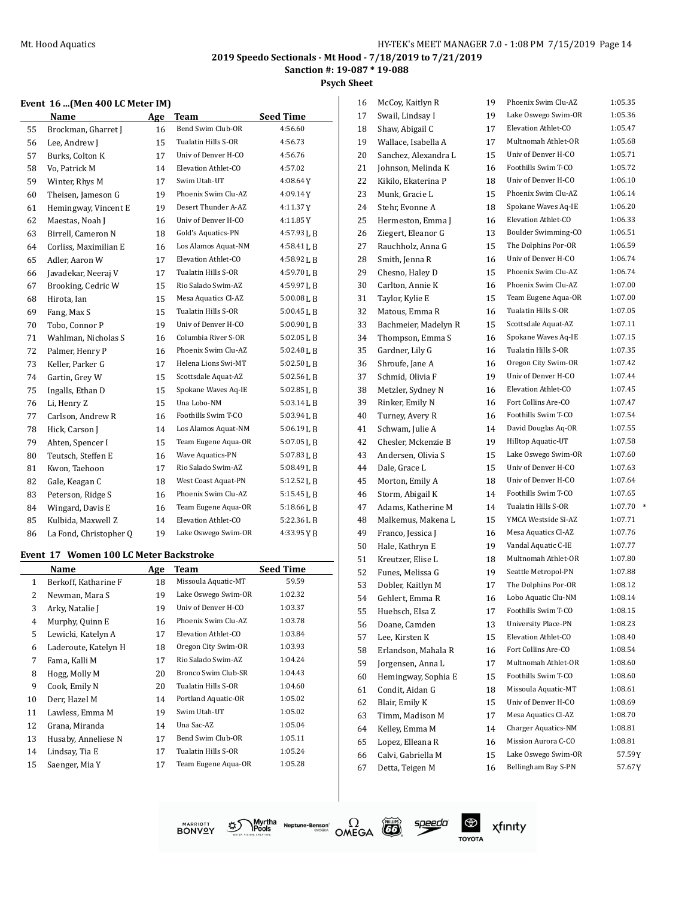**Psych Sheet**

#### **Event 16 ...(Men 400 LC Meter IM)**

|    | Name                   | Age | <b>Team</b>         | <b>Seed Time</b> |
|----|------------------------|-----|---------------------|------------------|
| 55 | Brockman, Gharret J    | 16  | Bend Swim Club-OR   | 4:56.60          |
| 56 | Lee, Andrew J          | 15  | Tualatin Hills S-OR | 4:56.73          |
| 57 | Burks, Colton K        | 17  | Univ of Denver H-CO | 4:56.76          |
| 58 | Vo, Patrick M          | 14  | Elevation Athlet-CO | 4:57.02          |
| 59 | Winter, Rhys M         | 17  | Swim Utah-UT        | $4:08.64$ Y      |
| 60 | Theisen, Jameson G     | 19  | Phoenix Swim Clu-AZ | 4:09.14Y         |
| 61 | Hemingway, Vincent E   | 19  | Desert Thunder A-AZ | 4:11.37Y         |
| 62 | Maestas, Noah J        | 16  | Univ of Denver H-CO | 4:11.85Y         |
| 63 | Birrell, Cameron N     | 18  | Gold's Aquatics-PN  | 4:57.93 L B      |
| 64 | Corliss, Maximilian E  | 16  | Los Alamos Aquat-NM | $4:58.41$ J, B   |
| 65 | Adler, Aaron W         | 17  | Elevation Athlet-CO | $4:58.92$ J, B   |
| 66 | Javadekar, Neeraj V    | 17  | Tualatin Hills S-OR | 4:59.70LB        |
| 67 | Brooking, Cedric W     | 15  | Rio Salado Swim-AZ  | 4:59.97LB        |
| 68 | Hirota, Ian            | 15  | Mesa Aquatics Cl-AZ | $5:00.08$ LB     |
| 69 | Fang, Max S            | 15  | Tualatin Hills S-OR | 5:00.45 L B      |
| 70 | Tobo, Connor P         | 19  | Univ of Denver H-CO | 5:00.90LB        |
| 71 | Wahlman, Nicholas S    | 16  | Columbia River S-OR | 5:02.05LB        |
| 72 | Palmer, Henry P        | 16  | Phoenix Swim Clu-AZ | 5:02.48 L B      |
| 73 | Keller, Parker G       | 17  | Helena Lions Swi-MT | 5:02.50LB        |
| 74 | Gartin, Grey W         | 15  | Scottsdale Aquat-AZ | 5:02.56LB        |
| 75 | Ingalls, Ethan D       | 15  | Spokane Waves Aq-IE | 5:02.85 L B      |
| 76 | Li, Henry Z            | 15  | Una Lobo-NM         | 5:03.14LB        |
| 77 | Carlson, Andrew R      | 16  | Foothills Swim T-CO | 5:03.94 L B      |
| 78 | Hick, Carson J         | 14  | Los Alamos Aquat-NM | 5:06.19LB        |
| 79 | Ahten, Spencer I       | 15  | Team Eugene Aqua-OR | 5:07.05 L B      |
| 80 | Teutsch, Steffen E     | 16  | Wave Aquatics-PN    | 5:07.83LB        |
| 81 | Kwon, Taehoon          | 17  | Rio Salado Swim-AZ  | 5:08.49 L B      |
| 82 | Gale, Keagan C         | 18  | West Coast Aquat-PN | 5:12.52 L B      |
| 83 | Peterson, Ridge S      | 16  | Phoenix Swim Clu-AZ | 5:15.45 L B      |
| 84 | Wingard, Davis E       | 16  | Team Eugene Aqua-OR | 5:18.66LB        |
| 85 | Kulbida, Maxwell Z     | 14  | Elevation Athlet-CO | 5:22.36 L B      |
| 86 | La Fond, Christopher Q | 19  | Lake Oswego Swim-OR | 4:33.95YB        |

#### **Event 17 Women 100 LC Meter Backstroke**

|    | Name                 | Age | Team                | <b>Seed Time</b> |
|----|----------------------|-----|---------------------|------------------|
| 1  | Berkoff, Katharine F | 18  | Missoula Aquatic-MT | 59.59            |
| 2  | Newman, Mara S       | 19  | Lake Oswego Swim-OR | 1:02.32          |
| 3  | Arky, Natalie J      | 19  | Univ of Denver H-CO | 1:03.37          |
| 4  | Murphy, Quinn E      | 16  | Phoenix Swim Clu-AZ | 1:03.78          |
| 5  | Lewicki, Katelyn A   | 17  | Elevation Athlet-CO | 1:03.84          |
| 6  | Laderoute, Katelyn H | 18  | Oregon City Swim-OR | 1:03.93          |
| 7  | Fama, Kalli M        | 17  | Rio Salado Swim-AZ  | 1:04.24          |
| 8  | Hogg, Molly M        | 20  | Bronco Swim Club-SR | 1:04.43          |
| 9  | Cook, Emily N        | 20  | Tualatin Hills S-OR | 1:04.60          |
| 10 | Derr, Hazel M        | 14  | Portland Aquatic-OR | 1:05.02          |
| 11 | Lawless, Emma M      | 19  | Swim Utah-UT        | 1:05.02          |
| 12 | Grana, Miranda       | 14  | Una Sac-AZ          | 1:05.04          |
| 13 | Husaby, Anneliese N  | 17  | Bend Swim Club-OR   | 1:05.11          |
| 14 | Lindsay, Tia E       | 17  | Tualatin Hills S-OR | 1:05.24          |
| 15 | Saenger, Mia Y       | 17  | Team Eugene Aqua-OR | 1:05.28          |

| 16 | McCoy, Kaitlyn R     | 19 | Phoenix Swim Clu-AZ        | 1:05.35           |
|----|----------------------|----|----------------------------|-------------------|
| 17 | Swail, Lindsay I     | 19 | Lake Oswego Swim-OR        | 1:05.36           |
| 18 | Shaw, Abigail C      | 17 | Elevation Athlet-CO        | 1:05.47           |
| 19 | Wallace, Isabella A  | 17 | Multnomah Athlet-OR        | 1:05.68           |
| 20 | Sanchez, Alexandra L | 15 | Univ of Denver H-CO        | 1:05.71           |
| 21 | Johnson, Melinda K   | 16 | Foothills Swim T-CO        | 1:05.72           |
| 22 | Kikilo, Ekaterina P  | 18 | Univ of Denver H-CO        | 1:06.10           |
| 23 | Munk, Gracie L       | 15 | Phoenix Swim Clu-AZ        | 1:06.14           |
| 24 | Stehr, Evonne A      | 18 | Spokane Waves Aq-IE        | 1:06.20           |
| 25 | Hermeston, Emma J    | 16 | Elevation Athlet-CO        | 1:06.33           |
| 26 | Ziegert, Eleanor G   | 13 | Boulder Swimming-CO        | 1:06.51           |
| 27 | Rauchholz, Anna G    | 15 | The Dolphins Por-OR        | 1:06.59           |
| 28 | Smith, Jenna R       | 16 | Univ of Denver H-CO        | 1:06.74           |
| 29 | Chesno, Haley D      | 15 | Phoenix Swim Clu-AZ        | 1:06.74           |
| 30 | Carlton, Annie K     | 16 | Phoenix Swim Clu-AZ        | 1:07.00           |
| 31 | Taylor, Kylie E      | 15 | Team Eugene Aqua-OR        | 1:07.00           |
| 32 | Matous, Emma R       | 16 | Tualatin Hills S-OR        | 1:07.05           |
| 33 | Bachmeier, Madelyn R | 15 | Scottsdale Aquat-AZ        | 1:07.11           |
| 34 | Thompson, Emma S     | 16 | Spokane Waves Aq-IE        | 1:07.15           |
| 35 | Gardner, Lily G      | 16 | Tualatin Hills S-OR        | 1:07.35           |
| 36 | Shroufe, Jane A      | 16 | Oregon City Swim-OR        | 1:07.42           |
| 37 | Schmid, Olivia F     | 19 | Univ of Denver H-CO        | 1:07.44           |
| 38 | Metzler, Sydney N    | 16 | Elevation Athlet-CO        | 1:07.45           |
| 39 | Rinker, Emily N      | 16 | Fort Collins Are-CO        | 1:07.47           |
| 40 | Turney, Avery R      | 16 | Foothills Swim T-CO        | 1:07.54           |
| 41 | Schwam, Julie A      | 14 | David Douglas Aq-OR        | 1:07.55           |
| 42 | Chesler, Mckenzie B  | 19 | Hilltop Aquatic-UT         | 1:07.58           |
| 43 | Andersen, Olivia S   | 15 | Lake Oswego Swim-OR        | 1:07.60           |
| 44 | Dale, Grace L        | 15 | Univ of Denver H-CO        | 1:07.63           |
| 45 | Morton, Emily A      | 18 | Univ of Denver H-CO        | 1:07.64           |
| 46 | Storm, Abigail K     | 14 | Foothills Swim T-CO        | 1:07.65           |
| 47 | Adams, Katherine M   | 14 | Tualatin Hills S-OR        | 1:07.70<br>$\ast$ |
| 48 | Malkemus, Makena L   | 15 | YMCA Westside Si-AZ        | 1:07.71           |
| 49 | Franco, Jessica J    | 16 | Mesa Aquatics Cl-AZ        | 1:07.76           |
| 50 | Hale, Kathryn E      | 19 | Vandal Aquatic C-IE        | 1:07.77           |
| 51 | Kreutzer, Elise L    | 18 | Multnomah Athlet-OR        | 1:07.80           |
| 52 | Funes, Melissa G     | 19 | Seattle Metropol-PN        | 1:07.88           |
| 53 | Dobler, Kaitlyn M    | 17 | The Dolphins Por-OR        | 1:08.12           |
| 54 | Gehlert, Emma R      | 16 | Lobo Aquatic Clu-NM        | 1:08.14           |
| 55 | Huebsch, Elsa Z      | 17 | Foothills Swim T-CO        | 1:08.15           |
| 56 | Doane, Camden        | 13 | <b>University Place-PN</b> | 1:08.23           |
| 57 | Lee, Kirsten K       | 15 | Elevation Athlet-CO        | 1:08.40           |
| 58 | Erlandson, Mahala R  | 16 | Fort Collins Are-CO        | 1:08.54           |
| 59 | Jorgensen, Anna L    | 17 | Multnomah Athlet-OR        | 1:08.60           |
| 60 | Hemingway, Sophia E  | 15 | Foothills Swim T-CO        | 1:08.60           |
| 61 | Condit, Aidan G      | 18 | Missoula Aquatic-MT        | 1:08.61           |
| 62 | Blair, Emily K       | 15 | Univ of Denver H-CO        | 1:08.69           |
| 63 | Timm, Madison M      | 17 | Mesa Aquatics Cl-AZ        | 1:08.70           |
| 64 | Kelley, Emma M       | 14 | <b>Charger Aquatics-NM</b> | 1:08.81           |
| 65 | Lopez, Elleana R     | 16 | Mission Aurora C-CO        | 1:08.81           |
| 66 | Calvi, Gabriella M   | 15 | Lake Oswego Swim-OR        | 57.59Y            |
| 67 | Detta, Teigen M      | 16 | Bellingham Bay S-PN        | 57.67Y            |
|    |                      |    |                            |                   |







 $^{\circledR}$ xfinity **TOYOTA**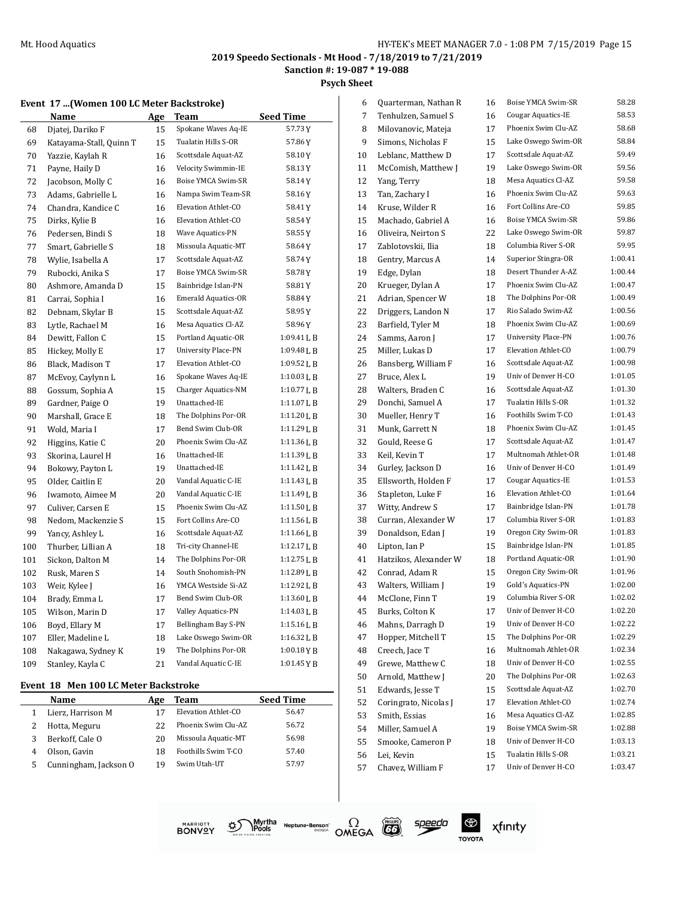**Sanction #: 19-087 \* 19-088**

#### **Psych Sheet**

#### **Event 17 ...(Women 100 LC Meter Backstroke)**

|     | Name                    | Age | <b>Team</b>                | <b>Seed Time</b> |
|-----|-------------------------|-----|----------------------------|------------------|
| 68  | Djatej, Dariko F        | 15  | Spokane Waves Aq-IE        | 57.73Y           |
| 69  | Katayama-Stall, Quinn T | 15  | Tualatin Hills S-OR        | 57.86 Y          |
| 70  | Yazzie, Kaylah R        | 16  | Scottsdale Aquat-AZ        | 58.10Y           |
| 71  | Payne, Haily D          | 16  | Velocity Swimmin-IE        | 58.13Y           |
| 72  | Jacobson, Molly C       | 16  | Boise YMCA Swim-SR         | 58.14Y           |
| 73  | Adams, Gabrielle L      | 16  | Nampa Swim Team-SR         | 58.16Y           |
| 74  | Chandra, Kandice C      | 16  | Elevation Athlet-CO        | 58.41Y           |
| 75  | Dirks, Kylie B          | 16  | Elevation Athlet-CO        | 58.54Y           |
| 76  | Pedersen, Bindi S       | 18  | Wave Aquatics-PN           | 58.55Y           |
| 77  | Smart, Gabrielle S      | 18  | Missoula Aquatic-MT        | 58.64 Y          |
| 78  | Wylie, Isabella A       | 17  | Scottsdale Aquat-AZ        | 58.74Y           |
| 79  | Rubocki, Anika S        | 17  | Boise YMCA Swim-SR         | 58.78Y           |
| 80  | Ashmore, Amanda D       | 15  | Bainbridge Islan-PN        | 58.81Y           |
| 81  | Carrai, Sophia I        | 16  | <b>Emerald Aquatics-OR</b> | 58.84 Y          |
| 82  | Debnam, Skylar B        | 15  | Scottsdale Aquat-AZ        | 58.95Y           |
| 83  | Lytle, Rachael M        | 16  | Mesa Aquatics Cl-AZ        | 58.96 Y          |
| 84  | Dewitt, Fallon C        | 15  | Portland Aquatic-OR        | 1:09.41 L B      |
| 85  | Hickey, Molly E         | 17  | University Place-PN        | 1:09.48 L B      |
| 86  | Black, Madison T        | 17  | Elevation Athlet-CO        | 1:09.52LB        |
| 87  | McEvoy, Caylynn L       | 16  | Spokane Waves Aq-IE        | 1:10.03L B       |
| 88  | Gossum, Sophia A        | 15  | Charger Aquatics-NM        | 1:10.77LB        |
| 89  | Gardner, Paige O        | 19  | Unattached-IE              | 1:11.07 L B      |
| 90  | Marshall, Grace E       | 18  | The Dolphins Por-OR        | 1:11.20L B       |
| 91  | Wold, Maria I           | 17  | Bend Swim Club-OR          | 1:11.29 L B      |
| 92  | Higgins, Katie C        | 20  | Phoenix Swim Clu-AZ        | $1:11.36$ J, B   |
| 93  | Skorina, Laurel H       | 16  | Unattached-IE              | 1:11.39 L B      |
| 94  | Bokowy, Payton L        | 19  | Unattached-IE              | 1:11.42 L B      |
| 95  | Older, Caitlin E        | 20  | Vandal Aquatic C-IE        | $1:11.43$ J, B   |
| 96  | Iwamoto, Aimee M        | 20  | Vandal Aquatic C-IE        | $1:11.49$ J, B   |
| 97  | Culiver, Carsen E       | 15  | Phoenix Swim Clu-AZ        | 1:11.50 L B      |
| 98  | Nedom, Mackenzie S      | 15  | Fort Collins Are-CO        | 1:11.56L B       |
| 99  | Yancy, Ashley L         | 16  | Scottsdale Aquat-AZ        | $1:11.66$ J, B   |
| 100 | Thurber, Lillian A      | 18  | Tri-city Channel-IE        | 1:12.17 L B      |
| 101 | Sickon, Dalton M        | 14  | The Dolphins Por-OR        | 1:12.75L B       |
| 102 | Rusk, Maren S           | 14  | South Snohomish-PN         | 1:12.89 L B      |
| 103 | Weir, Kylee J           | 16  | YMCA Westside Si-AZ        | 1:12.92LB        |
| 104 | Brady, Emma L           | 17  | Bend Swim Club-OR          | 1:13.60 L B      |
| 105 | Wilson, Marin D         | 17  | Valley Aquatics-PN         | 1:14.03 L B      |
| 106 | Boyd, Ellary M          | 17  | Bellingham Bay S-PN        | 1:15.16LB        |
| 107 | Eller, Madeline L       | 18  | Lake Oswego Swim-OR        | 1:16.32LB        |
| 108 | Nakagawa, Sydney K      | 19  | The Dolphins Por-OR        | $1:00.18$ YB     |
| 109 | Stanley, Kayla C        | 21  | Vandal Aquatic C-IE        | 1:01.45YB        |

#### **Event 18 Men 100 LC Meter Backstroke**

|   | Name                  | Age | Team                | <b>Seed Time</b> |
|---|-----------------------|-----|---------------------|------------------|
|   | Lierz, Harrison M     |     | Elevation Athlet-CO | 56.47            |
|   | Hotta, Meguru         | 22  | Phoenix Swim Clu-AZ | 56.72            |
| 3 | Berkoff, Cale O       | 20  | Missoula Aquatic-MT | 56.98            |
| 4 | Olson, Gavin          | 18  | Foothills Swim T-CO | 57.40            |
| 5 | Cunningham, Jackson O | 19  | Swim Utah-UT        | 57.97            |

| 6  | Quarterman, Nathan R                | 16 | Boise YMCA Swim-SR         | 58.28   |
|----|-------------------------------------|----|----------------------------|---------|
| 7  | Tenhulzen, Samuel S                 | 16 | Cougar Aquatics-IE         | 58.53   |
| 8  | Milovanovic, Mateja                 | 17 | Phoenix Swim Clu-AZ        | 58.68   |
| 9  | Simons, Nicholas F                  | 15 | Lake Oswego Swim-OR        | 58.84   |
| 10 | Leblanc, Matthew D                  | 17 | Scottsdale Aquat-AZ        | 59.49   |
| 11 | McComish, Matthew J                 | 19 | Lake Oswego Swim-OR        | 59.56   |
| 12 | Yang, Terry                         | 18 | Mesa Aquatics Cl-AZ        | 59.58   |
| 13 | Tan, Zachary I                      | 16 | Phoenix Swim Clu-AZ        | 59.63   |
| 14 | Kruse, Wilder R                     | 16 | Fort Collins Are-CO        | 59.85   |
| 15 | Machado, Gabriel A                  | 16 | Boise YMCA Swim-SR         | 59.86   |
| 16 | Oliveira, Neirton S                 | 22 | Lake Oswego Swim-OR        | 59.87   |
| 17 | Zablotovskii, Ilia                  | 18 | Columbia River S-OR        | 59.95   |
| 18 | Gentry, Marcus A                    | 14 | Superior Stingra-OR        | 1:00.41 |
| 19 | Edge, Dylan                         | 18 | Desert Thunder A-AZ        | 1:00.44 |
| 20 | Krueger, Dylan A                    | 17 | Phoenix Swim Clu-AZ        | 1:00.47 |
| 21 | Adrian, Spencer W                   | 18 | The Dolphins Por-OR        | 1:00.49 |
| 22 | Driggers, Landon N                  | 17 | Rio Salado Swim-AZ         | 1:00.56 |
| 23 | Barfield, Tyler M                   | 18 | Phoenix Swim Clu-AZ        | 1:00.69 |
| 24 | Samms, Aaron J                      | 17 | <b>University Place-PN</b> | 1:00.76 |
| 25 | Miller, Lukas D                     | 17 | Elevation Athlet-CO        | 1:00.79 |
| 26 | Bansberg, William F                 | 16 | Scottsdale Aquat-AZ        | 1:00.98 |
| 27 | Bruce, Alex L                       | 19 | Univ of Denver H-CO        | 1:01.05 |
| 28 | Walters, Braden C                   | 16 | Scottsdale Aquat-AZ        | 1:01.30 |
| 29 | Donchi, Samuel A                    | 17 | Tualatin Hills S-OR        | 1:01.32 |
| 30 | Mueller, Henry T                    | 16 | Foothills Swim T-CO        | 1:01.43 |
| 31 | Munk, Garrett N                     | 18 | Phoenix Swim Clu-AZ        | 1:01.45 |
| 32 | Gould, Reese G                      | 17 | Scottsdale Aquat-AZ        | 1:01.47 |
| 33 | Keil, Kevin T                       | 17 | Multnomah Athlet-OR        | 1:01.48 |
| 34 | Gurley, Jackson D                   | 16 | Univ of Denver H-CO        | 1:01.49 |
| 35 | Ellsworth, Holden F                 | 17 | Cougar Aquatics-IE         | 1:01.53 |
| 36 | Stapleton, Luke F                   | 16 | Elevation Athlet-CO        | 1:01.64 |
| 37 | Witty, Andrew S                     | 17 | Bainbridge Islan-PN        | 1:01.78 |
| 38 | Curran, Alexander W                 | 17 | Columbia River S-OR        | 1:01.83 |
| 39 | Donaldson, Edan J                   | 19 | Oregon City Swim-OR        | 1:01.83 |
| 40 | Lipton, Ian P                       | 15 | Bainbridge Islan-PN        | 1:01.85 |
| 41 | Hatzikos, Alexander W               | 18 | Portland Aquatic-OR        | 1:01.90 |
| 42 | Conrad, Adam R                      | 15 | Oregon City Swim-OR        | 1:01.96 |
| 43 | Walters, William J                  | 19 | <b>Gold's Aquatics-PN</b>  | 1:02.00 |
| 44 | McClone, Finn T                     | 19 | Columbia River S-OR        | 1:02.02 |
|    |                                     |    | Univ of Denver H-CO        | 1:02.20 |
| 45 | Burks, Colton K<br>Mahns, Darragh D | 17 | Univ of Denver H-CO        | 1:02.22 |
| 46 | Hopper, Mitchell T                  | 19 | The Dolphins Por-OR        | 1:02.29 |
| 47 |                                     | 15 | Multnomah Athlet-OR        | 1:02.34 |
| 48 | Creech, Jace T                      | 16 | Univ of Denver H-CO        | 1:02.55 |
| 49 | Grewe, Matthew C                    | 18 |                            |         |
| 50 | Arnold, Matthew J                   | 20 | The Dolphins Por-OR        | 1:02.63 |
| 51 | Edwards, Jesse T                    | 15 | Scottsdale Aquat-AZ        | 1:02.70 |
| 52 | Coringrato, Nicolas J               | 17 | Elevation Athlet-CO        | 1:02.74 |
| 53 | Smith, Essias                       | 16 | Mesa Aquatics Cl-AZ        | 1:02.85 |
| 54 | Miller, Samuel A                    | 19 | Boise YMCA Swim-SR         | 1:02.88 |
| 55 | Smooke, Cameron P                   | 18 | Univ of Denver H-CO        | 1:03.13 |
| 56 | Lei, Kevin                          | 15 | Tualatin Hills S-OR        | 1:03.21 |
| 57 | Chavez, William F                   | 17 | Univ of Denver H-CO        | 1:03.47 |
|    |                                     |    |                            |         |



Myrtha Neptune-Benson<sup>\*</sup><br>IPools<br>Illen Station.



speedo

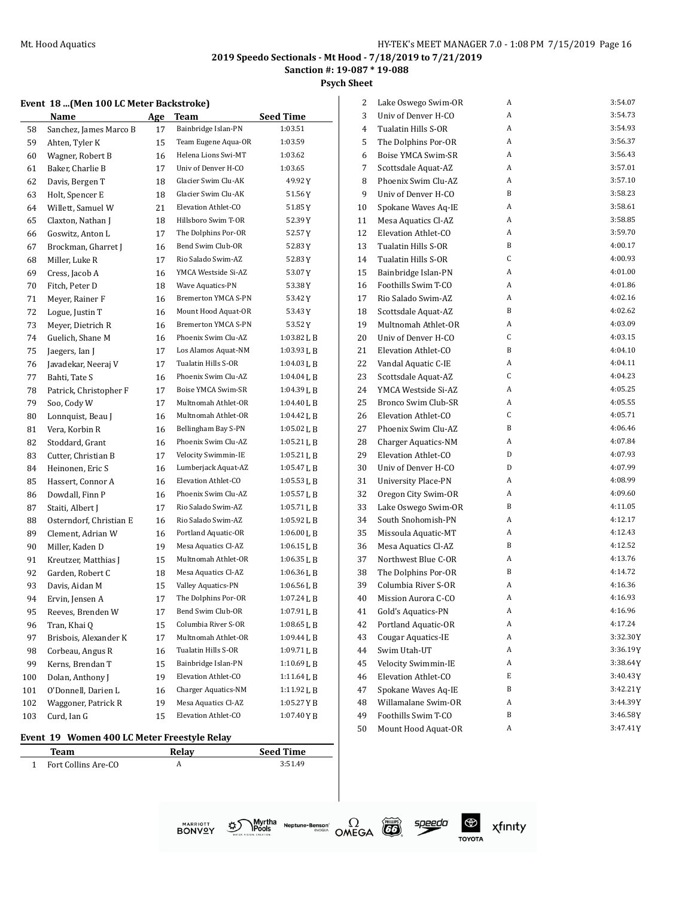**Sanction #: 19-087 \* 19-088**

**Psych Sheet**

#### **Event 18 ...(Men 100 LC Meter Backstroke)**

|     | Name                    | <u>Age</u> | Team                       | <b>Seed Time</b> |
|-----|-------------------------|------------|----------------------------|------------------|
| 58  | Sanchez, James Marco B  | 17         | Bainbridge Islan-PN        | 1:03.51          |
| 59  | Ahten, Tyler K          | 15         | Team Eugene Aqua-OR        | 1:03.59          |
| 60  | Wagner, Robert B        | 16         | Helena Lions Swi-MT        | 1:03.62          |
| 61  | Baker, Charlie B        | 17         | Univ of Denver H-CO        | 1:03.65          |
| 62  | Davis, Bergen T         | 18         | Glacier Swim Clu-AK        | 49.92 Y          |
| 63  | Holt, Spencer E         | 18         | Glacier Swim Clu-AK        | 51.56 Y          |
| 64  | Willett, Samuel W       | 21         | Elevation Athlet-CO        | 51.85 Y          |
| 65  | Claxton, Nathan J       | 18         | Hillsboro Swim T-OR        | 52.39 Y          |
| 66  | Goswitz, Anton L        | 17         | The Dolphins Por-OR        | 52.57 Y          |
| 67  | Brockman, Gharret J     | 16         | Bend Swim Club-OR          | 52.83 Y          |
| 68  | Miller, Luke R          | 17         | Rio Salado Swim-AZ         | 52.83 Y          |
| 69  | Cress, Jacob A          | 16         | YMCA Westside Si-AZ        | 53.07Y           |
| 70  | Fitch, Peter D          | 18         | Wave Aquatics-PN           | 53.38 Y          |
| 71  | Meyer, Rainer F         | 16         | <b>Bremerton YMCA S-PN</b> | 53.42 Y          |
| 72  | Logue, Justin T         | 16         | Mount Hood Aquat-OR        | 53.43 Y          |
| 73  | Meyer, Dietrich R       | 16         | <b>Bremerton YMCA S-PN</b> | 53.52 Y          |
| 74  | Guelich, Shane M        | 16         | Phoenix Swim Clu-AZ        | $1:03.82$ J, B   |
| 75  | Jaegers, Ian J          | 17         | Los Alamos Aquat-NM        | 1:03.93 L B      |
| 76  | Javadekar, Neeraj V     | 17         | Tualatin Hills S-OR        | 1:04.03 L B      |
| 77  | Bahti, Tate S           | 16         | Phoenix Swim Clu-AZ        | 1:04.04 L B      |
| 78  | Patrick, Christopher F  | 17         | Boise YMCA Swim-SR         | 1:04.39 L B      |
| 79  | Soo, Cody W             | 17         | Multnomah Athlet-OR        | $1:04.40$ J, B   |
| 80  | Lonnquist, Beau J       | 16         | Multnomah Athlet-OR        | 1:04.42 L B      |
| 81  | Vera, Korbin R          | 16         | Bellingham Bay S-PN        | 1:05.02 L B      |
| 82  | Stoddard, Grant         | 16         | Phoenix Swim Clu-AZ        | $1:05.21$ L B    |
| 83  | Cutter, Christian B     | 17         | Velocity Swimmin-IE        | $1:05.21$ L B    |
| 84  | Heinonen, Eric S        | 16         | Lumberjack Aquat-AZ        | 1:05.47 L B      |
| 85  | Hassert, Connor A       | 16         | Elevation Athlet-CO        | 1:05.53L B       |
| 86  | Dowdall, Finn P         | 16         | Phoenix Swim Clu-AZ        | 1:05.57 L B      |
| 87  | Staiti, Albert J        | 17         | Rio Salado Swim-AZ         | 1:05.71 L B      |
| 88  | Osterndorf, Christian E | 16         | Rio Salado Swim-AZ         | 1:05.92 L B      |
| 89  | Clement, Adrian W       | 16         | Portland Aquatic-OR        | 1:06.00 L B      |
| 90  | Miller, Kaden D         | 19         | Mesa Aquatics Cl-AZ        | 1:06.15 L B      |
| 91  | Kreutzer, Matthias J    | 15         | Multnomah Athlet-OR        | 1:06.35 L B      |
| 92  | Garden, Robert C        | 18         | Mesa Aquatics Cl-AZ        | $1:06.36$ J, B   |
| 93  | Davis, Aidan M          | 15         | Valley Aquatics-PN         | 1:06.56LB        |
| 94  | Ervin, Jensen A         | 17         | The Dolphins Por-OR        | 1:07.24 L B      |
| 95  | Reeves, Brenden W       | 17         | Bend Swim Club-OR          | 1:07.91 L B      |
| 96  | Tran, Khai Q            | 15         | Columbia River S-OR        | 1:08.65 L B      |
| 97  | Brisbois, Alexander K   | 17         | Multnomah Athlet-OR        | 1:09.44 L B      |
| 98  | Corbeau, Angus R        | 16         | Tualatin Hills S-OR        | 1:09.71LB        |
| 99  | Kerns, Brendan T        | 15         | Bainbridge Islan-PN        | 1:10.69 L B      |
| 100 | Dolan, Anthony J        | 19         | Elevation Athlet-CO        | 1:11.64 L B      |
| 101 | O'Donnell, Darien L     | 16         | Charger Aquatics-NM        | 1:11.92 L B      |
| 102 | Waggoner, Patrick R     | 19         | Mesa Aquatics Cl-AZ        | 1:05.27 Y B      |
| 103 | Curd, Ian G             | 15         | Elevation Athlet-CO        | 1:07.40YB        |

#### **Event 19 Women 400 LC Meter Freestyle Relay**

| Team                | Relav | <b>Seed Time</b> |
|---------------------|-------|------------------|
| Fort Collins Are-CO |       | 3:51.49          |

| 2  | Lake Oswego Swim-OR        | A | 3:54.07     |
|----|----------------------------|---|-------------|
| 3  | Univ of Denver H-CO        | A | 3:54.73     |
| 4  | Tualatin Hills S-OR        | A | 3:54.93     |
| 5  | The Dolphins Por-OR        | A | 3:56.37     |
| 6  | Boise YMCA Swim-SR         | A | 3:56.43     |
| 7  | Scottsdale Aquat-AZ        | A | 3:57.01     |
| 8  | Phoenix Swim Clu-AZ        | A | 3:57.10     |
| 9  | Univ of Denver H-CO        | B | 3:58.23     |
| 10 | Spokane Waves Aq-IE        | A | 3:58.61     |
| 11 | Mesa Aquatics Cl-AZ        | A | 3:58.85     |
| 12 | Elevation Athlet-CO        | A | 3:59.70     |
| 13 | Tualatin Hills S-OR        | B | 4:00.17     |
| 14 | Tualatin Hills S-OR        | C | 4:00.93     |
| 15 | Bainbridge Islan-PN        | A | 4:01.00     |
| 16 | Foothills Swim T-CO        | A | 4:01.86     |
| 17 | Rio Salado Swim-AZ         | A | 4:02.16     |
| 18 | Scottsdale Aquat-AZ        | B | 4:02.62     |
| 19 | Multnomah Athlet-OR        | A | 4:03.09     |
| 20 | Univ of Denver H-CO        | C | 4:03.15     |
| 21 | Elevation Athlet-CO        | B | 4:04.10     |
| 22 | Vandal Aquatic C-IE        | A | 4:04.11     |
| 23 | Scottsdale Aquat-AZ        | C | 4:04.23     |
| 24 | YMCA Westside Si-AZ        | A | 4:05.25     |
| 25 | Bronco Swim Club-SR        | A | 4:05.55     |
| 26 | Elevation Athlet-CO        | C | 4:05.71     |
| 27 | Phoenix Swim Clu-AZ        | B | 4:06.46     |
| 28 | Charger Aquatics-NM        | A | 4:07.84     |
| 29 | Elevation Athlet-CO        | D | 4:07.93     |
| 30 | Univ of Denver H-CO        | D | 4:07.99     |
| 31 | <b>University Place-PN</b> | A | 4:08.99     |
| 32 | Oregon City Swim-OR        | A | 4:09.60     |
| 33 | Lake Oswego Swim-OR        | B | 4:11.05     |
| 34 | South Snohomish-PN         | A | 4:12.17     |
| 35 | Missoula Aquatic-MT        | A | 4:12.43     |
| 36 | Mesa Aquatics Cl-AZ        | B | 4:12.52     |
| 37 | Northwest Blue C-OR        | A | 4:13.76     |
| 38 | The Dolphins Por-OR        | B | 4:14.72     |
| 39 | Columbia River S-OR        | A | 4:16.36     |
| 40 | Mission Aurora C-CO        | A | 4:16.93     |
| 41 | Gold's Aquatics-PN         | A | 4:16.96     |
| 42 | Portland Aquatic-OR        | A | 4:17.24     |
| 43 | Cougar Aquatics-IE         | A | 3:32.30Y    |
| 44 | Swim Utah-UT               | A | 3:36.19Y    |
| 45 | Velocity Swimmin-IE        | A | 3:38.64Y    |
| 46 | Elevation Athlet-CO        | E | $3:40.43$ Y |
| 47 | Spokane Waves Aq-IE        | B | 3:42.21Y    |
| 48 | Willamalane Swim-OR        | A | 3:44.39Y    |
| 49 | Foothills Swim T-CO        | B | 3:46.58Y    |
| 50 | Mount Hood Aquat-OR        | A | 3:47.41Y    |





speedo

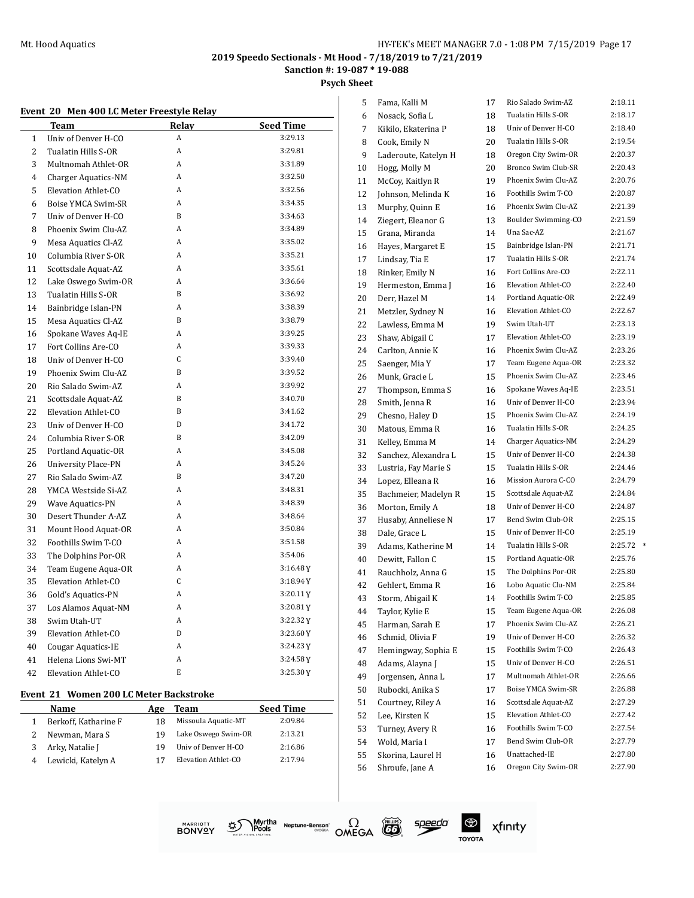**Sanction #: 19-087 \* 19-088**

**Psych Sheet**

|  | Event 20 Men 400 LC Meter Freestyle Relay |  |
|--|-------------------------------------------|--|
|  |                                           |  |

|                | Team                       | Relay        | Seed Time |
|----------------|----------------------------|--------------|-----------|
| $\mathbf{1}$   | Univ of Denver H-CO        | A            | 3:29.13   |
| $\overline{2}$ | Tualatin Hills S-OR        | A            | 3:29.81   |
| 3              | Multnomah Athlet-OR        | A            | 3:31.89   |
| 4              | Charger Aquatics-NM        | A            | 3:32.50   |
| 5              | Elevation Athlet-CO        | A            | 3:32.56   |
| 6              | Boise YMCA Swim-SR         | A            | 3:34.35   |
| 7              | Univ of Denver H-CO        | <sub>B</sub> | 3:34.63   |
| 8              | Phoenix Swim Clu-AZ        | A            | 3:34.89   |
| 9              | Mesa Aquatics Cl-AZ        | A            | 3:35.02   |
| 10             | Columbia River S-OR        | A            | 3:35.21   |
| 11             | Scottsdale Aquat-AZ        | A            | 3:35.61   |
| 12             | Lake Oswego Swim-OR        | A            | 3:36.64   |
| 13             | Tualatin Hills S-OR        | <sub>B</sub> | 3:36.92   |
| 14             | Bainbridge Islan-PN        | A            | 3:38.39   |
| 15             | Mesa Aquatics Cl-AZ        | B            | 3:38.79   |
| 16             | Spokane Waves Aq-IE        | A            | 3:39.25   |
| 17             | Fort Collins Are-CO        | A            | 3:39.33   |
| 18             | Univ of Denver H-CO        | C            | 3:39.40   |
| 19             | Phoenix Swim Clu-AZ        | B            | 3:39.52   |
| 20             | Rio Salado Swim-AZ         | A            | 3:39.92   |
| 21             | Scottsdale Aquat-AZ        | B            | 3:40.70   |
| 22             | Elevation Athlet-CO        | B            | 3:41.62   |
| 23             | Univ of Denver H-CO        | D            | 3:41.72   |
| 24             | Columbia River S-OR        | B            | 3:42.09   |
| 25             | Portland Aquatic-OR        | A            | 3:45.08   |
| 26             | <b>University Place-PN</b> | A            | 3:45.24   |
| 27             | Rio Salado Swim-AZ         | $\mathsf{R}$ | 3:47.20   |
| 28             | YMCA Westside Si-AZ        | A            | 3:48.31   |
| 29             | <b>Wave Aquatics-PN</b>    | A            | 3:48.39   |
| 30             | Desert Thunder A-AZ        | A            | 3:48.64   |
| 31             | Mount Hood Aquat-OR        | A            | 3:50.84   |
| 32             | Foothills Swim T-CO        | A            | 3:51.58   |
| 33             | The Dolphins Por-OR        | A            | 3:54.06   |
| 34             | Team Eugene Aqua-OR        | A            | 3:16.48Y  |
| 35             | Elevation Athlet-CO        | C            | 3:18.94Y  |
| 36             | Gold's Aquatics-PN         | A            | 3:20.11Y  |
| 37             | Los Alamos Aquat-NM        | A            | 3:20.81Y  |
| 38             | Swim Utah-UT               | A            | 3:22.32Y  |
| 39             | Elevation Athlet-CO        | D            | 3:23.60Y  |
| 40             | Cougar Aquatics-IE         | A            | 3:24.23Y  |
| 41             | Helena Lions Swi-MT        | A            | 3:24.58Y  |
| 42             | Elevation Athlet-CO        | E            | 3:25.30Y  |

#### **Event 21 Women 200 LC Meter Backstroke**

| Name                 | Age | Team                | <b>Seed Time</b> |
|----------------------|-----|---------------------|------------------|
| Berkoff, Katharine F | 18  | Missoula Aquatic-MT | 2:09.84          |
| Newman, Mara S       | 19  | Lake Oswego Swim-OR | 2:13.21          |
| Arky, Natalie J      | 19  | Univ of Denver H-CO | 2:16.86          |
| Lewicki, Katelyn A   |     | Elevation Athlet-CO | 2:17.94          |

| 5  | Fama, Kalli M        | 17 | Rio Salado Swim-AZ  | 2:18.11 |        |
|----|----------------------|----|---------------------|---------|--------|
| 6  | Nosack, Sofia L      | 18 | Tualatin Hills S-OR | 2:18.17 |        |
| 7  | Kikilo, Ekaterina P  | 18 | Univ of Denver H-CO | 2:18.40 |        |
| 8  | Cook, Emily N        | 20 | Tualatin Hills S-OR | 2:19.54 |        |
| 9  | Laderoute, Katelyn H | 18 | Oregon City Swim-OR | 2:20.37 |        |
| 10 | Hogg, Molly M        | 20 | Bronco Swim Club-SR | 2:20.43 |        |
| 11 | McCoy, Kaitlyn R     | 19 | Phoenix Swim Clu-AZ | 2:20.76 |        |
| 12 | Johnson, Melinda K   | 16 | Foothills Swim T-CO | 2:20.87 |        |
| 13 | Murphy, Quinn E      | 16 | Phoenix Swim Clu-AZ | 2:21.39 |        |
| 14 | Ziegert, Eleanor G   | 13 | Boulder Swimming-CO | 2:21.59 |        |
| 15 | Grana, Miranda       | 14 | Una Sac-AZ          | 2:21.67 |        |
| 16 | Hayes, Margaret E    | 15 | Bainbridge Islan-PN | 2:21.71 |        |
| 17 | Lindsay, Tia E       | 17 | Tualatin Hills S-OR | 2:21.74 |        |
| 18 | Rinker, Emily N      | 16 | Fort Collins Are-CO | 2:22.11 |        |
| 19 | Hermeston, Emma J    | 16 | Elevation Athlet-CO | 2:22.40 |        |
| 20 | Derr, Hazel M        | 14 | Portland Aquatic-OR | 2:22.49 |        |
| 21 | Metzler, Sydney N    | 16 | Elevation Athlet-CO | 2:22.67 |        |
| 22 | Lawless, Emma M      | 19 | Swim Utah-UT        | 2:23.13 |        |
| 23 | Shaw, Abigail C      | 17 | Elevation Athlet-CO | 2:23.19 |        |
| 24 | Carlton, Annie K     | 16 | Phoenix Swim Clu-AZ | 2:23.26 |        |
| 25 | Saenger, Mia Y       | 17 | Team Eugene Aqua-OR | 2:23.32 |        |
| 26 | Munk, Gracie L       | 15 | Phoenix Swim Clu-AZ | 2:23.46 |        |
| 27 | Thompson, Emma S     | 16 | Spokane Waves Aq-IE | 2:23.51 |        |
| 28 | Smith, Jenna R       | 16 | Univ of Denver H-CO | 2:23.94 |        |
| 29 | Chesno, Haley D      | 15 | Phoenix Swim Clu-AZ | 2:24.19 |        |
| 30 | Matous, Emma R       | 16 | Tualatin Hills S-OR | 2:24.25 |        |
| 31 | Kelley, Emma M       | 14 | Charger Aquatics-NM | 2:24.29 |        |
| 32 | Sanchez, Alexandra L | 15 | Univ of Denver H-CO | 2:24.38 |        |
| 33 | Lustria, Fay Marie S | 15 | Tualatin Hills S-OR | 2:24.46 |        |
| 34 | Lopez, Elleana R     | 16 | Mission Aurora C-CO | 2:24.79 |        |
| 35 | Bachmeier, Madelyn R | 15 | Scottsdale Aquat-AZ | 2:24.84 |        |
| 36 | Morton, Emily A      | 18 | Univ of Denver H-CO | 2:24.87 |        |
| 37 | Husaby, Anneliese N  | 17 | Bend Swim Club-OR   | 2:25.15 |        |
| 38 | Dale, Grace L        | 15 | Univ of Denver H-CO | 2:25.19 |        |
| 39 | Adams, Katherine M   | 14 | Tualatin Hills S-OR | 2:25.72 | $\ast$ |
| 40 | Dewitt, Fallon C     | 15 | Portland Aquatic-OR | 2:25.76 |        |
| 41 | Rauchholz, Anna G    | 15 | The Dolphins Por-OR | 2:25.80 |        |
| 42 | Gehlert, Emma R      | 16 | Lobo Aquatic Clu-NM | 2:25.84 |        |
| 43 | Storm, Abigail K     | 14 | Foothills Swim T-CO | 2:25.85 |        |
| 44 | Taylor, Kylie E      | 15 | Team Eugene Aqua-OR | 2:26.08 |        |
| 45 | Harman, Sarah E      | 17 | Phoenix Swim Clu-AZ | 2:26.21 |        |
| 46 | Schmid, Olivia F     | 19 | Univ of Denver H-CO | 2:26.32 |        |
| 47 | Hemingway, Sophia E  | 15 | Foothills Swim T-CO | 2:26.43 |        |
| 48 | Adams, Alayna J      | 15 | Univ of Denver H-CO | 2:26.51 |        |
| 49 | Jorgensen, Anna L    | 17 | Multnomah Athlet-OR | 2:26.66 |        |
| 50 | Rubocki, Anika S     | 17 | Boise YMCA Swim-SR  | 2:26.88 |        |
| 51 | Courtney, Riley A    | 16 | Scottsdale Aquat-AZ | 2:27.29 |        |
| 52 | Lee, Kirsten K       | 15 | Elevation Athlet-CO | 2:27.42 |        |
| 53 | Turney, Avery R      | 16 | Foothills Swim T-CO | 2:27.54 |        |
| 54 | Wold, Maria I        | 17 | Bend Swim Club-OR   | 2:27.79 |        |
| 55 | Skorina, Laurel H    | 16 | Unattached-IE       | 2:27.80 |        |
| 56 | Shroufe, Jane A      | 16 | Oregon City Swim-OR | 2:27.90 |        |
|    |                      |    |                     |         |        |



Myrtha Neptune-Benson<sup>\*</sup><br>Pools Neptune-Benson<sup>\*</sup><br>Pools Petaller



 $\bigoplus$ 

**TOYOTA** 

xfinity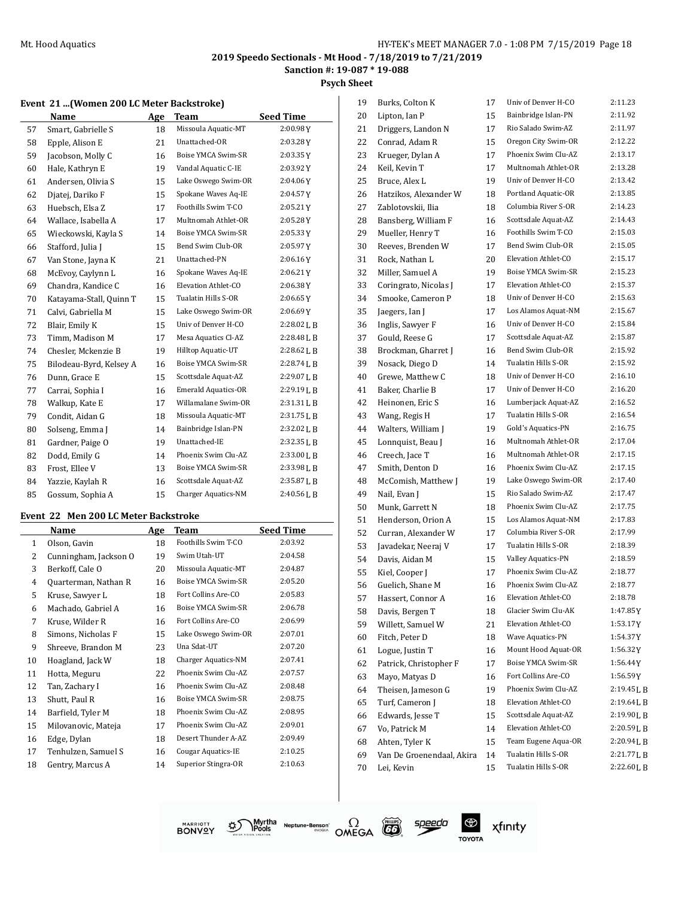**Sanction #: 19-087 \* 19-088**

**Psych Sheet**

#### **Event 21 ...(Women 200 LC Meter Backstroke)**

|    | Name                    | Age | Team                       | <b>Seed Time</b> |
|----|-------------------------|-----|----------------------------|------------------|
| 57 | Smart, Gabrielle S      | 18  | Missoula Aquatic-MT        | 2:00.98Y         |
| 58 | Epple, Alison E         | 21  | Unattached-OR              | 2:03.28Y         |
| 59 | Jacobson, Molly C       | 16  | Boise YMCA Swim-SR         | 2:03.35Y         |
| 60 | Hale, Kathryn E         | 19  | Vandal Aquatic C-IE        | 2:03.92Y         |
| 61 | Andersen, Olivia S      | 15  | Lake Oswego Swim-OR        | 2:04.06Y         |
| 62 | Djatej, Dariko F        | 15  | Spokane Waves Aq-IE        | 2:04.57Y         |
| 63 | Huebsch, Elsa Z         | 17  | Foothills Swim T-CO        | 2:05.21Y         |
| 64 | Wallace, Isabella A     | 17  | Multnomah Athlet-OR        | 2:05.28Y         |
| 65 | Wieckowski, Kayla S     | 14  | Boise YMCA Swim-SR         | 2:05.33Y         |
| 66 | Stafford, Julia J       | 15  | Bend Swim Club-OR          | 2:05.97Y         |
| 67 | Van Stone, Jayna K      | 21  | Unattached-PN              | 2:06.16Y         |
| 68 | McEvoy, Caylynn L       | 16  | Spokane Waves Aq-IE        | 2:06.21Y         |
| 69 | Chandra, Kandice C      | 16  | Elevation Athlet-CO        | 2:06.38Y         |
| 70 | Katayama-Stall, Quinn T | 15  | Tualatin Hills S-OR        | 2:06.65Y         |
| 71 | Calvi, Gabriella M      | 15  | Lake Oswego Swim-OR        | 2:06.69Y         |
| 72 | Blair, Emily K          | 15  | Univ of Denver H-CO        | $2:28.02$ J, B   |
| 73 | Timm, Madison M         | 17  | Mesa Aquatics Cl-AZ        | $2:28.48$ J, B   |
| 74 | Chesler, Mckenzie B     | 19  | Hilltop Aquatic-UT         | 2:28.62 L B      |
| 75 | Bilodeau-Byrd, Kelsey A | 16  | Boise YMCA Swim-SR         | 2:28.74L B       |
| 76 | Dunn, Grace E           | 15  | Scottsdale Aquat-AZ        | 2:29.07 L B      |
| 77 | Carrai, Sophia I        | 16  | <b>Emerald Aquatics-OR</b> | 2:29.19 L B      |
| 78 | Walkup, Kate E          | 17  | Willamalane Swim-OR        | $2:31.31$ J, B   |
| 79 | Condit, Aidan G         | 18  | Missoula Aquatic-MT        | 2:31.75 L B      |
| 80 | Solseng, Emma J         | 14  | Bainbridge Islan-PN        | 2:32.02 L B      |
| 81 | Gardner, Paige O        | 19  | Unattached-IE              | 2:32.35 L B      |
| 82 | Dodd, Emily G           | 14  | Phoenix Swim Clu-AZ        | 2:33.00 L B      |
| 83 | Frost, Ellee V          | 13  | Boise YMCA Swim-SR         | 2:33.98LB        |
| 84 | Yazzie, Kaylah R        | 16  | Scottsdale Aquat-AZ        | 2:35.87 L B      |
| 85 | Gossum, Sophia A        | 15  | Charger Aquatics-NM        | $2:40.56$ J, B   |

#### **Event 22 Men 200 LC Meter Backstroke**

|              | Name                  | Age | Team                | Seed Time |
|--------------|-----------------------|-----|---------------------|-----------|
| $\mathbf{1}$ | Olson, Gavin          | 18  | Foothills Swim T-CO | 2:03.92   |
| 2            | Cunningham, Jackson O | 19  | Swim Utah-UT        | 2:04.58   |
| 3            | Berkoff, Cale O       | 20  | Missoula Aquatic-MT | 2:04.87   |
| 4            | Quarterman, Nathan R  | 16  | Boise YMCA Swim-SR  | 2:05.20   |
| 5            | Kruse, Sawyer L       | 18  | Fort Collins Are-CO | 2:05.83   |
| 6            | Machado, Gabriel A    | 16  | Boise YMCA Swim-SR  | 2:06.78   |
| 7            | Kruse, Wilder R       | 16  | Fort Collins Are-CO | 2:06.99   |
| 8            | Simons, Nicholas F    | 15  | Lake Oswego Swim-OR | 2:07.01   |
| 9            | Shreeve, Brandon M    | 23  | Una Sdat-UT         | 2:07.20   |
| 10           | Hoagland, Jack W      | 18  | Charger Aquatics-NM | 2:07.41   |
| 11           | Hotta, Meguru         | 22  | Phoenix Swim Clu-AZ | 2:07.57   |
| 12           | Tan, Zachary I        | 16  | Phoenix Swim Clu-AZ | 2:08.48   |
| 13           | Shutt, Paul R         | 16  | Boise YMCA Swim-SR  | 2:08.75   |
| 14           | Barfield, Tyler M     | 18  | Phoenix Swim Clu-AZ | 2:08.95   |
| 15           | Milovanovic, Mateja   | 17  | Phoenix Swim Clu-AZ | 2:09.01   |
| 16           | Edge, Dylan           | 18  | Desert Thunder A-AZ | 2:09.49   |
| 17           | Tenhulzen, Samuel S   | 16  | Cougar Aquatics-IE  | 2:10.25   |
| 18           | Gentry, Marcus A      | 14  | Superior Stingra-OR | 2:10.63   |

| 19 | Burks, Colton K           | 17 | Univ of Denver H-CO        | 2:11.23     |
|----|---------------------------|----|----------------------------|-------------|
| 20 | Lipton, Ian P             | 15 | Bainbridge Islan-PN        | 2:11.92     |
| 21 | Driggers, Landon N        | 17 | Rio Salado Swim-AZ         | 2:11.97     |
| 22 | Conrad, Adam R            | 15 | Oregon City Swim-OR        | 2:12.22     |
| 23 | Krueger, Dylan A          | 17 | Phoenix Swim Clu-AZ        | 2:13.17     |
| 24 | Keil, Kevin T             | 17 | Multnomah Athlet-OR        | 2:13.28     |
| 25 | Bruce, Alex L             | 19 | Univ of Denver H-CO        | 2:13.42     |
| 26 | Hatzikos, Alexander W     | 18 | Portland Aquatic-OR        | 2:13.85     |
| 27 | Zablotovskii, Ilia        | 18 | Columbia River S-OR        | 2:14.23     |
| 28 | Bansberg, William F       | 16 | Scottsdale Aquat-AZ        | 2:14.43     |
| 29 | Mueller, Henry T          | 16 | Foothills Swim T-CO        | 2:15.03     |
| 30 | Reeves, Brenden W         | 17 | Bend Swim Club-OR          | 2:15.05     |
| 31 | Rock, Nathan L            | 20 | Elevation Athlet-CO        | 2:15.17     |
| 32 | Miller, Samuel A          | 19 | Boise YMCA Swim-SR         | 2:15.23     |
| 33 | Coringrato, Nicolas J     | 17 | Elevation Athlet-CO        | 2:15.37     |
| 34 | Smooke, Cameron P         | 18 | Univ of Denver H-CO        | 2:15.63     |
| 35 | Jaegers, Ian J            | 17 | Los Alamos Aquat-NM        | 2:15.67     |
| 36 | Inglis, Sawyer F          | 16 | Univ of Denver H-CO        | 2:15.84     |
| 37 | Gould, Reese G            | 17 | Scottsdale Aquat-AZ        | 2:15.87     |
| 38 | Brockman, Gharret J       | 16 | Bend Swim Club-OR          | 2:15.92     |
| 39 | Nosack, Diego D           | 14 | Tualatin Hills S-OR        | 2:15.92     |
| 40 | Grewe, Matthew C          | 18 | Univ of Denver H-CO        | 2:16.10     |
| 41 | Baker, Charlie B          | 17 | Univ of Denver H-CO        | 2:16.20     |
| 42 | Heinonen. Eric S          | 16 | Lumberjack Aquat-AZ        | 2:16.52     |
| 43 | Wang, Regis H             | 17 | Tualatin Hills S-OR        | 2:16.54     |
| 44 | Walters, William J        | 19 | Gold's Aquatics-PN         | 2:16.75     |
| 45 | Lonnquist, Beau J         | 16 | Multnomah Athlet-OR        | 2:17.04     |
| 46 | Creech, Jace T            | 16 | Multnomah Athlet-OR        | 2:17.15     |
| 47 | Smith, Denton D           | 16 | Phoenix Swim Clu-AZ        | 2:17.15     |
| 48 | McComish, Matthew J       | 19 | Lake Oswego Swim-OR        | 2:17.40     |
| 49 | Nail, Evan J              | 15 | Rio Salado Swim-AZ         | 2:17.47     |
| 50 | Munk, Garrett N           | 18 | Phoenix Swim Clu-AZ        | 2:17.75     |
| 51 | Henderson, Orion A        | 15 | Los Alamos Aquat-NM        | 2:17.83     |
| 52 | Curran, Alexander W       | 17 | Columbia River S-OR        | 2:17.99     |
| 53 | Javadekar, Neeraj V       | 17 | Tualatin Hills S-OR        | 2:18.39     |
| 54 | Davis, Aidan M            | 15 | Valley Aquatics-PN         | 2:18.59     |
| 55 | Kiel, Cooper J            | 17 | Phoenix Swim Clu-AZ        | 2:18.77     |
| 56 | Guelich. Shane M          | 16 | Phoenix Swim Clu-AZ        | 2:18.77     |
| 57 | Hassert, Connor A         | 16 | <b>Elevation Athlet-CO</b> | 2:18.78     |
| 58 | Davis, Bergen T           | 18 | Glacier Swim Clu-AK        | 1:47.85 Y   |
| 59 | Willett, Samuel W         | 21 | Elevation Athlet-CO        | 1:53.17Y    |
| 60 | Fitch, Peter D            | 18 | Wave Aquatics-PN           | 1:54.37Y    |
| 61 | Logue, Justin T           | 16 | Mount Hood Aquat-OR        | 1:56.32Y    |
| 62 | Patrick, Christopher F    | 17 | Boise YMCA Swim-SR         | 1:56.44Y    |
| 63 | Mayo, Matyas D            | 16 | Fort Collins Are-CO        | 1:56.59Y    |
| 64 | Theisen, Jameson G        | 19 | Phoenix Swim Clu-AZ        | 2:19.45 L B |
| 65 | Turf, Cameron J           | 18 | Elevation Athlet-CO        | 2:19.64LB   |
| 66 | Edwards, Jesse T          | 15 | Scottsdale Aquat-AZ        | 2:19.90LB   |
| 67 | Vo, Patrick M             | 14 | Elevation Athlet-CO        | 2:20.59LB   |
| 68 | Ahten, Tyler K            | 15 | Team Eugene Aqua-OR        | 2:20.94LB   |
| 69 | Van De Groenendaal, Akira | 14 | Tualatin Hills S-OR        | 2:21.77LB   |
| 70 | Lei, Kevin                | 15 | Tualatin Hills S-OR        | 2:22.60LB   |
|    |                           |    |                            |             |







speedo

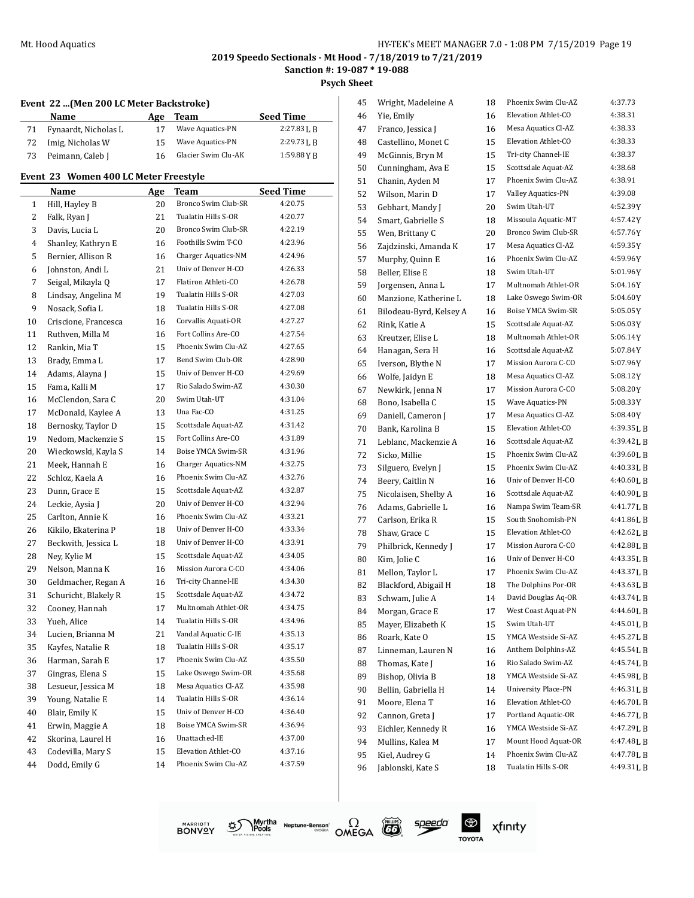$\overline{\phantom{0}}$ 

#### **2019 Speedo Sectionals - Mt Hood - 7/18/2019 to 7/21/2019 Sanction #: 19-087 \* 19-088**

**Psych Sheet**

#### **Event 22 ...(Men 200 LC Meter Backstroke)**

|    | Name                 | Age | Team                    | <b>Seed Time</b> |
|----|----------------------|-----|-------------------------|------------------|
| 71 | Fynaardt, Nicholas L |     | <b>Wave Aquatics-PN</b> | $2:27.83$ J. R   |
| 72 | Imig, Nicholas W     | 15  | Wave Aquatics-PN        | $2:29.73$ J. R   |
| 73 | Peimann, Caleb J     | 16  | Glacier Swim Clu-AK     | 1:59.88 Y R      |

#### **Event 23 Women 400 LC Meter Freestyle**

|        | <b>Name</b>          | <u>Age</u> | Team<br>Bronco Swim Club-SR                | <b>Seed Time</b><br>4:20.75 |
|--------|----------------------|------------|--------------------------------------------|-----------------------------|
| 1      | Hill, Hayley B       | 20         | Tualatin Hills S-OR                        | 4:20.77                     |
| 2      | Falk, Ryan J         | 21         | Bronco Swim Club-SR                        | 4:22.19                     |
| 3<br>4 | Davis, Lucia L       | 20<br>16   | Foothills Swim T-CO                        | 4:23.96                     |
|        | Shanley, Kathryn E   |            | Charger Aquatics-NM                        | 4:24.96                     |
| 5      | Bernier, Allison R   | 16         | Univ of Denver H-CO                        |                             |
| 6<br>7 | Johnston, Andi L     | 21         | Flatiron Athleti-CO                        | 4:26.33<br>4:26.78          |
|        | Seigal, Mikayla Q    | 17         | Tualatin Hills S-OR                        |                             |
| 8      | Lindsay, Angelina M  | 19         | Tualatin Hills S-OR                        | 4:27.03                     |
| 9      | Nosack, Sofia L      | 18         |                                            | 4:27.08<br>4:27.27          |
| 10     | Criscione, Francesca | 16         | Corvallis Aquati-OR<br>Fort Collins Are-CO | 4:27.54                     |
| 11     | Ruthven, Milla M     | 16         | Phoenix Swim Clu-AZ                        |                             |
| 12     | Rankin, Mia T        | 15         |                                            | 4:27.65                     |
| 13     | Brady, Emma L        | 17         | Bend Swim Club-OR                          | 4:28.90                     |
| 14     | Adams, Alayna J      | 15         | Univ of Denver H-CO                        | 4:29.69                     |
| 15     | Fama, Kalli M        | 17         | Rio Salado Swim-AZ                         | 4:30.30                     |
| 16     | McClendon, Sara C    | 20         | Swim Utah-UT                               | 4:31.04                     |
| 17     | McDonald, Kaylee A   | 13         | Una Fac-CO                                 | 4:31.25                     |
| 18     | Bernosky, Taylor D   | 15         | Scottsdale Aquat-AZ                        | 4:31.42                     |
| 19     | Nedom, Mackenzie S   | 15         | Fort Collins Are-CO                        | 4:31.89                     |
| 20     | Wieckowski, Kayla S  | 14         | Boise YMCA Swim-SR                         | 4:31.96                     |
| 21     | Meek, Hannah E       | 16         | Charger Aquatics-NM                        | 4:32.75                     |
| 22     | Schloz, Kaela A      | 16         | Phoenix Swim Clu-AZ                        | 4:32.76                     |
| 23     | Dunn, Grace E        | 15         | Scottsdale Aquat-AZ                        | 4:32.87                     |
| 24     | Leckie, Aysia J      | 20         | Univ of Denver H-CO                        | 4:32.94                     |
| 25     | Carlton, Annie K     | 16         | Phoenix Swim Clu-AZ                        | 4:33.21                     |
| 26     | Kikilo, Ekaterina P  | 18         | Univ of Denver H-CO                        | 4:33.34                     |
| 27     | Beckwith, Jessica L  | 18         | Univ of Denver H-CO                        | 4:33.91                     |
| 28     | Ney, Kylie M         | 15         | Scottsdale Aquat-AZ                        | 4:34.05                     |
| 29     | Nelson, Manna K      | 16         | Mission Aurora C-CO                        | 4:34.06                     |
| 30     | Geldmacher, Regan A  | 16         | Tri-city Channel-IE                        | 4:34.30                     |
| 31     | Schuricht, Blakely R | 15         | Scottsdale Aquat-AZ                        | 4:34.72                     |
| 32     | Cooney, Hannah       | 17         | Multnomah Athlet-OR                        | 4:34.75                     |
| 33     | Yueh, Alice          | 14         | Tualatin Hills S-OR                        | 4:34.96                     |
| 34     | Lucien, Brianna M    | 21         | Vandal Aquatic C-IE                        | 4:35.13                     |
| 35     | Kayfes, Natalie R    | 18         | Tualatin Hills S-OR                        | 4:35.17                     |
| 36     | Harman, Sarah E      | 17         | Phoenix Swim Clu-AZ                        | 4:35.50                     |
| 37     | Gingras, Elena S     | 15         | Lake Oswego Swim-OR                        | 4:35.68                     |
| 38     | Lesueur, Jessica M   | 18         | Mesa Aquatics Cl-AZ                        | 4:35.98                     |
| 39     | Young, Natalie E     | 14         | Tualatin Hills S-OR                        | 4:36.14                     |
| 40     | Blair, Emily K       | 15         | Univ of Denver H-CO                        | 4:36.40                     |
| 41     | Erwin, Maggie A      | 18         | Boise YMCA Swim-SR                         | 4:36.94                     |
| 42     | Skorina, Laurel H    | 16         | Unattached-IE                              | 4:37.00                     |
| 43     | Codevilla, Mary S    | 15         | Elevation Athlet-CO                        | 4:37.16                     |
| 44     | Dodd, Emily G        | 14         | Phoenix Swim Clu-AZ                        | 4:37.59                     |
|        |                      |            |                                            |                             |

| 45 | Wright, Madeleine A     | 18 | Phoenix Swim Clu-AZ        | 4:37.73     |
|----|-------------------------|----|----------------------------|-------------|
| 46 | Yie, Emily              | 16 | Elevation Athlet-CO        | 4:38.31     |
| 47 | Franco, Jessica J       | 16 | Mesa Aquatics Cl-AZ        | 4:38.33     |
| 48 | Castellino, Monet C     | 15 | Elevation Athlet-CO        | 4:38.33     |
| 49 | McGinnis, Bryn M        | 15 | Tri-city Channel-IE        | 4:38.37     |
| 50 | Cunningham, Ava E       | 15 | Scottsdale Aquat-AZ        | 4:38.68     |
| 51 | Chanin, Ayden M         | 17 | Phoenix Swim Clu-AZ        | 4:38.91     |
| 52 | Wilson, Marin D         | 17 | Valley Aquatics-PN         | 4:39.08     |
| 53 | Gebhart, Mandy J        | 20 | Swim Utah-UT               | 4:52.39Y    |
| 54 | Smart, Gabrielle S      | 18 | Missoula Aquatic-MT        | 4:57.42Y    |
| 55 | Wen, Brittany C         | 20 | Bronco Swim Club-SR        | 4:57.76Y    |
| 56 | Zajdzinski, Amanda K    | 17 | Mesa Aquatics Cl-AZ        | 4:59.35Y    |
| 57 | Murphy, Quinn E         | 16 | Phoenix Swim Clu-AZ        | 4:59.96Y    |
| 58 | Beller, Elise E         | 18 | Swim Utah-UT               | 5:01.96Y    |
| 59 | Jorgensen, Anna L       | 17 | Multnomah Athlet-OR        | 5:04.16Y    |
| 60 | Manzione, Katherine L   | 18 | Lake Oswego Swim-OR        | 5:04.60Y    |
| 61 | Bilodeau-Byrd, Kelsey A | 16 | Boise YMCA Swim-SR         | $5:05.05$ Y |
| 62 | Rink, Katie A           | 15 | Scottsdale Aquat-AZ        | 5:06.03Y    |
| 63 | Kreutzer, Elise L       | 18 | Multnomah Athlet-OR        | 5:06.14Y    |
| 64 | Hanagan, Sera H         | 16 | Scottsdale Aquat-AZ        | 5:07.84Y    |
| 65 | Iverson, Blythe N       | 17 | Mission Aurora C-CO        | 5:07.96Y    |
| 66 | Wolfe, Jaidyn E         | 18 | Mesa Aquatics Cl-AZ        | 5:08.12Y    |
| 67 | Newkirk, Jenna N        | 17 | Mission Aurora C-CO        | 5:08.20Y    |
| 68 | Bono, Isabella C        | 15 | <b>Wave Aquatics-PN</b>    | 5:08.33Y    |
| 69 | Daniell, Cameron J      | 17 | Mesa Aquatics Cl-AZ        | 5:08.40Y    |
| 70 | Bank, Karolina B        | 15 | Elevation Athlet-CO        | 4:39.35LB   |
| 71 | Leblanc, Mackenzie A    | 16 | Scottsdale Aquat-AZ        | 4:39.42LB   |
| 72 | Sicko, Millie           | 15 | Phoenix Swim Clu-AZ        | 4:39.60LB   |
| 73 | Silguero, Evelyn J      | 15 | Phoenix Swim Clu-AZ        | 4:40.33LB   |
| 74 | Beery, Caitlin N        | 16 | Univ of Denver H-CO        | 4:40.60LB   |
| 75 | Nicolaisen, Shelby A    | 16 | Scottsdale Aquat-AZ        | 4:40.90LB   |
| 76 | Adams, Gabrielle L      | 16 | Nampa Swim Team-SR         | 4:41.77 L B |
| 77 | Carlson, Erika R        | 15 | South Snohomish-PN         | 4:41.86LB   |
| 78 | Shaw, Grace C           | 15 | Elevation Athlet-CO        | 4:42.62LB   |
| 79 | Philbrick, Kennedy J    | 17 | Mission Aurora C-CO        | 4:42.88 L B |
| 80 | Kim, Jolie C            | 16 | Univ of Denver H-CO        | 4:43.35 L B |
| 81 | Mellon, Taylor L        | 17 | Phoenix Swim Clu-AZ        | 4:43.37LB   |
| 82 | Blackford, Abigail H    | 18 | The Dolphins Por-OR        | 4:43.63 L B |
| 83 | Schwam, Julie A         | 14 | David Douglas Aq-OR        | 4:43.74LB   |
| 84 | Morgan, Grace E         | 17 | West Coast Aquat-PN        | 4:44.60 L B |
| 85 | Mayer, Elizabeth K      | 15 | Swim Utah-UT               | 4:45.01LB   |
| 86 | Roark, Kate O           | 15 | YMCA Westside Si-AZ        | 4:45.27 L B |
| 87 | Linneman, Lauren N      | 16 | Anthem Dolphins-AZ         | 4:45.54LB   |
| 88 | Thomas, Kate I          | 16 | Rio Salado Swim-AZ         | 4:45.74LB   |
| 89 | Bishop, Olivia B        | 18 | YMCA Westside Si-AZ        | 4:45.98LB   |
| 90 | Bellin, Gabriella H     | 14 | <b>University Place-PN</b> | 4:46.31 L B |
| 91 | Moore, Elena T          | 16 | Elevation Athlet-CO        | 4:46.70LB   |
| 92 | Cannon, Greta J         | 17 | Portland Aquatic-OR        | 4:46.77LB   |
| 93 | Eichler, Kennedy R      | 16 | YMCA Westside Si-AZ        | 4:47.29 L B |
| 94 | Mullins, Kalea M        | 17 | Mount Hood Aquat-OR        | 4:47.48LB   |
| 95 | Kiel, Audrey G          | 14 | Phoenix Swim Clu-AZ        | 4:47.78LB   |
| 96 | Jablonski, Kate S       | 18 | Tualatin Hills S-OR        | 4:49.31LB   |
|    |                         |    |                            |             |







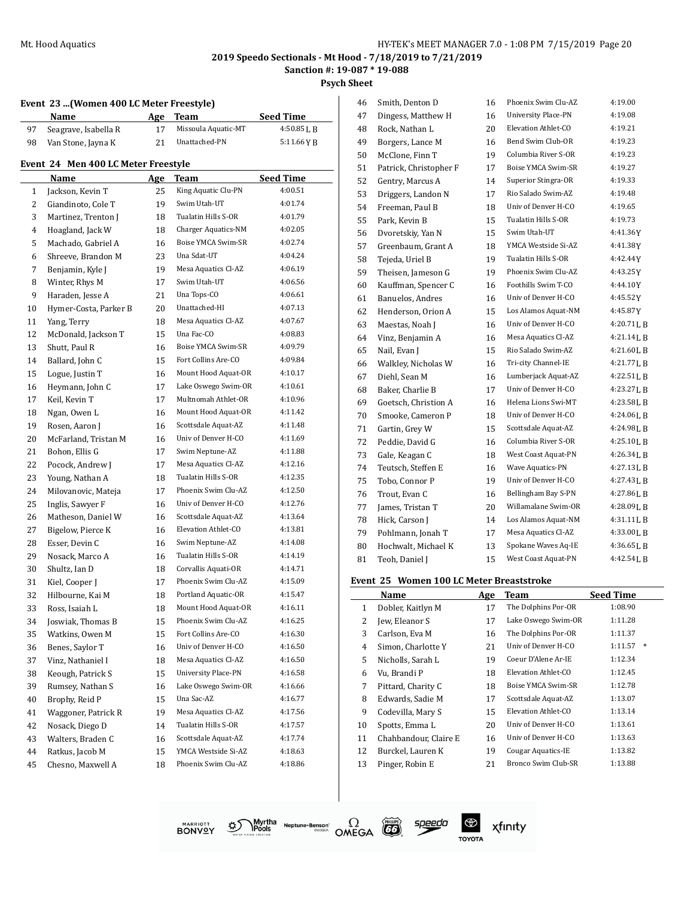**Psych Sheet**

|  |  |  |  |  | Event 23  (Women 400 LC Meter Freestyle) |
|--|--|--|--|--|------------------------------------------|
|--|--|--|--|--|------------------------------------------|

|    | Name                                | <b>Age</b> | Team                       | Seed Time        |
|----|-------------------------------------|------------|----------------------------|------------------|
| 97 | Seagrave, Isabella R                | 17         | Missoula Aquatic-MT        | 4:50.85LB        |
| 98 | Van Stone, Jayna K                  | 21         | Unattached-PN              | 5:11.66 Y B      |
|    | Event 24 Men 400 LC Meter Freestyle |            |                            |                  |
|    | Name                                | Age        | Team                       | <b>Seed Time</b> |
| 1  | Jackson, Kevin T                    | 25         | King Aquatic Clu-PN        | 4:00.51          |
| 2  | Giandinoto, Cole T                  | 19         | Swim Utah-UT               | 4:01.74          |
| 3  | Martinez, Trenton J                 | 18         | Tualatin Hills S-OR        | 4:01.79          |
| 4  | Hoagland, Jack W                    | 18         | Charger Aquatics-NM        | 4:02.05          |
| 5  | Machado, Gabriel A                  | 16         | Boise YMCA Swim-SR         | 4:02.74          |
| 6  | Shreeve, Brandon M                  | 23         | Una Sdat-UT                | 4:04.24          |
| 7  | Benjamin, Kyle J                    | 19         | Mesa Aquatics Cl-AZ        | 4:06.19          |
| 8  | Winter, Rhys M                      | 17         | Swim Utah-UT               | 4:06.56          |
| 9  | Haraden, Jesse A                    | 21         | Una Tops-CO                | 4:06.61          |
| 10 | Hymer-Costa, Parker B               | 20         | Unattached-HI              | 4:07.13          |
| 11 | Yang, Terry                         | 18         | Mesa Aquatics Cl-AZ        | 4:07.67          |
| 12 | McDonald, Jackson T                 | 15         | Una Fac-CO                 | 4:08.83          |
| 13 | Shutt, Paul R                       | 16         | Boise YMCA Swim-SR         | 4:09.79          |
| 14 | Ballard, John C                     | 15         | Fort Collins Are-CO        | 4:09.84          |
| 15 | Logue, Justin T                     | 16         | Mount Hood Aquat-OR        | 4:10.17          |
| 16 | Heymann, John C                     | 17         | Lake Oswego Swim-OR        | 4:10.61          |
| 17 | Keil, Kevin T                       | 17         | Multnomah Athlet-OR        | 4:10.96          |
| 18 | Ngan, Owen L                        | 16         | Mount Hood Aquat-OR        | 4:11.42          |
| 19 | Rosen, Aaron J                      | 16         | Scottsdale Aquat-AZ        | 4:11.48          |
| 20 | McFarland, Tristan M                | 16         | Univ of Denver H-CO        | 4:11.69          |
| 21 | Bohon, Ellis G                      | 17         | Swim Neptune-AZ            | 4:11.88          |
| 22 | Pocock, Andrew J                    | 17         | Mesa Aquatics Cl-AZ        | 4:12.16          |
| 23 | Young, Nathan A                     | 18         | Tualatin Hills S-OR        | 4:12.35          |
| 24 | Milovanovic, Mateja                 | 17         | Phoenix Swim Clu-AZ        | 4:12.50          |
| 25 | Inglis, Sawyer F                    | 16         | Univ of Denver H-CO        | 4:12.76          |
| 26 | Matheson, Daniel W                  | 16         | Scottsdale Aquat-AZ        | 4:13.64          |
| 27 | Bigelow, Pierce K                   | 16         | Elevation Athlet-CO        | 4:13.81          |
| 28 | Esser, Devin C                      | 16         | Swim Neptune-AZ            | 4:14.08          |
| 29 | Nosack, Marco A                     | 16         | Tualatin Hills S-OR        | 4:14.19          |
| 30 | Shultz, Ian D                       | 18         | Corvallis Aquati-OR        | 4:14.71          |
| 31 | Kiel, Cooper J                      | 17         | Phoenix Swim Clu-AZ        | 4:15.09          |
| 32 | Hilbourne, Kai M                    | 18         | Portland Aquatic-OR        | 4:15.47          |
| 33 | Ross, Isaiah L                      | 18         | Mount Hood Aquat-OR        | 4:16.11          |
| 34 | Joswiak, Thomas B                   | 15         | Phoenix Swim Clu-AZ        | 4:16.25          |
| 35 | Watkins, Owen M                     | 15         | Fort Collins Are-CO        | 4:16.30          |
| 36 | Benes, Saylor T                     | 16         | Univ of Denver H-CO        | 4:16.50          |
| 37 | Vinz. Nathaniel I                   | 18         | Mesa Aquatics Cl-AZ        | 4:16.50          |
| 38 | Keough, Patrick S                   | 15         | <b>University Place-PN</b> | 4:16.58          |
| 39 | Rumsey, Nathan S                    | 16         | Lake Oswego Swim-OR        | 4:16.66          |
| 40 | Brophy, Reid P                      | 15         | Una Sac-AZ                 | 4:16.77          |
| 41 | Waggoner, Patrick R                 | 19         | Mesa Aquatics Cl-AZ        | 4:17.56          |
| 42 | Nosack, Diego D                     | 14         | Tualatin Hills S-OR        | 4:17.57          |
| 43 | Walters, Braden C                   | 16         | Scottsdale Aquat-AZ        | 4:17.74          |
| 44 | Ratkus, Jacob M                     | 15         | YMCA Westside Si-AZ        | 4:18.63          |
| 45 | Chesno, Maxwell A                   | 18         | Phoenix Swim Clu-AZ        | 4:18.86          |

| 46 | Smith, Denton D        | 16 | Phoenix Swim Clu-AZ        | 4:19.00        |
|----|------------------------|----|----------------------------|----------------|
| 47 | Dingess, Matthew H     | 16 | <b>University Place-PN</b> | 4:19.08        |
| 48 | Rock, Nathan L         | 20 | Elevation Athlet-CO        | 4:19.21        |
| 49 | Borgers, Lance M       | 16 | Bend Swim Club-OR          | 4:19.23        |
| 50 | McClone, Finn T        | 19 | Columbia River S-OR        | 4:19.23        |
| 51 | Patrick, Christopher F | 17 | Boise YMCA Swim-SR         | 4:19.27        |
| 52 | Gentry, Marcus A       | 14 | Superior Stingra-OR        | 4:19.33        |
| 53 | Driggers, Landon N     | 17 | Rio Salado Swim-AZ         | 4:19.48        |
| 54 | Freeman, Paul B        | 18 | Univ of Denver H-CO        | 4:19.65        |
| 55 | Park, Kevin B          | 15 | Tualatin Hills S-OR        | 4:19.73        |
| 56 | Dvoretskiy, Yan N      | 15 | Swim Utah-UT               | 4:41.36Y       |
| 57 | Greenbaum, Grant A     | 18 | YMCA Westside Si-AZ        | 4:41.38Y       |
| 58 | Tejeda, Uriel B        | 19 | Tualatin Hills S-OR        | 4:42.44Y       |
| 59 | Theisen, Jameson G     | 19 | Phoenix Swim Clu-AZ        | 4:43.25Y       |
| 60 | Kauffman, Spencer C    | 16 | Foothills Swim T-CO        | 4:44.10Y       |
| 61 | Banuelos, Andres       | 16 | Univ of Denver H-CO        | 4:45.52Y       |
| 62 | Henderson, Orion A     | 15 | Los Alamos Aquat-NM        | 4:45.87Y       |
| 63 | Maestas, Noah J        | 16 | Univ of Denver H-CO        | 4:20.71LB      |
| 64 | Vinz, Benjamin A       | 16 | Mesa Aquatics Cl-AZ        | 4:21.14 L B    |
| 65 | Nail, Evan J           | 15 | Rio Salado Swim-AZ         | 4:21.60 L B    |
| 66 | Walkley, Nicholas W    | 16 | Tri-city Channel-IE        | $4:21.77$ J, B |
| 67 | Diehl, Sean M          | 16 | Lumberjack Aquat-AZ        | 4:22.51 L B    |
| 68 | Baker, Charlie B       | 17 | Univ of Denver H-CO        | 4:23.27 L B    |
| 69 | Goetsch, Christion A   | 16 | Helena Lions Swi-MT        | $4:23.58$ J, B |
| 70 | Smooke, Cameron P      | 18 | Univ of Denver H-CO        | 4:24.06LB      |
| 71 | Gartin, Grey W         | 15 | Scottsdale Aquat-AZ        | 4:24.98LB      |
| 72 | Peddie, David G        | 16 | Columbia River S-OR        | 4:25.10 L B    |
| 73 | Gale, Keagan C         | 18 | West Coast Aquat-PN        | 4:26.34LB      |
| 74 | Teutsch, Steffen E     | 16 | Wave Aquatics-PN           | 4:27.13 L B    |
| 75 | Tobo, Connor P         | 19 | Univ of Denver H-CO        | 4:27.43 L B    |
| 76 | Trout, Evan C          | 16 | Bellingham Bay S-PN        | 4:27.86 L B    |
| 77 | James, Tristan T       | 20 | Willamalane Swim-OR        | 4:28.09LB      |
| 78 | Hick, Carson J         | 14 | Los Alamos Aquat-NM        | 4:31.11LB      |
| 79 | Pohlmann, Jonah T      | 17 | Mesa Aquatics Cl-AZ        | 4:33.00LB      |
| 80 | Hochwalt, Michael K    | 13 | Spokane Waves Aq-IE        | 4:36.65LB      |
| 81 | Teoh, Daniel J         | 15 | West Coast Aquat-PN        | $4:42.54$ J, B |
|    |                        |    |                            |                |

#### **Event 25 Women 100 LC Meter Breaststroke**

|              | Name                  | Age | Team                | <b>Seed Time</b>  |
|--------------|-----------------------|-----|---------------------|-------------------|
| $\mathbf{1}$ | Dobler, Kaitlyn M     | 17  | The Dolphins Por-OR | 1:08.90           |
| 2            | Jew, Eleanor S        | 17  | Lake Oswego Swim-OR | 1:11.28           |
| 3            | Carlson, Eva M        | 16  | The Dolphins Por-OR | 1:11.37           |
| 4            | Simon, Charlotte Y    | 21  | Univ of Denver H-CO | 1:11.57<br>$\ast$ |
| 5            | Nicholls, Sarah L     | 19  | Coeur D'Alene Ar-IE | 1:12.34           |
| 6            | Vu, Brandi P          | 18  | Elevation Athlet-CO | 1:12.45           |
| 7            | Pittard, Charity C    | 18  | Boise YMCA Swim-SR  | 1:12.78           |
| 8            | Edwards, Sadie M      | 17  | Scottsdale Aquat-AZ | 1:13.07           |
| 9            | Codevilla, Mary S     | 15  | Elevation Athlet-CO | 1:13.14           |
| 10           | Spotts, Emma L        | 20  | Univ of Denver H-CO | 1:13.61           |
| 11           | Chahbandour, Claire E | 16  | Univ of Denver H-CO | 1:13.63           |
| 12           | Burckel, Lauren K     | 19  | Cougar Aquatics-IE  | 1:13.82           |
| 13           | Pinger, Robin E       | 21  | Bronco Swim Club-SR | 1:13.88           |







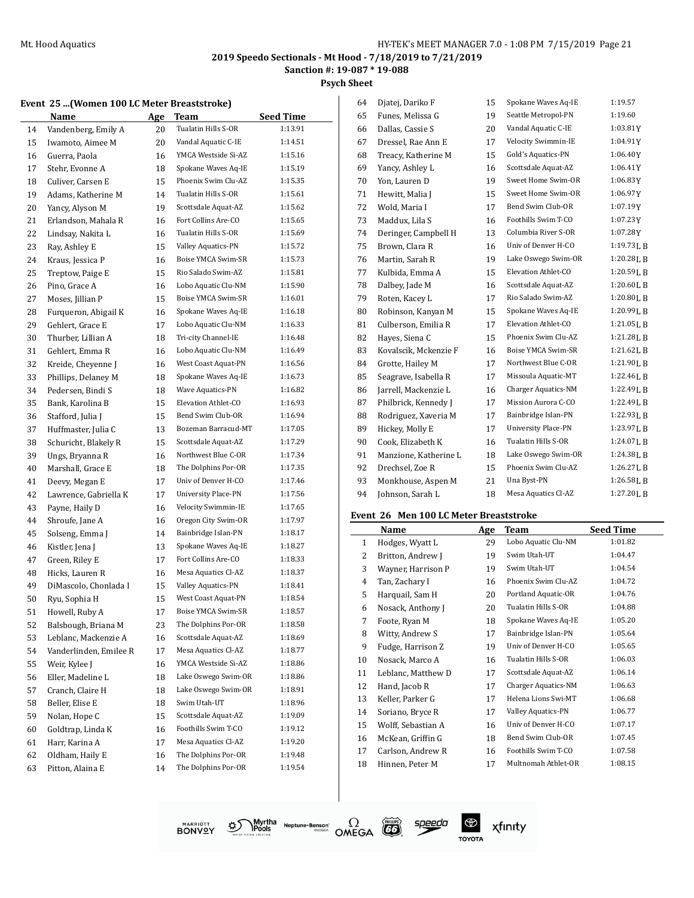**Sanction #: 19-087 \* 19-088**

**Psych Sheet**

|  |  |  |  |  |  | Event 25 (Women 100 LC Meter Breaststroke) |
|--|--|--|--|--|--|--------------------------------------------|
|--|--|--|--|--|--|--------------------------------------------|

|    | women too no meter br  |            | 796961 ORC J        |                  |
|----|------------------------|------------|---------------------|------------------|
|    | Name                   | <b>Age</b> | Team                | <b>Seed Time</b> |
| 14 | Vandenberg, Emily A    | 20         | Tualatin Hills S-OR | 1:13.91          |
| 15 | Iwamoto, Aimee M       | 20         | Vandal Aquatic C-IE | 1:14.51          |
| 16 | Guerra, Paola          | 16         | YMCA Westside Si-AZ | 1:15.16          |
| 17 | Stehr, Evonne A        | 18         | Spokane Waves Aq-IE | 1:15.19          |
| 18 | Culiver. Carsen E      | 15         | Phoenix Swim Clu-AZ | 1:15.35          |
| 19 | Adams, Katherine M     | 14         | Tualatin Hills S-OR | 1:15.61          |
| 20 | Yancy, Alyson M        | 19         | Scottsdale Aquat-AZ | 1:15.62          |
| 21 | Erlandson, Mahala R    | 16         | Fort Collins Are-CO | 1:15.65          |
| 22 | Lindsay, Nakita L      | 16         | Tualatin Hills S-OR | 1:15.69          |
| 23 | Ray, Ashley E          | 15         | Valley Aquatics-PN  | 1:15.72          |
| 24 | Kraus, Jessica P       | 16         | Boise YMCA Swim-SR  | 1:15.73          |
| 25 | Treptow, Paige E       | 15         | Rio Salado Swim-AZ  | 1:15.81          |
| 26 | Pino, Grace A          | 16         | Lobo Aquatic Clu-NM | 1:15.90          |
| 27 | Moses, Jillian P       | 15         | Boise YMCA Swim-SR  | 1:16.01          |
| 28 | Furqueron, Abigail K   | 16         | Spokane Waves Aq-IE | 1:16.18          |
| 29 | Gehlert, Grace E       | 17         | Lobo Aquatic Clu-NM | 1:16.33          |
| 30 | Thurber, Lillian A     | 18         | Tri-city Channel-IE | 1:16.48          |
| 31 | Gehlert, Emma R        | 16         | Lobo Aquatic Clu-NM | 1:16.49          |
| 32 | Kreide, Cheyenne J     | 16         | West Coast Aquat-PN | 1:16.56          |
| 33 | Phillips, Delaney M    | 18         | Spokane Waves Aq-IE | 1:16.73          |
| 34 | Pedersen, Bindi S      | 18         | Wave Aquatics-PN    | 1:16.82          |
| 35 | Bank, Karolina B       | 15         | Elevation Athlet-CO | 1:16.93          |
| 36 | Stafford, Julia J      | 15         | Bend Swim Club-OR   | 1:16.94          |
| 37 | Huffmaster, Julia C    | 13         | Bozeman Barracud-MT | 1:17.05          |
| 38 | Schuricht, Blakely R   | 15         | Scottsdale Aquat-AZ | 1:17.29          |
| 39 | Ungs, Bryanna R        | 16         | Northwest Blue C-OR | 1:17.34          |
| 40 | Marshall, Grace E      | 18         | The Dolphins Por-OR | 1:17.35          |
| 41 | Deevy, Megan E         | 17         | Univ of Denver H-CO | 1:17.46          |
| 42 | Lawrence, Gabriella K  | 17         | University Place-PN | 1:17.56          |
| 43 | Payne, Haily D         | 16         | Velocity Swimmin-IE | 1:17.65          |
| 44 | Shroufe, Jane A        | 16         | Oregon City Swim-OR | 1:17.97          |
| 45 | Solseng, Emma J        | 14         | Bainbridge Islan-PN | 1:18.17          |
| 46 | Kistler, Jena J        | 13         | Spokane Waves Aq-IE | 1:18.27          |
| 47 | Green, Riley E         | 17         | Fort Collins Are-CO | 1:18.33          |
| 48 | Hicks, Lauren R        | 16         | Mesa Aquatics Cl-AZ | 1:18.37          |
| 49 | DiMascolo, Chonlada I  | 15         | Valley Aquatics-PN  | 1:18.41          |
| 50 | Ryu, Sophia H          | 15         | West Coast Aquat-PN | 1:18.54          |
| 51 | Howell, Ruby A         | 17         | Boise YMCA Swim-SR  | 1:18.57          |
| 52 | Balsbough, Briana M    | 23         | The Dolphins Por-OR | 1:18.58          |
| 53 | Leblanc, Mackenzie A   | 16         | Scottsdale Aquat-AZ | 1:18.69          |
| 54 | Vanderlinden, Emilee R | 17         | Mesa Aquatics Cl-AZ | 1:18.77          |
| 55 | Weir, Kylee J          | 16         | YMCA Westside Si-AZ | 1:18.86          |
| 56 | Eller, Madeline L      | 18         | Lake Oswego Swim-OR | 1:18.86          |
| 57 | Cranch, Claire H       | 18         | Lake Oswego Swim-OR | 1:18.91          |
| 58 | Beller, Elise E        | 18         | Swim Utah-UT        | 1:18.96          |
| 59 | Nolan, Hope C          | 15         | Scottsdale Aquat-AZ | 1:19.09          |
| 60 | Goldtrap, Linda K      | 16         | Foothills Swim T-CO | 1:19.12          |
| 61 | Harr, Karina A         | 17         | Mesa Aquatics Cl-AZ | 1:19.20          |
| 62 | Oldham, Haily E        | 16         | The Dolphins Por-OR | 1:19.48          |
| 63 | Pitton, Alaina E       |            | The Dolphins Por-OR | 1:19.54          |
|    |                        | 14         |                     |                  |

Myrtha Neptune-Benson\*<br>WHOODS Neptune-Benson\*

ళ్లు

**MARRIOTT**<br>BONVQY

 $\Omega$ OMEGA

speedo

 $\circledast$ 

**TOYOTA** 

| 64 | Djatej, Dariko F      | 15 | Spokane Waves Aq-IE        | 1:19.57        |
|----|-----------------------|----|----------------------------|----------------|
| 65 | Funes, Melissa G      | 19 | Seattle Metropol-PN        | 1:19.60        |
| 66 | Dallas, Cassie S      | 20 | Vandal Aquatic C-IE        | 1:03.81Y       |
| 67 | Dressel, Rae Ann E    | 17 | Velocity Swimmin-IE        | 1:04.91Y       |
| 68 | Treacy, Katherine M   | 15 | Gold's Aquatics-PN         | 1:06.40Y       |
| 69 | Yancy, Ashley L       | 16 | Scottsdale Aquat-AZ        | 1:06.41Y       |
| 70 | Yon, Lauren D         | 19 | Sweet Home Swim-OR         | 1:06.83Y       |
| 71 | Hewitt, Malia J       | 15 | Sweet Home Swim-OR         | 1:06.97Y       |
| 72 | Wold, Maria I         | 17 | Bend Swim Club-OR          | 1:07.19Y       |
| 73 | Maddux, Lila S        | 16 | Foothills Swim T-CO        | 1:07.23Y       |
| 74 | Deringer, Campbell H  | 13 | Columbia River S-OR        | 1:07.28Y       |
| 75 | Brown, Clara R        | 16 | Univ of Denver H-CO        | 1:19.73 L B    |
| 76 | Martin, Sarah R       | 19 | Lake Oswego Swim-OR        | 1:20.28LB      |
| 77 | Kulbida, Emma A       | 15 | Elevation Athlet-CO        | 1:20.59LB      |
| 78 | Dalbey, Jade M        | 16 | Scottsdale Aquat-AZ        | 1:20.60 L B    |
| 79 | Roten, Kacey L        | 17 | Rio Salado Swim-AZ         | 1:20.80 L B    |
| 80 | Robinson, Kanyan M    | 15 | Spokane Waves Aq-IE        | $1:20.99$ J, B |
| 81 | Culberson, Emilia R   | 17 | Elevation Athlet-CO        | 1:21.05 L B    |
| 82 | Hayes, Siena C        | 15 | Phoenix Swim Clu-AZ        | 1:21.28LB      |
| 83 | Kovalscik, Mckenzie F | 16 | Boise YMCA Swim-SR         | 1:21.62 L B    |
| 84 | Grotte, Hailey M      | 17 | Northwest Blue C-OR        | 1:21.90 L B    |
| 85 | Seagrave, Isabella R  | 17 | Missoula Aquatic-MT        | 1:22.46 L B    |
| 86 | Jarrell, Mackenzie L  | 16 | Charger Aquatics-NM        | 1:22.49 L B    |
| 87 | Philbrick, Kennedy J  | 17 | Mission Aurora C-CO        | 1:22.49 L B    |
| 88 | Rodriguez, Xaveria M  | 17 | Bainbridge Islan-PN        | 1:22.93 L B    |
| 89 | Hickey, Molly E       | 17 | <b>University Place-PN</b> | 1:23.97LB      |
| 90 | Cook, Elizabeth K     | 16 | Tualatin Hills S-OR        | 1:24.07LB      |
| 91 | Manzione, Katherine L | 18 | Lake Oswego Swim-OR        | 1:24.38LB      |
| 92 | Drechsel, Zoe R       | 15 | Phoenix Swim Clu-AZ        | 1:26.27 L B    |
| 93 | Monkhouse, Aspen M    | 21 | Una Byst-PN                | 1:26.58LB      |
| 94 | Johnson, Sarah L      | 18 | Mesa Aquatics Cl-AZ        | 1:27.20LB      |
|    |                       |    |                            |                |

#### **Event 26 Men 100 LC Meter Breaststroke**

|              | Name               | Age | Team                      | <b>Seed Time</b> |
|--------------|--------------------|-----|---------------------------|------------------|
| $\mathbf{1}$ | Hodges, Wyatt L    | 29  | Lobo Aquatic Clu-NM       | 1:01.82          |
| 2            | Britton, Andrew J  | 19  | Swim Utah-UT              | 1:04.47          |
| 3            | Wayner, Harrison P | 19  | Swim Utah-UT              | 1:04.54          |
| 4            | Tan, Zachary I     | 16  | Phoenix Swim Clu-AZ       | 1:04.72          |
| 5            | Harquail, Sam H    | 20  | Portland Aquatic-OR       | 1:04.76          |
| 6            | Nosack, Anthony J  | 20  | Tualatin Hills S-OR       | 1:04.88          |
| 7            | Foote, Ryan M      | 18  | Spokane Waves Aq-IE       | 1:05.20          |
| 8            | Witty, Andrew S    | 17  | Bainbridge Islan-PN       | 1:05.64          |
| 9            | Fudge, Harrison Z  | 19  | Univ of Denver H-CO       | 1:05.65          |
| 10           | Nosack, Marco A    | 16  | Tualatin Hills S-OR       | 1:06.03          |
| 11           | Leblanc, Matthew D | 17  | Scottsdale Aquat-AZ       | 1:06.14          |
| 12           | Hand, Jacob R      | 17  | Charger Aquatics-NM       | 1:06.63          |
| 13           | Keller, Parker G   | 17  | Helena Lions Swi-MT       | 1:06.68          |
| 14           | Soriano, Bryce R   | 17  | <b>Valley Aquatics-PN</b> | 1:06.77          |
| 15           | Wolff, Sebastian A | 16  | Univ of Denver H-CO       | 1:07.17          |
| 16           | McKean, Griffin G  | 18  | Bend Swim Club-OR         | 1:07.45          |
| 17           | Carlson, Andrew R  | 16  | Foothills Swim T-CO       | 1:07.58          |
| 18           | Hinnen, Peter M    | 17  | Multnomah Athlet-OR       | 1:08.15          |

xfinity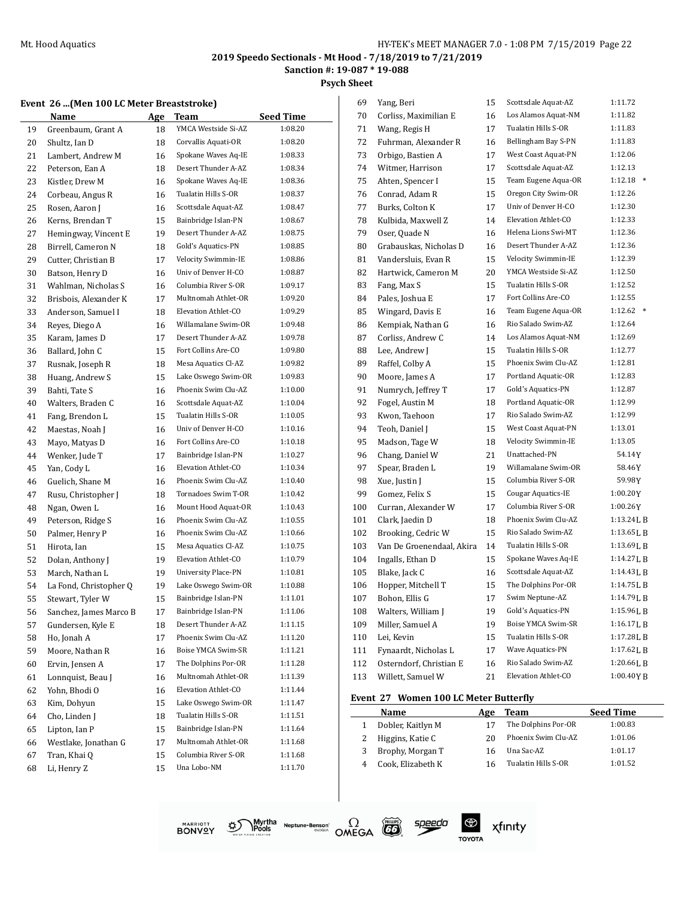**Sanction #: 19-087 \* 19-088**

 $\overline{\phantom{a}}$ 

**Psych Sheet**

|  |  |  |  |  | Event 26 (Men 100 LC Meter Breaststroke) |
|--|--|--|--|--|------------------------------------------|
|--|--|--|--|--|------------------------------------------|

|    | Name                   | <b>Age</b> | Team                | <b>Seed Time</b> |
|----|------------------------|------------|---------------------|------------------|
| 19 | Greenbaum, Grant A     | 18         | YMCA Westside Si-AZ | 1:08.20          |
| 20 | Shultz, Ian D          | 18         | Corvallis Aquati-OR | 1:08.20          |
| 21 | Lambert, Andrew M      | 16         | Spokane Waves Aq-IE | 1:08.33          |
| 22 | Peterson, Ean A        | 18         | Desert Thunder A-AZ | 1:08.34          |
| 23 | Kistler, Drew M        | 16         | Spokane Waves Aq-IE | 1:08.36          |
| 24 | Corbeau, Angus R       | 16         | Tualatin Hills S-OR | 1:08.37          |
| 25 | Rosen, Aaron J         | 16         | Scottsdale Aquat-AZ | 1:08.47          |
| 26 | Kerns, Brendan T       | 15         | Bainbridge Islan-PN | 1:08.67          |
| 27 | Hemingway, Vincent E   | 19         | Desert Thunder A-AZ | 1:08.75          |
| 28 | Birrell, Cameron N     | 18         | Gold's Aquatics-PN  | 1:08.85          |
| 29 | Cutter, Christian B    | 17         | Velocity Swimmin-IE | 1:08.86          |
| 30 | Batson, Henry D        | 16         | Univ of Denver H-CO | 1:08.87          |
| 31 | Wahlman, Nicholas S    | 16         | Columbia River S-OR | 1:09.17          |
| 32 | Brisbois, Alexander K  | 17         | Multnomah Athlet-OR | 1:09.20          |
| 33 | Anderson, Samuel I     | 18         | Elevation Athlet-CO | 1:09.29          |
| 34 | Reyes, Diego A         | 16         | Willamalane Swim-OR | 1:09.48          |
| 35 | Karam, James D         | 17         | Desert Thunder A-AZ | 1:09.78          |
| 36 | Ballard, John C        | 15         | Fort Collins Are-CO | 1:09.80          |
| 37 | Rusnak, Joseph R       | 18         | Mesa Aquatics Cl-AZ | 1:09.82          |
| 38 | Huang, Andrew S        | 15         | Lake Oswego Swim-OR | 1:09.83          |
| 39 | Bahti, Tate S          | 16         | Phoenix Swim Clu-AZ | 1:10.00          |
|    | Walters, Braden C      | 16         | Scottsdale Aquat-AZ | 1:10.04          |
| 40 | Fang, Brendon L        | 15         | Tualatin Hills S-OR | 1:10.05          |
| 41 |                        | 16         | Univ of Denver H-CO | 1:10.16          |
| 42 | Maestas, Noah J        |            | Fort Collins Are-CO | 1:10.18          |
| 43 | Mayo, Matyas D         | 16         | Bainbridge Islan-PN |                  |
| 44 | Wenker, Jude T         | 17         |                     | 1:10.27          |
| 45 | Yan, Cody L            | 16         | Elevation Athlet-CO | 1:10.34          |
| 46 | Guelich, Shane M       | 16         | Phoenix Swim Clu-AZ | 1:10.40          |
| 47 | Rusu, Christopher J    | 18         | Tornadoes Swim T-OR | 1:10.42          |
| 48 | Ngan, Owen L           | 16         | Mount Hood Aquat-OR | 1:10.43          |
| 49 | Peterson, Ridge S      | 16         | Phoenix Swim Clu-AZ | 1:10.55          |
| 50 | Palmer, Henry P        | 16         | Phoenix Swim Clu-AZ | 1:10.66          |
| 51 | Hirota, Ian            | 15         | Mesa Aquatics Cl-AZ | 1:10.75          |
| 52 | Dolan, Anthony J       | 19         | Elevation Athlet-CO | 1:10.79          |
| 53 | March, Nathan L        | 19         | University Place-PN | 1:10.81          |
| 54 | La Fond, Christopher Q | 19         | Lake Oswego Swim-OR | 1:10.88          |
| 55 | Stewart, Tyler W       | 15         | Bainbridge Islan-PN | 1:11.01          |
| 56 | Sanchez, James Marco B | 17         | Bainbridge Islan-PN | 1:11.06          |
| 57 | Gundersen, Kyle E      | 18         | Desert Thunder A-AZ | 1:11.15          |
| 58 | Ho, Jonah A            | 17         | Phoenix Swim Clu-AZ | 1:11.20          |
| 59 | Moore, Nathan R        | 16         | Boise YMCA Swim-SR  | 1:11.21          |
| 60 | Ervin, Jensen A        | 17         | The Dolphins Por-OR | 1:11.28          |
| 61 | Lonnquist, Beau J      | 16         | Multnomah Athlet-OR | 1:11.39          |
| 62 | Yohn, Bhodi O          | 16         | Elevation Athlet-CO | 1:11.44          |
| 63 | Kim, Dohyun            | 15         | Lake Oswego Swim-OR | 1:11.47          |
| 64 | Cho, Linden J          | 18         | Tualatin Hills S-OR | 1:11.51          |
| 65 | Lipton, Ian P          | 15         | Bainbridge Islan-PN | 1:11.64          |
| 66 | Westlake, Jonathan G   | 17         | Multnomah Athlet-OR | 1:11.68          |
| 67 | Tran, Khai Q           | 15         | Columbia River S-OR | 1:11.68          |
| 68 | Li, Henry Z            | 15         | Una Lobo-NM         | 1:11.70          |
|    |                        |            |                     |                  |

| 69  | Yang, Beri                | 15 | Scottsdale Aquat-AZ | 1:11.72           |
|-----|---------------------------|----|---------------------|-------------------|
| 70  | Corliss, Maximilian E     | 16 | Los Alamos Aquat-NM | 1:11.82           |
| 71  | Wang, Regis H             | 17 | Tualatin Hills S-OR | 1:11.83           |
| 72  | Fuhrman, Alexander R      | 16 | Bellingham Bay S-PN | 1:11.83           |
| 73  | Orbigo, Bastien A         | 17 | West Coast Aquat-PN | 1:12.06           |
| 74  | Witmer, Harrison          | 17 | Scottsdale Aquat-AZ | 1:12.13           |
| 75  | Ahten, Spencer I          | 15 | Team Eugene Aqua-OR | 1:12.18           |
| 76  | Conrad, Adam R            | 15 | Oregon City Swim-OR | 1:12.26           |
| 77  | Burks, Colton K           | 17 | Univ of Denver H-CO | 1:12.30           |
| 78  | Kulbida, Maxwell Z        | 14 | Elevation Athlet-CO | 1:12.33           |
| 79  | Oser, Quade N             | 16 | Helena Lions Swi-MT | 1:12.36           |
| 80  | Grabauskas, Nicholas D    | 16 | Desert Thunder A-AZ | 1:12.36           |
| 81  | Vandersluis, Evan R       | 15 | Velocity Swimmin-IE | 1:12.39           |
| 82  | Hartwick, Cameron M       | 20 | YMCA Westside Si-AZ | 1:12.50           |
| 83  | Fang, Max S               | 15 | Tualatin Hills S-OR | 1:12.52           |
| 84  | Pales, Joshua E           | 17 | Fort Collins Are-CO | 1:12.55           |
| 85  | Wingard, Davis E          | 16 | Team Eugene Aqua-OR | 1:12.62<br>$\ast$ |
| 86  | Kempiak, Nathan G         | 16 | Rio Salado Swim-AZ  | 1:12.64           |
| 87  | Corliss, Andrew C         | 14 | Los Alamos Aquat-NM | 1:12.69           |
| 88  | Lee, Andrew J             | 15 | Tualatin Hills S-OR | 1:12.77           |
| 89  | Raffel, Colby A           | 15 | Phoenix Swim Clu-AZ | 1:12.81           |
| 90  | Moore, James A            | 17 | Portland Aquatic-OR | 1:12.83           |
| 91  | Numrych, Jeffrey T        | 17 | Gold's Aquatics-PN  | 1:12.87           |
| 92  | Fogel, Austin M           | 18 | Portland Aquatic-OR | 1:12.99           |
| 93  | Kwon, Taehoon             | 17 | Rio Salado Swim-AZ  | 1:12.99           |
| 94  | Teoh, Daniel J            | 15 | West Coast Aquat-PN | 1:13.01           |
| 95  | Madson, Tage W            | 18 | Velocity Swimmin-IE | 1:13.05           |
| 96  | Chang, Daniel W           | 21 | Unattached-PN       | 54.14Y            |
| 97  | Spear, Braden L           | 19 | Willamalane Swim-OR | 58.46Y            |
| 98  | Xue, Justin J             | 15 | Columbia River S-OR | 59.98Y            |
| 99  | Gomez, Felix S            | 15 | Cougar Aquatics-IE  | 1:00.20Y          |
| 100 | Curran, Alexander W       | 17 | Columbia River S-OR | 1:00.26Y          |
| 101 | Clark, Jaedin D           | 18 | Phoenix Swim Clu-AZ | 1:13.24 L B       |
| 102 | Brooking, Cedric W        | 15 | Rio Salado Swim-AZ  | $1:13.65$ J, B    |
| 103 | Van De Groenendaal, Akira | 14 | Tualatin Hills S-OR | 1:13.69LB         |
| 104 | Ingalls, Ethan D          | 15 | Spokane Waves Aq-IE | 1:14.27 L B       |
| 105 | Blake, Jack C             | 16 | Scottsdale Aquat-AZ | 1:14.43L B        |
| 106 | Hopper, Mitchell T        | 15 | The Dolphins Por-OR | 1:14.75LB         |
| 107 | Bohon, Ellis G            | 17 | Swim Neptune-AZ     | $1:14.79$ J, B    |
| 108 | Walters, William J        | 19 | Gold's Aquatics-PN  | 1:15.96LB         |
| 109 | Miller, Samuel A          | 19 | Boise YMCA Swim-SR  | 1:16.17 L B       |
| 110 | Lei, Kevin                | 15 | Tualatin Hills S-OR | $1:17.28$ J, B    |
| 111 | Fynaardt, Nicholas L      | 17 | Wave Aquatics-PN    | 1:17.62LB         |
| 112 | Osterndorf, Christian E   | 16 | Rio Salado Swim-AZ  | 1:20.66LB         |
| 113 | Willett, Samuel W         | 21 | Elevation Athlet-CO | 1:00.40YB         |
|     |                           |    |                     |                   |

#### **Event 27 Women 100 LC Meter Butterfly**

|   | <b>Name</b>       | Age | Team                | <b>Seed Time</b> |
|---|-------------------|-----|---------------------|------------------|
|   | Dobler, Kaitlyn M |     | The Dolphins Por-OR | 1:00.83          |
|   | Higgins, Katie C  | 20  | Phoenix Swim Clu-AZ | 1:01.06          |
| 3 | Brophy, Morgan T  | 16  | Una Sac-AZ          | 1:01.17          |
|   | Cook, Elizabeth K |     | Tualatin Hills S-OR | 1:01.52          |







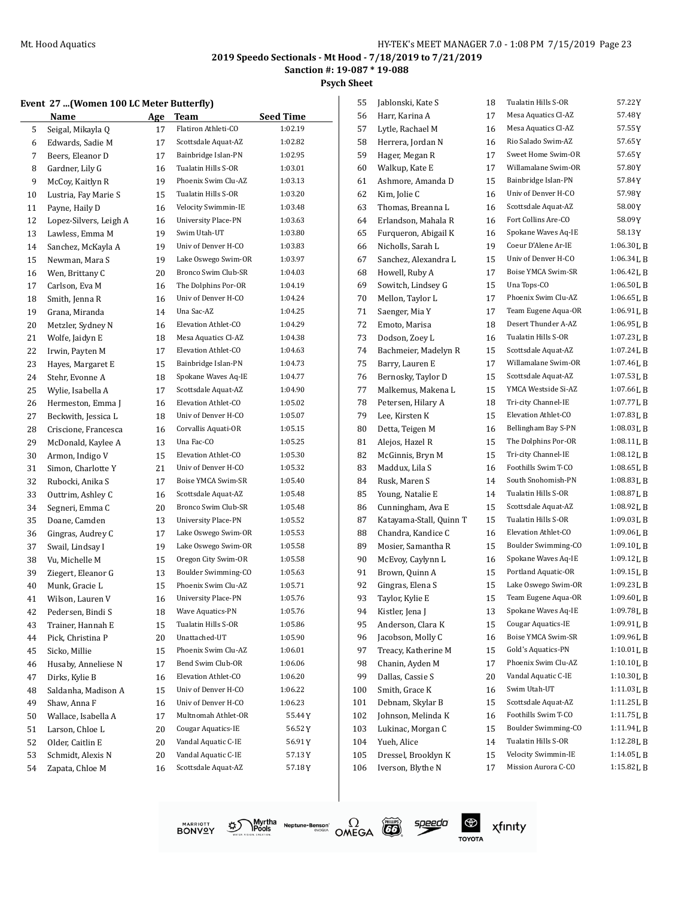**Psych Sheet**

# $\overline{1}$

## **Event 27 ...(Women 100 LC Meter Butterfly)**

|          | $\ldots$               |     |                            |                  |     |
|----------|------------------------|-----|----------------------------|------------------|-----|
|          | Name                   | Age | <b>Team</b>                | <b>Seed Time</b> |     |
| 5        | Seigal, Mikayla Q      | 17  | Flatiron Athleti-CO        | 1:02.19          |     |
| 6        | Edwards, Sadie M       | 17  | Scottsdale Aquat-AZ        | 1:02.82          |     |
| 7        | Beers, Eleanor D       | 17  | Bainbridge Islan-PN        | 1:02.95          |     |
| 8        | Gardner, Lily G        | 16  | Tualatin Hills S-OR        | 1:03.01          |     |
| 9        | McCoy, Kaitlyn R       | 19  | Phoenix Swim Clu-AZ        | 1:03.13          |     |
| 10       | Lustria, Fay Marie S   | 15  | Tualatin Hills S-OR        | 1:03.20          |     |
| 11       | Payne, Haily D         | 16  | Velocity Swimmin-IE        | 1:03.48          |     |
| 12       | Lopez-Silvers, Leigh A | 16  | <b>University Place-PN</b> | 1:03.63          |     |
| 13       | Lawless, Emma M        | 19  | Swim Utah-UT               | 1:03.80          |     |
| 14       | Sanchez, McKayla A     | 19  | Univ of Denver H-CO        | 1:03.83          |     |
| 15       | Newman, Mara S         | 19  | Lake Oswego Swim-OR        | 1:03.97          |     |
| 16       | Wen, Brittany C        | 20  | Bronco Swim Club-SR        | 1:04.03          |     |
| 17       | Carlson, Eva M         | 16  | The Dolphins Por-OR        | 1:04.19          |     |
| 18       | Smith, Jenna R         | 16  | Univ of Denver H-CO        | 1:04.24          |     |
| 19       | Grana, Miranda         | 14  | Una Sac-AZ                 | 1:04.25          |     |
| 20       | Metzler, Sydney N      | 16  | Elevation Athlet-CO        | 1:04.29          |     |
| 21       | Wolfe, Jaidyn E        | 18  | Mesa Aquatics Cl-AZ        | 1:04.38          |     |
| 22       | Irwin, Payten M        | 17  | Elevation Athlet-CO        | 1:04.63          |     |
| 23       | Hayes, Margaret E      | 15  | Bainbridge Islan-PN        | 1:04.73          |     |
| 24       | Stehr, Evonne A        | 18  | Spokane Waves Aq-IE        | 1:04.77          |     |
| 25       | Wylie, Isabella A      | 17  | Scottsdale Aquat-AZ        | 1:04.90          |     |
| 26       | Hermeston, Emma J      | 16  | Elevation Athlet-CO        | 1:05.02          |     |
| 27       | Beckwith, Jessica L    | 18  | Univ of Denver H-CO        | 1:05.07          |     |
| 28       | Criscione, Francesca   | 16  | Corvallis Aquati-OR        | 1:05.15          |     |
| 29       | McDonald, Kaylee A     | 13  | Una Fac-CO                 | 1:05.25          |     |
| 30       | Armon, Indigo V        | 15  | Elevation Athlet-CO        | 1:05.30          |     |
| 31       | Simon, Charlotte Y     | 21  | Univ of Denver H-CO        | 1:05.32          |     |
| 32       | Rubocki, Anika S       | 17  | Boise YMCA Swim-SR         | 1:05.40          |     |
| 33       | Outtrim, Ashley C      | 16  | Scottsdale Aquat-AZ        | 1:05.48          |     |
| 34       | Segneri, Emma C        | 20  | Bronco Swim Club-SR        | 1:05.48          |     |
| 35       | Doane, Camden          | 13  | <b>University Place-PN</b> | 1:05.52          |     |
| 36       | Gingras, Audrey C      | 17  | Lake Oswego Swim-OR        | 1:05.53          |     |
|          | Swail, Lindsay I       | 19  | Lake Oswego Swim-OR        | 1:05.58          |     |
| 37<br>38 | Vu, Michelle M         | 15  | Oregon City Swim-OR        | 1:05.58          |     |
| 39       | Ziegert, Eleanor G     | 13  | Boulder Swimming-CO        | 1:05.63          |     |
| 40       | Munk, Gracie L         | 15  | Phoenix Swim Clu-AZ        | 1:05.71          |     |
| 41       | Wilson, Lauren V       | 16  | <b>University Place-PN</b> | 1:05.76          |     |
| 42       | Pedersen, Bindi S      | 18  | Wave Aquatics-PN           | 1:05.76          |     |
| 43       | Trainer, Hannah E      | 15  | Tualatin Hills S-OR        | 1:05.86          |     |
| 44       | Pick, Christina P      | 20  | Unattached-UT              | 1:05.90          |     |
| 45       | Sicko, Millie          | 15  | Phoenix Swim Clu-AZ        | 1:06.01          |     |
| 46       | Husaby, Anneliese N    | 17  | Bend Swim Club-OR          | 1:06.06          |     |
|          | Dirks, Kylie B         |     | Elevation Athlet-CO        | 1:06.20          |     |
| 47       | Saldanha, Madison A    | 16  | Univ of Denver H-CO        | 1:06.22          | 100 |
| 48       |                        | 15  | Univ of Denver H-CO        | 1:06.23          |     |
| 49       | Shaw, Anna F           | 16  | Multnomah Athlet-OR        | 55.44Y           | 101 |
| 50       | Wallace, Isabella A    | 17  |                            |                  | 102 |
| 51       | Larson, Chloe L        | 20  | <b>Cougar Aquatics-IE</b>  | 56.52 Y          | 103 |
| 52       | Older, Caitlin E       | 20  | Vandal Aquatic C-IE        | 56.91Y           | 104 |
| 53       | Schmidt, Alexis N      | 20  | Vandal Aquatic C-IE        | 57.13 Y          | 105 |
| 54       | Zapata, Chloe M        | 16  | Scottsdale Aquat-AZ        | 57.18Y           | 106 |
|          |                        |     |                            |                  |     |

| 55  | Jablonski, Kate S       | 18 | Tualatin Hills S-OR | 57.22 Y        |
|-----|-------------------------|----|---------------------|----------------|
| 56  | Harr, Karina A          | 17 | Mesa Aquatics Cl-AZ | 57.48Y         |
| 57  | Lytle, Rachael M        | 16 | Mesa Aquatics Cl-AZ | 57.55 Y        |
| 58  | Herrera, Jordan N       | 16 | Rio Salado Swim-AZ  | 57.65Y         |
| 59  | Hager, Megan R          | 17 | Sweet Home Swim-OR  | 57.65 Y        |
| 60  | Walkup, Kate E          | 17 | Willamalane Swim-OR | 57.80Y         |
| 61  | Ashmore, Amanda D       | 15 | Bainbridge Islan-PN | 57.84Y         |
| 62  | Kim, Jolie C            | 16 | Univ of Denver H-CO | 57.98Y         |
| 63  | Thomas, Breanna L       | 16 | Scottsdale Aquat-AZ | 58.00Y         |
| 64  | Erlandson, Mahala R     | 16 | Fort Collins Are-CO | 58.09Y         |
| 65  | Furqueron, Abigail K    | 16 | Spokane Waves Aq-IE | 58.13 Y        |
| 66  | Nicholls, Sarah L       | 19 | Coeur D'Alene Ar-IE | 1:06.30LB      |
| 67  | Sanchez, Alexandra L    | 15 | Univ of Denver H-CO | 1:06.34LB      |
| 68  | Howell, Ruby A          | 17 | Boise YMCA Swim-SR  | 1:06.42 L B    |
| 69  | Sowitch, Lindsey G      | 15 | Una Tops-CO         | $1:06.50L$ B   |
| 70  | Mellon, Taylor L        | 17 | Phoenix Swim Clu-AZ | 1:06.65 L B    |
| 71  | Saenger, Mia Y          | 17 | Team Eugene Aqua-OR | 1:06.91LB      |
| 72  | Emoto, Marisa           | 18 | Desert Thunder A-AZ | 1:06.95LB      |
| 73  | Dodson, Zoey L          | 16 | Tualatin Hills S-OR | 1:07.23 L B    |
| 74  | Bachmeier, Madelyn R    | 15 | Scottsdale Aquat-AZ | 1:07.24LB      |
| 75  | Barry, Lauren E         | 17 | Willamalane Swim-OR | 1:07.46LB      |
| 76  | Bernosky, Taylor D      | 15 | Scottsdale Aquat-AZ | 1:07.53 L B    |
| 77  | Malkemus, Makena L      | 15 | YMCA Westside Si-AZ | 1:07.66LB      |
| 78  | Petersen, Hilary A      | 18 | Tri-city Channel-IE | 1:07.77LB      |
| 79  | Lee, Kirsten K          | 15 | Elevation Athlet-CO | 1:07.83 L B    |
| 80  | Detta, Teigen M         | 16 | Bellingham Bay S-PN | 1:08.03LB      |
| 81  | Alejos, Hazel R         | 15 | The Dolphins Por-OR | 1:08.11LB      |
| 82  | McGinnis, Bryn M        | 15 | Tri-city Channel-IE | 1:08.12 L B    |
| 83  | Maddux, Lila S          | 16 | Foothills Swim T-CO | 1:08.65LB      |
| 84  | Rusk, Maren S           | 14 | South Snohomish-PN  | 1:08.83LB      |
| 85  | Young, Natalie E        | 14 | Tualatin Hills S-OR | 1:08.87 L B    |
| 86  | Cunningham, Ava E       | 15 | Scottsdale Aquat-AZ | 1:08.92LB      |
| 87  | Katayama-Stall, Quinn T | 15 | Tualatin Hills S-OR | 1:09.03LB      |
| 88  | Chandra, Kandice C      | 16 | Elevation Athlet-CO | 1:09.06LB      |
| 89  | Mosier, Samantha R      | 15 | Boulder Swimming-CO | 1:09.10LB      |
| 90  | McEvoy, Caylynn L       | 16 | Spokane Waves Aq-IE | 1:09.12 L B    |
| 91  | Brown, Quinn A          | 15 | Portland Aquatic-OR | 1:09.15 L B    |
| 92  | Gingras, Elena S        | 15 | Lake Oswego Swim-OR | 1:09.23 L B    |
| 93  | Taylor, Kylie E         | 15 | Team Eugene Aqua-OR | $1:09.60$ J, B |
| 94  | Kistler, Jena J         | 13 | Spokane Waves Aq-IE | 1:09.78LB      |
| 95  | Anderson, Clara K       | 15 | Cougar Aquatics-IE  | 1:09.91 L B    |
| 96  | Jacobson, Molly C       | 16 | Boise YMCA Swim-SR  | 1:09.96L B     |
| 97  | Treacy, Katherine M     | 15 | Gold's Aquatics-PN  | 1:10.01 L B    |
| 98  | Chanin, Ayden M         | 17 | Phoenix Swim Clu-AZ | 1:10.10 L B    |
| 99  | Dallas, Cassie S        | 20 | Vandal Aquatic C-IE | 1:10.30 L B    |
| 100 | Smith, Grace K          | 16 | Swim Utah-UT        | 1:11.03LB      |
| 101 | Debnam, Skylar B        | 15 | Scottsdale Aquat-AZ | 1:11.25L B     |
| 102 | Johnson, Melinda K      | 16 | Foothills Swim T-CO | 1:11.75L B     |
| 103 | Lukinac, Morgan C       | 15 | Boulder Swimming-CO | 1:11.94 L B    |
| 104 | Yueh, Alice             | 14 | Tualatin Hills S-OR | 1:12.28 L B    |
| 105 | Dressel, Brooklyn K     | 15 | Velocity Swimmin-IE | 1:14.05 L B    |
| 106 | Iverson, Blythe N       | 17 | Mission Aurora C-CO | 1:15.82LB      |
|     |                         |    |                     |                |

MARRIOTT<br>BONVOY গ্ৰু



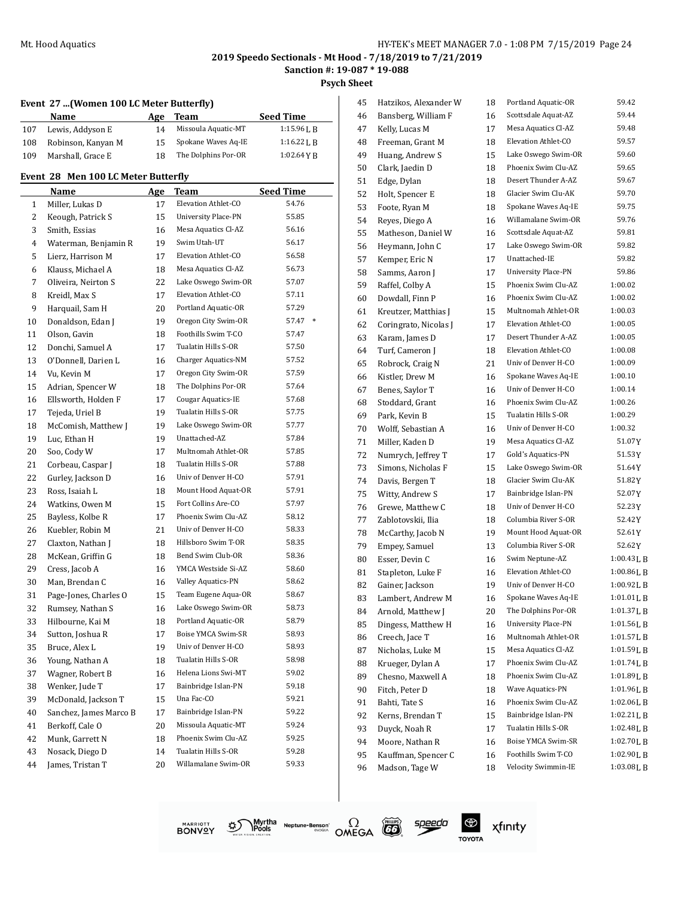**Sanction #: 19-087 \* 19-088**

**Psych Sheet**

#### **Event 27 ...(Women 100 LC Meter Butterfly)**

|     | Name               | Age | Team                | <b>Seed Time</b> |
|-----|--------------------|-----|---------------------|------------------|
| 107 | Lewis, Addyson E   | 14  | Missoula Aquatic-MT | $1:15.96$ J. R   |
| 108 | Robinson, Kanyan M | 15  | Spokane Waves Aq-IE | $1:16.22$ J, R   |
| 109 | Marshall, Grace E  | 18  | The Dolphins Por-OR | $1:02.64$ Y R    |

#### **Event 28 Men 100 LC Meter Butterfly**

|              | Name                   | Age | Team                       | Seed Time |  |
|--------------|------------------------|-----|----------------------------|-----------|--|
| $\mathbf{1}$ | Miller, Lukas D        | 17  | Elevation Athlet-CO        | 54.76     |  |
| 2            | Keough, Patrick S      | 15  | <b>University Place-PN</b> | 55.85     |  |
| 3            | Smith, Essias          | 16  | Mesa Aquatics Cl-AZ        | 56.16     |  |
| 4            | Waterman, Benjamin R   | 19  | Swim Utah-UT               | 56.17     |  |
| 5            | Lierz, Harrison M      | 17  | Elevation Athlet-CO        | 56.58     |  |
| 6            | Klauss, Michael A      | 18  | Mesa Aquatics Cl-AZ        | 56.73     |  |
| 7            | Oliveira, Neirton S    | 22  | Lake Oswego Swim-OR        | 57.07     |  |
| 8            | Kreidl, Max S          | 17  | Elevation Athlet-CO        | 57.11     |  |
| 9            | Harquail, Sam H        | 20  | Portland Aquatic-OR        | 57.29     |  |
| 10           | Donaldson, Edan J      | 19  | Oregon City Swim-OR        | 57.47 *   |  |
| 11           | Olson, Gavin           | 18  | Foothills Swim T-CO        | 57.47     |  |
| 12           | Donchi, Samuel A       | 17  | Tualatin Hills S-OR        | 57.50     |  |
| 13           | O'Donnell, Darien L    | 16  | Charger Aquatics-NM        | 57.52     |  |
| 14           | Vu, Kevin M            | 17  | Oregon City Swim-OR        | 57.59     |  |
| 15           | Adrian, Spencer W      | 18  | The Dolphins Por-OR        | 57.64     |  |
| 16           | Ellsworth, Holden F    | 17  | <b>Cougar Aquatics-IE</b>  | 57.68     |  |
| 17           | Tejeda, Uriel B        | 19  | Tualatin Hills S-OR        | 57.75     |  |
| 18           | McComish, Matthew J    | 19  | Lake Oswego Swim-OR        | 57.77     |  |
| 19           | Luc, Ethan H           | 19  | Unattached-AZ              | 57.84     |  |
| 20           | Soo, Cody W            | 17  | Multnomah Athlet-OR        | 57.85     |  |
| 21           | Corbeau, Caspar J      | 18  | Tualatin Hills S-OR        | 57.88     |  |
| 22           | Gurley, Jackson D      | 16  | Univ of Denver H-CO        | 57.91     |  |
| 23           | Ross, Isaiah L         | 18  | Mount Hood Aquat-OR        | 57.91     |  |
| 24           | Watkins, Owen M        | 15  | Fort Collins Are-CO        | 57.97     |  |
| 25           | Bayless, Kolbe R       | 17  | Phoenix Swim Clu-AZ        | 58.12     |  |
| 26           | Kuebler, Robin M       | 21  | Univ of Denver H-CO        | 58.33     |  |
| 27           | Claxton, Nathan J      | 18  | Hillsboro Swim T-OR        | 58.35     |  |
| 28           | McKean, Griffin G      | 18  | Bend Swim Club-OR          | 58.36     |  |
| 29           | Cress, Jacob A         | 16  | YMCA Westside Si-AZ        | 58.60     |  |
| 30           | Man, Brendan C         | 16  | Valley Aquatics-PN         | 58.62     |  |
| 31           | Page-Jones, Charles O  | 15  | Team Eugene Aqua-OR        | 58.67     |  |
| 32           | Rumsey, Nathan S       | 16  | Lake Oswego Swim-OR        | 58.73     |  |
| 33           | Hilbourne, Kai M       | 18  | Portland Aquatic-OR        | 58.79     |  |
| 34           | Sutton, Joshua R       | 17  | Boise YMCA Swim-SR         | 58.93     |  |
| 35           | Bruce, Alex L          | 19  | Univ of Denver H-CO        | 58.93     |  |
| 36           | Young, Nathan A        | 18  | Tualatin Hills S-OR        | 58.98     |  |
| 37           | Wagner, Robert B       | 16  | Helena Lions Swi-MT        | 59.02     |  |
| 38           | Wenker, Jude T         | 17  | Bainbridge Islan-PN        | 59.18     |  |
| 39           | McDonald, Jackson T    | 15  | Una Fac-CO                 | 59.21     |  |
| 40           | Sanchez, James Marco B | 17  | Bainbridge Islan-PN        | 59.22     |  |
| 41           | Berkoff, Cale O        | 20  | Missoula Aquatic-MT        | 59.24     |  |
| 42           | Munk, Garrett N        | 18  | Phoenix Swim Clu-AZ        | 59.25     |  |
| 43           | Nosack, Diego D        | 14  | Tualatin Hills S-OR        | 59.28     |  |
| 44           | James, Tristan T       | 20  | Willamalane Swim-OR        | 59.33     |  |

| 45       | Hatzikos, Alexander W              | 18 | Portland Aquatic-OR                        | 59.42        |
|----------|------------------------------------|----|--------------------------------------------|--------------|
| 46       | Bansberg, William F                | 16 | Scottsdale Aquat-AZ                        | 59.44        |
| 47       | Kelly, Lucas M                     | 17 | Mesa Aquatics Cl-AZ                        | 59.48        |
| 48       | Freeman, Grant M                   | 18 | Elevation Athlet-CO                        | 59.57        |
| 49       | Huang, Andrew S                    | 15 | Lake Oswego Swim-OR                        | 59.60        |
| 50       | Clark, Jaedin D                    | 18 | Phoenix Swim Clu-AZ                        | 59.65        |
| 51       | Edge, Dylan                        | 18 | Desert Thunder A-AZ                        | 59.67        |
| 52       | Holt, Spencer E                    | 18 | Glacier Swim Clu-AK                        | 59.70        |
| 53       | Foote, Ryan M                      | 18 | Spokane Waves Aq-IE                        | 59.75        |
| 54       | Reyes, Diego A                     | 16 | Willamalane Swim-OR                        | 59.76        |
| 55       | Matheson, Daniel W                 | 16 | Scottsdale Aquat-AZ                        | 59.81        |
| 56       | Heymann, John C                    | 17 | Lake Oswego Swim-OR                        | 59.82        |
| 57       | Kemper, Eric N                     | 17 | Unattached-IE                              | 59.82        |
| 58       | Samms, Aaron J                     | 17 | <b>University Place-PN</b>                 | 59.86        |
| 59       | Raffel, Colby A                    | 15 | Phoenix Swim Clu-AZ                        | 1:00.02      |
| 60       | Dowdall, Finn P                    | 16 | Phoenix Swim Clu-AZ                        | 1:00.02      |
| 61       | Kreutzer, Matthias J               | 15 | Multnomah Athlet-OR                        | 1:00.03      |
| 62       | Coringrato, Nicolas J              | 17 | Elevation Athlet-CO                        | 1:00.05      |
| 63       | Karam, James D                     | 17 | Desert Thunder A-AZ                        | 1:00.05      |
| 64       | Turf, Cameron J                    | 18 | Elevation Athlet-CO                        | 1:00.08      |
| 65       | Robrock, Craig N                   | 21 | Univ of Denver H-CO                        | 1:00.09      |
| 66       | Kistler, Drew M                    | 16 | Spokane Waves Aq-IE                        | 1:00.10      |
| 67       | Benes, Saylor T                    | 16 | Univ of Denver H-CO                        | 1:00.14      |
| 68       | Stoddard, Grant                    | 16 | Phoenix Swim Clu-AZ                        | 1:00.26      |
| 69       | Park, Kevin B                      | 15 | Tualatin Hills S-OR                        | 1:00.29      |
| 70       | Wolff, Sebastian A                 | 16 | Univ of Denver H-CO                        | 1:00.32      |
| 71       | Miller, Kaden D                    | 19 | Mesa Aquatics Cl-AZ                        | 51.07Y       |
| 72       | Numrych, Jeffrey T                 | 17 | Gold's Aquatics-PN                         | 51.53Y       |
| 73       | Simons, Nicholas F                 | 15 | Lake Oswego Swim-OR                        | 51.64Y       |
|          |                                    | 18 | Glacier Swim Clu-AK                        | 51.82Y       |
| 74<br>75 | Davis, Bergen T<br>Witty, Andrew S | 17 | Bainbridge Islan-PN                        | 52.07Y       |
|          |                                    |    | Univ of Denver H-CO                        | 52.23Y       |
| 76       | Grewe, Matthew C                   | 18 | Columbia River S-OR                        | 52.42Y       |
| 77       | Zablotovskii, Ilia                 | 18 | Mount Hood Aquat-OR                        |              |
| 78       | McCarthy, Jacob N                  | 19 | Columbia River S-OR                        | 52.61Y       |
| 79       | Empey, Samuel                      | 13 | Swim Neptune-AZ                            | 52.62Y       |
| 80       | Esser, Devin C                     | 16 |                                            | 1:00.43L B   |
| 81       | Stapleton, Luke F                  | 16 | Elevation Athlet-CO<br>Univ of Denver H-CO | $1:00.86$ LB |
| 82       | Gainer, Jackson                    | 19 |                                            | 1:00.92 L B  |
| 83       | Lambert, Andrew M                  | 16 | Spokane Waves Aq-IE                        | 1:01.01L B   |
| 84       | Arnold, Matthew J                  | 20 | The Dolphins Por-OR                        | 1:01.37LB    |
| 85       | Dingess, Matthew H                 | 16 | <b>University Place-PN</b>                 | 1:01.56LB    |
| 86       | Creech, Jace T                     | 16 | Multnomah Athlet-OR                        | 1:01.57LB    |
| 87       | Nicholas, Luke M                   | 15 | Mesa Aquatics Cl-AZ                        | 1:01.59LB    |
| 88       | Krueger, Dylan A                   | 17 | Phoenix Swim Clu-AZ                        | 1:01.74LB    |
| 89       | Chesno, Maxwell A                  | 18 | Phoenix Swim Clu-AZ                        | 1:01.89LB    |
| 90       | Fitch, Peter D                     | 18 | Wave Aquatics-PN                           | 1:01.96LB    |
| 91       | Bahti, Tate S                      | 16 | Phoenix Swim Clu-AZ                        | 1:02.06LB    |
| 92       | Kerns, Brendan T                   | 15 | Bainbridge Islan-PN                        | 1:02.21L B   |
| 93       | Duyck, Noah R                      | 17 | Tualatin Hills S-OR                        | 1:02.48LB    |
| 94       | Moore, Nathan R                    | 16 | Boise YMCA Swim-SR                         | 1:02.70LB    |
| 95       | Kauffman, Spencer C                | 16 | Foothills Swim T-CO                        | 1:02.90LB    |
| 96       | Madson, Tage W                     | 18 | Velocity Swimmin-IE                        | 1:03.08LB    |
|          |                                    |    |                                            |              |





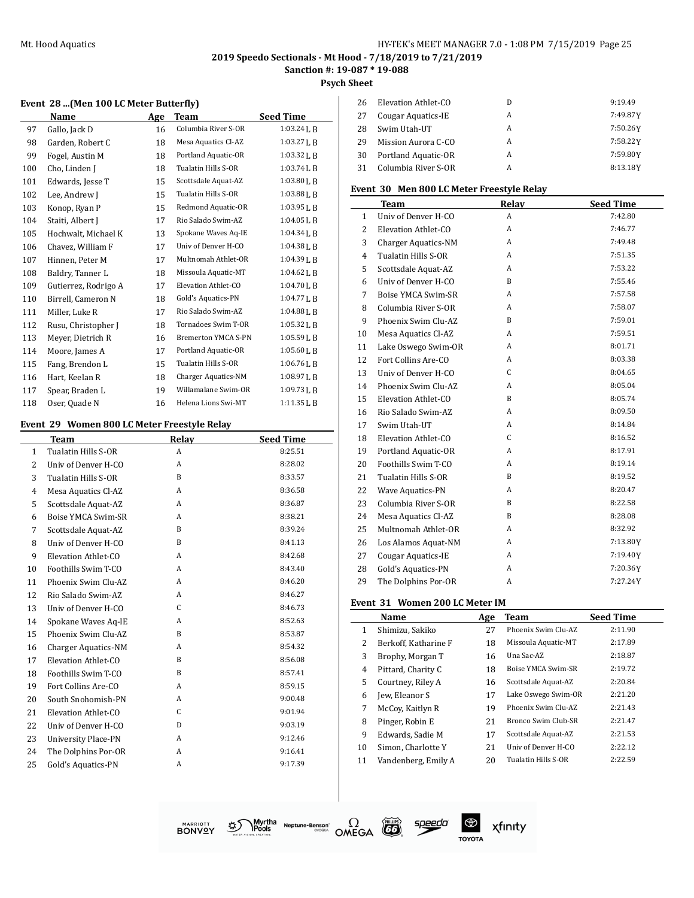#### Mt. Hood Aquatics **Music Accord 20 Accord 20 Accord 20 Accord 20 Accord 20 Accord 20 Accord 20 Accord 20 Accord 20 Accord 20 Accord 20 Accord 20 Accord 20 Accord 20 Accord 20 Accord 20 Accord 20 Accord 20 Accord 20 Accord**

## **2019 Speedo Sectionals - Mt Hood - 7/18/2019 to 7/21/2019**

## **Sanction #: 19-087 \* 19-088**

**Psych Sheet**

#### **Event 28 ...(Men 100 LC Meter Butterfly)**

|     | Name                 | Age | <b>Team</b>                | <b>Seed Time</b> |
|-----|----------------------|-----|----------------------------|------------------|
| 97  | Gallo, Jack D        | 16  | Columbia River S-OR        | $1:03.24$ J, B   |
| 98  | Garden, Robert C     | 18  | Mesa Aquatics Cl-AZ        | 1:03.27 L B      |
| 99  | Fogel, Austin M      | 18  | Portland Aquatic-OR        | 1:03.32LB        |
| 100 | Cho, Linden J        | 18  | Tualatin Hills S-OR        | $1:03.74$ J, B   |
| 101 | Edwards, Jesse T     | 15  | Scottsdale Aquat-AZ        | $1:03.80$ J, B   |
| 102 | Lee, Andrew J        | 15  | Tualatin Hills S-OR        | 1:03.88LB        |
| 103 | Konop, Ryan P        | 15  | Redmond Aquatic-OR         | $1:03.95$ J, B   |
| 104 | Staiti, Albert J     | 17  | Rio Salado Swim-AZ         | 1:04.05L B       |
| 105 | Hochwalt, Michael K  | 13  | Spokane Waves Aq-IE        | 1:04.34LB        |
| 106 | Chavez, William F    | 17  | Univ of Denver H-CO        | $1:04.38$ J, B   |
| 107 | Hinnen, Peter M      | 17  | Multnomah Athlet-OR        | $1:04.39$ J, B   |
| 108 | Baldry, Tanner L     | 18  | Missoula Aquatic-MT        | 1:04.62LB        |
| 109 | Gutierrez, Rodrigo A | 17  | Elevation Athlet-CO        | $1:04.70$ J, B   |
| 110 | Birrell, Cameron N   | 18  | Gold's Aquatics-PN         | $1:04.77$ J, B   |
| 111 | Miller, Luke R       | 17  | Rio Salado Swim-AZ         | 1:04.88LB        |
| 112 | Rusu, Christopher J  | 18  | Tornadoes Swim T-OR        | $1:05.32$ J, B   |
| 113 | Meyer, Dietrich R    | 16  | <b>Bremerton YMCA S-PN</b> | $1:05.59$ J, B   |
| 114 | Moore, James A       | 17  | Portland Aquatic-OR        | 1:05.60LB        |
| 115 | Fang, Brendon L      | 15  | Tualatin Hills S-OR        | 1:06.76LB        |
| 116 | Hart, Keelan R       | 18  | <b>Charger Aquatics-NM</b> | $1:08.97$ J, B   |
| 117 | Spear, Braden L      | 19  | Willamalane Swim-OR        | 1:09.73LB        |
| 118 | Oser, Quade N        | 16  | Helena Lions Swi-MT        | $1:11.35$ J, B   |

#### **Event 29 Women 800 LC Meter Freestyle Relay**

|              | <b>Team</b>                | Relay        | <b>Seed Time</b> |
|--------------|----------------------------|--------------|------------------|
| $\mathbf{1}$ | Tualatin Hills S-OR        | A            | 8:25.51          |
| 2            | Univ of Denver H-CO        | A            | 8:28.02          |
| 3            | Tualatin Hills S-OR        | B            | 8:33.57          |
| 4            | Mesa Aquatics Cl-AZ        | A            | 8:36.58          |
| 5            | Scottsdale Aquat-AZ        | A            | 8:36.87          |
| 6            | Boise YMCA Swim-SR         | A            | 8:38.21          |
| 7            | Scottsdale Aquat-AZ        | <sub>B</sub> | 8:39.24          |
| 8            | Univ of Denver H-CO        | B            | 8:41.13          |
| 9            | Elevation Athlet-CO        | A            | 8:42.68          |
| 10           | Foothills Swim T-CO        | A            | 8:43.40          |
| 11           | Phoenix Swim Clu-AZ        | A            | 8:46.20          |
| 12           | Rio Salado Swim-AZ         | A            | 8:46.27          |
| 13           | Univ of Denver H-CO        | C            | 8:46.73          |
| 14           | Spokane Waves Aq-IE        | A            | 8:52.63          |
| 15           | Phoenix Swim Clu-AZ        | B            | 8:53.87          |
| 16           | Charger Aquatics-NM        | A            | 8:54.32          |
| 17           | Elevation Athlet-CO        | B            | 8:56.08          |
| 18           | Foothills Swim T-CO        | B            | 8:57.41          |
| 19           | Fort Collins Are-CO        | A            | 8:59.15          |
| 20           | South Snohomish-PN         | A            | 9:00.48          |
| 21           | Elevation Athlet-CO        | $\mathsf{C}$ | 9:01.94          |
| 22           | Univ of Denver H-CO        | D            | 9:03.19          |
| 23           | <b>University Place-PN</b> | A            | 9:12.46          |
| 24           | The Dolphins Por-OR        | A            | 9:16.41          |
| 25           | <b>Gold's Aquatics-PN</b>  | A            | 9:17.39          |
|              |                            |              |                  |

| 26 | Elevation Athlet-CO | D | 9:19.49  |
|----|---------------------|---|----------|
| 27 | Cougar Aquatics-IE  | А | 7:49.87Y |
| 28 | Swim Utah-UT        | А | 7:50.26Y |
| 29 | Mission Aurora C-CO | A | 7:58.22Y |
| 30 | Portland Aquatic-OR | A | 7:59.80Y |
| 31 | Columbia River S-OR | А | 8:13.18Y |

#### **Event 30 Men 800 LC Meter Freestyle Relay**

|                | Team                       | Relay | <b>Seed Time</b> |
|----------------|----------------------------|-------|------------------|
| $\mathbf{1}$   | Univ of Denver H-CO        | A     | 7:42.80          |
| $\overline{c}$ | Elevation Athlet-CO        | A     | 7:46.77          |
| 3              | <b>Charger Aquatics-NM</b> | A     | 7:49.48          |
| $\overline{4}$ | Tualatin Hills S-OR        | A     | 7:51.35          |
| 5              | Scottsdale Aquat-AZ        | A     | 7:53.22          |
| 6              | Univ of Denver H-CO        | B     | 7:55.46          |
| 7              | Boise YMCA Swim-SR         | A     | 7:57.58          |
| 8              | Columbia River S-OR        | A     | 7:58.07          |
| 9              | Phoenix Swim Clu-AZ        | B     | 7:59.01          |
| 10             | Mesa Aquatics Cl-AZ        | A     | 7:59.51          |
| 11             | Lake Oswego Swim-OR        | A     | 8:01.71          |
| 12             | Fort Collins Are-CO        | A     | 8:03.38          |
| 13             | Univ of Denver H-CO        | C     | 8:04.65          |
| 14             | Phoenix Swim Clu-AZ        | A     | 8:05.04          |
| 15             | Elevation Athlet-CO        | B     | 8:05.74          |
| 16             | Rio Salado Swim-AZ         | A     | 8:09.50          |
| 17             | Swim Utah-UT               | A     | 8:14.84          |
| 18             | Elevation Athlet-CO        | C     | 8:16.52          |
| 19             | Portland Aquatic-OR        | A     | 8:17.91          |
| 20             | Foothills Swim T-CO        | A     | 8:19.14          |
| 21             | Tualatin Hills S-OR        | B     | 8:19.52          |
| 22             | Wave Aquatics-PN           | A     | 8:20.47          |
| 23             | Columbia River S-OR        | B     | 8:22.58          |
| 24             | Mesa Aquatics Cl-AZ        | B     | 8:28.08          |
| 25             | Multnomah Athlet-OR        | A     | 8:32.92          |
| 26             | Los Alamos Aquat-NM        | A     | 7:13.80Y         |
| 27             | Cougar Aquatics-IE         | A     | 7:19.40Y         |
| 28             | Gold's Aquatics-PN         | A     | 7:20.36Y         |
| 29             | The Dolphins Por-OR        | A     | 7:27.24Y         |

## **Event 31 Women 200 LC Meter IM**

|    | Name                 | Age | Team                | <b>Seed Time</b> |
|----|----------------------|-----|---------------------|------------------|
| 1  | Shimizu, Sakiko      | 27  | Phoenix Swim Clu-AZ | 2:11.90          |
| 2  | Berkoff, Katharine F | 18  | Missoula Aquatic-MT | 2:17.89          |
| 3  | Brophy, Morgan T     | 16  | Una Sac-AZ          | 2:18.87          |
| 4  | Pittard, Charity C   | 18  | Boise YMCA Swim-SR  | 2:19.72          |
| 5  | Courtney, Riley A    | 16  | Scottsdale Aquat-AZ | 2:20.84          |
| 6  | Jew, Eleanor S       | 17  | Lake Oswego Swim-OR | 2:21.20          |
| 7  | McCoy, Kaitlyn R     | 19  | Phoenix Swim Clu-AZ | 2:21.43          |
| 8  | Pinger, Robin E      | 21  | Bronco Swim Club-SR | 2:21.47          |
| 9  | Edwards, Sadie M     | 17  | Scottsdale Aquat-AZ | 2:21.53          |
| 10 | Simon, Charlotte Y   | 21  | Univ of Denver H-CO | 2:22.12          |
| 11 | Vandenberg, Emily A  | 20  | Tualatin Hills S-OR | 2:22.59          |

xfinity

 $^{\circledR}$ 

**TOYOTA** 

**BONVOY** 

Myrtha Neptune-Benson<sup>\*</sup><br>Pools Neptune-Benson\* D)

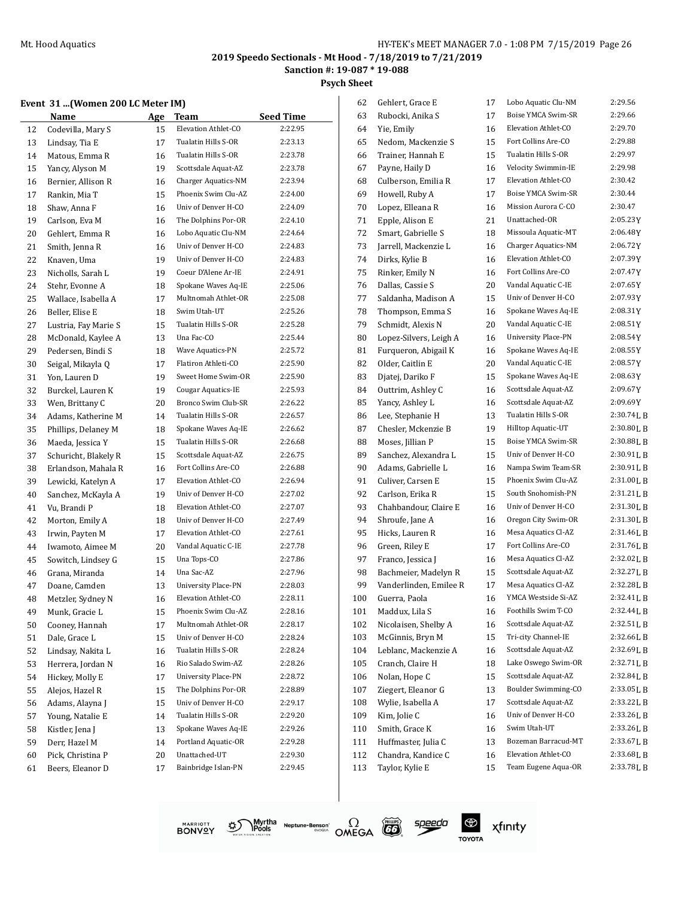**Sanction #: 19-087 \* 19-088**

**Psych Sheet**

## **Event 31 ...(Women 200 LC Meter IM)**

|    | vent 31 (Women 200 LC Meter IM)<br>Name | Age | Team                       | <b>Seed Time</b> |
|----|-----------------------------------------|-----|----------------------------|------------------|
| 12 | Codevilla, Mary S                       | 15  | Elevation Athlet-CO        | 2:22.95          |
| 13 | Lindsay, Tia E                          | 17  | Tualatin Hills S-OR        | 2:23.13          |
| 14 | Matous, Emma R                          | 16  | Tualatin Hills S-OR        | 2:23.78          |
| 15 | Yancy, Alyson M                         | 19  | Scottsdale Aquat-AZ        | 2:23.78          |
| 16 | Bernier, Allison R                      | 16  | Charger Aquatics-NM        | 2:23.94          |
| 17 | Rankin, Mia T                           | 15  | Phoenix Swim Clu-AZ        | 2:24.00          |
| 18 | Shaw, Anna F                            | 16  | Univ of Denver H-CO        | 2:24.09          |
| 19 | Carlson, Eva M                          | 16  | The Dolphins Por-OR        | 2:24.10          |
| 20 | Gehlert, Emma R                         | 16  | Lobo Aquatic Clu-NM        | 2:24.64          |
| 21 | Smith, Jenna R                          | 16  | Univ of Denver H-CO        | 2:24.83          |
| 22 | Knaven, Uma                             | 19  | Univ of Denver H-CO        | 2:24.83          |
| 23 | Nicholls, Sarah L                       | 19  | Coeur D'Alene Ar-IE        | 2:24.91          |
| 24 | Stehr, Evonne A                         | 18  | Spokane Waves Aq-IE        | 2:25.06          |
| 25 | Wallace, Isabella A                     | 17  | Multnomah Athlet-OR        | 2:25.08          |
| 26 | Beller, Elise E                         | 18  | Swim Utah-UT               | 2:25.26          |
| 27 | Lustria, Fay Marie S                    | 15  | Tualatin Hills S-OR        | 2:25.28          |
| 28 | McDonald, Kaylee A                      | 13  | Una Fac-CO                 | 2:25.44          |
| 29 | Pedersen, Bindi S                       | 18  | Wave Aquatics-PN           | 2:25.72          |
|    | Seigal, Mikayla Q                       |     | Flatiron Athleti-CO        | 2:25.90          |
| 30 |                                         | 17  | Sweet Home Swim-OR         | 2:25.90          |
| 31 | Yon, Lauren D                           | 19  | <b>Cougar Aquatics-IE</b>  | 2:25.93          |
| 32 | Burckel, Lauren K                       | 19  | Bronco Swim Club-SR        | 2:26.22          |
| 33 | Wen, Brittany C                         | 20  | <b>Tualatin Hills S-OR</b> |                  |
| 34 | Adams. Katherine M                      | 14  |                            | 2:26.57          |
| 35 | Phillips, Delaney M                     | 18  | Spokane Waves Aq-IE        | 2:26.62          |
| 36 | Maeda, Jessica Y                        | 15  | Tualatin Hills S-OR        | 2:26.68          |
| 37 | Schuricht, Blakely R                    | 15  | Scottsdale Aquat-AZ        | 2:26.75          |
| 38 | Erlandson, Mahala R                     | 16  | Fort Collins Are-CO        | 2:26.88          |
| 39 | Lewicki, Katelyn A                      | 17  | Elevation Athlet-CO        | 2:26.94          |
| 40 | Sanchez, McKayla A                      | 19  | Univ of Denver H-CO        | 2:27.02          |
| 41 | Vu, Brandi P                            | 18  | Elevation Athlet-CO        | 2:27.07          |
| 42 | Morton, Emily A                         | 18  | Univ of Denver H-CO        | 2:27.49          |
| 43 | Irwin, Payten M                         | 17  | Elevation Athlet-CO        | 2:27.61          |
| 44 | Iwamoto, Aimee M                        | 20  | Vandal Aquatic C-IE        | 2:27.78          |
| 45 | Sowitch, Lindsey G                      | 15  | Una Tops-CO                | 2:27.86          |
| 46 | Grana, Miranda                          | 14  | Una Sac-AZ                 | 2:27.96          |
| 47 | Doane, Camden                           | 13  | <b>University Place-PN</b> | 2:28.03          |
| 48 | Metzler, Sydney N                       | 16  | Elevation Athlet-CO        | 2:28.11          |
| 49 | Munk, Gracie L                          | 15  | Phoenix Swim Clu-AZ        | 2:28.16          |
| 50 | Cooney, Hannah                          | 17  | Multnomah Athlet-OR        | 2:28.17          |
| 51 | Dale, Grace L                           | 15  | Univ of Denver H-CO        | 2:28.24          |
| 52 | Lindsay, Nakita L                       | 16  | Tualatin Hills S-OR        | 2:28.24          |
| 53 | Herrera, Jordan N                       | 16  | Rio Salado Swim-AZ         | 2:28.26          |
| 54 | Hickey, Molly E                         | 17  | University Place-PN        | 2:28.72          |
| 55 | Alejos, Hazel R                         | 15  | The Dolphins Por-OR        | 2:28.89          |
| 56 | Adams, Alayna J                         | 15  | Univ of Denver H-CO        | 2:29.17          |
| 57 | Young, Natalie E                        | 14  | Tualatin Hills S-OR        | 2:29.20          |
| 58 | Kistler, Jena J                         | 13  | Spokane Waves Aq-IE        | 2:29.26          |
| 59 | Derr, Hazel M                           | 14  | Portland Aquatic-OR        | 2:29.28          |
| 60 | Pick, Christina P                       | 20  | Unattached-UT              | 2:29.30          |
| 61 | Beers, Eleanor D                        | 17  | Bainbridge Islan-PN        | 2:29.45          |

| 62  | Gehlert, Grace E       | 17 | Lobo Aquatic Clu-NM        | 2:29.56     |
|-----|------------------------|----|----------------------------|-------------|
| 63  | Rubocki, Anika S       | 17 | Boise YMCA Swim-SR         | 2:29.66     |
| 64  | Yie, Emily             | 16 | Elevation Athlet-CO        | 2:29.70     |
| 65  | Nedom, Mackenzie S     | 15 | Fort Collins Are-CO        | 2:29.88     |
| 66  | Trainer, Hannah E      | 15 | Tualatin Hills S-OR        | 2:29.97     |
| 67  | Payne, Haily D         | 16 | Velocity Swimmin-IE        | 2:29.98     |
| 68  | Culberson, Emilia R    | 17 | Elevation Athlet-CO        | 2:30.42     |
| 69  | Howell, Ruby A         | 17 | Boise YMCA Swim-SR         | 2:30.44     |
| 70  | Lopez, Elleana R       | 16 | Mission Aurora C-CO        | 2:30.47     |
| 71  | Epple, Alison E        | 21 | Unattached-OR              | 2:05.23Y    |
| 72  | Smart, Gabrielle S     | 18 | Missoula Aquatic-MT        | 2:06.48Y    |
| 73  | Jarrell, Mackenzie L   | 16 | Charger Aquatics-NM        | 2:06.72Y    |
| 74  | Dirks, Kylie B         | 16 | Elevation Athlet-CO        | 2:07.39Y    |
| 75  | Rinker, Emily N        | 16 | Fort Collins Are-CO        | 2:07.47Y    |
| 76  | Dallas, Cassie S       | 20 | Vandal Aquatic C-IE        | 2:07.65Y    |
| 77  | Saldanha, Madison A    | 15 | Univ of Denver H-CO        | 2:07.93Y    |
| 78  | Thompson, Emma S       | 16 | Spokane Waves Aq-IE        | 2:08.31Y    |
| 79  | Schmidt, Alexis N      | 20 | Vandal Aquatic C-IE        | 2:08.51Y    |
| 80  | Lopez-Silvers, Leigh A | 16 | <b>University Place-PN</b> | 2:08.54Y    |
| 81  | Furqueron, Abigail K   | 16 | Spokane Waves Aq-IE        | 2:08.55Y    |
| 82  | Older, Caitlin E       | 20 | Vandal Aquatic C-IE        | 2:08.57Y    |
| 83  | Djatej, Dariko F       | 15 | Spokane Waves Aq-IE        | 2:08.63Y    |
| 84  | Outtrim, Ashley C      | 16 | Scottsdale Aquat-AZ        | 2:09.67Y    |
| 85  | Yancy, Ashley L        | 16 | Scottsdale Aquat-AZ        | 2:09.69Y    |
| 86  | Lee, Stephanie H       | 13 | Tualatin Hills S-OR        | 2:30.74LB   |
| 87  | Chesler, Mckenzie B    | 19 | Hilltop Aquatic-UT         | 2:30.80LB   |
| 88  | Moses, Jillian P       | 15 | Boise YMCA Swim-SR         | 2:30.88L B  |
| 89  | Sanchez, Alexandra L   | 15 | Univ of Denver H-CO        | 2:30.91LB   |
| 90  | Adams, Gabrielle L     | 16 | Nampa Swim Team-SR         | 2:30.91LB   |
| 91  | Culiver, Carsen E      | 15 | Phoenix Swim Clu-AZ        | 2:31.00LB   |
| 92  | Carlson, Erika R       | 15 | South Snohomish-PN         | 2:31.21LB   |
| 93  | Chahbandour, Claire E  | 16 | Univ of Denver H-CO        | 2:31.30LB   |
| 94  | Shroufe, Jane A        | 16 | Oregon City Swim-OR        | 2:31.30LB   |
| 95  | Hicks, Lauren R        | 16 | Mesa Aquatics Cl-AZ        | 2:31.46LB   |
| 96  | Green, Riley E         | 17 | Fort Collins Are-CO        | 2:31.76LB   |
| 97  | Franco, Jessica J      | 16 | Mesa Aquatics Cl-AZ        | 2:32.02LB   |
| 98  | Bachmeier, Madelyn R   | 15 | Scottsdale Aquat-AZ        | 2:32.27LB   |
| 99  | Vanderlinden, Emilee R | 17 | Mesa Aquatics Cl-AZ        | 2:32.28LB   |
| 100 | Guerra, Paola          | 16 | YMCA Westside Si-AZ        | 2:32.41LB   |
| 101 | Maddux, Lila S         | 16 | Foothills Swim T-CO        | 2:32.44 L B |
| 102 | Nicolaisen, Shelby A   | 16 | Scottsdale Aquat-AZ        | 2:32.51LB   |
| 103 | McGinnis, Bryn M       | 15 | Tri-city Channel-IE        | 2:32.66LB   |
| 104 | Leblanc, Mackenzie A   | 16 | Scottsdale Aquat-AZ        | 2:32.69LB   |
| 105 | Cranch, Claire H       | 18 | Lake Oswego Swim-OR        | 2:32.71LB   |
| 106 | Nolan, Hope C          | 15 | Scottsdale Aquat-AZ        | 2:32.84 L B |
| 107 | Ziegert, Eleanor G     | 13 | Boulder Swimming-CO        | 2:33.05LB   |
| 108 | Wylie, Isabella A      | 17 | Scottsdale Aquat-AZ        | 2:33.22LB   |
| 109 | Kim, Jolie C           | 16 | Univ of Denver H-CO        | 2:33.26LB   |
| 110 | Smith, Grace K         | 16 | Swim Utah-UT               | 2:33.26LB   |
| 111 | Huffmaster, Julia C    | 13 | Bozeman Barracud-MT        | 2:33.67LB   |
| 112 | Chandra, Kandice C     | 16 | Elevation Athlet-CO        | 2:33.68LB   |
| 113 | Taylor, Kylie E        | 15 | Team Eugene Aqua-OR        | 2:33.78LB   |
|     |                        |    |                            |             |







speedo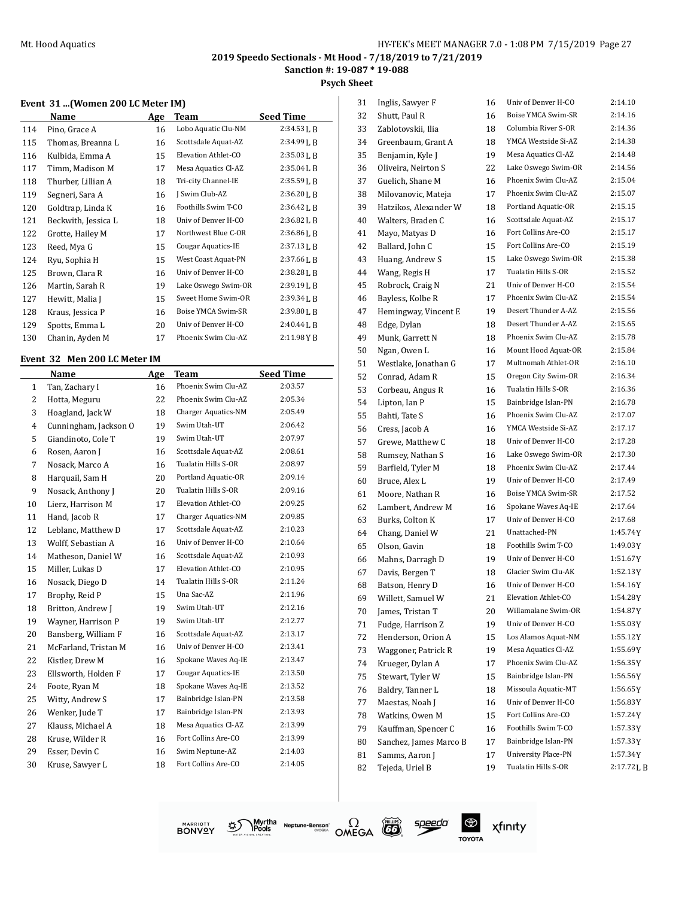**Psych Sheet**

#### **Event 31 ...(Women 200 LC Meter IM)**

|     | Name                | Age | Team                | <b>Seed Time</b> |
|-----|---------------------|-----|---------------------|------------------|
| 114 | Pino, Grace A       | 16  | Lobo Aquatic Clu-NM | 2:34.53L B       |
| 115 | Thomas, Breanna L   | 16  | Scottsdale Aquat-AZ | $2:34.99$ J, B   |
| 116 | Kulbida, Emma A     | 15  | Elevation Athlet-CO | 2:35.03LB        |
| 117 | Timm, Madison M     | 17  | Mesa Aquatics Cl-AZ | $2:35.04$ J, B   |
| 118 | Thurber, Lillian A  | 18  | Tri-city Channel-IE | $2:35.59$ J, B   |
| 119 | Segneri, Sara A     | 16  | J Swim Club-AZ      | 2:36.20LB        |
| 120 | Goldtrap, Linda K   | 16  | Foothills Swim T-CO | $2:36.42$ J, B   |
| 121 | Beckwith, Jessica L | 18  | Univ of Denver H-CO | $2:36.82$ J, B   |
| 122 | Grotte, Hailey M    | 17  | Northwest Blue C-OR | $2:36.86$ J, B   |
| 123 | Reed, Mya G         | 15  | Cougar Aquatics-IE  | $2:37.13$ J, B   |
| 124 | Ryu, Sophia H       | 15  | West Coast Aquat-PN | $2:37.66$ J, B   |
| 125 | Brown, Clara R      | 16  | Univ of Denver H-CO | 2:38.28LB        |
| 126 | Martin, Sarah R     | 19  | Lake Oswego Swim-OR | 2:39.19LB        |
| 127 | Hewitt, Malia J     | 15  | Sweet Home Swim-OR  | $2:39.34$ J, B   |
| 128 | Kraus, Jessica P    | 16  | Boise YMCA Swim-SR  | 2:39.80 L B      |
| 129 | Spotts, Emma L      | 20  | Univ of Denver H-CO | 2:40.44LB        |
| 130 | Chanin, Ayden M     | 17  | Phoenix Swim Clu-AZ | 2:11.98YB        |

#### **Event 32 Men 200 LC Meter IM**

|              | Name                  | Age | Team                      | <b>Seed Time</b> |
|--------------|-----------------------|-----|---------------------------|------------------|
| $\mathbf{1}$ | Tan, Zachary I        | 16  | Phoenix Swim Clu-AZ       | 2:03.57          |
| 2            | Hotta, Meguru         | 22  | Phoenix Swim Clu-AZ       | 2:05.34          |
| 3            | Hoagland, Jack W      | 18  | Charger Aquatics-NM       | 2:05.49          |
| 4            | Cunningham, Jackson O | 19  | Swim Utah-UT              | 2:06.42          |
| 5            | Giandinoto, Cole T    | 19  | Swim Utah-UT              | 2:07.97          |
| 6            | Rosen, Aaron J        | 16  | Scottsdale Aquat-AZ       | 2:08.61          |
| 7            | Nosack, Marco A       | 16  | Tualatin Hills S-OR       | 2:08.97          |
| 8            | Harquail, Sam H       | 20  | Portland Aquatic-OR       | 2:09.14          |
| 9            | Nosack, Anthony J     | 20  | Tualatin Hills S-OR       | 2:09.16          |
| 10           | Lierz, Harrison M     | 17  | Elevation Athlet-CO       | 2:09.25          |
| 11           | Hand, Jacob R         | 17  | Charger Aquatics-NM       | 2:09.85          |
| 12           | Leblanc, Matthew D    | 17  | Scottsdale Aquat-AZ       | 2:10.23          |
| 13           | Wolff, Sebastian A    | 16  | Univ of Denver H-CO       | 2:10.64          |
| 14           | Matheson, Daniel W    | 16  | Scottsdale Aquat-AZ       | 2:10.93          |
| 15           | Miller, Lukas D       | 17  | Elevation Athlet-CO       | 2:10.95          |
| 16           | Nosack, Diego D       | 14  | Tualatin Hills S-OR       | 2:11.24          |
| 17           | Brophy, Reid P        | 15  | Una Sac-AZ                | 2:11.96          |
| 18           | Britton, Andrew J     | 19  | Swim Utah-UT              | 2:12.16          |
| 19           | Wayner, Harrison P    | 19  | Swim Utah-UT              | 2:12.77          |
| 20           | Bansberg, William F   | 16  | Scottsdale Aquat-AZ       | 2:13.17          |
| 21           | McFarland, Tristan M  | 16  | Univ of Denver H-CO       | 2:13.41          |
| 22           | Kistler, Drew M       | 16  | Spokane Waves Aq-IE       | 2:13.47          |
| 23           | Ellsworth, Holden F   | 17  | <b>Cougar Aquatics-IE</b> | 2:13.50          |
| 24           | Foote, Ryan M         | 18  | Spokane Waves Aq-IE       | 2:13.52          |
| 25           | Witty, Andrew S       | 17  | Bainbridge Islan-PN       | 2:13.58          |
| 26           | Wenker, Jude T        | 17  | Bainbridge Islan-PN       | 2:13.93          |
| 27           | Klauss, Michael A     | 18  | Mesa Aquatics Cl-AZ       | 2:13.99          |
| 28           | Kruse, Wilder R       | 16  | Fort Collins Are-CO       | 2:13.99          |
| 29           | Esser, Devin C        | 16  | Swim Neptune-AZ           | 2:14.03          |
| 30           | Kruse, Sawyer L       | 18  | Fort Collins Are-CO       | 2:14.05          |
|              |                       |     |                           |                  |

| 31 | Inglis, Sawyer F       | 16 | Univ of Denver H-CO        | 2:14.10   |
|----|------------------------|----|----------------------------|-----------|
| 32 | Shutt, Paul R          | 16 | Boise YMCA Swim-SR         | 2:14.16   |
| 33 | Zablotovskii, Ilia     | 18 | Columbia River S-OR        | 2:14.36   |
| 34 | Greenbaum, Grant A     | 18 | YMCA Westside Si-AZ        | 2:14.38   |
| 35 | Benjamin, Kyle J       | 19 | Mesa Aquatics Cl-AZ        | 2:14.48   |
| 36 | Oliveira, Neirton S    | 22 | Lake Oswego Swim-OR        | 2:14.56   |
| 37 | Guelich, Shane M       | 16 | Phoenix Swim Clu-AZ        | 2:15.04   |
| 38 | Milovanovic, Mateja    | 17 | Phoenix Swim Clu-AZ        | 2:15.07   |
| 39 | Hatzikos, Alexander W  | 18 | Portland Aquatic-OR        | 2:15.15   |
| 40 | Walters, Braden C      | 16 | Scottsdale Aquat-AZ        | 2:15.17   |
| 41 | Mayo, Matyas D         | 16 | Fort Collins Are-CO        | 2:15.17   |
| 42 | Ballard, John C        | 15 | Fort Collins Are-CO        | 2:15.19   |
| 43 | Huang, Andrew S        | 15 | Lake Oswego Swim-OR        | 2:15.38   |
| 44 | Wang, Regis H          | 17 | Tualatin Hills S-OR        | 2:15.52   |
| 45 | Robrock, Craig N       | 21 | Univ of Denver H-CO        | 2:15.54   |
| 46 | Bayless, Kolbe R       | 17 | Phoenix Swim Clu-AZ        | 2:15.54   |
| 47 | Hemingway, Vincent E   | 19 | Desert Thunder A-AZ        | 2:15.56   |
| 48 | Edge, Dylan            | 18 | Desert Thunder A-AZ        | 2:15.65   |
| 49 | Munk, Garrett N        | 18 | Phoenix Swim Clu-AZ        | 2:15.78   |
| 50 | Ngan, Owen L           | 16 | Mount Hood Aquat-OR        | 2:15.84   |
| 51 | Westlake, Jonathan G   | 17 | Multnomah Athlet-OR        | 2:16.10   |
| 52 | Conrad, Adam R         | 15 | Oregon City Swim-OR        | 2:16.34   |
| 53 | Corbeau, Angus R       | 16 | Tualatin Hills S-OR        | 2:16.36   |
| 54 | Lipton, Ian P          | 15 | Bainbridge Islan-PN        | 2:16.78   |
| 55 | Bahti, Tate S          | 16 | Phoenix Swim Clu-AZ        | 2:17.07   |
| 56 | Cress, Jacob A         | 16 | YMCA Westside Si-AZ        | 2:17.17   |
| 57 | Grewe, Matthew C       | 18 | Univ of Denver H-CO        | 2:17.28   |
| 58 | Rumsey, Nathan S       | 16 | Lake Oswego Swim-OR        | 2:17.30   |
| 59 | Barfield, Tyler M      | 18 | Phoenix Swim Clu-AZ        | 2:17.44   |
| 60 | Bruce, Alex L          | 19 | Univ of Denver H-CO        | 2:17.49   |
| 61 | Moore, Nathan R        | 16 | Boise YMCA Swim-SR         | 2:17.52   |
| 62 | Lambert, Andrew M      | 16 | Spokane Waves Aq-IE        | 2:17.64   |
| 63 | Burks, Colton K        | 17 | Univ of Denver H-CO        | 2:17.68   |
| 64 | Chang, Daniel W        | 21 | Unattached-PN              | 1:45.74Y  |
| 65 | Olson, Gavin           | 18 | Foothills Swim T-CO        | 1:49.03Y  |
| 66 | Mahns, Darragh D       | 19 | Univ of Denver H-CO        | 1:51.67Y  |
| 67 | Davis, Bergen T        | 18 | Glacier Swim Clu-AK        | 1:52.13Y  |
| 68 | Batson, Henry D        | 16 | Univ of Denver H-CO        | 1:54.16Y  |
| 69 | Willett, Samuel W      | 21 | Elevation Athlet-CO        | 1:54.28Y  |
| 70 | James, Tristan T       | 20 | Willamalane Swim-OR        | 1:54.87Y  |
| 71 | Fudge, Harrison Z      | 19 | Univ of Denver H-CO        | 1:55.03Y  |
| 72 | Henderson, Orion A     | 15 | Los Alamos Aquat-NM        | 1:55.12Y  |
| 73 | Waggoner, Patrick R    | 19 | Mesa Aquatics Cl-AZ        | 1:55.69Y  |
| 74 | Krueger, Dylan A       | 17 | Phoenix Swim Clu-AZ        | 1:56.35Y  |
| 75 | Stewart, Tyler W       | 15 | Bainbridge Islan-PN        | 1:56.56Y  |
| 76 | Baldry, Tanner L       | 18 | Missoula Aquatic-MT        | 1:56.65Y  |
| 77 | Maestas, Noah J        | 16 | Univ of Denver H-CO        | 1:56.83Y  |
| 78 | Watkins, Owen M        | 15 | Fort Collins Are-CO        | 1:57.24Y  |
| 79 | Kauffman, Spencer C    | 16 | Foothills Swim T-CO        | 1:57.33Y  |
| 80 | Sanchez, James Marco B | 17 | Bainbridge Islan-PN        | 1:57.33Y  |
| 81 | Samms, Aaron J         | 17 | <b>University Place-PN</b> | 1:57.34Y  |
| 82 | Tejeda, Uriel B        | 19 | Tualatin Hills S-OR        | 2:17.72LB |
|    |                        |    |                            |           |







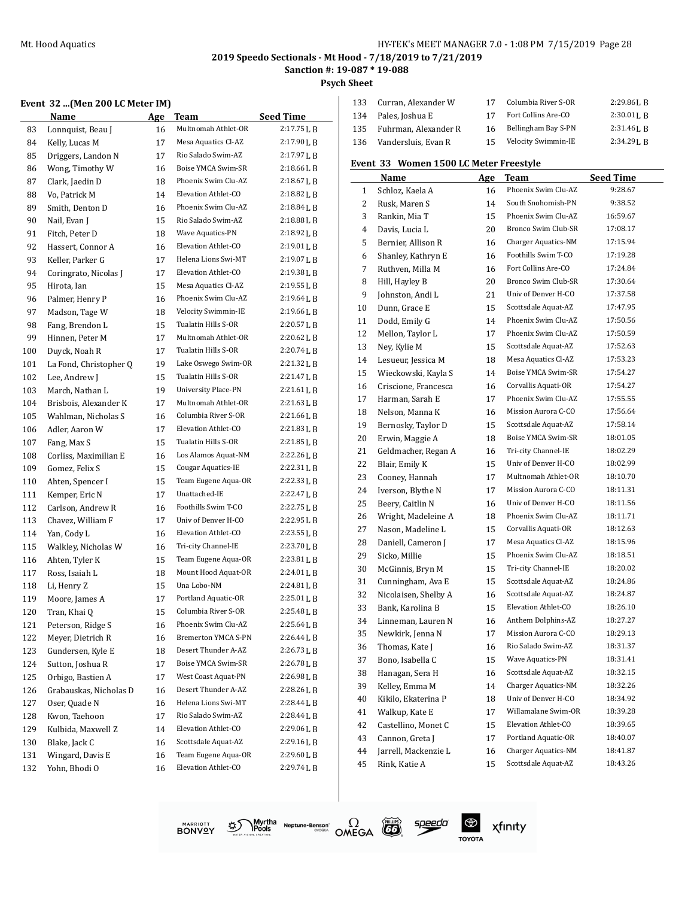#### Mt. Hood Aquatics **Music Accord 20 Accord 20 Accord 20 Accord 20 Accord 20 Accord 20 Accord 20 Accord 20 Accord 20 Accord 20 Accord 20 Accord 20 Accord 20 Accord 20 Accord 20 Accord 20 Accord 20 Accord 20 Accord 20 Accord**

# **2019 Speedo Sectionals - Mt Hood - 7/18/2019 to 7/21/2019**

**Sanction #: 19-087 \* 19-088**

 $\overline{\phantom{a}}$ 

 $\Omega$ OMEGA

speedo

 $\bigoplus$ 

**TOYOTA** 

xfinity

Myrtha Neptune-Benson<sup>\*</sup><br>VISION SEAATER

ళ్లు

**MARRIOTT**<br>BONVQY

**Psych Sheet**

| Event 32 (Men 200 LC Meter IM) |  |  |  |
|--------------------------------|--|--|--|
|--------------------------------|--|--|--|

|     | Event 32 (Men 200 LC Meter IM) |     |                            |                |
|-----|--------------------------------|-----|----------------------------|----------------|
|     | Name                           | Age | Team                       | Seed Time      |
| 83  | Lonnquist, Beau J              | 16  | Multnomah Athlet-OR        | 2:17.75 L B    |
| 84  | Kelly, Lucas M                 | 17  | Mesa Aquatics Cl-AZ        | 2:17.90 L B    |
| 85  | Driggers, Landon N             | 17  | Rio Salado Swim-AZ         | 2:17.97 L B    |
| 86  | Wong, Timothy W                | 16  | Boise YMCA Swim-SR         | 2:18.66 L B    |
| 87  | Clark, Jaedin D                | 18  | Phoenix Swim Clu-AZ        | 2:18.67 L B    |
| 88  | Vo, Patrick M                  | 14  | Elevation Athlet-CO        | 2:18.82 L B    |
| 89  | Smith, Denton D                | 16  | Phoenix Swim Clu-AZ        | 2:18.84 L B    |
| 90  | Nail, Evan J                   | 15  | Rio Salado Swim-AZ         | 2:18.88 L B    |
| 91  | Fitch, Peter D                 | 18  | Wave Aquatics-PN           | 2:18.92 L B    |
| 92  | Hassert, Connor A              | 16  | Elevation Athlet-CO        | $2:19.01$ J, B |
| 93  | Keller, Parker G               | 17  | Helena Lions Swi-MT        | 2:19.07 L B    |
| 94  | Coringrato, Nicolas J          | 17  | Elevation Athlet-CO        | 2:19.38 L B    |
| 95  | Hirota, Ian                    | 15  | Mesa Aquatics Cl-AZ        | 2:19.55 L B    |
| 96  | Palmer, Henry P                | 16  | Phoenix Swim Clu-AZ        | 2:19.64 L B    |
| 97  | Madson, Tage W                 | 18  | Velocity Swimmin-IE        | 2:19.66 L B    |
| 98  | Fang, Brendon L                | 15  | Tualatin Hills S-OR        | $2:20.57$ J, B |
| 99  | Hinnen, Peter M                | 17  | Multnomah Athlet-OR        | $2:20.62$ J, B |
| 100 | Duyck, Noah R                  | 17  | Tualatin Hills S-OR        | 2:20.74LB      |
| 101 | La Fond, Christopher Q         | 19  | Lake Oswego Swim-OR        | 2:21.32LB      |
| 102 | Lee, Andrew J                  | 15  | Tualatin Hills S-OR        | 2:21.47 L B    |
| 103 | March, Nathan L                | 19  | <b>University Place-PN</b> | 2:21.61 L B    |
| 104 | Brisbois, Alexander K          | 17  | Multnomah Athlet-OR        | 2:21.63 L B    |
| 105 | Wahlman, Nicholas S            | 16  | Columbia River S-OR        | $2:21.66$ J, B |
| 106 | Adler, Aaron W                 | 17  | Elevation Athlet-CO        | 2:21.83 L B    |
| 107 | Fang, Max S                    | 15  | Tualatin Hills S-OR        | 2:21.85 L B    |
| 108 | Corliss, Maximilian E          | 16  | Los Alamos Aquat-NM        | 2:22.26 L B    |
| 109 | Gomez, Felix S                 | 15  | <b>Cougar Aquatics-IE</b>  | 2:22.31 L B    |
| 110 | Ahten, Spencer I               | 15  | Team Eugene Aqua-OR        | 2:22.33L B     |
| 111 | Kemper, Eric N                 | 17  | Unattached-IE              | 2:22.47 L B    |
| 112 | Carlson, Andrew R              | 16  | Foothills Swim T-CO        | 2:22.75 L B    |
| 113 | Chavez, William F              | 17  | Univ of Denver H-CO        | 2:22.95 L B    |
| 114 | Yan, Cody L                    | 16  | Elevation Athlet-CO        | 2:23.55L B     |
| 115 | Walkley, Nicholas W            | 16  | Tri-city Channel-IE        | 2:23.70 J, B   |
| 116 | Ahten, Tyler K                 | 15  | Team Eugene Aqua-OR        | $2:23.81$ J, B |
| 117 | Ross, Isaiah L                 | 18  | Mount Hood Aquat-OR        | 2:24.01LB      |
| 118 | Li, Henry Z                    | 15  | Una Lobo-NM                | 2:24.81 L B    |
| 119 | Moore, James A                 | 17  | Portland Aquatic-OR        | 2:25.01 L B    |
| 120 | Tran, Khai Q                   | 15  | Columbia River S-OR        | 2:25.48LB      |
| 121 | Peterson, Ridge S              | 16  | Phoenix Swim Clu-AZ        | 2:25.64LB      |
| 122 | Meyer, Dietrich R              | 16  | Bremerton YMCA S-PN        | 2:26.44 L B    |
| 123 | Gundersen, Kyle E              | 18  | Desert Thunder A-AZ        | 2:26.73 L B    |
| 124 | Sutton, Joshua R               | 17  | Boise YMCA Swim-SR         | 2:26.78LB      |
| 125 | Orbigo, Bastien A              | 17  | West Coast Aquat-PN        | 2:26.98 L B    |
| 126 | Grabauskas, Nicholas D         | 16  | Desert Thunder A-AZ        | 2:28.26 L B    |
| 127 | Oser, Quade N                  | 16  | Helena Lions Swi-MT        | 2:28.44 L B    |
| 128 | Kwon, Taehoon                  | 17  | Rio Salado Swim-AZ         | 2:28.44 L B    |
| 129 | Kulbida, Maxwell Z             | 14  | Elevation Athlet-CO        | 2:29.06LB      |
| 130 | Blake, Jack C                  | 16  | Scottsdale Aquat-AZ        | 2:29.16LB      |
| 131 | Wingard, Davis E               | 16  | Team Eugene Aqua-OR        | 2:29.60 L B    |
|     |                                |     |                            | 2:29.74LB      |

| 133 | Curran, Alexander W      |     | Columbia River S-OR | $2:29.86$ J, B |
|-----|--------------------------|-----|---------------------|----------------|
|     | 134 Pales, Joshua E      | 17  | Fort Collins Are-CO | $2:30.01$ J. R |
|     | 135 Fuhrman. Alexander R | 16  | Bellingham Bay S-PN | $2:31.46$ J. R |
|     | 136 Vandersluis, Evan R  | 15. | Velocity Swimmin-IE | $2:34.29$ J, B |

## **Event 33 Women 1500 LC Meter Freestyle**

|    | uu JJ<br>women 1900 Le Meter Heestyle |     |                            |                  |
|----|---------------------------------------|-----|----------------------------|------------------|
|    | Name                                  | Age | <b>Team</b>                | <b>Seed Time</b> |
| 1  | Schloz, Kaela A                       | 16  | Phoenix Swim Clu-AZ        | 9:28.67          |
| 2  | Rusk, Maren S                         | 14  | South Snohomish-PN         | 9:38.52          |
| 3  | Rankin, Mia T                         | 15  | Phoenix Swim Clu-AZ        | 16:59.67         |
| 4  | Davis, Lucia L                        | 20  | Bronco Swim Club-SR        | 17:08.17         |
| 5  | Bernier, Allison R                    | 16  | <b>Charger Aquatics-NM</b> | 17:15.94         |
| 6  | Shanley, Kathryn E                    | 16  | Foothills Swim T-CO        | 17:19.28         |
| 7  | Ruthven, Milla M                      | 16  | Fort Collins Are-CO        | 17:24.84         |
| 8  | Hill, Hayley B                        | 20  | Bronco Swim Club-SR        | 17:30.64         |
| 9  | Johnston, Andi L                      | 21  | Univ of Denver H-CO        | 17:37.58         |
| 10 | Dunn, Grace E                         | 15  | Scottsdale Aquat-AZ        | 17:47.95         |
| 11 | Dodd, Emily G                         | 14  | Phoenix Swim Clu-AZ        | 17:50.56         |
| 12 | Mellon, Taylor L                      | 17  | Phoenix Swim Clu-AZ        | 17:50.59         |
| 13 | Ney, Kylie M                          | 15  | Scottsdale Aquat-AZ        | 17:52.63         |
| 14 | Lesueur, Jessica M                    | 18  | Mesa Aquatics Cl-AZ        | 17:53.23         |
| 15 | Wieckowski, Kayla S                   | 14  | Boise YMCA Swim-SR         | 17:54.27         |
| 16 | Criscione, Francesca                  | 16  | Corvallis Aquati-OR        | 17:54.27         |
| 17 | Harman, Sarah E                       | 17  | Phoenix Swim Clu-AZ        | 17:55.55         |
| 18 | Nelson, Manna K                       | 16  | Mission Aurora C-CO        | 17:56.64         |
| 19 | Bernosky, Taylor D                    | 15  | Scottsdale Aquat-AZ        | 17:58.14         |
| 20 | Erwin, Maggie A                       | 18  | Boise YMCA Swim-SR         | 18:01.05         |
| 21 | Geldmacher, Regan A                   | 16  | Tri-city Channel-IE        | 18:02.29         |
| 22 | Blair, Emily K                        | 15  | Univ of Denver H-CO        | 18:02.99         |
| 23 | Cooney, Hannah                        | 17  | Multnomah Athlet-OR        | 18:10.70         |
| 24 | Iverson, Blythe N                     | 17  | Mission Aurora C-CO        | 18:11.31         |
| 25 | Beery, Caitlin N                      | 16  | Univ of Denver H-CO        | 18:11.56         |
| 26 | Wright, Madeleine A                   | 18  | Phoenix Swim Clu-AZ        | 18:11.71         |
| 27 | Nason, Madeline L                     | 15  | Corvallis Aquati-OR        | 18:12.63         |
| 28 | Daniell, Cameron J                    | 17  | Mesa Aquatics Cl-AZ        | 18:15.96         |
| 29 | Sicko, Millie                         | 15  | Phoenix Swim Clu-AZ        | 18:18.51         |
| 30 | McGinnis, Bryn M                      | 15  | Tri-city Channel-IE        | 18:20.02         |
| 31 | Cunningham, Ava E                     | 15  | Scottsdale Aquat-AZ        | 18:24.86         |
| 32 | Nicolaisen, Shelby A                  | 16  | Scottsdale Aquat-AZ        | 18:24.87         |
| 33 | Bank, Karolina B                      | 15  | Elevation Athlet-CO        | 18:26.10         |
| 34 | Linneman, Lauren N                    | 16  | Anthem Dolphins-AZ         | 18:27.27         |
| 35 | Newkirk, Jenna N                      | 17  | Mission Aurora C-CO        | 18:29.13         |
| 36 | Thomas, Kate J                        | 16  | Rio Salado Swim-AZ         | 18:31.37         |
| 37 | Bono, Isabella C                      | 15  | Wave Aquatics-PN           | 18:31.41         |
| 38 | Hanagan, Sera H                       | 16  | Scottsdale Aquat-AZ        | 18:32.15         |
| 39 | Kelley, Emma M                        | 14  | Charger Aquatics-NM        | 18:32.26         |
| 40 | Kikilo, Ekaterina P                   | 18  | Univ of Denver H-CO        | 18:34.92         |
| 41 | Walkup, Kate E                        | 17  | Willamalane Swim-OR        | 18:39.28         |
| 42 | Castellino, Monet C                   | 15  | Elevation Athlet-CO        | 18:39.65         |
| 43 | Cannon, Greta J                       | 17  | Portland Aquatic-OR        | 18:40.07         |
| 44 | Jarrell, Mackenzie L                  | 16  | Charger Aquatics-NM        | 18:41.87         |
| 45 | Rink, Katie A                         | 15  | Scottsdale Aquat-AZ        | 18:43.26         |
|    |                                       |     |                            |                  |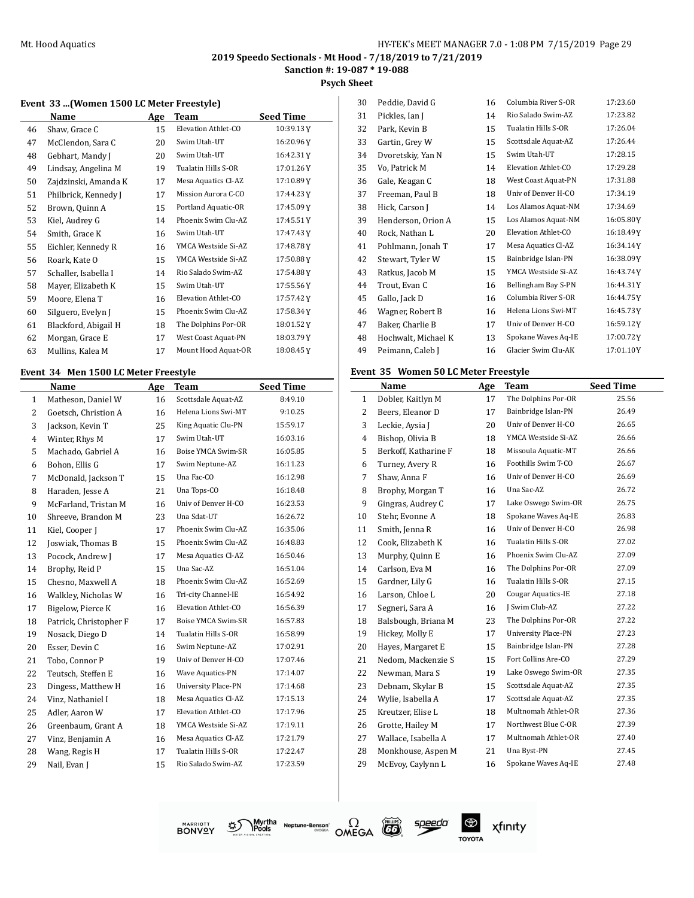**Psych Sheet**

#### **Event 33 ...(Women 1500 LC Meter Freestyle)**

|    | Name                 | <b>Age</b> | Team                | <b>Seed Time</b> |
|----|----------------------|------------|---------------------|------------------|
| 46 | Shaw, Grace C        | 15         | Elevation Athlet-CO | 10:39.13 Y       |
| 47 | McClendon, Sara C    | 20         | Swim Utah-UT        | 16:20.96Y        |
| 48 | Gebhart, Mandy J     | 20         | Swim Utah-UT        | 16:42.31Y        |
| 49 | Lindsay, Angelina M  | 19         | Tualatin Hills S-OR | 17:01.26Y        |
| 50 | Zajdzinski, Amanda K | 17         | Mesa Aquatics Cl-AZ | 17:10.89Y        |
| 51 | Philbrick, Kennedy J | 17         | Mission Aurora C-CO | 17:44.23Y        |
| 52 | Brown, Quinn A       | 15         | Portland Aquatic-OR | 17:45.09Y        |
| 53 | Kiel, Audrey G       | 14         | Phoenix Swim Clu-AZ | 17:45.51Y        |
| 54 | Smith, Grace K       | 16         | Swim Utah-UT        | 17:47.43Y        |
| 55 | Eichler, Kennedy R   | 16         | YMCA Westside Si-AZ | 17:48.78Y        |
| 56 | Roark, Kate O        | 15         | YMCA Westside Si-AZ | 17:50.88Y        |
| 57 | Schaller, Isabella I | 14         | Rio Salado Swim-AZ  | 17:54.88 Y       |
| 58 | Mayer, Elizabeth K   | 15         | Swim Utah-UT        | 17:55.56 Y       |
| 59 | Moore, Elena T       | 16         | Elevation Athlet-CO | 17:57.42Y        |
| 60 | Silguero, Evelyn J   | 15         | Phoenix Swim Clu-AZ | 17:58.34Y        |
| 61 | Blackford, Abigail H | 18         | The Dolphins Por-OR | 18:01.52Y        |
| 62 | Morgan, Grace E      | 17         | West Coast Aquat-PN | 18:03.79Y        |
| 63 | Mullins, Kalea M     | 17         | Mount Hood Aquat-OR | 18:08.45Y        |

#### **Event 34 Men 1500 LC Meter Freestyle**

 $\overline{\phantom{0}}$ 

|              | Name                   | Age | <b>Team</b>                | <b>Seed Time</b> |
|--------------|------------------------|-----|----------------------------|------------------|
| $\mathbf{1}$ | Matheson, Daniel W     | 16  | Scottsdale Aquat-AZ        | 8:49.10          |
| 2            | Goetsch, Christion A   | 16  | Helena Lions Swi-MT        | 9:10.25          |
| 3            | Jackson, Kevin T       | 25  | King Aquatic Clu-PN        | 15:59.17         |
| 4            | Winter, Rhys M         | 17  | Swim Utah-UT               | 16:03.16         |
| 5            | Machado, Gabriel A     | 16  | Boise YMCA Swim-SR         | 16:05.85         |
| 6            | Bohon, Ellis G         | 17  | Swim Neptune-AZ            | 16:11.23         |
| 7            | McDonald, Jackson T    | 15  | Una Fac-CO                 | 16:12.98         |
| 8            | Haraden, Jesse A       | 21  | Una Tops-CO                | 16:18.48         |
| 9            | McFarland, Tristan M   | 16  | Univ of Denver H-CO        | 16:23.53         |
| 10           | Shreeve, Brandon M     | 23  | Una Sdat-UT                | 16:26.72         |
| 11           | Kiel, Cooper J         | 17  | Phoenix Swim Clu-AZ        | 16:35.06         |
| 12           | Joswiak, Thomas B      | 15  | Phoenix Swim Clu-AZ        | 16:48.83         |
| 13           | Pocock, Andrew J       | 17  | Mesa Aquatics Cl-AZ        | 16:50.46         |
| 14           | Brophy, Reid P         | 15  | Una Sac-AZ                 | 16:51.04         |
| 15           | Chesno, Maxwell A      | 18  | Phoenix Swim Clu-AZ        | 16:52.69         |
| 16           | Walkley, Nicholas W    | 16  | Tri-city Channel-IE        | 16:54.92         |
| 17           | Bigelow, Pierce K      | 16  | Elevation Athlet-CO        | 16:56.39         |
| 18           | Patrick, Christopher F | 17  | Boise YMCA Swim-SR         | 16:57.83         |
| 19           | Nosack, Diego D        | 14  | Tualatin Hills S-OR        | 16:58.99         |
| 20           | Esser, Devin C         | 16  | Swim Neptune-AZ            | 17:02.91         |
| 21           | Tobo, Connor P         | 19  | Univ of Denver H-CO        | 17:07.46         |
| 22           | Teutsch, Steffen E     | 16  | Wave Aquatics-PN           | 17:14.07         |
| 23           | Dingess, Matthew H     | 16  | <b>University Place-PN</b> | 17:14.68         |
| 24           | Vinz, Nathaniel I      | 18  | Mesa Aquatics Cl-AZ        | 17:15.13         |
| 25           | Adler, Aaron W         | 17  | Elevation Athlet-CO        | 17:17.96         |
| 26           | Greenbaum, Grant A     | 18  | YMCA Westside Si-AZ        | 17:19.11         |
| 27           | Vinz, Benjamin A       | 16  | Mesa Aquatics Cl-AZ        | 17:21.79         |
| 28           | Wang, Regis H          | 17  | Tualatin Hills S-OR        | 17:22.47         |
| 29           | Nail, Evan J           | 15  | Rio Salado Swim-AZ         | 17:23.59         |
|              |                        |     |                            |                  |

| 30 | Peddie, David G     | 16 | Columbia River S-OR | 17:23.60  |
|----|---------------------|----|---------------------|-----------|
| 31 | Pickles, Ian J      | 14 | Rio Salado Swim-AZ  | 17:23.82  |
| 32 | Park, Kevin B       | 15 | Tualatin Hills S-OR | 17:26.04  |
| 33 | Gartin, Grey W      | 15 | Scottsdale Aquat-AZ | 17:26.44  |
| 34 | Dvoretskiy, Yan N   | 15 | Swim Utah-UT        | 17:28.15  |
| 35 | Vo, Patrick M       | 14 | Elevation Athlet-CO | 17:29.28  |
| 36 | Gale, Keagan C      | 18 | West Coast Aquat-PN | 17:31.88  |
| 37 | Freeman, Paul B     | 18 | Univ of Denver H-CO | 17:34.19  |
| 38 | Hick, Carson J      | 14 | Los Alamos Aquat-NM | 17:34.69  |
| 39 | Henderson, Orion A  | 15 | Los Alamos Aquat-NM | 16:05.80Y |
| 40 | Rock, Nathan L      | 20 | Elevation Athlet-CO | 16:18.49Y |
| 41 | Pohlmann, Jonah T   | 17 | Mesa Aquatics Cl-AZ | 16:34.14Y |
| 42 | Stewart, Tyler W    | 15 | Bainbridge Islan-PN | 16:38.09Y |
| 43 | Ratkus, Jacob M     | 15 | YMCA Westside Si-AZ | 16:43.74Y |
| 44 | Trout, Evan C       | 16 | Bellingham Bay S-PN | 16:44.31Y |
| 45 | Gallo, Jack D       | 16 | Columbia River S-OR | 16:44.75Y |
| 46 | Wagner, Robert B    | 16 | Helena Lions Swi-MT | 16:45.73Y |
| 47 | Baker, Charlie B    | 17 | Univ of Denver H-CO | 16:59.12Y |
| 48 | Hochwalt, Michael K | 13 | Spokane Waves Aq-IE | 17:00.72Y |
| 49 | Peimann, Caleb J    | 16 | Glacier Swim Clu-AK | 17:01.10Y |
|    |                     |    |                     |           |

#### **Event 35 Women 50 LC Meter Freestyle**

|    | Name                 | Age | Team                       | <b>Seed Time</b> |
|----|----------------------|-----|----------------------------|------------------|
| 1  | Dobler, Kaitlyn M    | 17  | The Dolphins Por-OR        | 25.56            |
| 2  | Beers, Eleanor D     | 17  | Bainbridge Islan-PN        | 26.49            |
| 3  | Leckie, Aysia J      | 20  | Univ of Denver H-CO        | 26.65            |
| 4  | Bishop, Olivia B     | 18  | YMCA Westside Si-AZ        | 26.66            |
| 5  | Berkoff, Katharine F | 18  | Missoula Aquatic-MT        | 26.66            |
| 6  | Turney, Avery R      | 16  | Foothills Swim T-CO        | 26.67            |
| 7  | Shaw, Anna F         | 16  | Univ of Denver H-CO        | 26.69            |
| 8  | Brophy, Morgan T     | 16  | Una Sac-AZ                 | 26.72            |
| 9  | Gingras, Audrey C    | 17  | Lake Oswego Swim-OR        | 26.75            |
| 10 | Stehr, Evonne A      | 18  | Spokane Waves Aq-IE        | 26.83            |
| 11 | Smith, Jenna R       | 16  | Univ of Denver H-CO        | 26.98            |
| 12 | Cook, Elizabeth K    | 16  | Tualatin Hills S-OR        | 27.02            |
| 13 | Murphy, Quinn E      | 16  | Phoenix Swim Clu-AZ        | 27.09            |
| 14 | Carlson, Eva M       | 16  | The Dolphins Por-OR        | 27.09            |
| 15 | Gardner, Lily G      | 16  | Tualatin Hills S-OR        | 27.15            |
| 16 | Larson, Chloe L      | 20  | Cougar Aquatics-IE         | 27.18            |
| 17 | Segneri, Sara A      | 16  | J Swim Club-AZ             | 27.22            |
| 18 | Balsbough, Briana M  | 23  | The Dolphins Por-OR        | 27.22            |
| 19 | Hickey, Molly E      | 17  | <b>University Place-PN</b> | 27.23            |
| 20 | Hayes, Margaret E    | 15  | Bainbridge Islan-PN        | 27.28            |
| 21 | Nedom, Mackenzie S   | 15  | Fort Collins Are-CO        | 27.29            |
| 22 | Newman, Mara S       | 19  | Lake Oswego Swim-OR        | 27.35            |
| 23 | Debnam, Skylar B     | 15  | Scottsdale Aquat-AZ        | 27.35            |
| 24 | Wylie, Isabella A    | 17  | Scottsdale Aquat-AZ        | 27.35            |
| 25 | Kreutzer, Elise L    | 18  | Multnomah Athlet-OR        | 27.36            |
| 26 | Grotte, Hailey M     | 17  | Northwest Blue C-OR        | 27.39            |
| 27 | Wallace, Isabella A  | 17  | Multnomah Athlet-OR        | 27.40            |
| 28 | Monkhouse, Aspen M   | 21  | Una Byst-PN                | 27.45            |
| 29 | McEvoy, Caylynn L    | 16  | Spokane Waves Aq-IE        | 27.48            |
|    |                      |     |                            |                  |

গ্ৰু **BONVOY** 





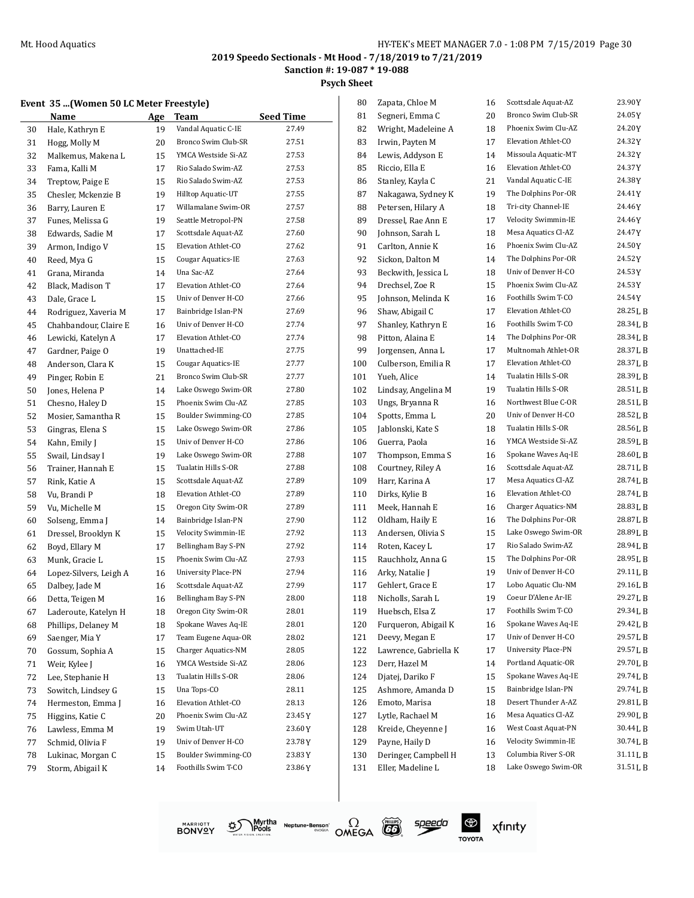**Sanction #: 19-087 \* 19-088**

**Psych Sheet**  $\overline{\phantom{a}}$ 

|  | Event 35  (Women 50 LC Meter Freestyle) |  |  |
|--|-----------------------------------------|--|--|
|--|-----------------------------------------|--|--|

|    | vent 35 (Women 50 LC Meter Freestyle) |     |                           |                  | 80  | Zapata, Chloe M   |
|----|---------------------------------------|-----|---------------------------|------------------|-----|-------------------|
|    | Name                                  | Age | <b>Team</b>               | <b>Seed Time</b> | 81  | Segneri, Emma (   |
| 30 | Hale, Kathryn E                       | 19  | Vandal Aquatic C-IE       | 27.49            | 82  | Wright, Madelei   |
| 31 | Hogg, Molly M                         | 20  | Bronco Swim Club-SR       | 27.51            | 83  | Irwin, Payten M   |
| 32 | Malkemus, Makena L                    | 15  | YMCA Westside Si-AZ       | 27.53            | 84  | Lewis, Addyson    |
| 33 | Fama, Kalli M                         | 17  | Rio Salado Swim-AZ        | 27.53            | 85  | Riccio, Ella E    |
| 34 | Treptow, Paige E                      | 15  | Rio Salado Swim-AZ        | 27.53            | 86  | Stanley, Kayla C  |
| 35 | Chesler, Mckenzie B                   | 19  | Hilltop Aquatic-UT        | 27.55            | 87  | Nakagawa, Sydn    |
| 36 | Barry, Lauren E                       | 17  | Willamalane Swim-OR       | 27.57            | 88  | Petersen, Hilary  |
| 37 | Funes. Melissa G                      | 19  | Seattle Metropol-PN       | 27.58            | 89  | Dressel, Rae Anr  |
| 38 | Edwards, Sadie M                      | 17  | Scottsdale Aquat-AZ       | 27.60            | 90  | Johnson, Sarah I  |
| 39 | Armon, Indigo V                       | 15  | Elevation Athlet-CO       | 27.62            | 91  | Carlton, Annie K  |
| 40 | Reed, Mya G                           | 15  | <b>Cougar Aquatics-IE</b> | 27.63            | 92  | Sickon, Dalton M  |
| 41 | Grana, Miranda                        | 14  | Una Sac-AZ                | 27.64            | 93  | Beckwith, Jessic  |
| 42 | Black, Madison T                      | 17  | Elevation Athlet-CO       | 27.64            | 94  | Drechsel, Zoe R   |
| 43 | Dale, Grace L                         | 15  | Univ of Denver H-CO       | 27.66            | 95  | Johnson, Melind   |
| 44 | Rodriguez, Xaveria M                  | 17  | Bainbridge Islan-PN       | 27.69            | 96  | Shaw, Abigail C   |
| 45 | Chahbandour, Claire E                 | 16  | Univ of Denver H-CO       | 27.74            | 97  | Shanley, Kathryi  |
| 46 | Lewicki, Katelyn A                    | 17  | Elevation Athlet-CO       | 27.74            | 98  | Pitton, Alaina E  |
| 47 | Gardner, Paige O                      | 19  | Unattached-IE             | 27.75            | 99  | Jorgensen, Anna   |
| 48 | Anderson, Clara K                     | 15  | Cougar Aquatics-IE        | 27.77            | 100 | Culberson, Emili  |
| 49 | Pinger, Robin E                       | 21  | Bronco Swim Club-SR       | 27.77            | 101 | Yueh, Alice       |
| 50 | Jones, Helena P                       | 14  | Lake Oswego Swim-OR       | 27.80            | 102 | Lindsay, Angelin  |
| 51 | Chesno, Haley D                       | 15  | Phoenix Swim Clu-AZ       | 27.85            | 103 | Ungs, Bryanna R   |
| 52 | Mosier, Samantha R                    | 15  | Boulder Swimming-CO       | 27.85            | 104 | Spotts, Emma L    |
| 53 | Gingras, Elena S                      | 15  | Lake Oswego Swim-OR       | 27.86            | 105 | Jablonski, Kate S |
| 54 | Kahn, Emily J                         | 15  | Univ of Denver H-CO       | 27.86            | 106 | Guerra, Paola     |
| 55 | Swail, Lindsay I                      | 19  | Lake Oswego Swim-OR       | 27.88            | 107 | Thompson, Emn     |
| 56 | Trainer, Hannah E                     | 15  | Tualatin Hills S-OR       | 27.88            | 108 | Courtney, Riley   |
| 57 | Rink, Katie A                         | 15  | Scottsdale Aquat-AZ       | 27.89            | 109 | Harr, Karina A    |
| 58 | Vu, Brandi P                          | 18  | Elevation Athlet-CO       | 27.89            | 110 | Dirks, Kylie B    |
| 59 | Vu, Michelle M                        | 15  | Oregon City Swim-OR       | 27.89            | 111 | Meek, Hannah E    |
| 60 | Solseng, Emma J                       | 14  | Bainbridge Islan-PN       | 27.90            | 112 | Oldham, Haily E   |
| 61 | Dressel, Brooklyn K                   | 15  | Velocity Swimmin-IE       | 27.92            | 113 | Andersen, Olivia  |
| 62 | Boyd, Ellary M                        | 17  | Bellingham Bay S-PN       | 27.92            | 114 | Roten, Kacey L    |
| 63 | Munk, Gracie L                        | 15  | Phoenix Swim Clu-AZ       | 27.93            | 115 | Rauchholz, Anna   |
| 64 | Lopez-Silvers, Leigh A                | 16  | University Place-PN       | 27.94            | 116 | Arky, Natalie J   |
| 65 | Dalbey, Jade M                        | 16  | Scottsdale Aquat-AZ       | 27.99            | 117 | Gehlert, Grace E  |
| 66 | Detta, Teigen M                       | 16  | Bellingham Bay S-PN       | 28.00            | 118 | Nicholls, Sarah I |
| 67 | Laderoute, Katelyn H                  | 18  | Oregon City Swim-OR       | 28.01            | 119 | Huebsch, Elsa Z   |
| 68 | Phillips, Delaney M                   | 18  | Spokane Waves Aq-IE       | 28.01            | 120 | Furqueron, Abig   |
| 69 | Saenger, Mia Y                        | 17  | Team Eugene Aqua-OR       | 28.02            | 121 | Deevy, Megan E    |
| 70 | Gossum, Sophia A                      | 15  | Charger Aquatics-NM       | 28.05            | 122 | Lawrence, Gabri   |
| 71 | Weir, Kylee J                         | 16  | YMCA Westside Si-AZ       | 28.06            | 123 | Derr, Hazel M     |
| 72 | Lee, Stephanie H                      | 13  | Tualatin Hills S-OR       | 28.06            | 124 | Djatej, Dariko F  |
| 73 | Sowitch, Lindsey G                    | 15  | Una Tops-CO               | 28.11            | 125 | Ashmore, Aman     |
| 74 | Hermeston, Emma J                     | 16  | Elevation Athlet-CO       | 28.13            | 126 | Emoto, Marisa     |
| 75 | Higgins, Katie C                      | 20  | Phoenix Swim Clu-AZ       | 23.45Y           | 127 | Lytle, Rachael M  |
| 76 | Lawless, Emma M                       | 19  | Swim Utah-UT              | 23.60 Y          | 128 | Kreide, Cheyenn   |
| 77 | Schmid, Olivia F                      | 19  | Univ of Denver H-CO       | 23.78Y           | 129 | Payne, Haily D    |
| 78 | Lukinac, Morgan C                     | 15  | Boulder Swimming-CO       | 23.83 Y          | 130 | Deringer, Campl   |
| 79 | Storm, Abigail K                      | 14  | Foothills Swim T-CO       | 23.86 Y          | 131 | Eller, Madeline I |
|    |                                       |     |                           |                  |     |                   |

| 80  | Zapata, Chloe M                          | 16 | Scottsdale Aquat-AZ | 23.90Y    |
|-----|------------------------------------------|----|---------------------|-----------|
| 81  | Segneri, Emma C                          | 20 | Bronco Swim Club-SR | 24.05 Y   |
| 82  | Wright, Madeleine A                      | 18 | Phoenix Swim Clu-AZ | 24.20 Y   |
| 83  | Irwin, Payten M                          | 17 | Elevation Athlet-CO | 24.32 Y   |
| 84  | Lewis, Addyson E                         | 14 | Missoula Aquatic-MT | 24.32 Y   |
| 85  | Riccio, Ella E                           | 16 | Elevation Athlet-CO | 24.37 Y   |
| 86  | Stanley, Kayla C                         | 21 | Vandal Aquatic C-IE | 24.38Y    |
|     |                                          |    | The Dolphins Por-OR | 24.41 Y   |
| 87  | Nakagawa, Sydney K<br>Petersen, Hilary A | 19 | Tri-city Channel-IE | 24.46 Y   |
| 88  |                                          | 18 | Velocity Swimmin-IE | 24.46 Y   |
| 89  | Dressel, Rae Ann E                       | 17 | Mesa Aquatics Cl-AZ | 24.47Y    |
| 90  | Johnson, Sarah L                         | 18 | Phoenix Swim Clu-AZ |           |
| 91  | Carlton, Annie K                         | 16 | The Dolphins Por-OR | 24.50 Y   |
| 92  | Sickon, Dalton M                         | 14 | Univ of Denver H-CO | 24.52 Y   |
| 93  | Beckwith, Jessica L                      | 18 |                     | 24.53 Y   |
| 94  | Drechsel, Zoe R                          | 15 | Phoenix Swim Clu-AZ | 24.53 Y   |
| 95  | Johnson, Melinda K                       | 16 | Foothills Swim T-CO | 24.54 Y   |
| 96  | Shaw, Abigail C                          | 17 | Elevation Athlet-CO | 28.25 L B |
| 97  | Shanley, Kathryn E                       | 16 | Foothills Swim T-CO | 28.34 L B |
| 98  | Pitton, Alaina E                         | 14 | The Dolphins Por-OR | 28.34LB   |
| 99  | Jorgensen, Anna L                        | 17 | Multnomah Athlet-OR | 28.37 L B |
| 100 | Culberson, Emilia R                      | 17 | Elevation Athlet-CO | 28.37 L B |
| 101 | Yueh, Alice                              | 14 | Tualatin Hills S-OR | 28.39 L B |
| 102 | Lindsay, Angelina M                      | 19 | Tualatin Hills S-OR | 28.51LB   |
| 103 | Ungs, Bryanna R                          | 16 | Northwest Blue C-OR | 28.51 L B |
| 104 | Spotts, Emma L                           | 20 | Univ of Denver H-CO | 28.52 L B |
| 105 | Jablonski, Kate S                        | 18 | Tualatin Hills S-OR | 28.56LB   |
| 106 | Guerra, Paola                            | 16 | YMCA Westside Si-AZ | 28.59 L B |
| 107 | Thompson, Emma S                         | 16 | Spokane Waves Aq-IE | 28.60 L B |
| 108 | Courtney, Riley A                        | 16 | Scottsdale Aquat-AZ | 28.71 L B |
| 109 | Harr, Karina A                           | 17 | Mesa Aquatics Cl-AZ | 28.74 L B |
| 110 | Dirks, Kylie B                           | 16 | Elevation Athlet-CO | 28.74 L B |
| 111 | Meek, Hannah E                           | 16 | Charger Aquatics-NM | 28.83 L B |
| 112 | Oldham, Haily E                          | 16 | The Dolphins Por-OR | 28.87 L B |
| 113 | Andersen, Olivia S                       | 15 | Lake Oswego Swim-OR | 28.89 L B |
| 114 | Roten, Kacey L                           | 17 | Rio Salado Swim-AZ  | 28.94 L B |
| 115 | Rauchholz, Anna G                        | 15 | The Dolphins Por-OR | 28.95 L B |
| 116 | Arky, Natalie J                          | 19 | Univ of Denver H-CO | 29.11 L B |
| 117 | Gehlert, Grace E                         | 17 | Lobo Aquatic Clu-NM | 29.16LB   |
| 118 | Nicholls, Sarah L                        | 19 | Coeur D'Alene Ar-IE | 29.27 L B |
| 119 | Huebsch, Elsa Z                          | 17 | Foothills Swim T-CO | 29.34 L B |
| 120 | Furqueron, Abigail K                     | 16 | Spokane Waves Aq-IE | 29.42 L B |
| 121 | Deevy, Megan E                           | 17 | Univ of Denver H-CO | 29.57 L B |
| 122 | Lawrence, Gabriella K                    | 17 | University Place-PN | 29.57 L B |
| 123 | Derr, Hazel M                            | 14 | Portland Aquatic-OR | 29.70LB   |
| 124 | Djatej, Dariko F                         | 15 | Spokane Waves Aq-IE | 29.74 L B |
| 125 | Ashmore, Amanda D                        | 15 | Bainbridge Islan-PN | 29.74LB   |
| 126 | Emoto, Marisa                            | 18 | Desert Thunder A-AZ | 29.81LB   |
| 127 | Lytle, Rachael M                         | 16 | Mesa Aquatics Cl-AZ | 29.90 L B |
| 128 | Kreide, Cheyenne J                       | 16 | West Coast Aquat-PN | 30.44 L B |
| 129 | Payne, Haily D                           | 16 | Velocity Swimmin-IE | 30.74 L B |
| 130 | Deringer, Campbell H                     | 13 | Columbia River S-OR | 31.11 L B |
| 131 | Eller, Madeline L                        | 18 | Lake Oswego Swim-OR | 31.51 L B |
|     |                                          |    |                     |           |







speedo

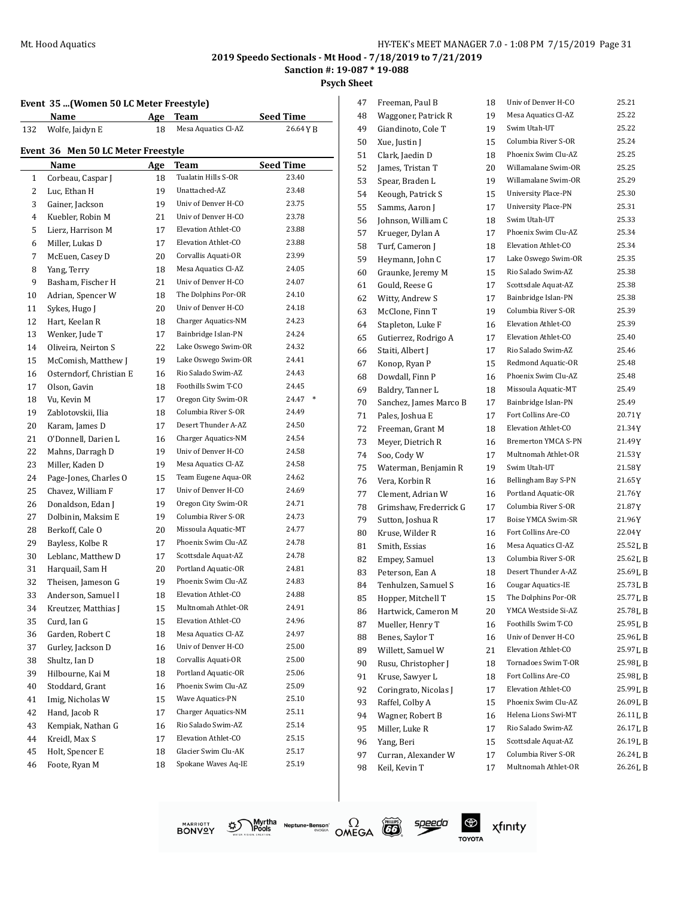**Psych Sheet**

#### **Event 35 ...(Women 50 LC Meter Freestyle)**

|                | Event 35  (Women 50 LC Meter Freestyle) |     |                            |                  |
|----------------|-----------------------------------------|-----|----------------------------|------------------|
|                | Name                                    | Age | Team                       | <b>Seed Time</b> |
| 132            | Wolfe, Jaidyn E                         | 18  | Mesa Aquatics Cl-AZ        | 26.64 Y B        |
|                | Event 36 Men 50 LC Meter Freestyle      |     |                            |                  |
|                | Name                                    | Age | Team                       | <b>Seed Time</b> |
| $\mathbf{1}$   | Corbeau, Caspar J                       | 18  | Tualatin Hills S-OR        | 23.40            |
| $\overline{2}$ | Luc, Ethan H                            | 19  | Unattached-AZ              | 23.48            |
| 3              | Gainer, Jackson                         | 19  | Univ of Denver H-CO        | 23.75            |
| 4              | Kuebler, Robin M                        | 21  | Univ of Denver H-CO        | 23.78            |
| 5              | Lierz, Harrison M                       | 17  | Elevation Athlet-CO        | 23.88            |
| 6              | Miller, Lukas D                         | 17  | Elevation Athlet-CO        | 23.88            |
| 7              | McEuen, Casey D                         | 20  | Corvallis Aquati-OR        | 23.99            |
| 8              | Yang, Terry                             | 18  | Mesa Aquatics Cl-AZ        | 24.05            |
| 9              | Basham, Fischer H                       | 21  | Univ of Denver H-CO        | 24.07            |
| 10             | Adrian, Spencer W                       | 18  | The Dolphins Por-OR        | 24.10            |
| 11             | Sykes, Hugo J                           | 20  | Univ of Denver H-CO        | 24.18            |
| 12             | Hart, Keelan R                          | 18  | Charger Aquatics-NM        | 24.23            |
| 13             | Wenker, Jude T                          | 17  | Bainbridge Islan-PN        | 24.24            |
| 14             | Oliveira, Neirton S                     | 22  | Lake Oswego Swim-OR        | 24.32            |
| 15             | McComish, Matthew J                     | 19  | Lake Oswego Swim-OR        | 24.41            |
| 16             | Osterndorf, Christian E                 | 16  | Rio Salado Swim-AZ         | 24.43            |
| 17             | Olson, Gavin                            | 18  | Foothills Swim T-CO        | 24.45            |
| 18             | Vu, Kevin M                             | 17  | Oregon City Swim-OR        | 24.47<br>$\ast$  |
| 19             | Zablotovskii, Ilia                      | 18  | Columbia River S-OR        | 24.49            |
| 20             | Karam, James D                          | 17  | Desert Thunder A-AZ        | 24.50            |
| 21             | O'Donnell, Darien L                     | 16  | Charger Aquatics-NM        | 24.54            |
| 22             | Mahns, Darragh D                        | 19  | Univ of Denver H-CO        | 24.58            |
| 23             | Miller, Kaden D                         | 19  | Mesa Aquatics Cl-AZ        | 24.58            |
| 24             | Page-Jones, Charles O                   | 15  | Team Eugene Aqua-OR        | 24.62            |
| 25             | Chavez, William F                       | 17  | Univ of Denver H-CO        | 24.69            |
| 26             | Donaldson, Edan J                       | 19  | Oregon City Swim-OR        | 24.71            |
| 27             | Dolbinin, Maksim E                      | 19  | Columbia River S-OR        | 24.73            |
| 28             | Berkoff, Cale O                         | 20  | Missoula Aquatic-MT        | 24.77            |
| 29             | Bayless, Kolbe R                        | 17  | Phoenix Swim Clu-AZ        | 24.78            |
| 30             | Leblanc, Matthew D                      | 17  | Scottsdale Aquat-AZ        | 24.78            |
| 31             | Harquail, Sam H                         | 20  | Portland Aquatic-OR        | 24.81            |
| 32             | Theisen, Jameson G                      | 19  | Phoenix Swim Clu-AZ        | 24.83            |
| 33             | Anderson, Samuel I                      | 18  | Elevation Athlet-CO        | 24.88            |
| 34             | Kreutzer, Matthias J                    | 15  | Multnomah Athlet-OR        | 24.91            |
| 35             | Curd, Ian G                             | 15  | Elevation Athlet-CO        | 24.96            |
| 36             | Garden, Robert C                        | 18  | Mesa Aquatics Cl-AZ        | 24.97            |
| 37             | Gurley, Jackson D                       | 16  | Univ of Denver H-CO        | 25.00            |
| 38             | Shultz, Ian D                           | 18  | Corvallis Aquati-OR        | 25.00            |
| 39             | Hilbourne, Kai M                        | 18  | Portland Aquatic-OR        | 25.06            |
| 40             | Stoddard, Grant                         | 16  | Phoenix Swim Clu-AZ        | 25.09            |
| 41             | Imig, Nicholas W                        | 15  | Wave Aquatics-PN           | 25.10            |
| 42             | Hand, Jacob R                           | 17  | <b>Charger Aquatics-NM</b> | 25.11            |
| 43             | Kempiak, Nathan G                       | 16  | Rio Salado Swim-AZ         | 25.14            |
| 44             | Kreidl, Max S                           | 17  | Elevation Athlet-CO        | 25.15            |
|                |                                         |     | Glacier Swim Clu-AK        |                  |
| 45             | Holt, Spencer E                         | 18  |                            | 25.17            |

| 47 | Freeman, Paul B        | 18 | Univ of Denver H-CO        | 25.21     |
|----|------------------------|----|----------------------------|-----------|
| 48 | Waggoner, Patrick R    | 19 | Mesa Aquatics Cl-AZ        | 25.22     |
| 49 | Giandinoto, Cole T     | 19 | Swim Utah-UT               | 25.22     |
| 50 | Xue, Justin J          | 15 | Columbia River S-OR        | 25.24     |
| 51 | Clark, Jaedin D        | 18 | Phoenix Swim Clu-AZ        | 25.25     |
| 52 | James, Tristan T       | 20 | Willamalane Swim-OR        | 25.25     |
| 53 | Spear, Braden L        | 19 | Willamalane Swim-OR        | 25.29     |
| 54 | Keough, Patrick S      | 15 | <b>University Place-PN</b> | 25.30     |
| 55 | Samms, Aaron J         | 17 | <b>University Place-PN</b> | 25.31     |
| 56 | Johnson, William C     | 18 | Swim Utah-UT               | 25.33     |
| 57 | Krueger, Dylan A       | 17 | Phoenix Swim Clu-AZ        | 25.34     |
| 58 | Turf, Cameron J        | 18 | Elevation Athlet-CO        | 25.34     |
| 59 | Heymann, John C        | 17 | Lake Oswego Swim-OR        | 25.35     |
| 60 | Graunke, Jeremy M      | 15 | Rio Salado Swim-AZ         | 25.38     |
| 61 | Gould, Reese G         | 17 | Scottsdale Aquat-AZ        | 25.38     |
| 62 | Witty, Andrew S        | 17 | Bainbridge Islan-PN        | 25.38     |
| 63 | McClone, Finn T        | 19 | Columbia River S-OR        | 25.39     |
| 64 | Stapleton, Luke F      | 16 | Elevation Athlet-CO        | 25.39     |
| 65 | Gutierrez, Rodrigo A   | 17 | Elevation Athlet-CO        | 25.40     |
| 66 | Staiti, Albert J       | 17 | Rio Salado Swim-AZ         | 25.46     |
| 67 | Konop, Ryan P          | 15 | Redmond Aquatic-OR         | 25.48     |
| 68 | Dowdall, Finn P        | 16 | Phoenix Swim Clu-AZ        | 25.48     |
| 69 | Baldry, Tanner L       | 18 | Missoula Aquatic-MT        | 25.49     |
| 70 | Sanchez, James Marco B | 17 | Bainbridge Islan-PN        | 25.49     |
| 71 | Pales, Joshua E        | 17 | Fort Collins Are-CO        | 20.71Y    |
| 72 | Freeman, Grant M       | 18 | Elevation Athlet-CO        | 21.34Y    |
| 73 | Meyer, Dietrich R      | 16 | <b>Bremerton YMCA S-PN</b> | 21.49Y    |
| 74 | Soo, Cody W            | 17 | Multnomah Athlet-OR        | 21.53Y    |
| 75 | Waterman, Benjamin R   | 19 | Swim Utah-UT               | 21.58 Y   |
| 76 | Vera, Korbin R         | 16 | Bellingham Bay S-PN        | 21.65Y    |
| 77 | Clement, Adrian W      | 16 | Portland Aquatic-OR        | 21.76Y    |
| 78 | Grimshaw, Frederrick G | 17 | Columbia River S-OR        | 21.87Y    |
| 79 | Sutton, Joshua R       | 17 | Boise YMCA Swim-SR         | 21.96Y    |
| 80 | Kruse, Wilder R        | 16 | Fort Collins Are-CO        | 22.04Y    |
| 81 | Smith, Essias          | 16 | Mesa Aquatics Cl-AZ        | 25.52LB   |
| 82 | Empey, Samuel          | 13 | Columbia River S-OR        | 25.62LB   |
| 83 | Peterson, Ean A        | 18 | Desert Thunder A-AZ        | 25.69LB   |
| 84 | Tenhulzen, Samuel S    | 16 | Cougar Aquatics-IE         | 25.73LB   |
| 85 | Hopper, Mitchell T     | 15 | The Dolphins Por-OR        | 25.77 L B |
| 86 | Hartwick, Cameron M    | 20 | YMCA Westside Si-AZ        | 25.78LB   |
| 87 | Mueller, Henry T       | 16 | Foothills Swim T-CO        | 25.95 L B |
| 88 | Benes, Saylor T        | 16 | Univ of Denver H-CO        | 25.96LB   |
| 89 | Willett, Samuel W      | 21 | Elevation Athlet-CO        | 25.97 L B |
| 90 | Rusu, Christopher J    | 18 | Tornadoes Swim T-OR        | 25.98 L B |
| 91 | Kruse, Sawyer L        | 18 | Fort Collins Are-CO        | 25.98LB   |
| 92 | Coringrato, Nicolas J  | 17 | Elevation Athlet-CO        | 25.99LB   |
| 93 | Raffel, Colby A        | 15 | Phoenix Swim Clu-AZ        | 26.09LB   |
| 94 | Wagner, Robert B       | 16 | Helena Lions Swi-MT        | 26.11LB   |
| 95 | Miller, Luke R         | 17 | Rio Salado Swim-AZ         | 26.17LB   |
| 96 | Yang, Beri             | 15 | Scottsdale Aquat-AZ        | 26.19LB   |
| 97 | Curran, Alexander W    | 17 | Columbia River S-OR        | 26.24LB   |
| 98 | Keil, Kevin T          | 17 | Multnomah Athlet-OR        | 26.26LB   |
|    |                        |    |                            |           |







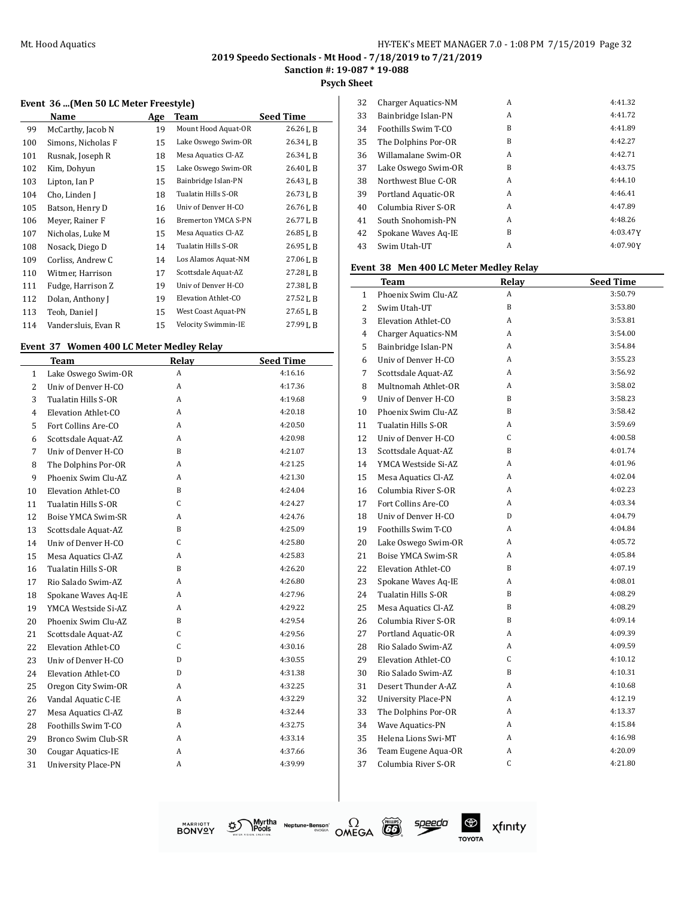**Sanction #: 19-087 \* 19-088**

**Psych Sheet**

#### **Event 36 ...(Men 50 LC Meter Freestyle)**

|     | Name                | Age | Team                | <b>Seed Time</b>     |
|-----|---------------------|-----|---------------------|----------------------|
| 99  | McCarthy, Jacob N   | 19  | Mount Hood Aquat-OR | 26.26LB              |
| 100 | Simons, Nicholas F  | 15  | Lake Oswego Swim-OR | 26.34LB              |
| 101 | Rusnak, Joseph R    | 18  | Mesa Aquatics Cl-AZ | 26.34LB              |
| 102 | Kim, Dohyun         | 15  | Lake Oswego Swim-OR | 26.40 <sub>L</sub> B |
| 103 | Lipton, Ian P       | 15  | Bainbridge Islan-PN | 26.43L B             |
| 104 | Cho, Linden J       | 18  | Tualatin Hills S-OR | 26.73LB              |
| 105 | Batson, Henry D     | 16  | Univ of Denver H-CO | 26.76LB              |
| 106 | Meyer, Rainer F     | 16  | Bremerton YMCA S-PN | 26.77LB              |
| 107 | Nicholas, Luke M    | 15  | Mesa Aquatics Cl-AZ | 26.85LB              |
| 108 | Nosack, Diego D     | 14  | Tualatin Hills S-OR | 26.95 L B            |
| 109 | Corliss, Andrew C   | 14  | Los Alamos Aquat-NM | 27.06LB              |
| 110 | Witmer, Harrison    | 17  | Scottsdale Aquat-AZ | 27.28LB              |
| 111 | Fudge, Harrison Z   | 19  | Univ of Denver H-CO | 27.38LB              |
| 112 | Dolan, Anthony J    | 19  | Elevation Athlet-CO | $27.52$ J, B         |
| 113 | Teoh, Daniel J      | 15  | West Coast Aquat-PN | 27.65 L B            |
| 114 | Vandersluis, Evan R | 15  | Velocity Swimmin-IE | 27.99 L B            |

#### **Event 37 Women 400 LC Meter Medley Relay**

|                | Team                       | <b>Relay</b> | <b>Seed Time</b> |
|----------------|----------------------------|--------------|------------------|
| $\mathbf{1}$   | Lake Oswego Swim-OR        | A            | 4:16.16          |
| $\overline{c}$ | Univ of Denver H-CO        | A            | 4:17.36          |
| 3              | Tualatin Hills S-OR        | A            | 4:19.68          |
| $\overline{4}$ | Elevation Athlet-CO        | A            | 4:20.18          |
| 5              | Fort Collins Are-CO        | A            | 4:20.50          |
| 6              | Scottsdale Aquat-AZ        | A            | 4:20.98          |
| 7              | Univ of Denver H-CO        | B            | 4:21.07          |
| 8              | The Dolphins Por-OR        | A            | 4:21.25          |
| 9              | Phoenix Swim Clu-AZ        | A            | 4:21.30          |
| 10             | Elevation Athlet-CO        | B            | 4:24.04          |
| 11             | Tualatin Hills S-OR        | C            | 4:24.27          |
| 12             | Boise YMCA Swim-SR         | A            | 4:24.76          |
| 13             | Scottsdale Aquat-AZ        | B            | 4:25.09          |
| 14             | Univ of Denver H-CO        | C            | 4:25.80          |
| 15             | Mesa Aquatics Cl-AZ        | A            | 4:25.83          |
| 16             | Tualatin Hills S-OR        | B            | 4:26.20          |
| 17             | Rio Salado Swim-AZ         | A            | 4:26.80          |
| 18             | Spokane Waves Aq-IE        | A            | 4:27.96          |
| 19             | YMCA Westside Si-AZ        | A            | 4:29.22          |
| 20             | Phoenix Swim Clu-AZ        | <sub>B</sub> | 4:29.54          |
| 21             | Scottsdale Aquat-AZ        | C            | 4:29.56          |
| 22             | Elevation Athlet-CO        | C            | 4:30.16          |
| 23             | Univ of Denver H-CO        | D            | 4:30.55          |
| 24             | Elevation Athlet-CO        | D            | 4:31.38          |
| 25             | Oregon City Swim-OR        | A            | 4:32.25          |
| 26             | Vandal Aquatic C-IE        | A            | 4:32.29          |
| 27             | Mesa Aquatics Cl-AZ        | B            | 4:32.44          |
| 28             | Foothills Swim T-CO        | A            | 4:32.75          |
| 29             | Bronco Swim Club-SR        | A            | 4.33.14          |
| 30             | <b>Cougar Aquatics-IE</b>  | A            | 4:37.66          |
| 31             | <b>University Place-PN</b> | A            | 4:39.99          |

| 32 | Charger Aquatics-NM | A | 4:41.32  |
|----|---------------------|---|----------|
| 33 | Bainbridge Islan-PN | A | 4:41.72  |
| 34 | Foothills Swim T-CO | B | 4:41.89  |
| 35 | The Dolphins Por-OR | B | 4:42.27  |
| 36 | Willamalane Swim-OR | A | 4:42.71  |
| 37 | Lake Oswego Swim-OR | B | 4:43.75  |
| 38 | Northwest Blue C-OR | A | 4:44.10  |
| 39 | Portland Aquatic-OR | A | 4:46.41  |
| 40 | Columbia River S-OR | A | 4:47.89  |
| 41 | South Snohomish-PN  | A | 4:48.26  |
| 42 | Spokane Waves Aq-IE | B | 4:03.47Y |
| 43 | Swim Utah-UT        | A | 4:07.90Y |
|    |                     |   |          |

#### **Event 38 Men 400 LC Meter Medley Relay**

|                | Team                       | <b>Relay</b> | <b>Seed Time</b> |
|----------------|----------------------------|--------------|------------------|
| $\mathbf{1}$   | Phoenix Swim Clu-AZ        | A            | 3:50.79          |
| $\overline{2}$ | Swim Utah-UT               | B            | 3:53.80          |
| 3              | Elevation Athlet-CO        | A            | 3:53.81          |
| $\overline{4}$ | <b>Charger Aquatics-NM</b> | A            | 3:54.00          |
| 5              | Bainbridge Islan-PN        | A            | 3:54.84          |
| 6              | Univ of Denver H-CO        | A            | 3:55.23          |
| 7              | Scottsdale Aquat-AZ        | A            | 3:56.92          |
| 8              | Multnomah Athlet-OR        | A            | 3:58.02          |
| 9              | Univ of Denver H-CO        | B            | 3:58.23          |
| 10             | Phoenix Swim Clu-AZ        | B            | 3:58.42          |
| 11             | Tualatin Hills S-OR        | A            | 3:59.69          |
| 12             | Univ of Denver H-CO        | C            | 4:00.58          |
| 13             | Scottsdale Aquat-AZ        | B            | 4:01.74          |
| 14             | YMCA Westside Si-AZ        | A            | 4:01.96          |
| 15             | Mesa Aquatics Cl-AZ        | A            | 4:02.04          |
| 16             | Columbia River S-OR        | A            | 4:02.23          |
| 17             | Fort Collins Are-CO        | A            | 4:03.34          |
| 18             | Univ of Denver H-CO        | D            | 4:04.79          |
| 19             | Foothills Swim T-CO        | A            | 4:04.84          |
| 20             | Lake Oswego Swim-OR        | A            | 4:05.72          |
| 21             | Boise YMCA Swim-SR         | A            | 4:05.84          |
| 22             | Elevation Athlet-CO        | B            | 4:07.19          |
| 23             | Spokane Waves Aq-IE        | A            | 4:08.01          |
| 24             | Tualatin Hills S-OR        | B            | 4:08.29          |
| 25             | Mesa Aquatics Cl-AZ        | B            | 4:08.29          |
| 26             | Columbia River S-OR        | B            | 4:09.14          |
| 27             | Portland Aquatic-OR        | A            | 4:09.39          |
| 28             | Rio Salado Swim-AZ         | A            | 4:09.59          |
| 29             | Elevation Athlet-CO        | C            | 4:10.12          |
| 30             | Rio Salado Swim-AZ         | B            | 4:10.31          |
| 31             | Desert Thunder A-AZ        | A            | 4:10.68          |
| 32             | <b>University Place-PN</b> | A            | 4:12.19          |
| 33             | The Dolphins Por-OR        | A            | 4:13.37          |
| 34             | Wave Aquatics-PN           | A            | 4:15.84          |
| 35             | Helena Lions Swi-MT        | A            | 4:16.98          |
| 36             | Team Eugene Aqua-OR        | A            | 4:20.09          |
| 37             | Columbia River S-OR        | C            | 4:21.80          |



Myrtha Neptune-Benson<sup>\*</sup><br>IPOOIS<br>IIPA STATION. త్ర



speedo

 $^{\circledR}$ xfinity **TOYOTA**